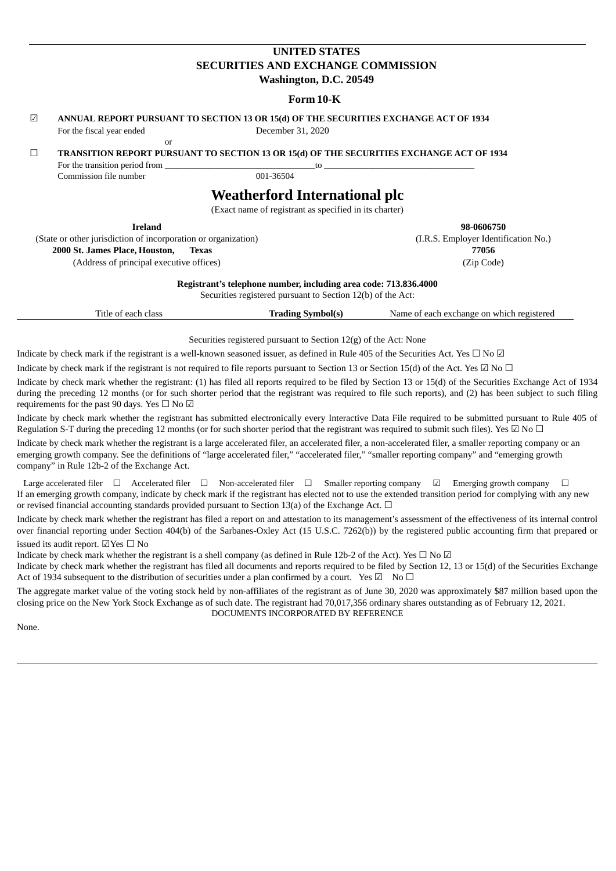# **UNITED STATES SECURITIES AND EXCHANGE COMMISSION**

**Washington, D.C. 20549**

## **Form 10-K**

## ☑ **ANNUAL REPORT PURSUANT TO SECTION 13 OR 15(d) OF THE SECURITIES EXCHANGE ACT OF 1934** For the fiscal year ended December 31, 2020

☐ **TRANSITION REPORT PURSUANT TO SECTION 13 OR 15(d) OF THE SECURITIES EXCHANGE ACT OF 1934**

| 001-36504                            |
|--------------------------------------|
| <b>Weatherford International plc</b> |
|                                      |

(Exact name of registrant as specified in its charter)

or

(State or other jurisdiction of incorporation or organization) (I.R.S. Employer Identification No.) **2000 St. James Place, Houston, Texas 77056**

(Address of principal executive offices) (Zip Code)

**Ireland 98-0606750**

**Registrant's telephone number, including area code: 713.836.4000**

Securities registered pursuant to Section 12(b) of the Act:

| Name of each exchange on which registered<br>Title of each class<br><b>Trading Symbol(s)</b> |  |
|----------------------------------------------------------------------------------------------|--|
|----------------------------------------------------------------------------------------------|--|

## Securities registered pursuant to Section 12(g) of the Act: None

Indicate by check mark if the registrant is a well-known seasoned issuer, as defined in Rule 405 of the Securities Act. Yes  $\Box$  No  $\Box$ 

Indicate by check mark if the registrant is not required to file reports pursuant to Section 13 or Section 15(d) of the Act. Yes  $\Box$  No  $\Box$ 

Indicate by check mark whether the registrant: (1) has filed all reports required to be filed by Section 13 or 15(d) of the Securities Exchange Act of 1934 during the preceding 12 months (or for such shorter period that the registrant was required to file such reports), and (2) has been subject to such filing requirements for the past 90 days. Yes  $\Box$  No  $\Box$ 

Indicate by check mark whether the registrant has submitted electronically every Interactive Data File required to be submitted pursuant to Rule 405 of Regulation S-T during the preceding 12 months (or for such shorter period that the registrant was required to submit such files). Yes  $\Box$  No  $\Box$ 

Indicate by check mark whether the registrant is a large accelerated filer, an accelerated filer, a non-accelerated filer, a smaller reporting company or an emerging growth company. See the definitions of "large accelerated filer," "accelerated filer," "smaller reporting company" and "emerging growth company" in Rule 12b-2 of the Exchange Act.

Large accelerated filer □ Accelerated filer □ Non-accelerated filer □ Smaller reporting company □ Emerging growth company □ If an emerging growth company, indicate by check mark if the registrant has elected not to use the extended transition period for complying with any new or revised financial accounting standards provided pursuant to Section 13(a) of the Exchange Act.  $\Box$ 

Indicate by check mark whether the registrant has filed a report on and attestation to its management's assessment of the effectiveness of its internal control over financial reporting under Section 404(b) of the Sarbanes-Oxley Act (15 U.S.C. 7262(b)) by the registered public accounting firm that prepared or issued its audit report. ☑Yes ☐ No

Indicate by check mark whether the registrant is a shell company (as defined in Rule 12b-2 of the Act). Yes  $\Box$  No  $\Box$ 

Indicate by check mark whether the registrant has filed all documents and reports required to be filed by Section 12, 13 or 15(d) of the Securities Exchange Act of 1934 subsequent to the distribution of securities under a plan confirmed by a court. Yes  $\Box$  No  $\Box$ 

The aggregate market value of the voting stock held by non-affiliates of the registrant as of June 30, 2020 was approximately \$87 million based upon the closing price on the New York Stock Exchange as of such date. The registrant had 70,017,356 ordinary shares outstanding as of February 12, 2021. DOCUMENTS INCORPORATED BY REFERENCE

<span id="page-0-0"></span>None.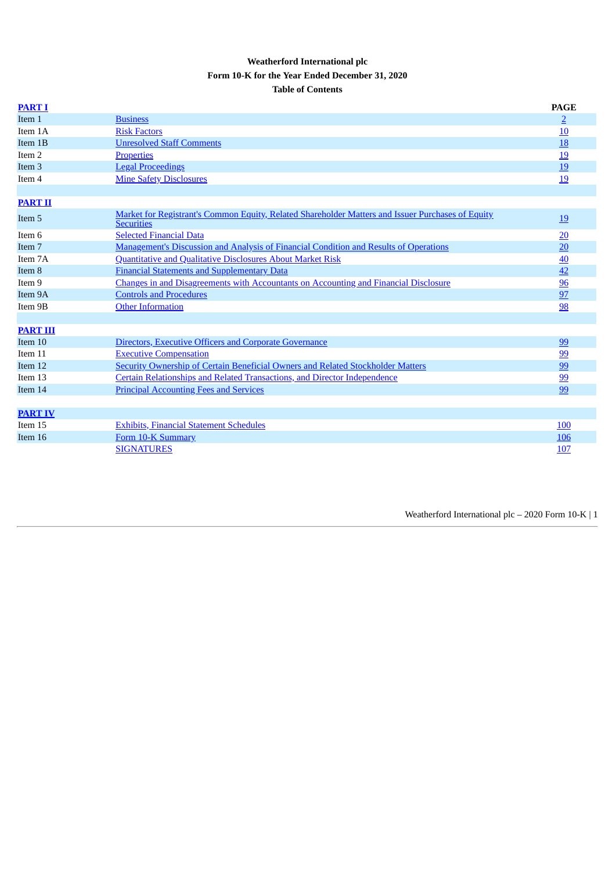## **Weatherford International plc Form 10-K for the Year Ended December 31, 2020 Table of Contents**

<span id="page-1-1"></span><span id="page-1-0"></span>

| <b>PART I</b>     |                                                                                                                               | <b>PAGE</b>    |
|-------------------|-------------------------------------------------------------------------------------------------------------------------------|----------------|
| Item 1            | <b>Business</b>                                                                                                               | $\overline{2}$ |
| Item 1A           | <b>Risk Factors</b>                                                                                                           | 10             |
| Item 1B           | <b>Unresolved Staff Comments</b>                                                                                              | 18             |
| Item 2            | <b>Properties</b>                                                                                                             | <u>19</u>      |
| Item <sub>3</sub> | <b>Legal Proceedings</b>                                                                                                      | <u>19</u>      |
| Item 4            | <b>Mine Safety Disclosures</b>                                                                                                | <u>19</u>      |
|                   |                                                                                                                               |                |
| <b>PART II</b>    |                                                                                                                               |                |
| Item 5            | <b>Market for Registrant's Common Equity, Related Shareholder Matters and Issuer Purchases of Equity</b><br><b>Securities</b> | <u>19</u>      |
| Item 6            | <b>Selected Financial Data</b>                                                                                                | 20             |
| Item 7            | <b>Management's Discussion and Analysis of Financial Condition and Results of Operations</b>                                  | 20             |
| Item 7A           | <b>Quantitative and Qualitative Disclosures About Market Risk</b>                                                             | 40             |
| Item 8            | <b>Financial Statements and Supplementary Data</b>                                                                            | 42             |
| Item 9            | <b>Changes in and Disagreements with Accountants on Accounting and Financial Disclosure</b>                                   | 96             |
| Item 9A           | <b>Controls and Procedures</b>                                                                                                | 97             |
| Item 9B           | <b>Other Information</b>                                                                                                      | 98             |
|                   |                                                                                                                               |                |
| <b>PART III</b>   |                                                                                                                               |                |
| Item 10           | Directors, Executive Officers and Corporate Governance                                                                        | 99             |
| Item 11           | <b>Executive Compensation</b>                                                                                                 | 99             |
| Item 12           | Security Ownership of Certain Beneficial Owners and Related Stockholder Matters                                               | 99             |
| Item 13           | Certain Relationships and Related Transactions, and Director Independence                                                     | 99             |
| Item 14           | <b>Principal Accounting Fees and Services</b>                                                                                 | 99             |
|                   |                                                                                                                               |                |
| <b>PART IV</b>    |                                                                                                                               |                |
| Item 15           | <b>Exhibits, Financial Statement Schedules</b>                                                                                | <b>100</b>     |
| Item 16           | Form 10-K Summary                                                                                                             | 106            |
|                   | <b>SIGNATURES</b>                                                                                                             | 107            |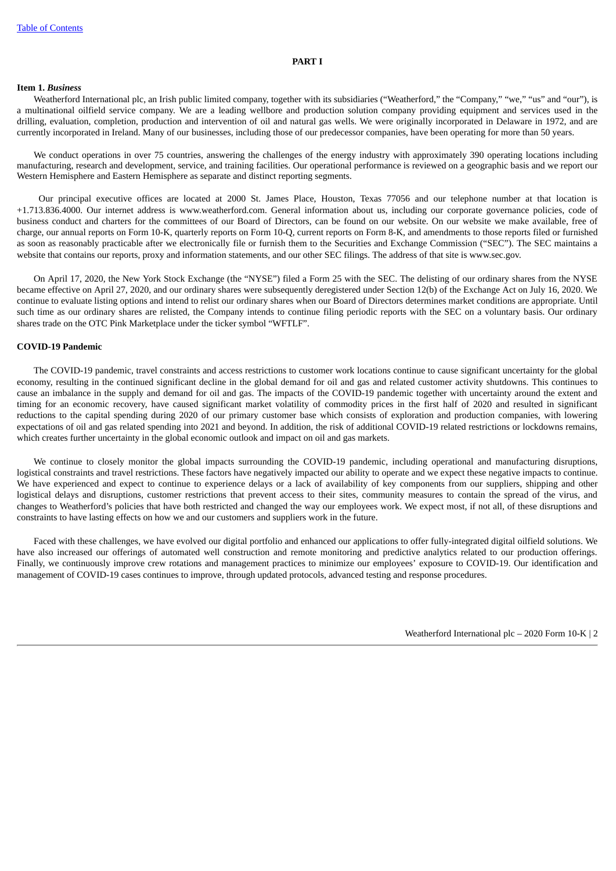## **PART I**

## **Item 1.** *Business*

Weatherford International plc, an Irish public limited company, together with its subsidiaries ("Weatherford," the "Company," "we," "us" and "our"), is a multinational oilfield service company. We are a leading wellbore and production solution company providing equipment and services used in the drilling, evaluation, completion, production and intervention of oil and natural gas wells. We were originally incorporated in Delaware in 1972, and are currently incorporated in Ireland. Many of our businesses, including those of our predecessor companies, have been operating for more than 50 years.

We conduct operations in over 75 countries, answering the challenges of the energy industry with approximately 390 operating locations including manufacturing, research and development, service, and training facilities. Our operational performance is reviewed on a geographic basis and we report our Western Hemisphere and Eastern Hemisphere as separate and distinct reporting segments.

Our principal executive offices are located at 2000 St. James Place, Houston, Texas 77056 and our telephone number at that location is +1.713.836.4000. Our internet address is www.weatherford.com. General information about us, including our corporate governance policies, code of business conduct and charters for the committees of our Board of Directors, can be found on our website. On our website we make available, free of charge, our annual reports on Form 10-K, quarterly reports on Form 10-Q, current reports on Form 8-K, and amendments to those reports filed or furnished as soon as reasonably practicable after we electronically file or furnish them to the Securities and Exchange Commission ("SEC"). The SEC maintains a website that contains our reports, proxy and information statements, and our other SEC filings. The address of that site is www.sec.gov.

On April 17, 2020, the New York Stock Exchange (the "NYSE") filed a Form 25 with the SEC. The delisting of our ordinary shares from the NYSE became effective on April 27, 2020, and our ordinary shares were subsequently deregistered under Section 12(b) of the Exchange Act on July 16, 2020. We continue to evaluate listing options and intend to relist our ordinary shares when our Board of Directors determines market conditions are appropriate. Until such time as our ordinary shares are relisted, the Company intends to continue filing periodic reports with the SEC on a voluntary basis. Our ordinary shares trade on the OTC Pink Marketplace under the ticker symbol "WFTLF".

## **COVID-19 Pandemic**

The COVID-19 pandemic, travel constraints and access restrictions to customer work locations continue to cause significant uncertainty for the global economy, resulting in the continued significant decline in the global demand for oil and gas and related customer activity shutdowns. This continues to cause an imbalance in the supply and demand for oil and gas. The impacts of the COVID-19 pandemic together with uncertainty around the extent and timing for an economic recovery, have caused significant market volatility of commodity prices in the first half of 2020 and resulted in significant reductions to the capital spending during 2020 of our primary customer base which consists of exploration and production companies, with lowering expectations of oil and gas related spending into 2021 and beyond. In addition, the risk of additional COVID-19 related restrictions or lockdowns remains, which creates further uncertainty in the global economic outlook and impact on oil and gas markets.

We continue to closely monitor the global impacts surrounding the COVID-19 pandemic, including operational and manufacturing disruptions, logistical constraints and travel restrictions. These factors have negatively impacted our ability to operate and we expect these negative impacts to continue. We have experienced and expect to continue to experience delays or a lack of availability of key components from our suppliers, shipping and other logistical delays and disruptions, customer restrictions that prevent access to their sites, community measures to contain the spread of the virus, and changes to Weatherford's policies that have both restricted and changed the way our employees work. We expect most, if not all, of these disruptions and constraints to have lasting effects on how we and our customers and suppliers work in the future.

Faced with these challenges, we have evolved our digital portfolio and enhanced our applications to offer fully-integrated digital oilfield solutions. We have also increased our offerings of automated well construction and remote monitoring and predictive analytics related to our production offerings. Finally, we continuously improve crew rotations and management practices to minimize our employees' exposure to COVID-19. Our identification and management of COVID-19 cases continues to improve, through updated protocols, advanced testing and response procedures.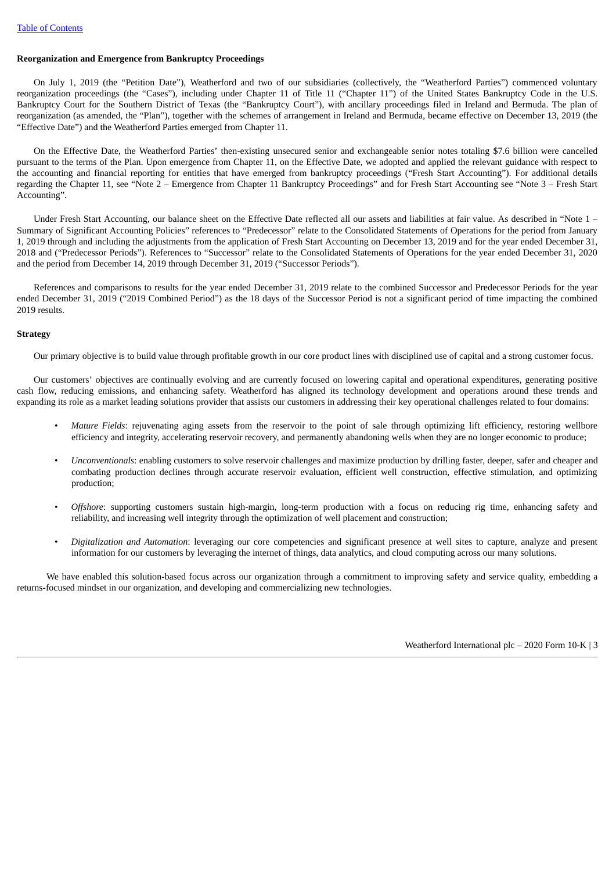#### **Reorganization and Emergence from Bankruptcy Proceedings**

On July 1, 2019 (the "Petition Date"), Weatherford and two of our subsidiaries (collectively, the "Weatherford Parties") commenced voluntary reorganization proceedings (the "Cases"), including under Chapter 11 of Title 11 ("Chapter 11") of the United States Bankruptcy Code in the U.S. Bankruptcy Court for the Southern District of Texas (the "Bankruptcy Court"), with ancillary proceedings filed in Ireland and Bermuda. The plan of reorganization (as amended, the "Plan"), together with the schemes of arrangement in Ireland and Bermuda, became effective on December 13, 2019 (the "Effective Date") and the Weatherford Parties emerged from Chapter 11.

On the Effective Date, the Weatherford Parties' then-existing unsecured senior and exchangeable senior notes totaling \$7.6 billion were cancelled pursuant to the terms of the Plan. Upon emergence from Chapter 11, on the Effective Date, we adopted and applied the relevant guidance with respect to the accounting and financial reporting for entities that have emerged from bankruptcy proceedings ("Fresh Start Accounting"). For additional details regarding the Chapter 11, see "Note 2 – Emergence from Chapter 11 Bankruptcy Proceedings" and for Fresh Start Accounting see "Note 3 – Fresh Start Accounting".

Under Fresh Start Accounting, our balance sheet on the Effective Date reflected all our assets and liabilities at fair value. As described in "Note 1 – Summary of Significant Accounting Policies" references to "Predecessor" relate to the Consolidated Statements of Operations for the period from January 1, 2019 through and including the adjustments from the application of Fresh Start Accounting on December 13, 2019 and for the year ended December 31, 2018 and ("Predecessor Periods"). References to "Successor" relate to the Consolidated Statements of Operations for the year ended December 31, 2020 and the period from December 14, 2019 through December 31, 2019 ("Successor Periods").

References and comparisons to results for the year ended December 31, 2019 relate to the combined Successor and Predecessor Periods for the year ended December 31, 2019 ("2019 Combined Period") as the 18 days of the Successor Period is not a significant period of time impacting the combined 2019 results.

## **Strategy**

Our primary objective is to build value through profitable growth in our core product lines with disciplined use of capital and a strong customer focus.

Our customers' objectives are continually evolving and are currently focused on lowering capital and operational expenditures, generating positive cash flow, reducing emissions, and enhancing safety. Weatherford has aligned its technology development and operations around these trends and expanding its role as a market leading solutions provider that assists our customers in addressing their key operational challenges related to four domains:

- *Mature Fields*: rejuvenating aging assets from the reservoir to the point of sale through optimizing lift efficiency, restoring wellbore efficiency and integrity, accelerating reservoir recovery, and permanently abandoning wells when they are no longer economic to produce;
- *Unconventionals*: enabling customers to solve reservoir challenges and maximize production by drilling faster, deeper, safer and cheaper and combating production declines through accurate reservoir evaluation, efficient well construction, effective stimulation, and optimizing production;
- *Offshore*: supporting customers sustain high-margin, long-term production with a focus on reducing rig time, enhancing safety and reliability, and increasing well integrity through the optimization of well placement and construction;
- *Digitalization and Automation*: leveraging our core competencies and significant presence at well sites to capture, analyze and present information for our customers by leveraging the internet of things, data analytics, and cloud computing across our many solutions.

We have enabled this solution-based focus across our organization through a commitment to improving safety and service quality, embedding a returns-focused mindset in our organization, and developing and commercializing new technologies.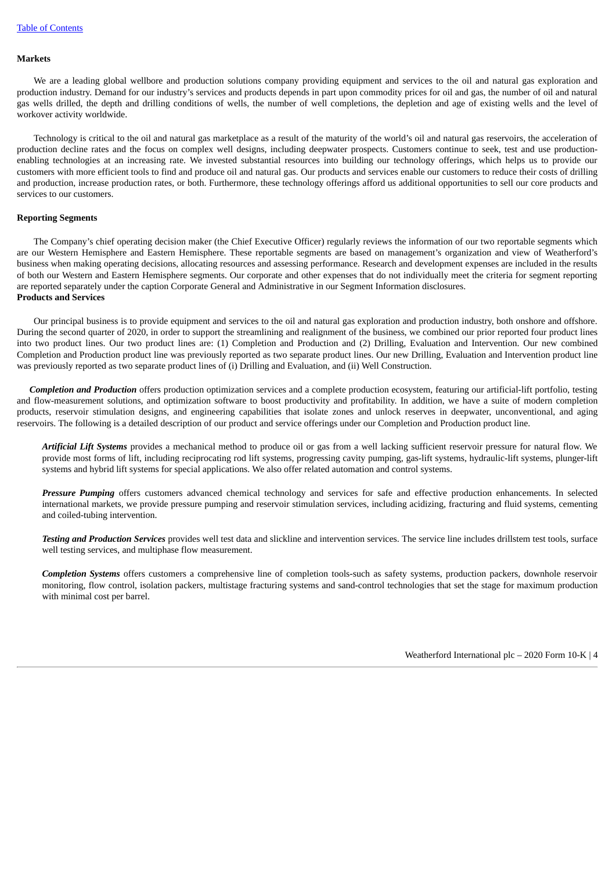#### **Markets**

We are a leading global wellbore and production solutions company providing equipment and services to the oil and natural gas exploration and production industry. Demand for our industry's services and products depends in part upon commodity prices for oil and gas, the number of oil and natural gas wells drilled, the depth and drilling conditions of wells, the number of well completions, the depletion and age of existing wells and the level of workover activity worldwide.

Technology is critical to the oil and natural gas marketplace as a result of the maturity of the world's oil and natural gas reservoirs, the acceleration of production decline rates and the focus on complex well designs, including deepwater prospects. Customers continue to seek, test and use productionenabling technologies at an increasing rate. We invested substantial resources into building our technology offerings, which helps us to provide our customers with more efficient tools to find and produce oil and natural gas. Our products and services enable our customers to reduce their costs of drilling and production, increase production rates, or both. Furthermore, these technology offerings afford us additional opportunities to sell our core products and services to our customers.

### **Reporting Segments**

The Company's chief operating decision maker (the Chief Executive Officer) regularly reviews the information of our two reportable segments which are our Western Hemisphere and Eastern Hemisphere. These reportable segments are based on management's organization and view of Weatherford's business when making operating decisions, allocating resources and assessing performance. Research and development expenses are included in the results of both our Western and Eastern Hemisphere segments. Our corporate and other expenses that do not individually meet the criteria for segment reporting are reported separately under the caption Corporate General and Administrative in our Segment Information disclosures. **Products and Services**

Our principal business is to provide equipment and services to the oil and natural gas exploration and production industry, both onshore and offshore. During the second quarter of 2020, in order to support the streamlining and realignment of the business, we combined our prior reported four product lines into two product lines. Our two product lines are: (1) Completion and Production and (2) Drilling, Evaluation and Intervention. Our new combined Completion and Production product line was previously reported as two separate product lines. Our new Drilling, Evaluation and Intervention product line was previously reported as two separate product lines of (i) Drilling and Evaluation, and (ii) Well Construction.

*Completion and Production* offers production optimization services and a complete production ecosystem, featuring our artificial-lift portfolio, testing and flow-measurement solutions, and optimization software to boost productivity and profitability. In addition, we have a suite of modern completion products, reservoir stimulation designs, and engineering capabilities that isolate zones and unlock reserves in deepwater, unconventional, and aging reservoirs. The following is a detailed description of our product and service offerings under our Completion and Production product line.

*Artificial Lift Systems* provides a mechanical method to produce oil or gas from a well lacking sufficient reservoir pressure for natural flow. We provide most forms of lift, including reciprocating rod lift systems, progressing cavity pumping, gas-lift systems, hydraulic-lift systems, plunger-lift systems and hybrid lift systems for special applications. We also offer related automation and control systems.

*Pressure Pumping* offers customers advanced chemical technology and services for safe and effective production enhancements. In selected international markets, we provide pressure pumping and reservoir stimulation services, including acidizing, fracturing and fluid systems, cementing and coiled-tubing intervention.

*Testing and Production Services* provides well test data and slickline and intervention services. The service line includes drillstem test tools, surface well testing services, and multiphase flow measurement.

*Completion Systems* offers customers a comprehensive line of completion tools-such as safety systems, production packers, downhole reservoir monitoring, flow control, isolation packers, multistage fracturing systems and sand-control technologies that set the stage for maximum production with minimal cost per barrel.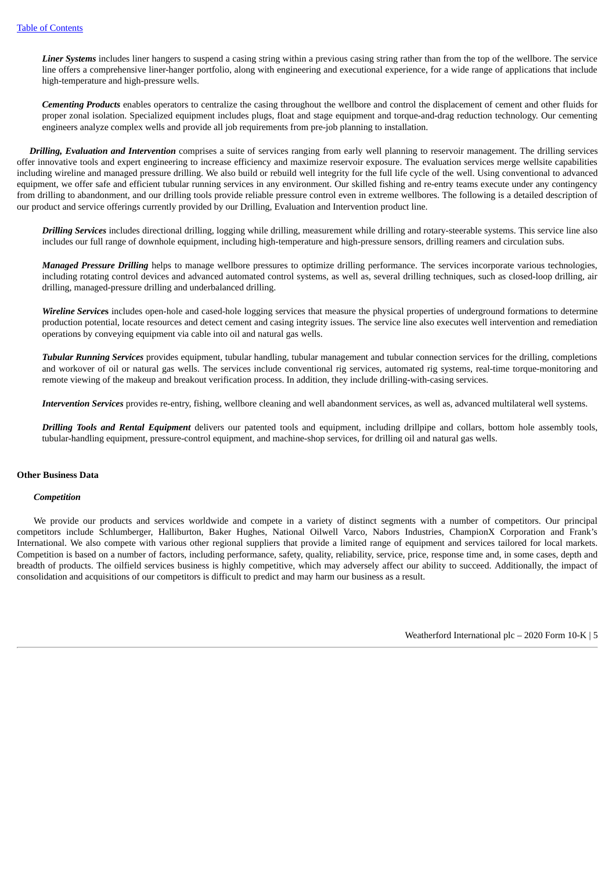*Liner Systems* includes liner hangers to suspend a casing string within a previous casing string rather than from the top of the wellbore. The service line offers a comprehensive liner-hanger portfolio, along with engineering and executional experience, for a wide range of applications that include high-temperature and high-pressure wells.

*Cementing Products* enables operators to centralize the casing throughout the wellbore and control the displacement of cement and other fluids for proper zonal isolation. Specialized equipment includes plugs, float and stage equipment and torque-and-drag reduction technology. Our cementing engineers analyze complex wells and provide all job requirements from pre-job planning to installation.

*Drilling, Evaluation and Intervention* comprises a suite of services ranging from early well planning to reservoir management. The drilling services offer innovative tools and expert engineering to increase efficiency and maximize reservoir exposure. The evaluation services merge wellsite capabilities including wireline and managed pressure drilling. We also build or rebuild well integrity for the full life cycle of the well. Using conventional to advanced equipment, we offer safe and efficient tubular running services in any environment. Our skilled fishing and re-entry teams execute under any contingency from drilling to abandonment, and our drilling tools provide reliable pressure control even in extreme wellbores. The following is a detailed description of our product and service offerings currently provided by our Drilling, Evaluation and Intervention product line.

**Drilling Services** includes directional drilling, logging while drilling, measurement while drilling and rotary-steerable systems. This service line also includes our full range of downhole equipment, including high-temperature and high-pressure sensors, drilling reamers and circulation subs.

*Managed Pressure Drilling* helps to manage wellbore pressures to optimize drilling performance. The services incorporate various technologies, including rotating control devices and advanced automated control systems, as well as, several drilling techniques, such as closed-loop drilling, air drilling, managed-pressure drilling and underbalanced drilling.

*Wireline Service***s** includes open-hole and cased-hole logging services that measure the physical properties of underground formations to determine production potential, locate resources and detect cement and casing integrity issues. The service line also executes well intervention and remediation operations by conveying equipment via cable into oil and natural gas wells.

*Tubular Running Services* provides equipment, tubular handling, tubular management and tubular connection services for the drilling, completions and workover of oil or natural gas wells. The services include conventional rig services, automated rig systems, real-time torque-monitoring and remote viewing of the makeup and breakout verification process. In addition, they include drilling-with-casing services.

*Intervention Services* provides re-entry, fishing, wellbore cleaning and well abandonment services, as well as, advanced multilateral well systems.

*Drilling Tools and Rental Equipment* delivers our patented tools and equipment, including drillpipe and collars, bottom hole assembly tools, tubular-handling equipment, pressure-control equipment, and machine-shop services, for drilling oil and natural gas wells.

#### **Other Business Data**

#### *Competition*

We provide our products and services worldwide and compete in a variety of distinct segments with a number of competitors. Our principal competitors include Schlumberger, Halliburton, Baker Hughes, National Oilwell Varco, Nabors Industries, ChampionX Corporation and Frank's International. We also compete with various other regional suppliers that provide a limited range of equipment and services tailored for local markets. Competition is based on a number of factors, including performance, safety, quality, reliability, service, price, response time and, in some cases, depth and breadth of products. The oilfield services business is highly competitive, which may adversely affect our ability to succeed. Additionally, the impact of consolidation and acquisitions of our competitors is difficult to predict and may harm our business as a result.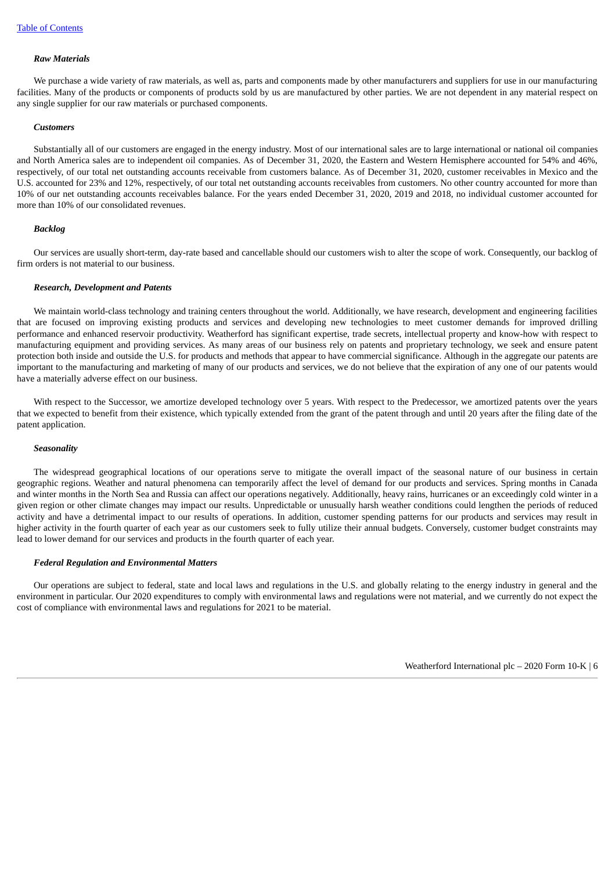#### *Raw Materials*

We purchase a wide variety of raw materials, as well as, parts and components made by other manufacturers and suppliers for use in our manufacturing facilities. Many of the products or components of products sold by us are manufactured by other parties. We are not dependent in any material respect on any single supplier for our raw materials or purchased components.

#### *Customers*

Substantially all of our customers are engaged in the energy industry. Most of our international sales are to large international or national oil companies and North America sales are to independent oil companies. As of December 31, 2020, the Eastern and Western Hemisphere accounted for 54% and 46%, respectively, of our total net outstanding accounts receivable from customers balance. As of December 31, 2020, customer receivables in Mexico and the U.S. accounted for 23% and 12%, respectively, of our total net outstanding accounts receivables from customers. No other country accounted for more than 10% of our net outstanding accounts receivables balance. For the years ended December 31, 2020, 2019 and 2018, no individual customer accounted for more than 10% of our consolidated revenues.

#### *Backlog*

Our services are usually short-term, day-rate based and cancellable should our customers wish to alter the scope of work. Consequently, our backlog of firm orders is not material to our business.

## *Research, Development and Patents*

We maintain world-class technology and training centers throughout the world. Additionally, we have research, development and engineering facilities that are focused on improving existing products and services and developing new technologies to meet customer demands for improved drilling performance and enhanced reservoir productivity. Weatherford has significant expertise, trade secrets, intellectual property and know-how with respect to manufacturing equipment and providing services. As many areas of our business rely on patents and proprietary technology, we seek and ensure patent protection both inside and outside the U.S. for products and methods that appear to have commercial significance. Although in the aggregate our patents are important to the manufacturing and marketing of many of our products and services, we do not believe that the expiration of any one of our patents would have a materially adverse effect on our business.

With respect to the Successor, we amortize developed technology over 5 years. With respect to the Predecessor, we amortized patents over the years that we expected to benefit from their existence, which typically extended from the grant of the patent through and until 20 years after the filing date of the patent application.

#### *Seasonality*

The widespread geographical locations of our operations serve to mitigate the overall impact of the seasonal nature of our business in certain geographic regions. Weather and natural phenomena can temporarily affect the level of demand for our products and services. Spring months in Canada and winter months in the North Sea and Russia can affect our operations negatively. Additionally, heavy rains, hurricanes or an exceedingly cold winter in a given region or other climate changes may impact our results. Unpredictable or unusually harsh weather conditions could lengthen the periods of reduced activity and have a detrimental impact to our results of operations. In addition, customer spending patterns for our products and services may result in higher activity in the fourth quarter of each year as our customers seek to fully utilize their annual budgets. Conversely, customer budget constraints may lead to lower demand for our services and products in the fourth quarter of each year.

#### *Federal Regulation and Environmental Matters*

Our operations are subject to federal, state and local laws and regulations in the U.S. and globally relating to the energy industry in general and the environment in particular. Our 2020 expenditures to comply with environmental laws and regulations were not material, and we currently do not expect the cost of compliance with environmental laws and regulations for 2021 to be material.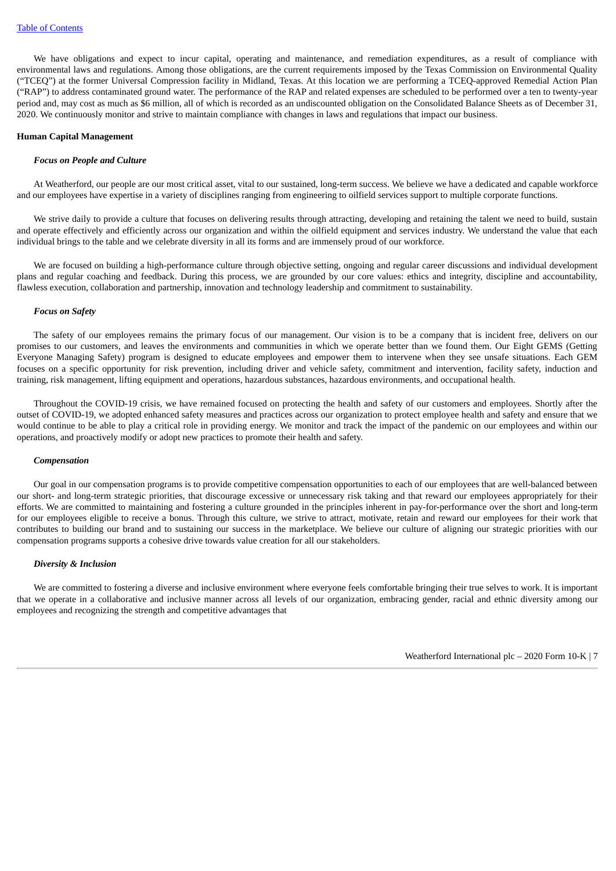We have obligations and expect to incur capital, operating and maintenance, and remediation expenditures, as a result of compliance with environmental laws and regulations. Among those obligations, are the current requirements imposed by the Texas Commission on Environmental Quality ("TCEQ") at the former Universal Compression facility in Midland, Texas. At this location we are performing a TCEQ-approved Remedial Action Plan ("RAP") to address contaminated ground water. The performance of the RAP and related expenses are scheduled to be performed over a ten to twenty-year period and, may cost as much as \$6 million, all of which is recorded as an undiscounted obligation on the Consolidated Balance Sheets as of December 31, 2020. We continuously monitor and strive to maintain compliance with changes in laws and regulations that impact our business.

#### **Human Capital Management**

#### *Focus on People and Culture*

At Weatherford, our people are our most critical asset, vital to our sustained, long-term success. We believe we have a dedicated and capable workforce and our employees have expertise in a variety of disciplines ranging from engineering to oilfield services support to multiple corporate functions.

We strive daily to provide a culture that focuses on delivering results through attracting, developing and retaining the talent we need to build, sustain and operate effectively and efficiently across our organization and within the oilfield equipment and services industry. We understand the value that each individual brings to the table and we celebrate diversity in all its forms and are immensely proud of our workforce.

We are focused on building a high-performance culture through objective setting, ongoing and regular career discussions and individual development plans and regular coaching and feedback. During this process, we are grounded by our core values: ethics and integrity, discipline and accountability, flawless execution, collaboration and partnership, innovation and technology leadership and commitment to sustainability.

## *Focus on Safety*

The safety of our employees remains the primary focus of our management. Our vision is to be a company that is incident free, delivers on our promises to our customers, and leaves the environments and communities in which we operate better than we found them. Our Eight GEMS (Getting Everyone Managing Safety) program is designed to educate employees and empower them to intervene when they see unsafe situations. Each GEM focuses on a specific opportunity for risk prevention, including driver and vehicle safety, commitment and intervention, facility safety, induction and training, risk management, lifting equipment and operations, hazardous substances, hazardous environments, and occupational health.

Throughout the COVID-19 crisis, we have remained focused on protecting the health and safety of our customers and employees. Shortly after the outset of COVID-19, we adopted enhanced safety measures and practices across our organization to protect employee health and safety and ensure that we would continue to be able to play a critical role in providing energy. We monitor and track the impact of the pandemic on our employees and within our operations, and proactively modify or adopt new practices to promote their health and safety.

#### *Compensation*

Our goal in our compensation programs is to provide competitive compensation opportunities to each of our employees that are well-balanced between our short- and long-term strategic priorities, that discourage excessive or unnecessary risk taking and that reward our employees appropriately for their efforts. We are committed to maintaining and fostering a culture grounded in the principles inherent in pay-for-performance over the short and long-term for our employees eligible to receive a bonus. Through this culture, we strive to attract, motivate, retain and reward our employees for their work that contributes to building our brand and to sustaining our success in the marketplace. We believe our culture of aligning our strategic priorities with our compensation programs supports a cohesive drive towards value creation for all our stakeholders.

#### *Diversity & Inclusion*

We are committed to fostering a diverse and inclusive environment where everyone feels comfortable bringing their true selves to work. It is important that we operate in a collaborative and inclusive manner across all levels of our organization, embracing gender, racial and ethnic diversity among our employees and recognizing the strength and competitive advantages that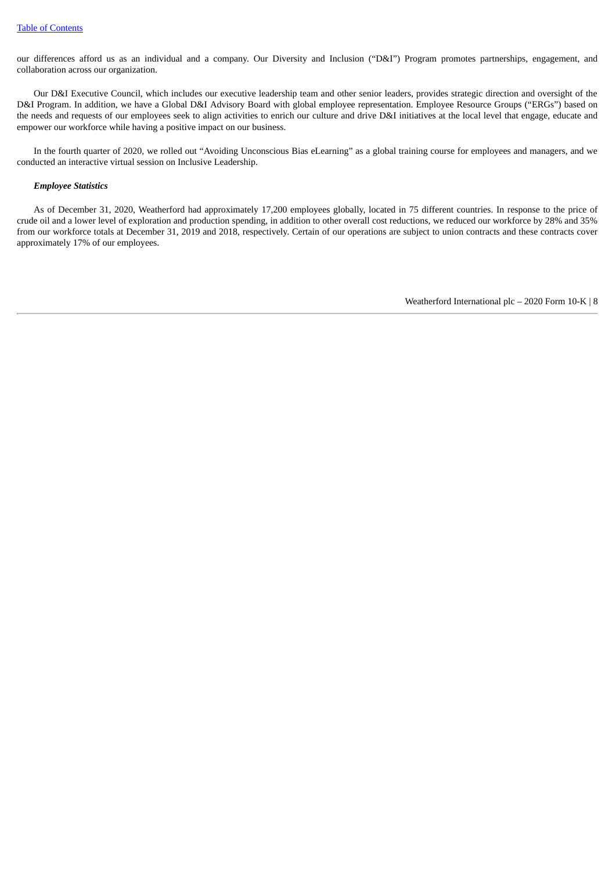our differences afford us as an individual and a company. Our Diversity and Inclusion ("D&I") Program promotes partnerships, engagement, and collaboration across our organization.

Our D&I Executive Council, which includes our executive leadership team and other senior leaders, provides strategic direction and oversight of the D&I Program. In addition, we have a Global D&I Advisory Board with global employee representation. Employee Resource Groups ("ERGs") based on the needs and requests of our employees seek to align activities to enrich our culture and drive D&I initiatives at the local level that engage, educate and empower our workforce while having a positive impact on our business.

In the fourth quarter of 2020, we rolled out "Avoiding Unconscious Bias eLearning" as a global training course for employees and managers, and we conducted an interactive virtual session on Inclusive Leadership.

## *Employee Statistics*

As of December 31, 2020, Weatherford had approximately 17,200 employees globally, located in 75 different countries. In response to the price of crude oil and a lower level of exploration and production spending, in addition to other overall cost reductions, we reduced our workforce by 28% and 35% from our workforce totals at December 31, 2019 and 2018, respectively. Certain of our operations are subject to union contracts and these contracts cover approximately 17% of our employees.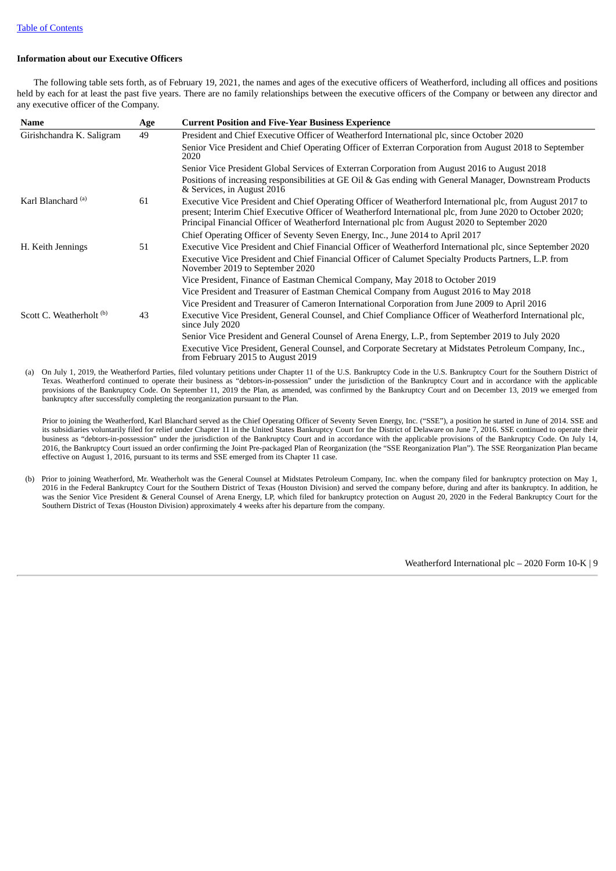## **Information about our Executive Officers**

The following table sets forth, as of February 19, 2021, the names and ages of the executive officers of Weatherford, including all offices and positions held by each for at least the past five years. There are no family relationships between the executive officers of the Company or between any director and any executive officer of the Company.

| <b>Name</b>                         | Age | <b>Current Position and Five-Year Business Experience</b>                                                                                                                                                                                                                                                                   |
|-------------------------------------|-----|-----------------------------------------------------------------------------------------------------------------------------------------------------------------------------------------------------------------------------------------------------------------------------------------------------------------------------|
| Girishchandra K. Saligram           | 49  | President and Chief Executive Officer of Weatherford International plc, since October 2020                                                                                                                                                                                                                                  |
|                                     |     | Senior Vice President and Chief Operating Officer of Exterran Corporation from August 2018 to September<br>2020                                                                                                                                                                                                             |
|                                     |     | Senior Vice President Global Services of Exterran Corporation from August 2016 to August 2018                                                                                                                                                                                                                               |
|                                     |     | Positions of increasing responsibilities at GE Oil & Gas ending with General Manager, Downstream Products<br>& Services, in August 2016                                                                                                                                                                                     |
| Karl Blanchard <sup>(a)</sup>       | 61  | Executive Vice President and Chief Operating Officer of Weatherford International plc, from August 2017 to<br>present; Interim Chief Executive Officer of Weatherford International plc, from June 2020 to October 2020;<br>Principal Financial Officer of Weatherford International plc from August 2020 to September 2020 |
|                                     |     | Chief Operating Officer of Seventy Seven Energy, Inc., June 2014 to April 2017                                                                                                                                                                                                                                              |
| H. Keith Jennings                   | 51  | Executive Vice President and Chief Financial Officer of Weatherford International plc, since September 2020                                                                                                                                                                                                                 |
|                                     |     | Executive Vice President and Chief Financial Officer of Calumet Specialty Products Partners, L.P. from<br>November 2019 to September 2020                                                                                                                                                                                   |
|                                     |     | Vice President, Finance of Eastman Chemical Company, May 2018 to October 2019                                                                                                                                                                                                                                               |
|                                     |     | Vice President and Treasurer of Eastman Chemical Company from August 2016 to May 2018                                                                                                                                                                                                                                       |
|                                     |     | Vice President and Treasurer of Cameron International Corporation from June 2009 to April 2016                                                                                                                                                                                                                              |
| Scott C. Weatherholt <sup>(b)</sup> | 43  | Executive Vice President, General Counsel, and Chief Compliance Officer of Weatherford International plc,<br>since July 2020                                                                                                                                                                                                |
|                                     |     | Senior Vice President and General Counsel of Arena Energy, L.P., from September 2019 to July 2020                                                                                                                                                                                                                           |
|                                     |     | Executive Vice President, General Counsel, and Corporate Secretary at Midstates Petroleum Company, Inc.,<br>from February 2015 to August 2019                                                                                                                                                                               |

(a) On July 1, 2019, the Weatherford Parties, filed voluntary petitions under Chapter 11 of the U.S. Bankruptcy Code in the U.S. Bankruptcy Court for the Southern District of Texas. Weatherford continued to operate their business as "debtors-in-possession" under the jurisdiction of the Bankruptcy Court and in accordance with the applicable provisions of the Bankruptcy Code. On September 11, 2019 the Plan, as amended, was confirmed by the Bankruptcy Court and on December 13, 2019 we emerged from bankruptcy after successfully completing the reorganization pursuant to the Plan.

Prior to joining the Weatherford, Karl Blanchard served as the Chief Operating Officer of Seventy Seven Energy, Inc. ("SSE"), a position he started in June of 2014. SSE and its subsidiaries voluntarily filed for relief under Chapter 11 in the United States Bankruptcy Court for the District of Delaware on June 7, 2016. SSE continued to operate their business as "debtors-in-possession" under the jurisdiction of the Bankruptcy Court and in accordance with the applicable provisions of the Bankruptcy Code. On July 14, 2016, the Bankruptcy Court issued an order confirming the Joint Pre-packaged Plan of Reorganization (the "SSE Reorganization Plan"). The SSE Reorganization Plan became effective on August 1, 2016, pursuant to its terms and SSE emerged from its Chapter 11 case.

<span id="page-9-0"></span>(b) Prior to joining Weatherford, Mr. Weatherholt was the General Counsel at Midstates Petroleum Company, Inc. when the company filed for bankruptcy protection on May 1, 2016 in the Federal Bankruptcy Court for the Southern District of Texas (Houston Division) and served the company before, during and after its bankruptcy. In addition, he was the Senior Vice President & General Counsel of Arena Energy, LP, which filed for bankruptcy protection on August 20, 2020 in the Federal Bankruptcy Court for the Southern District of Texas (Houston Division) approximately 4 weeks after his departure from the company.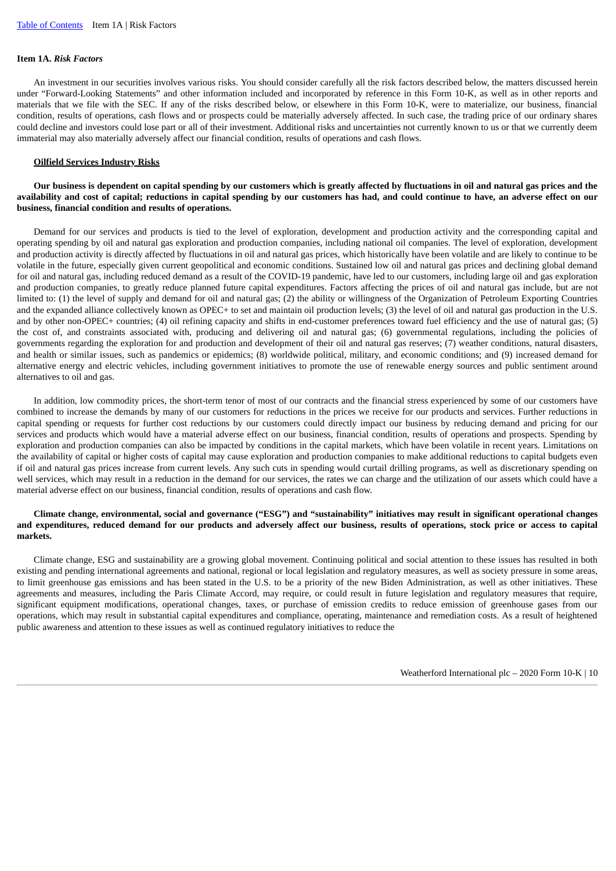### **Item 1A.** *Risk Factors*

An investment in our securities involves various risks. You should consider carefully all the risk factors described below, the matters discussed herein under "Forward-Looking Statements" and other information included and incorporated by reference in this Form 10-K, as well as in other reports and materials that we file with the SEC. If any of the risks described below, or elsewhere in this Form 10-K, were to materialize, our business, financial condition, results of operations, cash flows and or prospects could be materially adversely affected. In such case, the trading price of our ordinary shares could decline and investors could lose part or all of their investment. Additional risks and uncertainties not currently known to us or that we currently deem immaterial may also materially adversely affect our financial condition, results of operations and cash flows.

#### **Oilfield Services Industry Risks**

## Our business is dependent on capital spending by our customers which is greatly affected by fluctuations in oil and natural gas prices and the availability and cost of capital; reductions in capital spending by our customers has had, and could continue to have, an adverse effect on our **business, financial condition and results of operations.**

Demand for our services and products is tied to the level of exploration, development and production activity and the corresponding capital and operating spending by oil and natural gas exploration and production companies, including national oil companies. The level of exploration, development and production activity is directly affected by fluctuations in oil and natural gas prices, which historically have been volatile and are likely to continue to be volatile in the future, especially given current geopolitical and economic conditions. Sustained low oil and natural gas prices and declining global demand for oil and natural gas, including reduced demand as a result of the COVID-19 pandemic, have led to our customers, including large oil and gas exploration and production companies, to greatly reduce planned future capital expenditures. Factors affecting the prices of oil and natural gas include, but are not limited to: (1) the level of supply and demand for oil and natural gas; (2) the ability or willingness of the Organization of Petroleum Exporting Countries and the expanded alliance collectively known as OPEC+ to set and maintain oil production levels; (3) the level of oil and natural gas production in the U.S. and by other non-OPEC+ countries; (4) oil refining capacity and shifts in end-customer preferences toward fuel efficiency and the use of natural gas; (5) the cost of, and constraints associated with, producing and delivering oil and natural gas; (6) governmental regulations, including the policies of governments regarding the exploration for and production and development of their oil and natural gas reserves; (7) weather conditions, natural disasters, and health or similar issues, such as pandemics or epidemics; (8) worldwide political, military, and economic conditions; and (9) increased demand for alternative energy and electric vehicles, including government initiatives to promote the use of renewable energy sources and public sentiment around alternatives to oil and gas.

In addition, low commodity prices, the short-term tenor of most of our contracts and the financial stress experienced by some of our customers have combined to increase the demands by many of our customers for reductions in the prices we receive for our products and services. Further reductions in capital spending or requests for further cost reductions by our customers could directly impact our business by reducing demand and pricing for our services and products which would have a material adverse effect on our business, financial condition, results of operations and prospects. Spending by exploration and production companies can also be impacted by conditions in the capital markets, which have been volatile in recent years. Limitations on the availability of capital or higher costs of capital may cause exploration and production companies to make additional reductions to capital budgets even if oil and natural gas prices increase from current levels. Any such cuts in spending would curtail drilling programs, as well as discretionary spending on well services, which may result in a reduction in the demand for our services, the rates we can charge and the utilization of our assets which could have a material adverse effect on our business, financial condition, results of operations and cash flow.

## Climate change, environmental, social and governance ("ESG") and "sustainability" initiatives may result in significant operational changes and expenditures, reduced demand for our products and adversely affect our business, results of operations, stock price or access to capital **markets.**

Climate change, ESG and sustainability are a growing global movement. Continuing political and social attention to these issues has resulted in both existing and pending international agreements and national, regional or local legislation and regulatory measures, as well as society pressure in some areas, to limit greenhouse gas emissions and has been stated in the U.S. to be a priority of the new Biden Administration, as well as other initiatives. These agreements and measures, including the Paris Climate Accord, may require, or could result in future legislation and regulatory measures that require, significant equipment modifications, operational changes, taxes, or purchase of emission credits to reduce emission of greenhouse gases from our operations, which may result in substantial capital expenditures and compliance, operating, maintenance and remediation costs. As a result of heightened public awareness and attention to these issues as well as continued regulatory initiatives to reduce the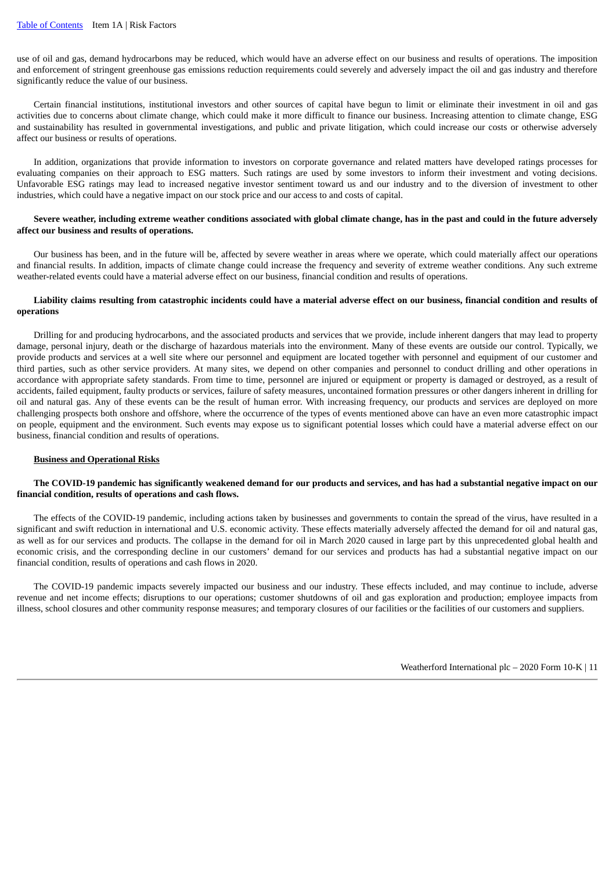use of oil and gas, demand hydrocarbons may be reduced, which would have an adverse effect on our business and results of operations. The imposition and enforcement of stringent greenhouse gas emissions reduction requirements could severely and adversely impact the oil and gas industry and therefore significantly reduce the value of our business.

Certain financial institutions, institutional investors and other sources of capital have begun to limit or eliminate their investment in oil and gas activities due to concerns about climate change, which could make it more difficult to finance our business. Increasing attention to climate change, ESG and sustainability has resulted in governmental investigations, and public and private litigation, which could increase our costs or otherwise adversely affect our business or results of operations.

In addition, organizations that provide information to investors on corporate governance and related matters have developed ratings processes for evaluating companies on their approach to ESG matters. Such ratings are used by some investors to inform their investment and voting decisions. Unfavorable ESG ratings may lead to increased negative investor sentiment toward us and our industry and to the diversion of investment to other industries, which could have a negative impact on our stock price and our access to and costs of capital.

## Severe weather, including extreme weather conditions associated with global climate change, has in the past and could in the future adversely **affect our business and results of operations.**

Our business has been, and in the future will be, affected by severe weather in areas where we operate, which could materially affect our operations and financial results. In addition, impacts of climate change could increase the frequency and severity of extreme weather conditions. Any such extreme weather-related events could have a material adverse effect on our business, financial condition and results of operations.

## Liability claims resulting from catastrophic incidents could have a material adverse effect on our business, financial condition and results of **operations**

Drilling for and producing hydrocarbons, and the associated products and services that we provide, include inherent dangers that may lead to property damage, personal injury, death or the discharge of hazardous materials into the environment. Many of these events are outside our control. Typically, we provide products and services at a well site where our personnel and equipment are located together with personnel and equipment of our customer and third parties, such as other service providers. At many sites, we depend on other companies and personnel to conduct drilling and other operations in accordance with appropriate safety standards. From time to time, personnel are injured or equipment or property is damaged or destroyed, as a result of accidents, failed equipment, faulty products or services, failure of safety measures, uncontained formation pressures or other dangers inherent in drilling for oil and natural gas. Any of these events can be the result of human error. With increasing frequency, our products and services are deployed on more challenging prospects both onshore and offshore, where the occurrence of the types of events mentioned above can have an even more catastrophic impact on people, equipment and the environment. Such events may expose us to significant potential losses which could have a material adverse effect on our business, financial condition and results of operations.

## **Business and Operational Risks**

## The COVID-19 pandemic has significantly weakened demand for our products and services, and has had a substantial negative impact on our **financial condition, results of operations and cash flows.**

The effects of the COVID-19 pandemic, including actions taken by businesses and governments to contain the spread of the virus, have resulted in a significant and swift reduction in international and U.S. economic activity. These effects materially adversely affected the demand for oil and natural gas, as well as for our services and products. The collapse in the demand for oil in March 2020 caused in large part by this unprecedented global health and economic crisis, and the corresponding decline in our customers' demand for our services and products has had a substantial negative impact on our financial condition, results of operations and cash flows in 2020.

The COVID-19 pandemic impacts severely impacted our business and our industry. These effects included, and may continue to include, adverse revenue and net income effects; disruptions to our operations; customer shutdowns of oil and gas exploration and production; employee impacts from illness, school closures and other community response measures; and temporary closures of our facilities or the facilities of our customers and suppliers.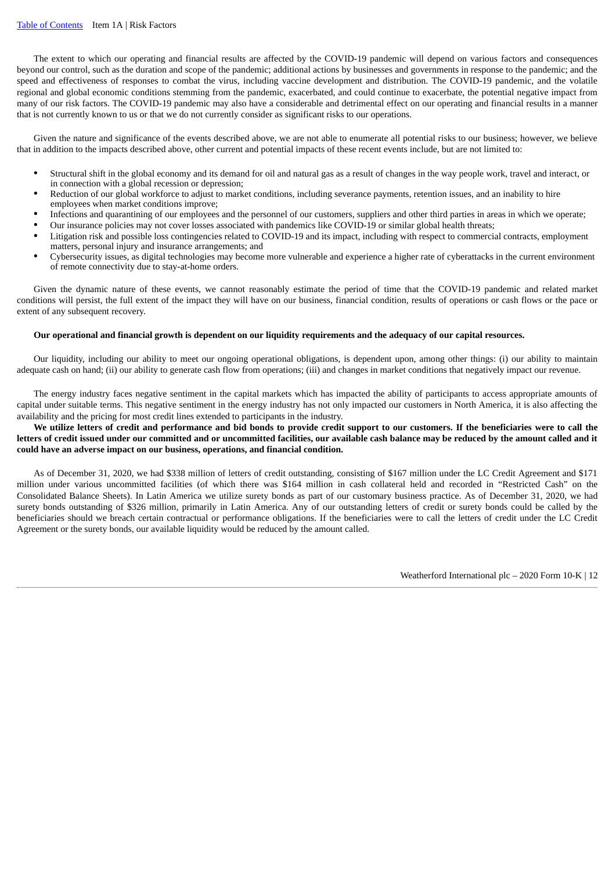The extent to which our operating and financial results are affected by the COVID-19 pandemic will depend on various factors and consequences beyond our control, such as the duration and scope of the pandemic; additional actions by businesses and governments in response to the pandemic; and the speed and effectiveness of responses to combat the virus, including vaccine development and distribution. The COVID-19 pandemic, and the volatile regional and global economic conditions stemming from the pandemic, exacerbated, and could continue to exacerbate, the potential negative impact from many of our risk factors. The COVID-19 pandemic may also have a considerable and detrimental effect on our operating and financial results in a manner that is not currently known to us or that we do not currently consider as significant risks to our operations.

Given the nature and significance of the events described above, we are not able to enumerate all potential risks to our business; however, we believe that in addition to the impacts described above, other current and potential impacts of these recent events include, but are not limited to:

- Structural shift in the global economy and its demand for oil and natural gas as a result of changes in the way people work, travel and interact, or in connection with a global recession or depression;
- Reduction of our global workforce to adjust to market conditions, including severance payments, retention issues, and an inability to hire employees when market conditions improve;
- Infections and quarantining of our employees and the personnel of our customers, suppliers and other third parties in areas in which we operate;
- Our insurance policies may not cover losses associated with pandemics like COVID-19 or similar global health threats;
- Litigation risk and possible loss contingencies related to COVID-19 and its impact, including with respect to commercial contracts, employment matters, personal injury and insurance arrangements; and
- Cybersecurity issues, as digital technologies may become more vulnerable and experience a higher rate of cyberattacks in the current environment of remote connectivity due to stay-at-home orders.

Given the dynamic nature of these events, we cannot reasonably estimate the period of time that the COVID-19 pandemic and related market conditions will persist, the full extent of the impact they will have on our business, financial condition, results of operations or cash flows or the pace or extent of any subsequent recovery.

## Our operational and financial growth is dependent on our liquidity requirements and the adequacy of our capital resources.

Our liquidity, including our ability to meet our ongoing operational obligations, is dependent upon, among other things: (i) our ability to maintain adequate cash on hand; (ii) our ability to generate cash flow from operations; (iii) and changes in market conditions that negatively impact our revenue.

The energy industry faces negative sentiment in the capital markets which has impacted the ability of participants to access appropriate amounts of capital under suitable terms. This negative sentiment in the energy industry has not only impacted our customers in North America, it is also affecting the availability and the pricing for most credit lines extended to participants in the industry.

## We utilize letters of credit and performance and bid bonds to provide credit support to our customers. If the beneficiaries were to call the letters of credit issued under our committed and or uncommitted facilities, our available cash balance may be reduced by the amount called and it **could have an adverse impact on our business, operations, and financial condition.**

As of December 31, 2020, we had \$338 million of letters of credit outstanding, consisting of \$167 million under the LC Credit Agreement and \$171 million under various uncommitted facilities (of which there was \$164 million in cash collateral held and recorded in "Restricted Cash" on the Consolidated Balance Sheets). In Latin America we utilize surety bonds as part of our customary business practice. As of December 31, 2020, we had surety bonds outstanding of \$326 million, primarily in Latin America. Any of our outstanding letters of credit or surety bonds could be called by the beneficiaries should we breach certain contractual or performance obligations. If the beneficiaries were to call the letters of credit under the LC Credit Agreement or the surety bonds, our available liquidity would be reduced by the amount called.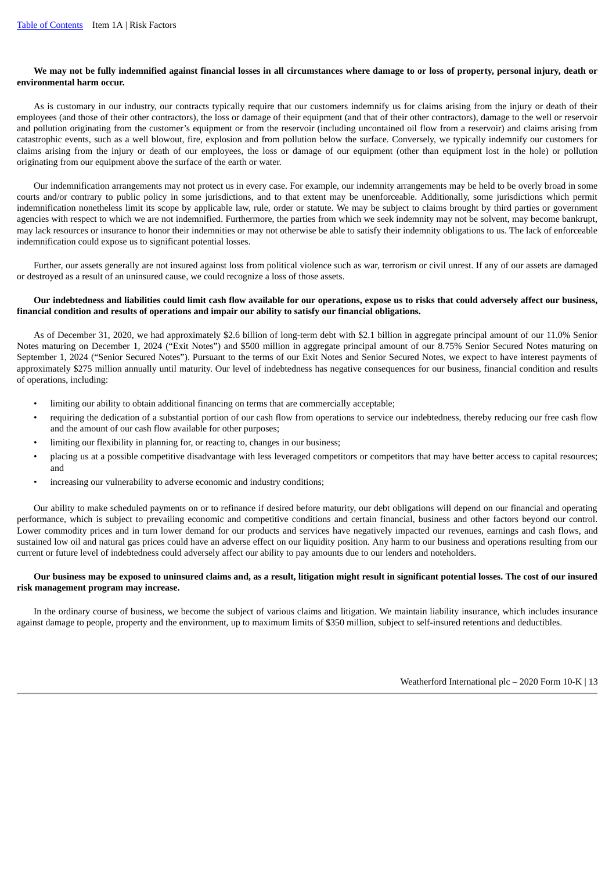## We may not be fully indemnified against financial losses in all circumstances where damage to or loss of property, personal injury, death or **environmental harm occur.**

As is customary in our industry, our contracts typically require that our customers indemnify us for claims arising from the injury or death of their employees (and those of their other contractors), the loss or damage of their equipment (and that of their other contractors), damage to the well or reservoir and pollution originating from the customer's equipment or from the reservoir (including uncontained oil flow from a reservoir) and claims arising from catastrophic events, such as a well blowout, fire, explosion and from pollution below the surface. Conversely, we typically indemnify our customers for claims arising from the injury or death of our employees, the loss or damage of our equipment (other than equipment lost in the hole) or pollution originating from our equipment above the surface of the earth or water.

Our indemnification arrangements may not protect us in every case. For example, our indemnity arrangements may be held to be overly broad in some courts and/or contrary to public policy in some jurisdictions, and to that extent may be unenforceable. Additionally, some jurisdictions which permit indemnification nonetheless limit its scope by applicable law, rule, order or statute. We may be subject to claims brought by third parties or government agencies with respect to which we are not indemnified. Furthermore, the parties from which we seek indemnity may not be solvent, may become bankrupt, may lack resources or insurance to honor their indemnities or may not otherwise be able to satisfy their indemnity obligations to us. The lack of enforceable indemnification could expose us to significant potential losses.

Further, our assets generally are not insured against loss from political violence such as war, terrorism or civil unrest. If any of our assets are damaged or destroyed as a result of an uninsured cause, we could recognize a loss of those assets.

## Our indebtedness and liabilities could limit cash flow available for our operations, expose us to risks that could adversely affect our business, **financial condition and results of operations and impair our ability to satisfy our financial obligations.**

As of December 31, 2020, we had approximately \$2.6 billion of long-term debt with \$2.1 billion in aggregate principal amount of our 11.0% Senior Notes maturing on December 1, 2024 ("Exit Notes") and \$500 million in aggregate principal amount of our 8.75% Senior Secured Notes maturing on September 1, 2024 ("Senior Secured Notes"). Pursuant to the terms of our Exit Notes and Senior Secured Notes, we expect to have interest payments of approximately \$275 million annually until maturity. Our level of indebtedness has negative consequences for our business, financial condition and results of operations, including:

- limiting our ability to obtain additional financing on terms that are commercially acceptable;
- requiring the dedication of a substantial portion of our cash flow from operations to service our indebtedness, thereby reducing our free cash flow and the amount of our cash flow available for other purposes;
- limiting our flexibility in planning for, or reacting to, changes in our business;
- placing us at a possible competitive disadvantage with less leveraged competitors or competitors that may have better access to capital resources; and
- increasing our vulnerability to adverse economic and industry conditions;

Our ability to make scheduled payments on or to refinance if desired before maturity, our debt obligations will depend on our financial and operating performance, which is subject to prevailing economic and competitive conditions and certain financial, business and other factors beyond our control. Lower commodity prices and in turn lower demand for our products and services have negatively impacted our revenues, earnings and cash flows, and sustained low oil and natural gas prices could have an adverse effect on our liquidity position. Any harm to our business and operations resulting from our current or future level of indebtedness could adversely affect our ability to pay amounts due to our lenders and noteholders.

## Our business may be exposed to uninsured claims and, as a result, litigation might result in significant potential losses. The cost of our insured **risk management program may increase.**

In the ordinary course of business, we become the subject of various claims and litigation. We maintain liability insurance, which includes insurance against damage to people, property and the environment, up to maximum limits of \$350 million, subject to self-insured retentions and deductibles.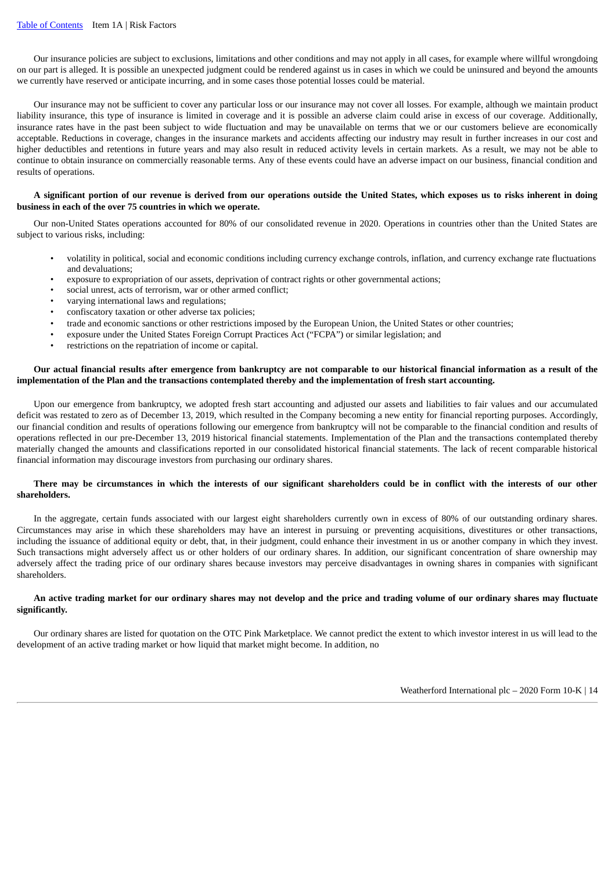Our insurance policies are subject to exclusions, limitations and other conditions and may not apply in all cases, for example where willful wrongdoing on our part is alleged. It is possible an unexpected judgment could be rendered against us in cases in which we could be uninsured and beyond the amounts we currently have reserved or anticipate incurring, and in some cases those potential losses could be material.

Our insurance may not be sufficient to cover any particular loss or our insurance may not cover all losses. For example, although we maintain product liability insurance, this type of insurance is limited in coverage and it is possible an adverse claim could arise in excess of our coverage. Additionally, insurance rates have in the past been subject to wide fluctuation and may be unavailable on terms that we or our customers believe are economically acceptable. Reductions in coverage, changes in the insurance markets and accidents affecting our industry may result in further increases in our cost and higher deductibles and retentions in future years and may also result in reduced activity levels in certain markets. As a result, we may not be able to continue to obtain insurance on commercially reasonable terms. Any of these events could have an adverse impact on our business, financial condition and results of operations.

## A significant portion of our revenue is derived from our operations outside the United States, which exposes us to risks inherent in doing **business in each of the over 75 countries in which we operate.**

Our non-United States operations accounted for 80% of our consolidated revenue in 2020. Operations in countries other than the United States are subject to various risks, including:

- volatility in political, social and economic conditions including currency exchange controls, inflation, and currency exchange rate fluctuations and devaluations;
- exposure to expropriation of our assets, deprivation of contract rights or other governmental actions;
- social unrest, acts of terrorism, war or other armed conflict;
- varying international laws and regulations;
- confiscatory taxation or other adverse tax policies;
- trade and economic sanctions or other restrictions imposed by the European Union, the United States or other countries;
- exposure under the United States Foreign Corrupt Practices Act ("FCPA") or similar legislation; and
- restrictions on the repatriation of income or capital.

## Our actual financial results after emergence from bankruptcy are not comparable to our historical financial information as a result of the implementation of the Plan and the transactions contemplated thereby and the implementation of fresh start accounting.

Upon our emergence from bankruptcy, we adopted fresh start accounting and adjusted our assets and liabilities to fair values and our accumulated deficit was restated to zero as of December 13, 2019, which resulted in the Company becoming a new entity for financial reporting purposes. Accordingly, our financial condition and results of operations following our emergence from bankruptcy will not be comparable to the financial condition and results of operations reflected in our pre-December 13, 2019 historical financial statements. Implementation of the Plan and the transactions contemplated thereby materially changed the amounts and classifications reported in our consolidated historical financial statements. The lack of recent comparable historical financial information may discourage investors from purchasing our ordinary shares.

## There may be circumstances in which the interests of our significant shareholders could be in conflict with the interests of our other **shareholders.**

In the aggregate, certain funds associated with our largest eight shareholders currently own in excess of 80% of our outstanding ordinary shares. Circumstances may arise in which these shareholders may have an interest in pursuing or preventing acquisitions, divestitures or other transactions, including the issuance of additional equity or debt, that, in their judgment, could enhance their investment in us or another company in which they invest. Such transactions might adversely affect us or other holders of our ordinary shares. In addition, our significant concentration of share ownership may adversely affect the trading price of our ordinary shares because investors may perceive disadvantages in owning shares in companies with significant shareholders.

## An active trading market for our ordinary shares may not develop and the price and trading volume of our ordinary shares may fluctuate **significantly.**

Our ordinary shares are listed for quotation on the OTC Pink Marketplace. We cannot predict the extent to which investor interest in us will lead to the development of an active trading market or how liquid that market might become. In addition, no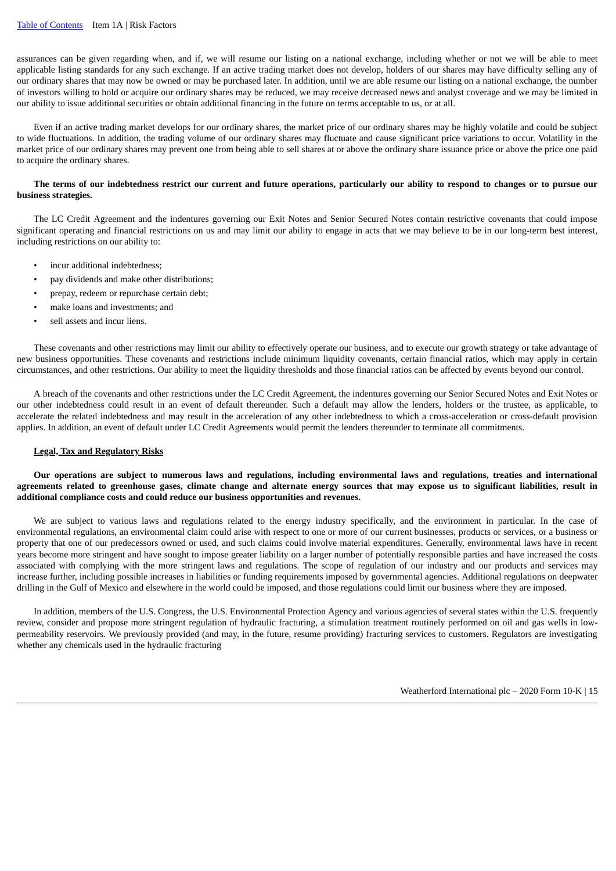assurances can be given regarding when, and if, we will resume our listing on a national exchange, including whether or not we will be able to meet applicable listing standards for any such exchange. If an active trading market does not develop, holders of our shares may have difficulty selling any of our ordinary shares that may now be owned or may be purchased later. In addition, until we are able resume our listing on a national exchange, the number of investors willing to hold or acquire our ordinary shares may be reduced, we may receive decreased news and analyst coverage and we may be limited in our ability to issue additional securities or obtain additional financing in the future on terms acceptable to us, or at all.

Even if an active trading market develops for our ordinary shares, the market price of our ordinary shares may be highly volatile and could be subject to wide fluctuations. In addition, the trading volume of our ordinary shares may fluctuate and cause significant price variations to occur. Volatility in the market price of our ordinary shares may prevent one from being able to sell shares at or above the ordinary share issuance price or above the price one paid to acquire the ordinary shares.

## The terms of our indebtedness restrict our current and future operations, particularly our ability to respond to changes or to pursue our **business strategies.**

The LC Credit Agreement and the indentures governing our Exit Notes and Senior Secured Notes contain restrictive covenants that could impose significant operating and financial restrictions on us and may limit our ability to engage in acts that we may believe to be in our long-term best interest, including restrictions on our ability to:

- incur additional indebtedness;
- pay dividends and make other distributions;
- prepay, redeem or repurchase certain debt;
- make loans and investments; and
- sell assets and incur liens.

These covenants and other restrictions may limit our ability to effectively operate our business, and to execute our growth strategy or take advantage of new business opportunities. These covenants and restrictions include minimum liquidity covenants, certain financial ratios, which may apply in certain circumstances, and other restrictions. Our ability to meet the liquidity thresholds and those financial ratios can be affected by events beyond our control.

A breach of the covenants and other restrictions under the LC Credit Agreement, the indentures governing our Senior Secured Notes and Exit Notes or our other indebtedness could result in an event of default thereunder. Such a default may allow the lenders, holders or the trustee, as applicable, to accelerate the related indebtedness and may result in the acceleration of any other indebtedness to which a cross-acceleration or cross-default provision applies. In addition, an event of default under LC Credit Agreements would permit the lenders thereunder to terminate all commitments.

#### **Legal, Tax and Regulatory Risks**

## Our operations are subject to numerous laws and regulations, including environmental laws and regulations, treaties and international agreements related to greenhouse gases, climate change and alternate energy sources that may expose us to significant liabilities, result in **additional compliance costs and could reduce our business opportunities and revenues.**

We are subject to various laws and regulations related to the energy industry specifically, and the environment in particular. In the case of environmental regulations, an environmental claim could arise with respect to one or more of our current businesses, products or services, or a business or property that one of our predecessors owned or used, and such claims could involve material expenditures. Generally, environmental laws have in recent years become more stringent and have sought to impose greater liability on a larger number of potentially responsible parties and have increased the costs associated with complying with the more stringent laws and regulations. The scope of regulation of our industry and our products and services may increase further, including possible increases in liabilities or funding requirements imposed by governmental agencies. Additional regulations on deepwater drilling in the Gulf of Mexico and elsewhere in the world could be imposed, and those regulations could limit our business where they are imposed.

In addition, members of the U.S. Congress, the U.S. Environmental Protection Agency and various agencies of several states within the U.S. frequently review, consider and propose more stringent regulation of hydraulic fracturing, a stimulation treatment routinely performed on oil and gas wells in lowpermeability reservoirs. We previously provided (and may, in the future, resume providing) fracturing services to customers. Regulators are investigating whether any chemicals used in the hydraulic fracturing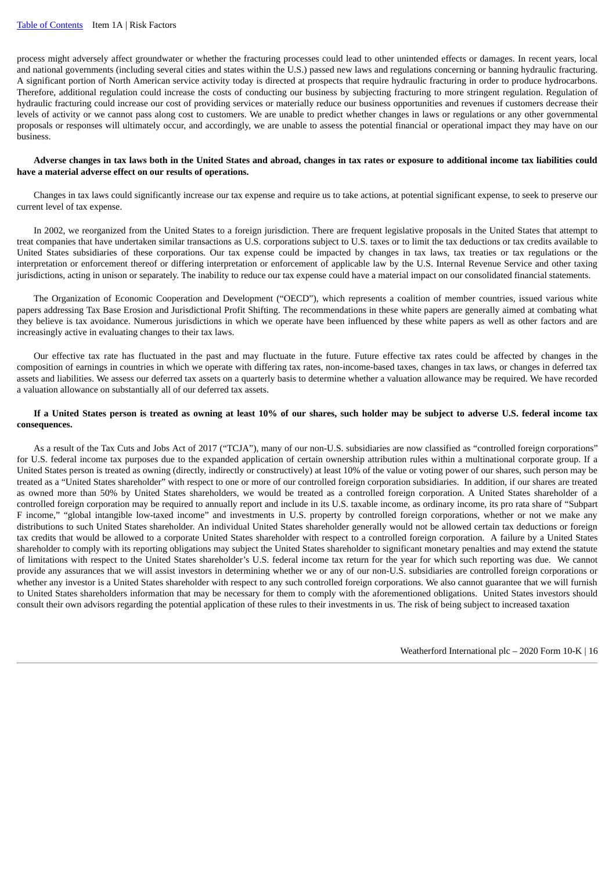process might adversely affect groundwater or whether the fracturing processes could lead to other unintended effects or damages. In recent years, local and national governments (including several cities and states within the U.S.) passed new laws and regulations concerning or banning hydraulic fracturing. A significant portion of North American service activity today is directed at prospects that require hydraulic fracturing in order to produce hydrocarbons. Therefore, additional regulation could increase the costs of conducting our business by subjecting fracturing to more stringent regulation. Regulation of hydraulic fracturing could increase our cost of providing services or materially reduce our business opportunities and revenues if customers decrease their levels of activity or we cannot pass along cost to customers. We are unable to predict whether changes in laws or regulations or any other governmental proposals or responses will ultimately occur, and accordingly, we are unable to assess the potential financial or operational impact they may have on our business.

## Adverse changes in tax laws both in the United States and abroad, changes in tax rates or exposure to additional income tax liabilities could **have a material adverse effect on our results of operations.**

Changes in tax laws could significantly increase our tax expense and require us to take actions, at potential significant expense, to seek to preserve our current level of tax expense.

In 2002, we reorganized from the United States to a foreign jurisdiction. There are frequent legislative proposals in the United States that attempt to treat companies that have undertaken similar transactions as U.S. corporations subject to U.S. taxes or to limit the tax deductions or tax credits available to United States subsidiaries of these corporations. Our tax expense could be impacted by changes in tax laws, tax treaties or tax regulations or the interpretation or enforcement thereof or differing interpretation or enforcement of applicable law by the U.S. Internal Revenue Service and other taxing jurisdictions, acting in unison or separately. The inability to reduce our tax expense could have a material impact on our consolidated financial statements.

The Organization of Economic Cooperation and Development ("OECD"), which represents a coalition of member countries, issued various white papers addressing Tax Base Erosion and Jurisdictional Profit Shifting. The recommendations in these white papers are generally aimed at combating what they believe is tax avoidance. Numerous jurisdictions in which we operate have been influenced by these white papers as well as other factors and are increasingly active in evaluating changes to their tax laws.

Our effective tax rate has fluctuated in the past and may fluctuate in the future. Future effective tax rates could be affected by changes in the composition of earnings in countries in which we operate with differing tax rates, non-income-based taxes, changes in tax laws, or changes in deferred tax assets and liabilities. We assess our deferred tax assets on a quarterly basis to determine whether a valuation allowance may be required. We have recorded a valuation allowance on substantially all of our deferred tax assets.

## If a United States person is treated as owning at least 10% of our shares, such holder may be subject to adverse U.S. federal income tax **consequences.**

As a result of the Tax Cuts and Jobs Act of 2017 ("TCJA"), many of our non-U.S. subsidiaries are now classified as "controlled foreign corporations" for U.S. federal income tax purposes due to the expanded application of certain ownership attribution rules within a multinational corporate group. If a United States person is treated as owning (directly, indirectly or constructively) at least 10% of the value or voting power of our shares, such person may be treated as a "United States shareholder" with respect to one or more of our controlled foreign corporation subsidiaries. In addition, if our shares are treated as owned more than 50% by United States shareholders, we would be treated as a controlled foreign corporation. A United States shareholder of a controlled foreign corporation may be required to annually report and include in its U.S. taxable income, as ordinary income, its pro rata share of "Subpart F income," "global intangible low-taxed income" and investments in U.S. property by controlled foreign corporations, whether or not we make any distributions to such United States shareholder. An individual United States shareholder generally would not be allowed certain tax deductions or foreign tax credits that would be allowed to a corporate United States shareholder with respect to a controlled foreign corporation. A failure by a United States shareholder to comply with its reporting obligations may subject the United States shareholder to significant monetary penalties and may extend the statute of limitations with respect to the United States shareholder's U.S. federal income tax return for the year for which such reporting was due. We cannot provide any assurances that we will assist investors in determining whether we or any of our non-U.S. subsidiaries are controlled foreign corporations or whether any investor is a United States shareholder with respect to any such controlled foreign corporations. We also cannot guarantee that we will furnish to United States shareholders information that may be necessary for them to comply with the aforementioned obligations. United States investors should consult their own advisors regarding the potential application of these rules to their investments in us. The risk of being subject to increased taxation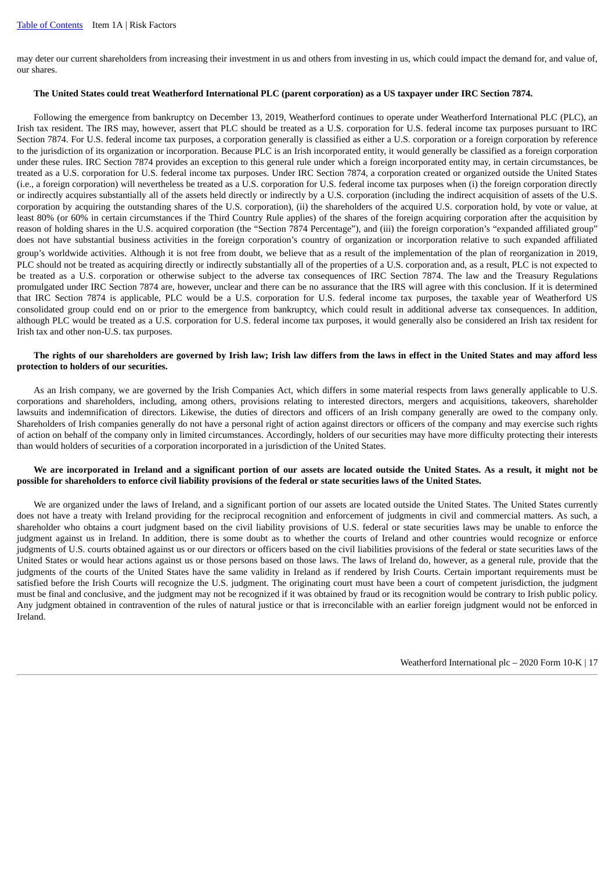may deter our current shareholders from increasing their investment in us and others from investing in us, which could impact the demand for, and value of, our shares.

## The United States could treat Weatherford International PLC (parent corporation) as a US taxpayer under IRC Section 7874.

Following the emergence from bankruptcy on December 13, 2019, Weatherford continues to operate under Weatherford International PLC (PLC), an Irish tax resident. The IRS may, however, assert that PLC should be treated as a U.S. corporation for U.S. federal income tax purposes pursuant to IRC Section 7874. For U.S. federal income tax purposes, a corporation generally is classified as either a U.S. corporation or a foreign corporation by reference to the jurisdiction of its organization or incorporation. Because PLC is an Irish incorporated entity, it would generally be classified as a foreign corporation under these rules. IRC Section 7874 provides an exception to this general rule under which a foreign incorporated entity may, in certain circumstances, be treated as a U.S. corporation for U.S. federal income tax purposes. Under IRC Section 7874, a corporation created or organized outside the United States (i.e., a foreign corporation) will nevertheless be treated as a U.S. corporation for U.S. federal income tax purposes when (i) the foreign corporation directly or indirectly acquires substantially all of the assets held directly or indirectly by a U.S. corporation (including the indirect acquisition of assets of the U.S. corporation by acquiring the outstanding shares of the U.S. corporation), (ii) the shareholders of the acquired U.S. corporation hold, by vote or value, at least 80% (or 60% in certain circumstances if the Third Country Rule applies) of the shares of the foreign acquiring corporation after the acquisition by reason of holding shares in the U.S. acquired corporation (the "Section 7874 Percentage"), and (iii) the foreign corporation's "expanded affiliated group" does not have substantial business activities in the foreign corporation's country of organization or incorporation relative to such expanded affiliated group's worldwide activities. Although it is not free from doubt, we believe that as a result of the implementation of the plan of reorganization in 2019, PLC should not be treated as acquiring directly or indirectly substantially all of the properties of a U.S. corporation and, as a result, PLC is not expected to be treated as a U.S. corporation or otherwise subject to the adverse tax consequences of IRC Section 7874. The law and the Treasury Regulations promulgated under IRC Section 7874 are, however, unclear and there can be no assurance that the IRS will agree with this conclusion. If it is determined that IRC Section 7874 is applicable, PLC would be a U.S. corporation for U.S. federal income tax purposes, the taxable year of Weatherford US consolidated group could end on or prior to the emergence from bankruptcy, which could result in additional adverse tax consequences. In addition, although PLC would be treated as a U.S. corporation for U.S. federal income tax purposes, it would generally also be considered an Irish tax resident for Irish tax and other non-U.S. tax purposes.

## The rights of our shareholders are governed by Irish law; Irish law differs from the laws in effect in the United States and may afford less **protection to holders of our securities.**

As an Irish company, we are governed by the Irish Companies Act, which differs in some material respects from laws generally applicable to U.S. corporations and shareholders, including, among others, provisions relating to interested directors, mergers and acquisitions, takeovers, shareholder lawsuits and indemnification of directors. Likewise, the duties of directors and officers of an Irish company generally are owed to the company only. Shareholders of Irish companies generally do not have a personal right of action against directors or officers of the company and may exercise such rights of action on behalf of the company only in limited circumstances. Accordingly, holders of our securities may have more difficulty protecting their interests than would holders of securities of a corporation incorporated in a jurisdiction of the United States.

## We are incorporated in Ireland and a significant portion of our assets are located outside the United States. As a result, it might not be possible for shareholders to enforce civil liability provisions of the federal or state securities laws of the United States.

We are organized under the laws of Ireland, and a significant portion of our assets are located outside the United States. The United States currently does not have a treaty with Ireland providing for the reciprocal recognition and enforcement of judgments in civil and commercial matters. As such, a shareholder who obtains a court judgment based on the civil liability provisions of U.S. federal or state securities laws may be unable to enforce the judgment against us in Ireland. In addition, there is some doubt as to whether the courts of Ireland and other countries would recognize or enforce judgments of U.S. courts obtained against us or our directors or officers based on the civil liabilities provisions of the federal or state securities laws of the United States or would hear actions against us or those persons based on those laws. The laws of Ireland do, however, as a general rule, provide that the judgments of the courts of the United States have the same validity in Ireland as if rendered by Irish Courts. Certain important requirements must be satisfied before the Irish Courts will recognize the U.S. judgment. The originating court must have been a court of competent jurisdiction, the judgment must be final and conclusive, and the judgment may not be recognized if it was obtained by fraud or its recognition would be contrary to Irish public policy. Any judgment obtained in contravention of the rules of natural justice or that is irreconcilable with an earlier foreign judgment would not be enforced in Ireland.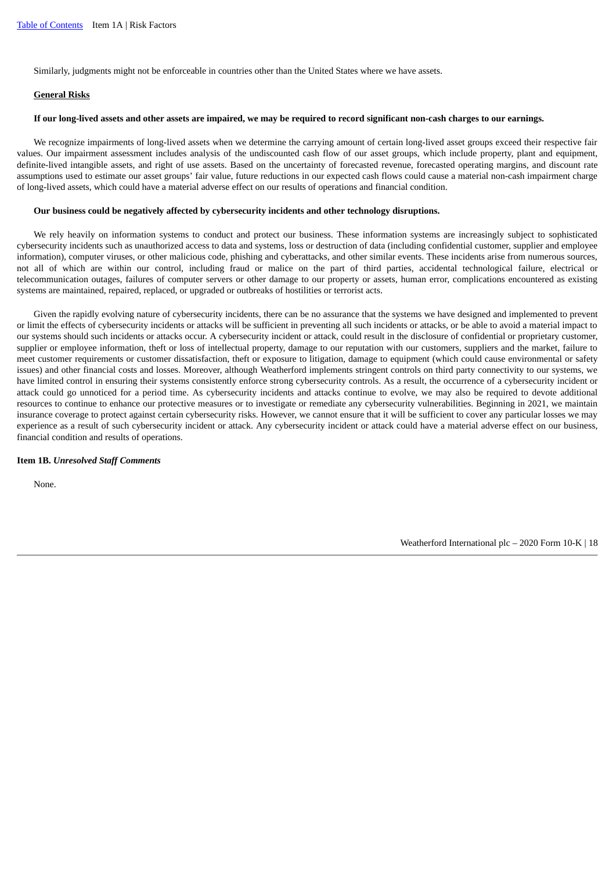Similarly, judgments might not be enforceable in countries other than the United States where we have assets.

### **General Risks**

#### If our long-lived assets and other assets are impaired, we may be required to record significant non-cash charges to our earnings.

We recognize impairments of long-lived assets when we determine the carrying amount of certain long-lived asset groups exceed their respective fair values. Our impairment assessment includes analysis of the undiscounted cash flow of our asset groups, which include property, plant and equipment, definite-lived intangible assets, and right of use assets. Based on the uncertainty of forecasted revenue, forecasted operating margins, and discount rate assumptions used to estimate our asset groups' fair value, future reductions in our expected cash flows could cause a material non-cash impairment charge of long-lived assets, which could have a material adverse effect on our results of operations and financial condition.

#### **Our business could be negatively affected by cybersecurity incidents and other technology disruptions.**

We rely heavily on information systems to conduct and protect our business. These information systems are increasingly subject to sophisticated cybersecurity incidents such as unauthorized access to data and systems, loss or destruction of data (including confidential customer, supplier and employee information), computer viruses, or other malicious code, phishing and cyberattacks, and other similar events. These incidents arise from numerous sources, not all of which are within our control, including fraud or malice on the part of third parties, accidental technological failure, electrical or telecommunication outages, failures of computer servers or other damage to our property or assets, human error, complications encountered as existing systems are maintained, repaired, replaced, or upgraded or outbreaks of hostilities or terrorist acts.

Given the rapidly evolving nature of cybersecurity incidents, there can be no assurance that the systems we have designed and implemented to prevent or limit the effects of cybersecurity incidents or attacks will be sufficient in preventing all such incidents or attacks, or be able to avoid a material impact to our systems should such incidents or attacks occur. A cybersecurity incident or attack, could result in the disclosure of confidential or proprietary customer, supplier or employee information, theft or loss of intellectual property, damage to our reputation with our customers, suppliers and the market, failure to meet customer requirements or customer dissatisfaction, theft or exposure to litigation, damage to equipment (which could cause environmental or safety issues) and other financial costs and losses. Moreover, although Weatherford implements stringent controls on third party connectivity to our systems, we have limited control in ensuring their systems consistently enforce strong cybersecurity controls. As a result, the occurrence of a cybersecurity incident or attack could go unnoticed for a period time. As cybersecurity incidents and attacks continue to evolve, we may also be required to devote additional resources to continue to enhance our protective measures or to investigate or remediate any cybersecurity vulnerabilities. Beginning in 2021, we maintain insurance coverage to protect against certain cybersecurity risks. However, we cannot ensure that it will be sufficient to cover any particular losses we may experience as a result of such cybersecurity incident or attack. Any cybersecurity incident or attack could have a material adverse effect on our business, financial condition and results of operations.

#### <span id="page-18-0"></span>**Item 1B.** *Unresolved Staff Comments*

<span id="page-18-1"></span>None.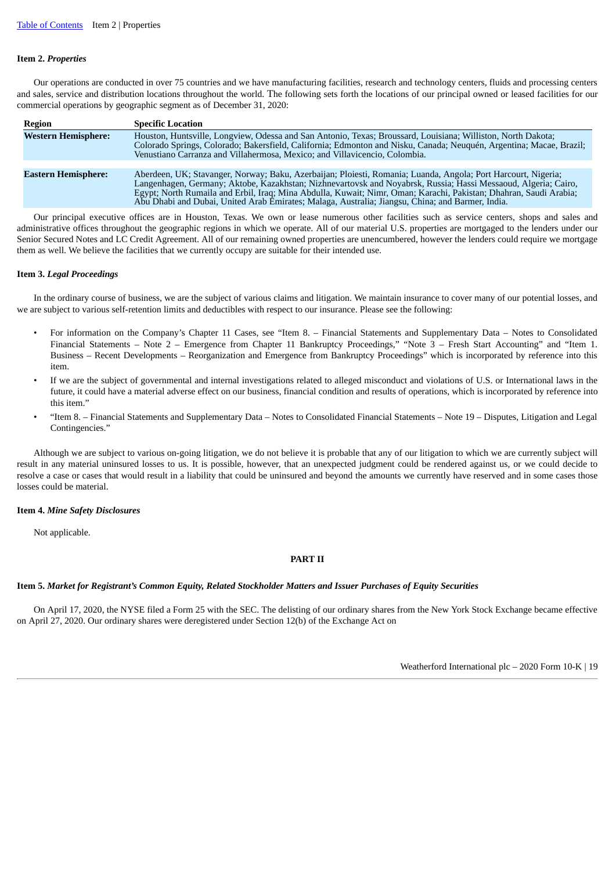## **Item 2.** *Properties*

Our operations are conducted in over 75 countries and we have manufacturing facilities, research and technology centers, fluids and processing centers and sales, service and distribution locations throughout the world. The following sets forth the locations of our principal owned or leased facilities for our commercial operations by geographic segment as of December 31, 2020:

| <b>Region</b>              | <b>Specific Location</b>                                                                                                                                                                                                                                                                                                                                                                                                                                 |
|----------------------------|----------------------------------------------------------------------------------------------------------------------------------------------------------------------------------------------------------------------------------------------------------------------------------------------------------------------------------------------------------------------------------------------------------------------------------------------------------|
| <b>Western Hemisphere:</b> | Houston, Huntsville, Longview, Odessa and San Antonio, Texas; Broussard, Louisiana; Williston, North Dakota;<br>Colorado Springs, Colorado; Bakersfield, California; Edmonton and Nisku, Canada; Neuquén, Argentina; Macae, Brazil;<br>Venustiano Carranza and Villahermosa, Mexico; and Villavicencio, Colombia.                                                                                                                                        |
|                            |                                                                                                                                                                                                                                                                                                                                                                                                                                                          |
| Eastern Hemisphere:        | Aberdeen, UK; Stavanger, Norway; Baku, Azerbaijan; Ploiesti, Romania; Luanda, Angola; Port Harcourt, Nigeria;<br>Langenhagen, Germany; Aktobe, Kazakhstan; Nizhnevartovsk and Noyabrsk, Russia; Hassi Messaoud, Algeria; Cairo,<br>Egypt; North Rumaila and Erbil, Iraq; Mina Abdulla, Kuwait; Nimr, Oman; Karachi, Pakistan; Dhahran, Saudi Arabia;<br>Abu Dhabi and Dubai, United Arab Emirates; Malaga, Australia; Jiangsu, China; and Barmer, India. |

Our principal executive offices are in Houston, Texas. We own or lease numerous other facilities such as service centers, shops and sales and administrative offices throughout the geographic regions in which we operate. All of our material U.S. properties are mortgaged to the lenders under our Senior Secured Notes and LC Credit Agreement. All of our remaining owned properties are unencumbered, however the lenders could require we mortgage them as well. We believe the facilities that we currently occupy are suitable for their intended use.

## <span id="page-19-0"></span>**Item 3.** *Legal Proceedings*

In the ordinary course of business, we are the subject of various claims and litigation. We maintain insurance to cover many of our potential losses, and we are subject to various self-retention limits and deductibles with respect to our insurance. Please see the following:

- For information on the Company's Chapter 11 Cases, see "Item 8. Financial Statements and Supplementary Data Notes to Consolidated Financial Statements – Note 2 – Emergence from Chapter 11 Bankruptcy Proceedings," "Note 3 – Fresh Start Accounting" and "Item 1. Business – Recent Developments – Reorganization and Emergence from Bankruptcy Proceedings" which is incorporated by reference into this item.
- If we are the subject of governmental and internal investigations related to alleged misconduct and violations of U.S. or International laws in the future, it could have a material adverse effect on our business, financial condition and results of operations, which is incorporated by reference into this item."
- "Item 8. Financial Statements and Supplementary Data Notes to Consolidated Financial Statements Note 19 Disputes, Litigation and Legal Contingencies."

Although we are subject to various on-going litigation, we do not believe it is probable that any of our litigation to which we are currently subject will result in any material uninsured losses to us. It is possible, however, that an unexpected judgment could be rendered against us, or we could decide to resolve a case or cases that would result in a liability that could be uninsured and beyond the amounts we currently have reserved and in some cases those losses could be material.

## <span id="page-19-1"></span>**Item 4.** *Mine Safety Disclosures*

<span id="page-19-2"></span>Not applicable.

## **PART II**

## <span id="page-19-3"></span>Item 5. Market for Registrant's Common Equity, Related Stockholder Matters and Issuer Purchases of Equity Securities

On April 17, 2020, the NYSE filed a Form 25 with the SEC. The delisting of our ordinary shares from the New York Stock Exchange became effective on April 27, 2020. Our ordinary shares were deregistered under Section 12(b) of the Exchange Act on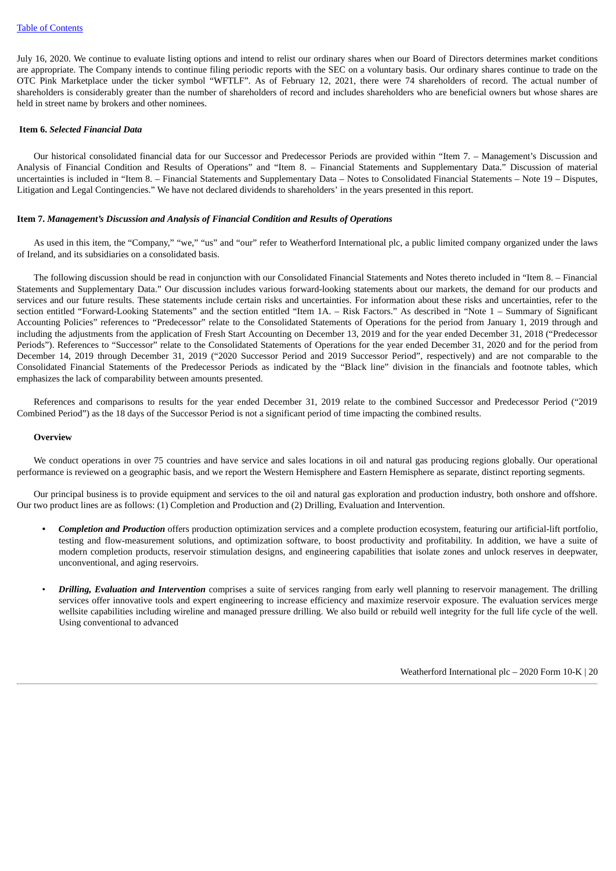July 16, 2020. We continue to evaluate listing options and intend to relist our ordinary shares when our Board of Directors determines market conditions are appropriate. The Company intends to continue filing periodic reports with the SEC on a voluntary basis. Our ordinary shares continue to trade on the OTC Pink Marketplace under the ticker symbol "WFTLF". As of February 12, 2021, there were 74 shareholders of record. The actual number of shareholders is considerably greater than the number of shareholders of record and includes shareholders who are beneficial owners but whose shares are held in street name by brokers and other nominees.

## <span id="page-20-0"></span>**Item 6.** *Selected Financial Data*

Our historical consolidated financial data for our Successor and Predecessor Periods are provided within "Item 7. – Management's Discussion and Analysis of Financial Condition and Results of Operations" and "Item 8. – Financial Statements and Supplementary Data." Discussion of material uncertainties is included in "Item 8. – Financial Statements and Supplementary Data – Notes to Consolidated Financial Statements – Note 19 – Disputes, Litigation and Legal Contingencies." We have not declared dividends to shareholders' in the years presented in this report.

#### <span id="page-20-1"></span>**Item 7.** *Management's Discussion and Analysis of Financial Condition and Results of Operations*

As used in this item, the "Company," "we," "us" and "our" refer to Weatherford International plc, a public limited company organized under the laws of Ireland, and its subsidiaries on a consolidated basis.

The following discussion should be read in conjunction with our Consolidated Financial Statements and Notes thereto included in "Item 8. – Financial Statements and Supplementary Data." Our discussion includes various forward-looking statements about our markets, the demand for our products and services and our future results. These statements include certain risks and uncertainties. For information about these risks and uncertainties, refer to the section entitled "Forward-Looking Statements" and the section entitled "Item 1A. – Risk Factors." As described in "Note 1 – Summary of Significant Accounting Policies" references to "Predecessor" relate to the Consolidated Statements of Operations for the period from January 1, 2019 through and including the adjustments from the application of Fresh Start Accounting on December 13, 2019 and for the year ended December 31, 2018 ("Predecessor Periods"). References to "Successor" relate to the Consolidated Statements of Operations for the year ended December 31, 2020 and for the period from December 14, 2019 through December 31, 2019 ("2020 Successor Period and 2019 Successor Period", respectively) and are not comparable to the Consolidated Financial Statements of the Predecessor Periods as indicated by the "Black line" division in the financials and footnote tables, which emphasizes the lack of comparability between amounts presented.

References and comparisons to results for the year ended December 31, 2019 relate to the combined Successor and Predecessor Period ("2019 Combined Period") as the 18 days of the Successor Period is not a significant period of time impacting the combined results.

#### **Overview**

We conduct operations in over 75 countries and have service and sales locations in oil and natural gas producing regions globally. Our operational performance is reviewed on a geographic basis, and we report the Western Hemisphere and Eastern Hemisphere as separate, distinct reporting segments.

Our principal business is to provide equipment and services to the oil and natural gas exploration and production industry, both onshore and offshore. Our two product lines are as follows: (1) Completion and Production and (2) Drilling, Evaluation and Intervention.

- *• Completion and Production* offers production optimization services and a complete production ecosystem, featuring our artificial-lift portfolio, testing and flow-measurement solutions, and optimization software, to boost productivity and profitability. In addition, we have a suite of modern completion products, reservoir stimulation designs, and engineering capabilities that isolate zones and unlock reserves in deepwater, unconventional, and aging reservoirs.
- *Drilling, Evaluation and Intervention* comprises a suite of services ranging from early well planning to reservoir management. The drilling services offer innovative tools and expert engineering to increase efficiency and maximize reservoir exposure. The evaluation services merge wellsite capabilities including wireline and managed pressure drilling. We also build or rebuild well integrity for the full life cycle of the well. Using conventional to advanced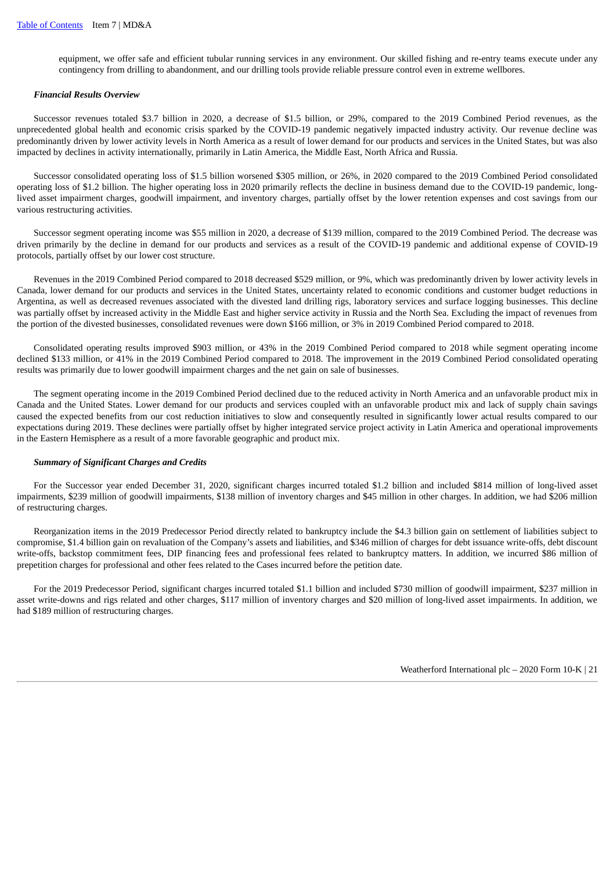equipment, we offer safe and efficient tubular running services in any environment. Our skilled fishing and re-entry teams execute under any contingency from drilling to abandonment, and our drilling tools provide reliable pressure control even in extreme wellbores.

#### *Financial Results Overview*

Successor revenues totaled \$3.7 billion in 2020, a decrease of \$1.5 billion, or 29%, compared to the 2019 Combined Period revenues, as the unprecedented global health and economic crisis sparked by the COVID-19 pandemic negatively impacted industry activity. Our revenue decline was predominantly driven by lower activity levels in North America as a result of lower demand for our products and services in the United States, but was also impacted by declines in activity internationally, primarily in Latin America, the Middle East, North Africa and Russia.

Successor consolidated operating loss of \$1.5 billion worsened \$305 million, or 26%, in 2020 compared to the 2019 Combined Period consolidated operating loss of \$1.2 billion. The higher operating loss in 2020 primarily reflects the decline in business demand due to the COVID-19 pandemic, longlived asset impairment charges, goodwill impairment, and inventory charges, partially offset by the lower retention expenses and cost savings from our various restructuring activities.

Successor segment operating income was \$55 million in 2020, a decrease of \$139 million, compared to the 2019 Combined Period. The decrease was driven primarily by the decline in demand for our products and services as a result of the COVID-19 pandemic and additional expense of COVID-19 protocols, partially offset by our lower cost structure.

Revenues in the 2019 Combined Period compared to 2018 decreased \$529 million, or 9%, which was predominantly driven by lower activity levels in Canada, lower demand for our products and services in the United States, uncertainty related to economic conditions and customer budget reductions in Argentina, as well as decreased revenues associated with the divested land drilling rigs, laboratory services and surface logging businesses. This decline was partially offset by increased activity in the Middle East and higher service activity in Russia and the North Sea. Excluding the impact of revenues from the portion of the divested businesses, consolidated revenues were down \$166 million, or 3% in 2019 Combined Period compared to 2018.

Consolidated operating results improved \$903 million, or 43% in the 2019 Combined Period compared to 2018 while segment operating income declined \$133 million, or 41% in the 2019 Combined Period compared to 2018. The improvement in the 2019 Combined Period consolidated operating results was primarily due to lower goodwill impairment charges and the net gain on sale of businesses.

The segment operating income in the 2019 Combined Period declined due to the reduced activity in North America and an unfavorable product mix in Canada and the United States. Lower demand for our products and services coupled with an unfavorable product mix and lack of supply chain savings caused the expected benefits from our cost reduction initiatives to slow and consequently resulted in significantly lower actual results compared to our expectations during 2019. These declines were partially offset by higher integrated service project activity in Latin America and operational improvements in the Eastern Hemisphere as a result of a more favorable geographic and product mix.

#### *Summary of Significant Charges and Credits*

For the Successor year ended December 31, 2020, significant charges incurred totaled \$1.2 billion and included \$814 million of long-lived asset impairments, \$239 million of goodwill impairments, \$138 million of inventory charges and \$45 million in other charges. In addition, we had \$206 million of restructuring charges.

Reorganization items in the 2019 Predecessor Period directly related to bankruptcy include the \$4.3 billion gain on settlement of liabilities subject to compromise, \$1.4 billion gain on revaluation of the Company's assets and liabilities, and \$346 million of charges for debt issuance write-offs, debt discount write-offs, backstop commitment fees, DIP financing fees and professional fees related to bankruptcy matters. In addition, we incurred \$86 million of prepetition charges for professional and other fees related to the Cases incurred before the petition date.

For the 2019 Predecessor Period, significant charges incurred totaled \$1.1 billion and included \$730 million of goodwill impairment, \$237 million in asset write-downs and rigs related and other charges, \$117 million of inventory charges and \$20 million of long-lived asset impairments. In addition, we had \$189 million of restructuring charges.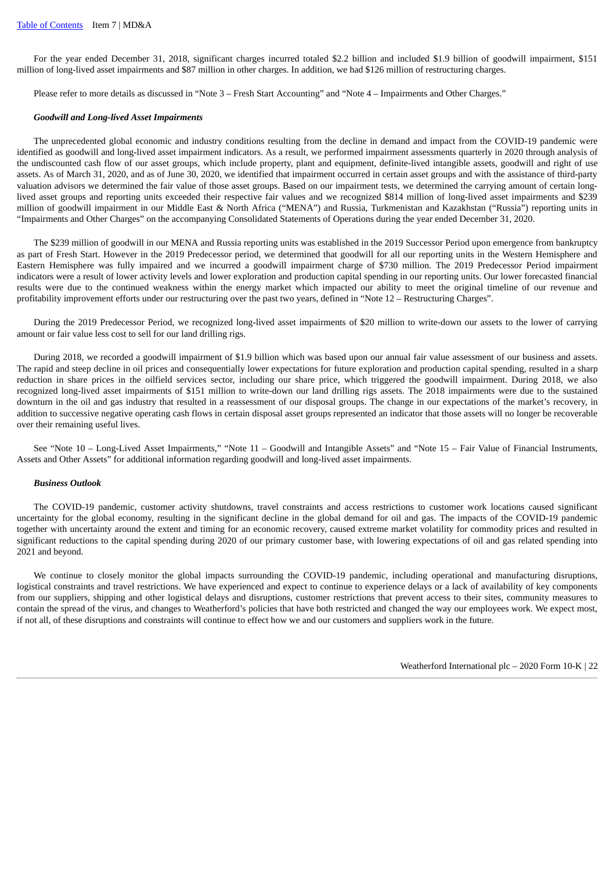For the year ended December 31, 2018, significant charges incurred totaled \$2.2 billion and included \$1.9 billion of goodwill impairment, \$151 million of long-lived asset impairments and \$87 million in other charges. In addition, we had \$126 million of restructuring charges.

Please refer to more details as discussed in "Note 3 – Fresh Start Accounting" and "Note 4 – Impairments and Other Charges."

#### *Goodwill and Long-lived Asset Impairments*

The unprecedented global economic and industry conditions resulting from the decline in demand and impact from the COVID-19 pandemic were identified as goodwill and long-lived asset impairment indicators. As a result, we performed impairment assessments quarterly in 2020 through analysis of the undiscounted cash flow of our asset groups, which include property, plant and equipment, definite-lived intangible assets, goodwill and right of use assets. As of March 31, 2020, and as of June 30, 2020, we identified that impairment occurred in certain asset groups and with the assistance of third-party valuation advisors we determined the fair value of those asset groups. Based on our impairment tests, we determined the carrying amount of certain longlived asset groups and reporting units exceeded their respective fair values and we recognized \$814 million of long-lived asset impairments and \$239 million of goodwill impairment in our Middle East & North Africa ("MENA") and Russia, Turkmenistan and Kazakhstan ("Russia") reporting units in "Impairments and Other Charges" on the accompanying Consolidated Statements of Operations during the year ended December 31, 2020.

The \$239 million of goodwill in our MENA and Russia reporting units was established in the 2019 Successor Period upon emergence from bankruptcy as part of Fresh Start. However in the 2019 Predecessor period, we determined that goodwill for all our reporting units in the Western Hemisphere and Eastern Hemisphere was fully impaired and we incurred a goodwill impairment charge of \$730 million. The 2019 Predecessor Period impairment indicators were a result of lower activity levels and lower exploration and production capital spending in our reporting units. Our lower forecasted financial results were due to the continued weakness within the energy market which impacted our ability to meet the original timeline of our revenue and profitability improvement efforts under our restructuring over the past two years, defined in "Note 12 – Restructuring Charges".

During the 2019 Predecessor Period, we recognized long-lived asset impairments of \$20 million to write-down our assets to the lower of carrying amount or fair value less cost to sell for our land drilling rigs.

During 2018, we recorded a goodwill impairment of \$1.9 billion which was based upon our annual fair value assessment of our business and assets. The rapid and steep decline in oil prices and consequentially lower expectations for future exploration and production capital spending, resulted in a sharp reduction in share prices in the oilfield services sector, including our share price, which triggered the goodwill impairment. During 2018, we also recognized long-lived asset impairments of \$151 million to write-down our land drilling rigs assets. The 2018 impairments were due to the sustained downturn in the oil and gas industry that resulted in a reassessment of our disposal groups. The change in our expectations of the market's recovery, in addition to successive negative operating cash flows in certain disposal asset groups represented an indicator that those assets will no longer be recoverable over their remaining useful lives.

See "Note 10 – Long-Lived Asset Impairments," "Note 11 – Goodwill and Intangible Assets" and "Note 15 – Fair Value of Financial Instruments, Assets and Other Assets" for additional information regarding goodwill and long-lived asset impairments.

## *Business Outlook*

The COVID-19 pandemic, customer activity shutdowns, travel constraints and access restrictions to customer work locations caused significant uncertainty for the global economy, resulting in the significant decline in the global demand for oil and gas. The impacts of the COVID-19 pandemic together with uncertainty around the extent and timing for an economic recovery, caused extreme market volatility for commodity prices and resulted in significant reductions to the capital spending during 2020 of our primary customer base, with lowering expectations of oil and gas related spending into 2021 and beyond.

We continue to closely monitor the global impacts surrounding the COVID-19 pandemic, including operational and manufacturing disruptions, logistical constraints and travel restrictions. We have experienced and expect to continue to experience delays or a lack of availability of key components from our suppliers, shipping and other logistical delays and disruptions, customer restrictions that prevent access to their sites, community measures to contain the spread of the virus, and changes to Weatherford's policies that have both restricted and changed the way our employees work. We expect most, if not all, of these disruptions and constraints will continue to effect how we and our customers and suppliers work in the future.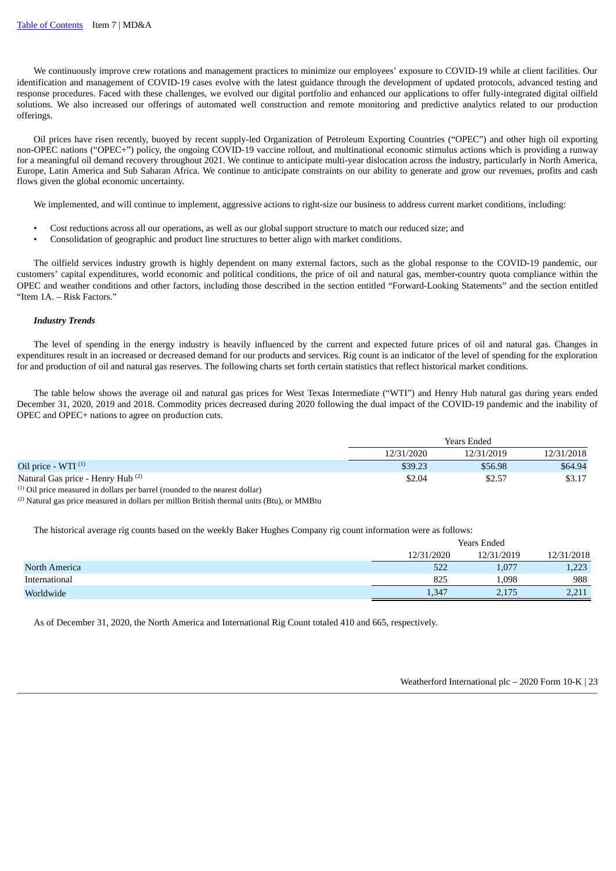We continuously improve crew rotations and management practices to minimize our employees' exposure to COVID-19 while at client facilities. Our identification and management of COVID-19 cases evolve with the latest guidance through the development of updated protocols, advanced testing and response procedures. Faced with these challenges, we evolved our digital portfolio and enhanced our applications to offer fully-integrated digital oilfield solutions. We also increased our offerings of automated well construction and remote monitoring and predictive analytics related to our production offerings.

Oil prices have risen recently, buoyed by recent supply-led Organization of Petroleum Exporting Countries ("OPEC") and other high oil exporting non-OPEC nations ("OPEC+") policy, the ongoing COVID-19 vaccine rollout, and multinational economic stimulus actions which is providing a runway for a meaningful oil demand recovery throughout 2021. We continue to anticipate multi-year dislocation across the industry, particularly in North America, Europe, Latin America and Sub Saharan Africa. We continue to anticipate constraints on our ability to generate and grow our revenues, profits and cash flows given the global economic uncertainty.

We implemented, and will continue to implement, aggressive actions to right-size our business to address current market conditions, including:

- Cost reductions across all our operations, as well as our global support structure to match our reduced size; and
- Consolidation of geographic and product line structures to better align with market conditions.

The oilfield services industry growth is highly dependent on many external factors, such as the global response to the COVID-19 pandemic, our customers' capital expenditures, world economic and political conditions, the price of oil and natural gas, member-country quota compliance within the OPEC and weather conditions and other factors, including those described in the section entitled "Forward-Looking Statements" and the section entitled "Item 1A. – Risk Factors."

#### *Industry Trends*

The level of spending in the energy industry is heavily influenced by the current and expected future prices of oil and natural gas. Changes in expenditures result in an increased or decreased demand for our products and services. Rig count is an indicator of the level of spending for the exploration for and production of oil and natural gas reserves. The following charts set forth certain statistics that reflect historical market conditions.

The table below shows the average oil and natural gas prices for West Texas Intermediate ("WTI") and Henry Hub natural gas during years ended December 31, 2020, 2019 and 2018. Commodity prices decreased during 2020 following the dual impact of the COVID-19 pandemic and the inability of OPEC and OPEC+ nations to agree on production cuts.

|                                              |            | Years Ended |            |  |  |  |
|----------------------------------------------|------------|-------------|------------|--|--|--|
|                                              | 12/31/2020 | 12/31/2019  | 12/31/2018 |  |  |  |
| Oil price - $WTI^{(1)}$                      | \$39.23    | \$56.98     | \$64.94    |  |  |  |
| Natural Gas price - Henry Hub <sup>(2)</sup> | \$2.04     | \$2.57      | \$3.17     |  |  |  |

 $(1)$  Oil price measured in dollars per barrel (rounded to the nearest dollar)

 $(2)$  Natural gas price measured in dollars per million British thermal units (Btu), or MMBtu

The historical average rig counts based on the weekly Baker Hughes Company rig count information were as follows:

|               | Years Ended                            |       |
|---------------|----------------------------------------|-------|
|               | 12/31/2019<br>12/31/2018<br>12/31/2020 |       |
| North America | 1,077<br>522                           | 1,223 |
| International | 825<br>1,098                           | 988   |
| Worldwide     | 1,347<br>2,175                         | 2,211 |

As of December 31, 2020, the North America and International Rig Count totaled 410 and 665, respectively.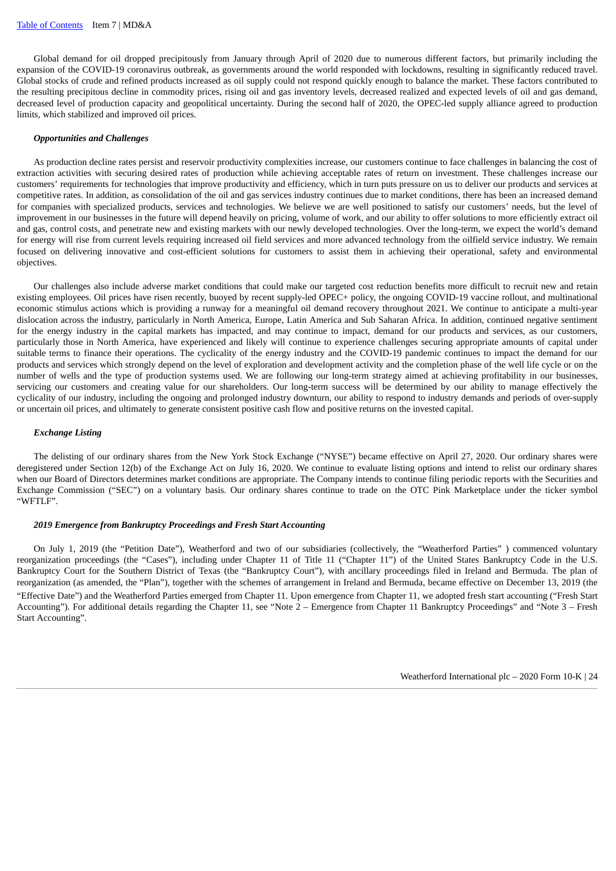Global demand for oil dropped precipitously from January through April of 2020 due to numerous different factors, but primarily including the expansion of the COVID-19 coronavirus outbreak, as governments around the world responded with lockdowns, resulting in significantly reduced travel. Global stocks of crude and refined products increased as oil supply could not respond quickly enough to balance the market. These factors contributed to the resulting precipitous decline in commodity prices, rising oil and gas inventory levels, decreased realized and expected levels of oil and gas demand, decreased level of production capacity and geopolitical uncertainty. During the second half of 2020, the OPEC-led supply alliance agreed to production limits, which stabilized and improved oil prices.

#### *Opportunities and Challenges*

As production decline rates persist and reservoir productivity complexities increase, our customers continue to face challenges in balancing the cost of extraction activities with securing desired rates of production while achieving acceptable rates of return on investment. These challenges increase our customers' requirements for technologies that improve productivity and efficiency, which in turn puts pressure on us to deliver our products and services at competitive rates. In addition, as consolidation of the oil and gas services industry continues due to market conditions, there has been an increased demand for companies with specialized products, services and technologies. We believe we are well positioned to satisfy our customers' needs, but the level of improvement in our businesses in the future will depend heavily on pricing, volume of work, and our ability to offer solutions to more efficiently extract oil and gas, control costs, and penetrate new and existing markets with our newly developed technologies. Over the long-term, we expect the world's demand for energy will rise from current levels requiring increased oil field services and more advanced technology from the oilfield service industry. We remain focused on delivering innovative and cost-efficient solutions for customers to assist them in achieving their operational, safety and environmental objectives.

Our challenges also include adverse market conditions that could make our targeted cost reduction benefits more difficult to recruit new and retain existing employees. Oil prices have risen recently, buoyed by recent supply-led OPEC+ policy, the ongoing COVID-19 vaccine rollout, and multinational economic stimulus actions which is providing a runway for a meaningful oil demand recovery throughout 2021. We continue to anticipate a multi-year dislocation across the industry, particularly in North America, Europe, Latin America and Sub Saharan Africa. In addition, continued negative sentiment for the energy industry in the capital markets has impacted, and may continue to impact, demand for our products and services, as our customers, particularly those in North America, have experienced and likely will continue to experience challenges securing appropriate amounts of capital under suitable terms to finance their operations. The cyclicality of the energy industry and the COVID-19 pandemic continues to impact the demand for our products and services which strongly depend on the level of exploration and development activity and the completion phase of the well life cycle or on the number of wells and the type of production systems used. We are following our long-term strategy aimed at achieving profitability in our businesses, servicing our customers and creating value for our shareholders. Our long-term success will be determined by our ability to manage effectively the cyclicality of our industry, including the ongoing and prolonged industry downturn, our ability to respond to industry demands and periods of over-supply or uncertain oil prices, and ultimately to generate consistent positive cash flow and positive returns on the invested capital.

#### *Exchange Listing*

The delisting of our ordinary shares from the New York Stock Exchange ("NYSE") became effective on April 27, 2020. Our ordinary shares were deregistered under Section 12(b) of the Exchange Act on July 16, 2020. We continue to evaluate listing options and intend to relist our ordinary shares when our Board of Directors determines market conditions are appropriate. The Company intends to continue filing periodic reports with the Securities and Exchange Commission ("SEC") on a voluntary basis. Our ordinary shares continue to trade on the OTC Pink Marketplace under the ticker symbol "WFTLF".

#### *2019 Emergence from Bankruptcy Proceedings and Fresh Start Accounting*

On July 1, 2019 (the "Petition Date"), Weatherford and two of our subsidiaries (collectively, the "Weatherford Parties" ) commenced voluntary reorganization proceedings (the "Cases"), including under Chapter 11 of Title 11 ("Chapter 11") of the United States Bankruptcy Code in the U.S. Bankruptcy Court for the Southern District of Texas (the "Bankruptcy Court"), with ancillary proceedings filed in Ireland and Bermuda. The plan of reorganization (as amended, the "Plan"), together with the schemes of arrangement in Ireland and Bermuda, became effective on December 13, 2019 (the "Effective Date") and the Weatherford Parties emerged from Chapter 11. Upon emergence from Chapter 11, we adopted fresh start accounting ("Fresh Start Accounting"). For additional details regarding the Chapter 11, see "Note 2 – Emergence from Chapter 11 Bankruptcy Proceedings" and "Note 3 – Fresh Start Accounting".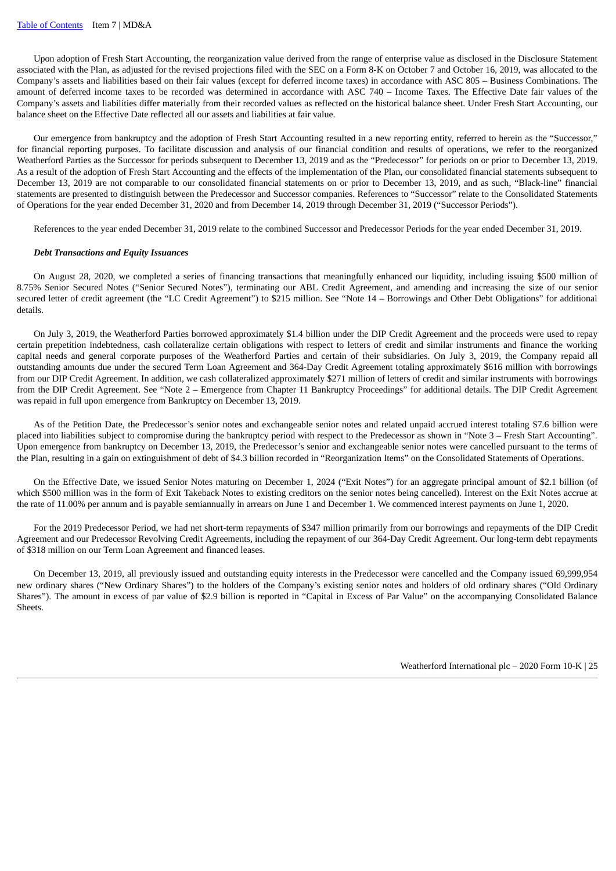Upon adoption of Fresh Start Accounting, the reorganization value derived from the range of enterprise value as disclosed in the Disclosure Statement associated with the Plan, as adjusted for the revised projections filed with the SEC on a Form 8-K on October 7 and October 16, 2019, was allocated to the Company's assets and liabilities based on their fair values (except for deferred income taxes) in accordance with ASC 805 – Business Combinations. The amount of deferred income taxes to be recorded was determined in accordance with ASC 740 – Income Taxes. The Effective Date fair values of the Company's assets and liabilities differ materially from their recorded values as reflected on the historical balance sheet. Under Fresh Start Accounting, our balance sheet on the Effective Date reflected all our assets and liabilities at fair value.

Our emergence from bankruptcy and the adoption of Fresh Start Accounting resulted in a new reporting entity, referred to herein as the "Successor," for financial reporting purposes. To facilitate discussion and analysis of our financial condition and results of operations, we refer to the reorganized Weatherford Parties as the Successor for periods subsequent to December 13, 2019 and as the "Predecessor" for periods on or prior to December 13, 2019. As a result of the adoption of Fresh Start Accounting and the effects of the implementation of the Plan, our consolidated financial statements subsequent to December 13, 2019 are not comparable to our consolidated financial statements on or prior to December 13, 2019, and as such, "Black-line" financial statements are presented to distinguish between the Predecessor and Successor companies. References to "Successor" relate to the Consolidated Statements of Operations for the year ended December 31, 2020 and from December 14, 2019 through December 31, 2019 ("Successor Periods").

References to the year ended December 31, 2019 relate to the combined Successor and Predecessor Periods for the year ended December 31, 2019.

#### *Debt Transactions and Equity Issuances*

On August 28, 2020, we completed a series of financing transactions that meaningfully enhanced our liquidity, including issuing \$500 million of 8.75% Senior Secured Notes ("Senior Secured Notes"), terminating our ABL Credit Agreement, and amending and increasing the size of our senior secured letter of credit agreement (the "LC Credit Agreement") to \$215 million. See "Note 14 – Borrowings and Other Debt Obligations" for additional details.

On July 3, 2019, the Weatherford Parties borrowed approximately \$1.4 billion under the DIP Credit Agreement and the proceeds were used to repay certain prepetition indebtedness, cash collateralize certain obligations with respect to letters of credit and similar instruments and finance the working capital needs and general corporate purposes of the Weatherford Parties and certain of their subsidiaries. On July 3, 2019, the Company repaid all outstanding amounts due under the secured Term Loan Agreement and 364-Day Credit Agreement totaling approximately \$616 million with borrowings from our DIP Credit Agreement. In addition, we cash collateralized approximately \$271 million of letters of credit and similar instruments with borrowings from the DIP Credit Agreement. See "Note 2 – Emergence from Chapter 11 Bankruptcy Proceedings" for additional details. The DIP Credit Agreement was repaid in full upon emergence from Bankruptcy on December 13, 2019.

As of the Petition Date, the Predecessor's senior notes and exchangeable senior notes and related unpaid accrued interest totaling \$7.6 billion were placed into liabilities subject to compromise during the bankruptcy period with respect to the Predecessor as shown in "Note 3 – Fresh Start Accounting". Upon emergence from bankruptcy on December 13, 2019, the Predecessor's senior and exchangeable senior notes were cancelled pursuant to the terms of the Plan, resulting in a gain on extinguishment of debt of \$4.3 billion recorded in "Reorganization Items" on the Consolidated Statements of Operations.

On the Effective Date, we issued Senior Notes maturing on December 1, 2024 ("Exit Notes") for an aggregate principal amount of \$2.1 billion (of which \$500 million was in the form of Exit Takeback Notes to existing creditors on the senior notes being cancelled). Interest on the Exit Notes accrue at the rate of 11.00% per annum and is payable semiannually in arrears on June 1 and December 1. We commenced interest payments on June 1, 2020.

For the 2019 Predecessor Period, we had net short-term repayments of \$347 million primarily from our borrowings and repayments of the DIP Credit Agreement and our Predecessor Revolving Credit Agreements, including the repayment of our 364-Day Credit Agreement. Our long-term debt repayments of \$318 million on our Term Loan Agreement and financed leases.

On December 13, 2019, all previously issued and outstanding equity interests in the Predecessor were cancelled and the Company issued 69,999,954 new ordinary shares ("New Ordinary Shares") to the holders of the Company's existing senior notes and holders of old ordinary shares ("Old Ordinary Shares"). The amount in excess of par value of \$2.9 billion is reported in "Capital in Excess of Par Value" on the accompanying Consolidated Balance Sheets.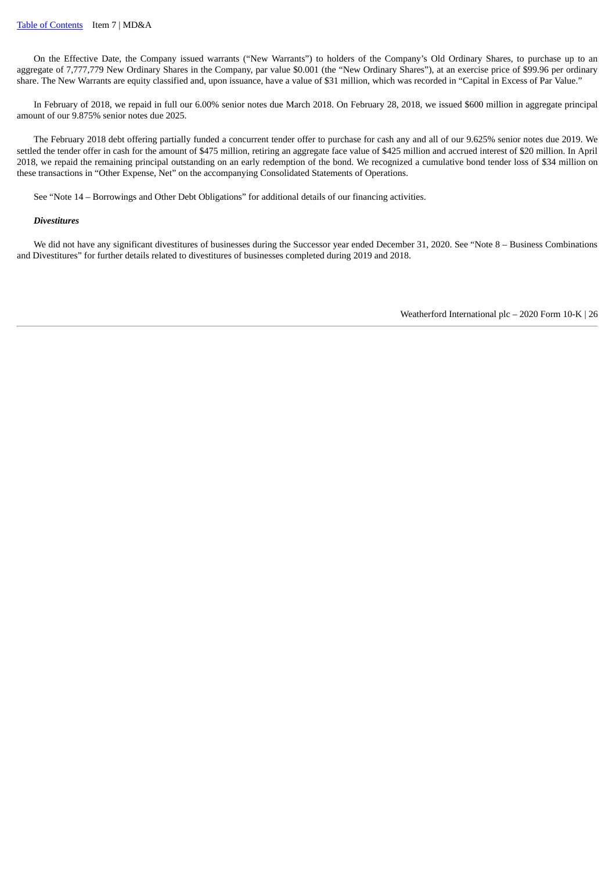On the Effective Date, the Company issued warrants ("New Warrants") to holders of the Company's Old Ordinary Shares, to purchase up to an aggregate of 7,777,779 New Ordinary Shares in the Company, par value \$0.001 (the "New Ordinary Shares"), at an exercise price of \$99.96 per ordinary share. The New Warrants are equity classified and, upon issuance, have a value of \$31 million, which was recorded in "Capital in Excess of Par Value."

In February of 2018, we repaid in full our 6.00% senior notes due March 2018. On February 28, 2018, we issued \$600 million in aggregate principal amount of our 9.875% senior notes due 2025.

The February 2018 debt offering partially funded a concurrent tender offer to purchase for cash any and all of our 9.625% senior notes due 2019. We settled the tender offer in cash for the amount of \$475 million, retiring an aggregate face value of \$425 million and accrued interest of \$20 million. In April 2018, we repaid the remaining principal outstanding on an early redemption of the bond. We recognized a cumulative bond tender loss of \$34 million on these transactions in "Other Expense, Net" on the accompanying Consolidated Statements of Operations.

See "Note 14 – Borrowings and Other Debt Obligations" for additional details of our financing activities.

## *Divestitures*

We did not have any significant divestitures of businesses during the Successor year ended December 31, 2020. See "Note 8 – Business Combinations and Divestitures" for further details related to divestitures of businesses completed during 2019 and 2018.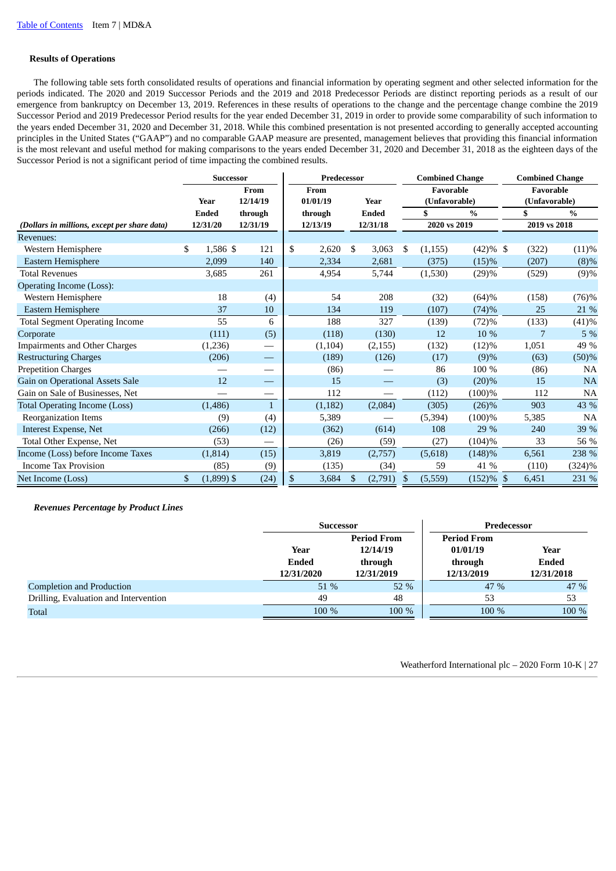## **Results of Operations**

The following table sets forth consolidated results of operations and financial information by operating segment and other selected information for the periods indicated. The 2020 and 2019 Successor Periods and the 2019 and 2018 Predecessor Periods are distinct reporting periods as a result of our emergence from bankruptcy on December 13, 2019. References in these results of operations to the change and the percentage change combine the 2019 Successor Period and 2019 Predecessor Period results for the year ended December 31, 2019 in order to provide some comparability of such information to the years ended December 31, 2020 and December 31, 2018. While this combined presentation is not presented according to generally accepted accounting principles in the United States ("GAAP") and no comparable GAAP measure are presented, management believes that providing this financial information is the most relevant and useful method for making comparisons to the years ended December 31, 2020 and December 31, 2018 as the eighteen days of the Successor Period is not a significant period of time impacting the combined results.

| <b>Successor</b>                             |                    | Predecessor              |    |          | <b>Combined Change</b> |              |                  |               | <b>Combined Change</b> |    |               |               |
|----------------------------------------------|--------------------|--------------------------|----|----------|------------------------|--------------|------------------|---------------|------------------------|----|---------------|---------------|
|                                              |                    | From                     |    | From     |                        |              | <b>Favorable</b> |               | Favorable              |    |               |               |
|                                              | Year               | 12/14/19                 |    | 01/01/19 |                        | Year         |                  | (Unfavorable) |                        |    | (Unfavorable) |               |
|                                              | <b>Ended</b>       | through                  |    | through  |                        | <b>Ended</b> |                  | \$            | $\frac{0}{0}$          |    | \$            | $\frac{0}{0}$ |
| (Dollars in millions, except per share data) | 12/31/20           | 12/31/19                 |    | 12/13/19 |                        | 12/31/18     |                  | 2020 vs 2019  |                        |    | 2019 vs 2018  |               |
| Revenues:                                    |                    |                          |    |          |                        |              |                  |               |                        |    |               |               |
| Western Hemisphere                           | 1,586 \$<br>\$     | 121                      | \$ | 2,620    | \$                     | 3,063        | S                | (1, 155)      | $(42) \%$ \$           |    | (322)         | (11)%         |
| Eastern Hemisphere                           | 2,099              | 140                      |    | 2,334    |                        | 2,681        |                  | (375)         | (15)%                  |    | (207)         | (8)%          |
| <b>Total Revenues</b>                        | 3,685              | 261                      |    | 4,954    |                        | 5,744        |                  | (1,530)       | (29)%                  |    | (529)         | (9)%          |
| Operating Income (Loss):                     |                    |                          |    |          |                        |              |                  |               |                        |    |               |               |
| Western Hemisphere                           | 18                 | (4)                      |    | 54       |                        | 208          |                  | (32)          | (64)%                  |    | (158)         | (76)%         |
| Eastern Hemisphere                           | 37                 | 10                       |    | 134      |                        | 119          |                  | (107)         | (74)%                  |    | 25            | 21 %          |
| <b>Total Segment Operating Income</b>        | 55                 | 6                        |    | 188      |                        | 327          |                  | (139)         | (72)%                  |    | (133)         | (41)%         |
| Corporate                                    | (111)              | (5)                      |    | (118)    |                        | (130)        |                  | 12            | 10 %                   |    | 7             | 5 %           |
| <b>Impairments and Other Charges</b>         | (1,236)            | -                        |    | (1,104)  |                        | (2, 155)     |                  | (132)         | (12)%                  |    | 1,051         | 49 %          |
| <b>Restructuring Charges</b>                 | (206)              | $\overline{\phantom{0}}$ |    | (189)    |                        | (126)        |                  | (17)          | (9)%                   |    | (63)          | (50)%         |
| <b>Prepetition Charges</b>                   |                    |                          |    | (86)     |                        |              |                  | 86            | 100 %                  |    | (86)          | <b>NA</b>     |
| Gain on Operational Assets Sale              | 12                 |                          |    | 15       |                        |              |                  | (3)           | $(20)\%$               |    | 15            | <b>NA</b>     |
| Gain on Sale of Businesses, Net              | __                 |                          |    | 112      |                        |              |                  | (112)         | (100)%                 |    | 112           | <b>NA</b>     |
| <b>Total Operating Income (Loss)</b>         | (1,486)            | $\mathbf{1}$             |    | (1, 182) |                        | (2,084)      |                  | (305)         | $(26)\%$               |    | 903           | 43 %          |
| Reorganization Items                         | (9)                | (4)                      |    | 5,389    |                        |              |                  | (5, 394)      | $(100)\%$              |    | 5,385         | <b>NA</b>     |
| Interest Expense, Net                        | (266)              | (12)                     |    | (362)    |                        | (614)        |                  | 108           | 29 %                   |    | 240           | 39 %          |
| Total Other Expense, Net                     | (53)               |                          |    | (26)     |                        | (59)         |                  | (27)          | (104)%                 |    | 33            | 56 %          |
| Income (Loss) before Income Taxes            | (1,814)            | (15)                     |    | 3,819    |                        | (2,757)      |                  | (5,618)       | $(148)\%$              |    | 6,561         | 238 %         |
| <b>Income Tax Provision</b>                  | (85)               | (9)                      |    | (135)    |                        | (34)         |                  | 59            | 41 %                   |    | (110)         | $(324)\%$     |
| Net Income (Loss)                            | \$<br>$(1,899)$ \$ | (24)                     | \$ | 3,684    | \$                     | (2,791)      | \$               | (5,559)       | (152)%                 | \$ | 6,451         | 231 %         |

*Revenues Percentage by Product Lines*

|                                       | Predecessor<br><b>Successor</b> |            |                    |              |  |
|---------------------------------------|---------------------------------|------------|--------------------|--------------|--|
|                                       | <b>Period From</b>              |            | <b>Period From</b> |              |  |
|                                       | Year                            | 12/14/19   | 01/01/19           | Year         |  |
|                                       | <b>Ended</b>                    | through    | through            | <b>Ended</b> |  |
|                                       | 12/31/2020                      | 12/31/2019 | 12/13/2019         | 12/31/2018   |  |
| <b>Completion and Production</b>      | 51 %                            | 52 %       | 47 %               | 47 %         |  |
| Drilling, Evaluation and Intervention | 49                              | 48         | 53                 | 53           |  |
| <b>Total</b>                          | 100 %                           | 100 %      | 100 %              | 100 %        |  |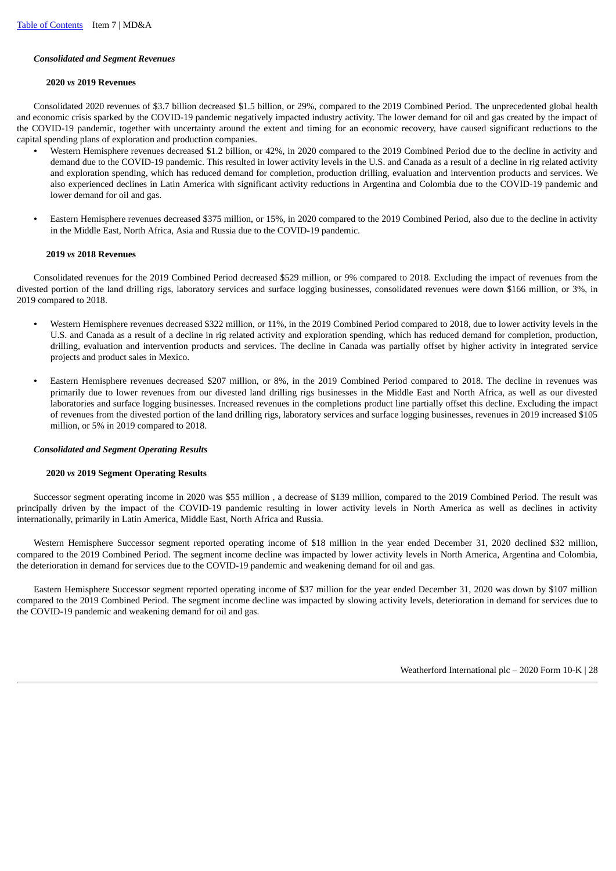## *Consolidated and Segment Revenues*

## **2020** *vs* **2019 Revenues**

Consolidated 2020 revenues of \$3.7 billion decreased \$1.5 billion, or 29%, compared to the 2019 Combined Period. The unprecedented global health and economic crisis sparked by the COVID-19 pandemic negatively impacted industry activity. The lower demand for oil and gas created by the impact of the COVID-19 pandemic, together with uncertainty around the extent and timing for an economic recovery, have caused significant reductions to the capital spending plans of exploration and production companies.

- *•* Western Hemisphere revenues decreased \$1.2 billion, or 42%, in 2020 compared to the 2019 Combined Period due to the decline in activity and demand due to the COVID-19 pandemic. This resulted in lower activity levels in the U.S. and Canada as a result of a decline in rig related activity and exploration spending, which has reduced demand for completion, production drilling, evaluation and intervention products and services. We also experienced declines in Latin America with significant activity reductions in Argentina and Colombia due to the COVID-19 pandemic and lower demand for oil and gas.
- *•* Eastern Hemisphere revenues decreased \$375 million, or 15%, in 2020 compared to the 2019 Combined Period, also due to the decline in activity in the Middle East, North Africa, Asia and Russia due to the COVID-19 pandemic.

#### **2019** *vs* **2018 Revenues**

Consolidated revenues for the 2019 Combined Period decreased \$529 million, or 9% compared to 2018. Excluding the impact of revenues from the divested portion of the land drilling rigs, laboratory services and surface logging businesses, consolidated revenues were down \$166 million, or 3%, in 2019 compared to 2018.

- *•* Western Hemisphere revenues decreased \$322 million, or 11%, in the 2019 Combined Period compared to 2018, due to lower activity levels in the U.S. and Canada as a result of a decline in rig related activity and exploration spending, which has reduced demand for completion, production, drilling, evaluation and intervention products and services. The decline in Canada was partially offset by higher activity in integrated service projects and product sales in Mexico.
- *•* Eastern Hemisphere revenues decreased \$207 million, or 8%, in the 2019 Combined Period compared to 2018. The decline in revenues was primarily due to lower revenues from our divested land drilling rigs businesses in the Middle East and North Africa, as well as our divested laboratories and surface logging businesses. Increased revenues in the completions product line partially offset this decline. Excluding the impact of revenues from the divested portion of the land drilling rigs, laboratory services and surface logging businesses, revenues in 2019 increased \$105 million, or 5% in 2019 compared to 2018.

#### *Consolidated and Segment Operating Results*

## **2020** *vs* **2019 Segment Operating Results**

Successor segment operating income in 2020 was \$55 million , a decrease of \$139 million, compared to the 2019 Combined Period. The result was principally driven by the impact of the COVID-19 pandemic resulting in lower activity levels in North America as well as declines in activity internationally, primarily in Latin America, Middle East, North Africa and Russia.

Western Hemisphere Successor segment reported operating income of \$18 million in the year ended December 31, 2020 declined \$32 million, compared to the 2019 Combined Period. The segment income decline was impacted by lower activity levels in North America, Argentina and Colombia, the deterioration in demand for services due to the COVID-19 pandemic and weakening demand for oil and gas.

Eastern Hemisphere Successor segment reported operating income of \$37 million for the year ended December 31, 2020 was down by \$107 million compared to the 2019 Combined Period. The segment income decline was impacted by slowing activity levels, deterioration in demand for services due to the COVID-19 pandemic and weakening demand for oil and gas.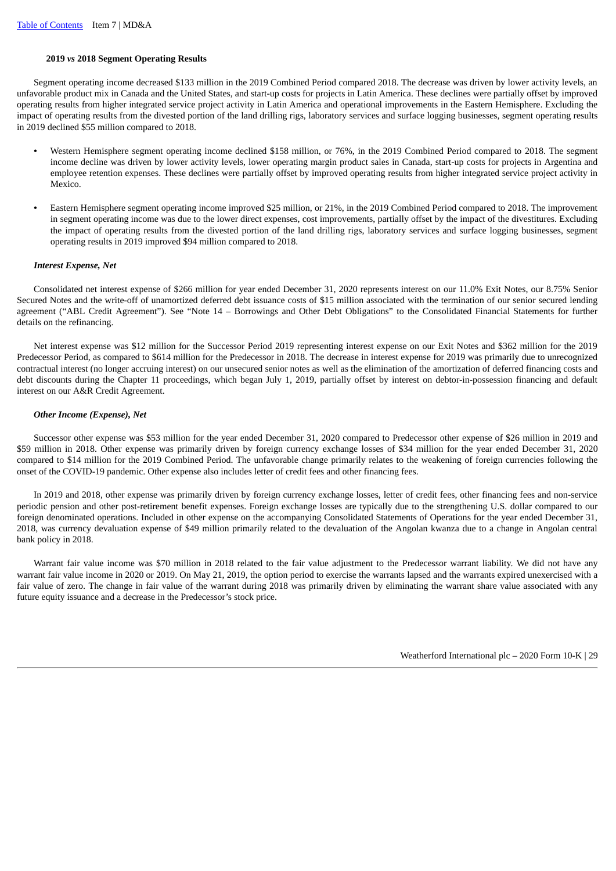## **2019** *vs* **2018 Segment Operating Results**

Segment operating income decreased \$133 million in the 2019 Combined Period compared 2018. The decrease was driven by lower activity levels, an unfavorable product mix in Canada and the United States, and start-up costs for projects in Latin America. These declines were partially offset by improved operating results from higher integrated service project activity in Latin America and operational improvements in the Eastern Hemisphere. Excluding the impact of operating results from the divested portion of the land drilling rigs, laboratory services and surface logging businesses, segment operating results in 2019 declined \$55 million compared to 2018.

- *•* Western Hemisphere segment operating income declined \$158 million, or 76%, in the 2019 Combined Period compared to 2018. The segment income decline was driven by lower activity levels, lower operating margin product sales in Canada, start-up costs for projects in Argentina and employee retention expenses. These declines were partially offset by improved operating results from higher integrated service project activity in Mexico.
- *•* Eastern Hemisphere segment operating income improved \$25 million, or 21%, in the 2019 Combined Period compared to 2018. The improvement in segment operating income was due to the lower direct expenses, cost improvements, partially offset by the impact of the divestitures. Excluding the impact of operating results from the divested portion of the land drilling rigs, laboratory services and surface logging businesses, segment operating results in 2019 improved \$94 million compared to 2018.

## *Interest Expense, Net*

Consolidated net interest expense of \$266 million for year ended December 31, 2020 represents interest on our 11.0% Exit Notes, our 8.75% Senior Secured Notes and the write-off of unamortized deferred debt issuance costs of \$15 million associated with the termination of our senior secured lending agreement ("ABL Credit Agreement"). See "Note 14 – Borrowings and Other Debt Obligations" to the Consolidated Financial Statements for further details on the refinancing.

Net interest expense was \$12 million for the Successor Period 2019 representing interest expense on our Exit Notes and \$362 million for the 2019 Predecessor Period, as compared to \$614 million for the Predecessor in 2018. The decrease in interest expense for 2019 was primarily due to unrecognized contractual interest (no longer accruing interest) on our unsecured senior notes as well as the elimination of the amortization of deferred financing costs and debt discounts during the Chapter 11 proceedings, which began July 1, 2019, partially offset by interest on debtor-in-possession financing and default interest on our A&R Credit Agreement.

## *Other Income (Expense), Net*

Successor other expense was \$53 million for the year ended December 31, 2020 compared to Predecessor other expense of \$26 million in 2019 and \$59 million in 2018. Other expense was primarily driven by foreign currency exchange losses of \$34 million for the year ended December 31, 2020 compared to \$14 million for the 2019 Combined Period. The unfavorable change primarily relates to the weakening of foreign currencies following the onset of the COVID-19 pandemic. Other expense also includes letter of credit fees and other financing fees.

In 2019 and 2018, other expense was primarily driven by foreign currency exchange losses, letter of credit fees, other financing fees and non-service periodic pension and other post-retirement benefit expenses. Foreign exchange losses are typically due to the strengthening U.S. dollar compared to our foreign denominated operations. Included in other expense on the accompanying Consolidated Statements of Operations for the year ended December 31, 2018, was currency devaluation expense of \$49 million primarily related to the devaluation of the Angolan kwanza due to a change in Angolan central bank policy in 2018.

Warrant fair value income was \$70 million in 2018 related to the fair value adjustment to the Predecessor warrant liability. We did not have any warrant fair value income in 2020 or 2019. On May 21, 2019, the option period to exercise the warrants lapsed and the warrants expired unexercised with a fair value of zero. The change in fair value of the warrant during 2018 was primarily driven by eliminating the warrant share value associated with any future equity issuance and a decrease in the Predecessor's stock price.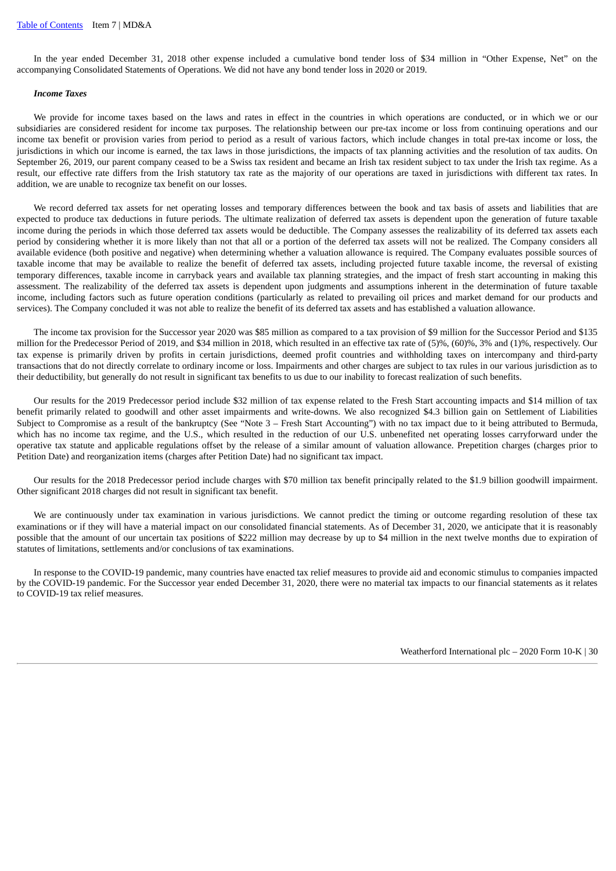In the year ended December 31, 2018 other expense included a cumulative bond tender loss of \$34 million in "Other Expense, Net" on the accompanying Consolidated Statements of Operations. We did not have any bond tender loss in 2020 or 2019.

#### *Income Taxes*

We provide for income taxes based on the laws and rates in effect in the countries in which operations are conducted, or in which we or our subsidiaries are considered resident for income tax purposes. The relationship between our pre-tax income or loss from continuing operations and our income tax benefit or provision varies from period to period as a result of various factors, which include changes in total pre-tax income or loss, the jurisdictions in which our income is earned, the tax laws in those jurisdictions, the impacts of tax planning activities and the resolution of tax audits. On September 26, 2019, our parent company ceased to be a Swiss tax resident and became an Irish tax resident subject to tax under the Irish tax regime. As a result, our effective rate differs from the Irish statutory tax rate as the majority of our operations are taxed in jurisdictions with different tax rates. In addition, we are unable to recognize tax benefit on our losses.

We record deferred tax assets for net operating losses and temporary differences between the book and tax basis of assets and liabilities that are expected to produce tax deductions in future periods. The ultimate realization of deferred tax assets is dependent upon the generation of future taxable income during the periods in which those deferred tax assets would be deductible. The Company assesses the realizability of its deferred tax assets each period by considering whether it is more likely than not that all or a portion of the deferred tax assets will not be realized. The Company considers all available evidence (both positive and negative) when determining whether a valuation allowance is required. The Company evaluates possible sources of taxable income that may be available to realize the benefit of deferred tax assets, including projected future taxable income, the reversal of existing temporary differences, taxable income in carryback years and available tax planning strategies, and the impact of fresh start accounting in making this assessment. The realizability of the deferred tax assets is dependent upon judgments and assumptions inherent in the determination of future taxable income, including factors such as future operation conditions (particularly as related to prevailing oil prices and market demand for our products and services). The Company concluded it was not able to realize the benefit of its deferred tax assets and has established a valuation allowance.

The income tax provision for the Successor year 2020 was \$85 million as compared to a tax provision of \$9 million for the Successor Period and \$135 million for the Predecessor Period of 2019, and \$34 million in 2018, which resulted in an effective tax rate of (5)%, (60)%, 3% and (1)%, respectively. Our tax expense is primarily driven by profits in certain jurisdictions, deemed profit countries and withholding taxes on intercompany and third-party transactions that do not directly correlate to ordinary income or loss. Impairments and other charges are subject to tax rules in our various jurisdiction as to their deductibility, but generally do not result in significant tax benefits to us due to our inability to forecast realization of such benefits.

Our results for the 2019 Predecessor period include \$32 million of tax expense related to the Fresh Start accounting impacts and \$14 million of tax benefit primarily related to goodwill and other asset impairments and write-downs. We also recognized \$4.3 billion gain on Settlement of Liabilities Subject to Compromise as a result of the bankruptcy (See "Note 3 – Fresh Start Accounting") with no tax impact due to it being attributed to Bermuda, which has no income tax regime, and the U.S., which resulted in the reduction of our U.S. unbenefited net operating losses carryforward under the operative tax statute and applicable regulations offset by the release of a similar amount of valuation allowance. Prepetition charges (charges prior to Petition Date) and reorganization items (charges after Petition Date) had no significant tax impact.

Our results for the 2018 Predecessor period include charges with \$70 million tax benefit principally related to the \$1.9 billion goodwill impairment. Other significant 2018 charges did not result in significant tax benefit.

We are continuously under tax examination in various jurisdictions. We cannot predict the timing or outcome regarding resolution of these tax examinations or if they will have a material impact on our consolidated financial statements. As of December 31, 2020, we anticipate that it is reasonably possible that the amount of our uncertain tax positions of \$222 million may decrease by up to \$4 million in the next twelve months due to expiration of statutes of limitations, settlements and/or conclusions of tax examinations.

In response to the COVID-19 pandemic, many countries have enacted tax relief measures to provide aid and economic stimulus to companies impacted by the COVID-19 pandemic. For the Successor year ended December 31, 2020, there were no material tax impacts to our financial statements as it relates to COVID-19 tax relief measures.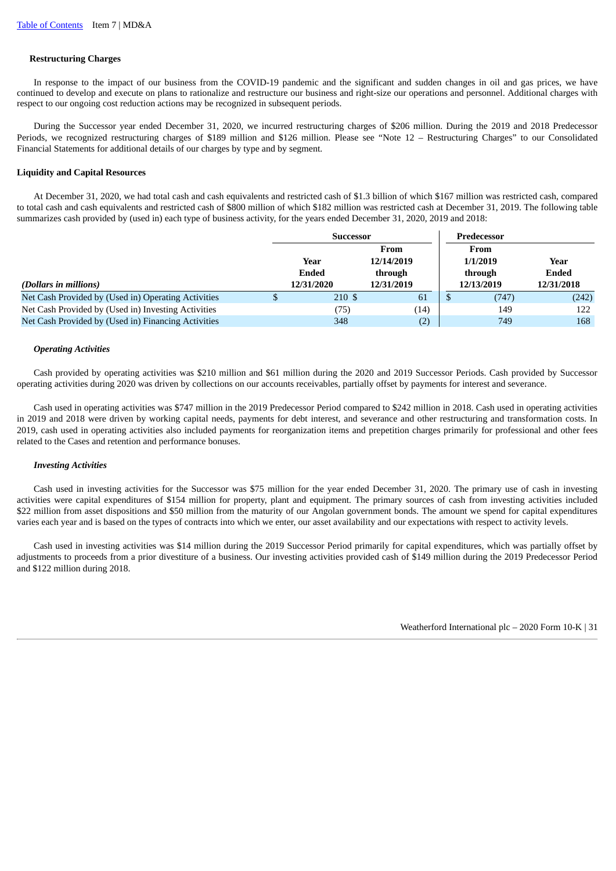## **Restructuring Charges**

In response to the impact of our business from the COVID-19 pandemic and the significant and sudden changes in oil and gas prices, we have continued to develop and execute on plans to rationalize and restructure our business and right-size our operations and personnel. Additional charges with respect to our ongoing cost reduction actions may be recognized in subsequent periods.

During the Successor year ended December 31, 2020, we incurred restructuring charges of \$206 million. During the 2019 and 2018 Predecessor Periods, we recognized restructuring charges of \$189 million and \$126 million. Please see "Note 12 – Restructuring Charges" to our Consolidated Financial Statements for additional details of our charges by type and by segment.

## **Liquidity and Capital Resources**

At December 31, 2020, we had total cash and cash equivalents and restricted cash of \$1.3 billion of which \$167 million was restricted cash, compared to total cash and cash equivalents and restricted cash of \$800 million of which \$182 million was restricted cash at December 31, 2019. The following table summarizes cash provided by (used in) each type of business activity, for the years ended December 31, 2020, 2019 and 2018:

|                                                     | <b>Successor</b> |            |  | Predecessor |              |
|-----------------------------------------------------|------------------|------------|--|-------------|--------------|
|                                                     |                  | From       |  | From        |              |
|                                                     | Year             | 12/14/2019 |  | 1/1/2019    | Year         |
|                                                     | Ended            | through    |  | through     | <b>Ended</b> |
| (Dollars in millions)                               | 12/31/2020       | 12/31/2019 |  | 12/13/2019  | 12/31/2018   |
| Net Cash Provided by (Used in) Operating Activities | 210 \$           | 61         |  | (747)       | (242)        |
| Net Cash Provided by (Used in) Investing Activities | (75)             | (14)       |  | 149         | 122          |
| Net Cash Provided by (Used in) Financing Activities | 348              | (2)        |  | 749         | 168          |

## *Operating Activities*

Cash provided by operating activities was \$210 million and \$61 million during the 2020 and 2019 Successor Periods. Cash provided by Successor operating activities during 2020 was driven by collections on our accounts receivables, partially offset by payments for interest and severance.

Cash used in operating activities was \$747 million in the 2019 Predecessor Period compared to \$242 million in 2018. Cash used in operating activities in 2019 and 2018 were driven by working capital needs, payments for debt interest, and severance and other restructuring and transformation costs. In 2019, cash used in operating activities also included payments for reorganization items and prepetition charges primarily for professional and other fees related to the Cases and retention and performance bonuses.

#### *Investing Activities*

Cash used in investing activities for the Successor was \$75 million for the year ended December 31, 2020. The primary use of cash in investing activities were capital expenditures of \$154 million for property, plant and equipment. The primary sources of cash from investing activities included \$22 million from asset dispositions and \$50 million from the maturity of our Angolan government bonds. The amount we spend for capital expenditures varies each year and is based on the types of contracts into which we enter, our asset availability and our expectations with respect to activity levels.

Cash used in investing activities was \$14 million during the 2019 Successor Period primarily for capital expenditures, which was partially offset by adjustments to proceeds from a prior divestiture of a business. Our investing activities provided cash of \$149 million during the 2019 Predecessor Period and \$122 million during 2018.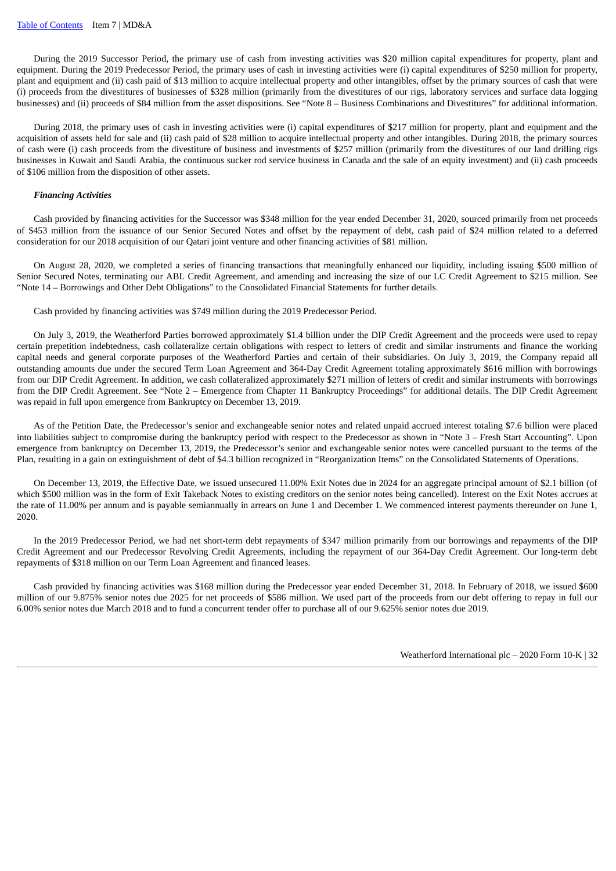During the 2019 Successor Period, the primary use of cash from investing activities was \$20 million capital expenditures for property, plant and equipment. During the 2019 Predecessor Period, the primary uses of cash in investing activities were (i) capital expenditures of \$250 million for property, plant and equipment and (ii) cash paid of \$13 million to acquire intellectual property and other intangibles, offset by the primary sources of cash that were (i) proceeds from the divestitures of businesses of \$328 million (primarily from the divestitures of our rigs, laboratory services and surface data logging businesses) and (ii) proceeds of \$84 million from the asset dispositions. See "Note 8 – Business Combinations and Divestitures" for additional information.

During 2018, the primary uses of cash in investing activities were (i) capital expenditures of \$217 million for property, plant and equipment and the acquisition of assets held for sale and (ii) cash paid of \$28 million to acquire intellectual property and other intangibles. During 2018, the primary sources of cash were (i) cash proceeds from the divestiture of business and investments of \$257 million (primarily from the divestitures of our land drilling rigs businesses in Kuwait and Saudi Arabia, the continuous sucker rod service business in Canada and the sale of an equity investment) and (ii) cash proceeds of \$106 million from the disposition of other assets.

#### *Financing Activities*

Cash provided by financing activities for the Successor was \$348 million for the year ended December 31, 2020, sourced primarily from net proceeds of \$453 million from the issuance of our Senior Secured Notes and offset by the repayment of debt, cash paid of \$24 million related to a deferred consideration for our 2018 acquisition of our Qatari joint venture and other financing activities of \$81 million.

On August 28, 2020, we completed a series of financing transactions that meaningfully enhanced our liquidity, including issuing \$500 million of Senior Secured Notes, terminating our ABL Credit Agreement, and amending and increasing the size of our LC Credit Agreement to \$215 million. See "Note 14 – Borrowings and Other Debt Obligations" to the Consolidated Financial Statements for further details.

Cash provided by financing activities was \$749 million during the 2019 Predecessor Period.

On July 3, 2019, the Weatherford Parties borrowed approximately \$1.4 billion under the DIP Credit Agreement and the proceeds were used to repay certain prepetition indebtedness, cash collateralize certain obligations with respect to letters of credit and similar instruments and finance the working capital needs and general corporate purposes of the Weatherford Parties and certain of their subsidiaries. On July 3, 2019, the Company repaid all outstanding amounts due under the secured Term Loan Agreement and 364-Day Credit Agreement totaling approximately \$616 million with borrowings from our DIP Credit Agreement. In addition, we cash collateralized approximately \$271 million of letters of credit and similar instruments with borrowings from the DIP Credit Agreement. See "Note 2 – Emergence from Chapter 11 Bankruptcy Proceedings" for additional details. The DIP Credit Agreement was repaid in full upon emergence from Bankruptcy on December 13, 2019.

As of the Petition Date, the Predecessor's senior and exchangeable senior notes and related unpaid accrued interest totaling \$7.6 billion were placed into liabilities subject to compromise during the bankruptcy period with respect to the Predecessor as shown in "Note 3 – Fresh Start Accounting". Upon emergence from bankruptcy on December 13, 2019, the Predecessor's senior and exchangeable senior notes were cancelled pursuant to the terms of the Plan, resulting in a gain on extinguishment of debt of \$4.3 billion recognized in "Reorganization Items" on the Consolidated Statements of Operations.

On December 13, 2019, the Effective Date, we issued unsecured 11.00% Exit Notes due in 2024 for an aggregate principal amount of \$2.1 billion (of which \$500 million was in the form of Exit Takeback Notes to existing creditors on the senior notes being cancelled). Interest on the Exit Notes accrues at the rate of 11.00% per annum and is payable semiannually in arrears on June 1 and December 1. We commenced interest payments thereunder on June 1, 2020.

In the 2019 Predecessor Period, we had net short-term debt repayments of \$347 million primarily from our borrowings and repayments of the DIP Credit Agreement and our Predecessor Revolving Credit Agreements, including the repayment of our 364-Day Credit Agreement. Our long-term debt repayments of \$318 million on our Term Loan Agreement and financed leases.

Cash provided by financing activities was \$168 million during the Predecessor year ended December 31, 2018. In February of 2018, we issued \$600 million of our 9.875% senior notes due 2025 for net proceeds of \$586 million. We used part of the proceeds from our debt offering to repay in full our 6.00% senior notes due March 2018 and to fund a concurrent tender offer to purchase all of our 9.625% senior notes due 2019.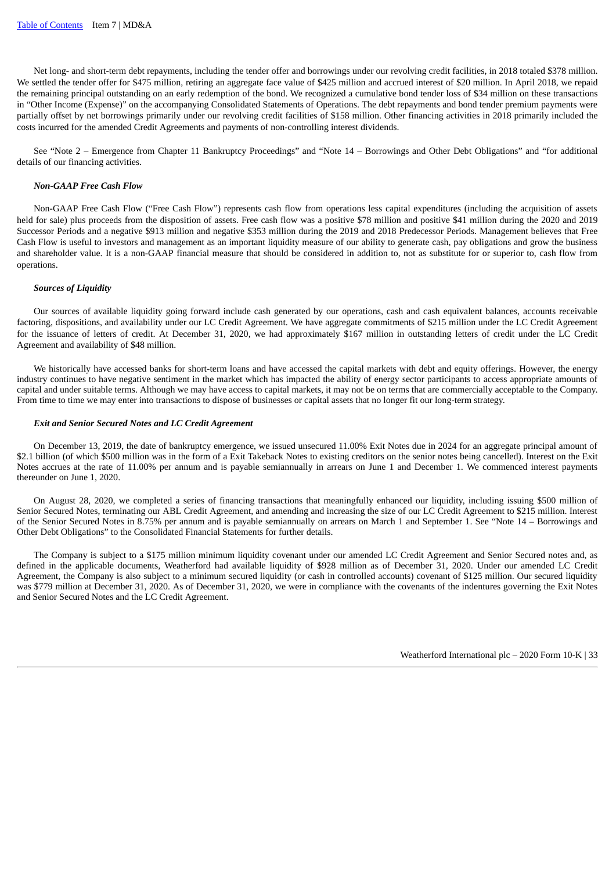Net long- and short-term debt repayments, including the tender offer and borrowings under our revolving credit facilities, in 2018 totaled \$378 million. We settled the tender offer for \$475 million, retiring an aggregate face value of \$425 million and accrued interest of \$20 million. In April 2018, we repaid the remaining principal outstanding on an early redemption of the bond. We recognized a cumulative bond tender loss of \$34 million on these transactions in "Other Income (Expense)" on the accompanying Consolidated Statements of Operations. The debt repayments and bond tender premium payments were partially offset by net borrowings primarily under our revolving credit facilities of \$158 million. Other financing activities in 2018 primarily included the costs incurred for the amended Credit Agreements and payments of non-controlling interest dividends.

See "Note 2 – Emergence from Chapter 11 Bankruptcy Proceedings" and "Note 14 – Borrowings and Other Debt Obligations" and "for additional details of our financing activities.

## *Non-GAAP Free Cash Flow*

Non-GAAP Free Cash Flow ("Free Cash Flow") represents cash flow from operations less capital expenditures (including the acquisition of assets held for sale) plus proceeds from the disposition of assets. Free cash flow was a positive \$78 million and positive \$41 million during the 2020 and 2019 Successor Periods and a negative \$913 million and negative \$353 million during the 2019 and 2018 Predecessor Periods. Management believes that Free Cash Flow is useful to investors and management as an important liquidity measure of our ability to generate cash, pay obligations and grow the business and shareholder value. It is a non-GAAP financial measure that should be considered in addition to, not as substitute for or superior to, cash flow from operations.

#### *Sources of Liquidity*

Our sources of available liquidity going forward include cash generated by our operations, cash and cash equivalent balances, accounts receivable factoring, dispositions, and availability under our LC Credit Agreement. We have aggregate commitments of \$215 million under the LC Credit Agreement for the issuance of letters of credit. At December 31, 2020, we had approximately \$167 million in outstanding letters of credit under the LC Credit Agreement and availability of \$48 million.

We historically have accessed banks for short-term loans and have accessed the capital markets with debt and equity offerings. However, the energy industry continues to have negative sentiment in the market which has impacted the ability of energy sector participants to access appropriate amounts of capital and under suitable terms. Although we may have access to capital markets, it may not be on terms that are commercially acceptable to the Company. From time to time we may enter into transactions to dispose of businesses or capital assets that no longer fit our long-term strategy.

#### *Exit and Senior Secured Notes and LC Credit Agreement*

On December 13, 2019, the date of bankruptcy emergence, we issued unsecured 11.00% Exit Notes due in 2024 for an aggregate principal amount of \$2.1 billion (of which \$500 million was in the form of a Exit Takeback Notes to existing creditors on the senior notes being cancelled). Interest on the Exit Notes accrues at the rate of 11.00% per annum and is payable semiannually in arrears on June 1 and December 1. We commenced interest payments thereunder on June 1, 2020.

On August 28, 2020, we completed a series of financing transactions that meaningfully enhanced our liquidity, including issuing \$500 million of Senior Secured Notes, terminating our ABL Credit Agreement, and amending and increasing the size of our LC Credit Agreement to \$215 million. Interest of the Senior Secured Notes in 8.75% per annum and is payable semiannually on arrears on March 1 and September 1. See "Note 14 – Borrowings and Other Debt Obligations" to the Consolidated Financial Statements for further details.

The Company is subject to a \$175 million minimum liquidity covenant under our amended LC Credit Agreement and Senior Secured notes and, as defined in the applicable documents, Weatherford had available liquidity of \$928 million as of December 31, 2020. Under our amended LC Credit Agreement, the Company is also subject to a minimum secured liquidity (or cash in controlled accounts) covenant of \$125 million. Our secured liquidity was \$779 million at December 31, 2020. As of December 31, 2020, we were in compliance with the covenants of the indentures governing the Exit Notes and Senior Secured Notes and the LC Credit Agreement.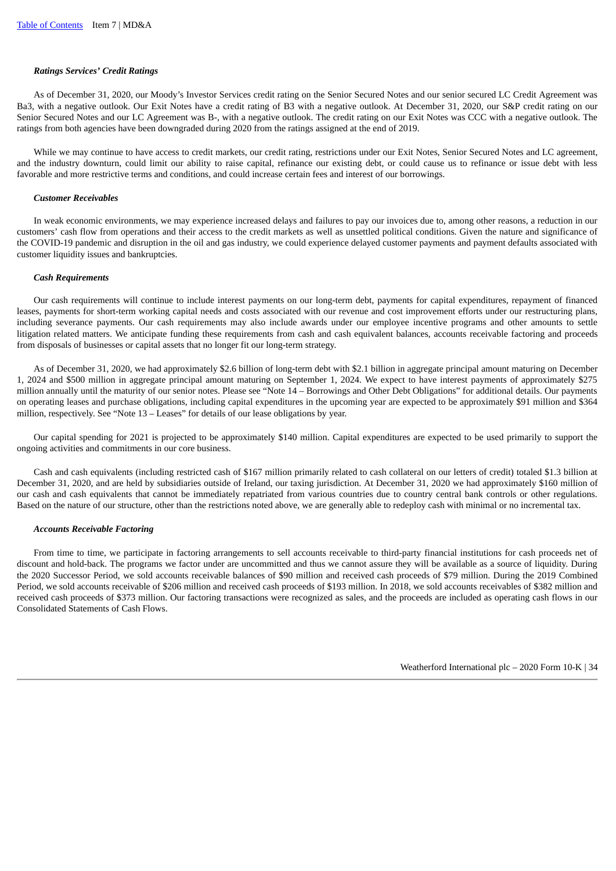#### *Ratings Services' Credit Ratings*

As of December 31, 2020, our Moody's Investor Services credit rating on the Senior Secured Notes and our senior secured LC Credit Agreement was Ba3, with a negative outlook. Our Exit Notes have a credit rating of B3 with a negative outlook. At December 31, 2020, our S&P credit rating on our Senior Secured Notes and our LC Agreement was B-, with a negative outlook. The credit rating on our Exit Notes was CCC with a negative outlook. The ratings from both agencies have been downgraded during 2020 from the ratings assigned at the end of 2019.

While we may continue to have access to credit markets, our credit rating, restrictions under our Exit Notes, Senior Secured Notes and LC agreement, and the industry downturn, could limit our ability to raise capital, refinance our existing debt, or could cause us to refinance or issue debt with less favorable and more restrictive terms and conditions, and could increase certain fees and interest of our borrowings.

### *Customer Receivables*

In weak economic environments, we may experience increased delays and failures to pay our invoices due to, among other reasons, a reduction in our customers' cash flow from operations and their access to the credit markets as well as unsettled political conditions. Given the nature and significance of the COVID-19 pandemic and disruption in the oil and gas industry, we could experience delayed customer payments and payment defaults associated with customer liquidity issues and bankruptcies.

#### *Cash Requirements*

Our cash requirements will continue to include interest payments on our long-term debt, payments for capital expenditures, repayment of financed leases, payments for short-term working capital needs and costs associated with our revenue and cost improvement efforts under our restructuring plans, including severance payments. Our cash requirements may also include awards under our employee incentive programs and other amounts to settle litigation related matters. We anticipate funding these requirements from cash and cash equivalent balances, accounts receivable factoring and proceeds from disposals of businesses or capital assets that no longer fit our long-term strategy.

As of December 31, 2020, we had approximately \$2.6 billion of long-term debt with \$2.1 billion in aggregate principal amount maturing on December 1, 2024 and \$500 million in aggregate principal amount maturing on September 1, 2024. We expect to have interest payments of approximately \$275 million annually until the maturity of our senior notes. Please see "Note 14 – Borrowings and Other Debt Obligations" for additional details. Our payments on operating leases and purchase obligations, including capital expenditures in the upcoming year are expected to be approximately \$91 million and \$364 million, respectively. See "Note 13 – Leases" for details of our lease obligations by year.

Our capital spending for 2021 is projected to be approximately \$140 million. Capital expenditures are expected to be used primarily to support the ongoing activities and commitments in our core business.

Cash and cash equivalents (including restricted cash of \$167 million primarily related to cash collateral on our letters of credit) totaled \$1.3 billion at December 31, 2020, and are held by subsidiaries outside of Ireland, our taxing jurisdiction. At December 31, 2020 we had approximately \$160 million of our cash and cash equivalents that cannot be immediately repatriated from various countries due to country central bank controls or other regulations. Based on the nature of our structure, other than the restrictions noted above, we are generally able to redeploy cash with minimal or no incremental tax.

## *Accounts Receivable Factoring*

From time to time, we participate in factoring arrangements to sell accounts receivable to third-party financial institutions for cash proceeds net of discount and hold-back. The programs we factor under are uncommitted and thus we cannot assure they will be available as a source of liquidity. During the 2020 Successor Period, we sold accounts receivable balances of \$90 million and received cash proceeds of \$79 million. During the 2019 Combined Period, we sold accounts receivable of \$206 million and received cash proceeds of \$193 million. In 2018, we sold accounts receivables of \$382 million and received cash proceeds of \$373 million. Our factoring transactions were recognized as sales, and the proceeds are included as operating cash flows in our Consolidated Statements of Cash Flows.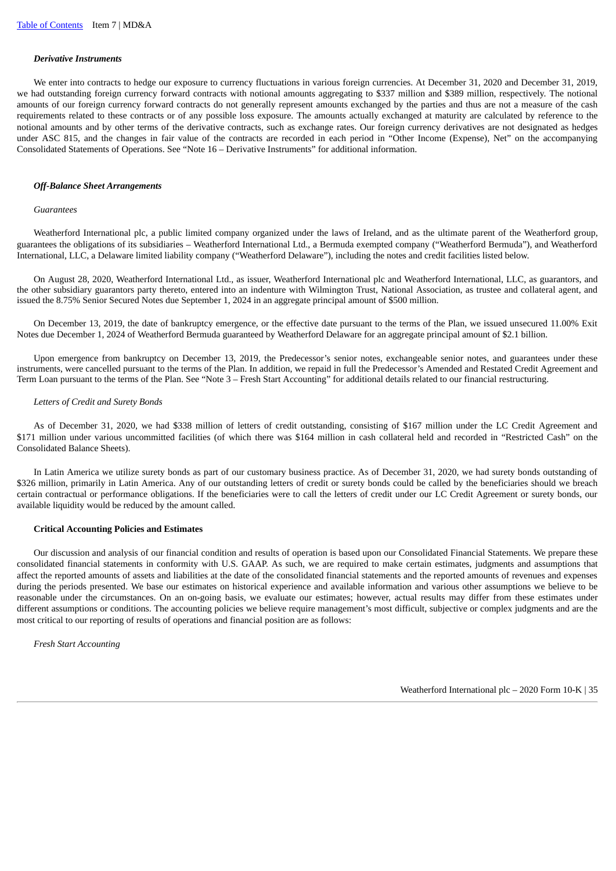#### *Derivative Instruments*

We enter into contracts to hedge our exposure to currency fluctuations in various foreign currencies. At December 31, 2020 and December 31, 2019, we had outstanding foreign currency forward contracts with notional amounts aggregating to \$337 million and \$389 million, respectively. The notional amounts of our foreign currency forward contracts do not generally represent amounts exchanged by the parties and thus are not a measure of the cash requirements related to these contracts or of any possible loss exposure. The amounts actually exchanged at maturity are calculated by reference to the notional amounts and by other terms of the derivative contracts, such as exchange rates. Our foreign currency derivatives are not designated as hedges under ASC 815, and the changes in fair value of the contracts are recorded in each period in "Other Income (Expense), Net" on the accompanying Consolidated Statements of Operations. See "Note 16 – Derivative Instruments" for additional information.

#### *Off-Balance Sheet Arrangements*

### *Guarantees*

Weatherford International plc, a public limited company organized under the laws of Ireland, and as the ultimate parent of the Weatherford group, guarantees the obligations of its subsidiaries – Weatherford International Ltd., a Bermuda exempted company ("Weatherford Bermuda"), and Weatherford International, LLC, a Delaware limited liability company ("Weatherford Delaware"), including the notes and credit facilities listed below.

On August 28, 2020, Weatherford International Ltd., as issuer, Weatherford International plc and Weatherford International, LLC, as guarantors, and the other subsidiary guarantors party thereto, entered into an indenture with Wilmington Trust, National Association, as trustee and collateral agent, and issued the 8.75% Senior Secured Notes due September 1, 2024 in an aggregate principal amount of \$500 million.

On December 13, 2019, the date of bankruptcy emergence, or the effective date pursuant to the terms of the Plan, we issued unsecured 11.00% Exit Notes due December 1, 2024 of Weatherford Bermuda guaranteed by Weatherford Delaware for an aggregate principal amount of \$2.1 billion.

Upon emergence from bankruptcy on December 13, 2019, the Predecessor's senior notes, exchangeable senior notes, and guarantees under these instruments, were cancelled pursuant to the terms of the Plan. In addition, we repaid in full the Predecessor's Amended and Restated Credit Agreement and Term Loan pursuant to the terms of the Plan. See "Note 3 – Fresh Start Accounting" for additional details related to our financial restructuring.

#### *Letters of Credit and Surety Bonds*

As of December 31, 2020, we had \$338 million of letters of credit outstanding, consisting of \$167 million under the LC Credit Agreement and \$171 million under various uncommitted facilities (of which there was \$164 million in cash collateral held and recorded in "Restricted Cash" on the Consolidated Balance Sheets).

In Latin America we utilize surety bonds as part of our customary business practice. As of December 31, 2020, we had surety bonds outstanding of \$326 million, primarily in Latin America. Any of our outstanding letters of credit or surety bonds could be called by the beneficiaries should we breach certain contractual or performance obligations. If the beneficiaries were to call the letters of credit under our LC Credit Agreement or surety bonds, our available liquidity would be reduced by the amount called.

#### **Critical Accounting Policies and Estimates**

Our discussion and analysis of our financial condition and results of operation is based upon our Consolidated Financial Statements. We prepare these consolidated financial statements in conformity with U.S. GAAP. As such, we are required to make certain estimates, judgments and assumptions that affect the reported amounts of assets and liabilities at the date of the consolidated financial statements and the reported amounts of revenues and expenses during the periods presented. We base our estimates on historical experience and available information and various other assumptions we believe to be reasonable under the circumstances. On an on-going basis, we evaluate our estimates; however, actual results may differ from these estimates under different assumptions or conditions. The accounting policies we believe require management's most difficult, subjective or complex judgments and are the most critical to our reporting of results of operations and financial position are as follows:

*Fresh Start Accounting*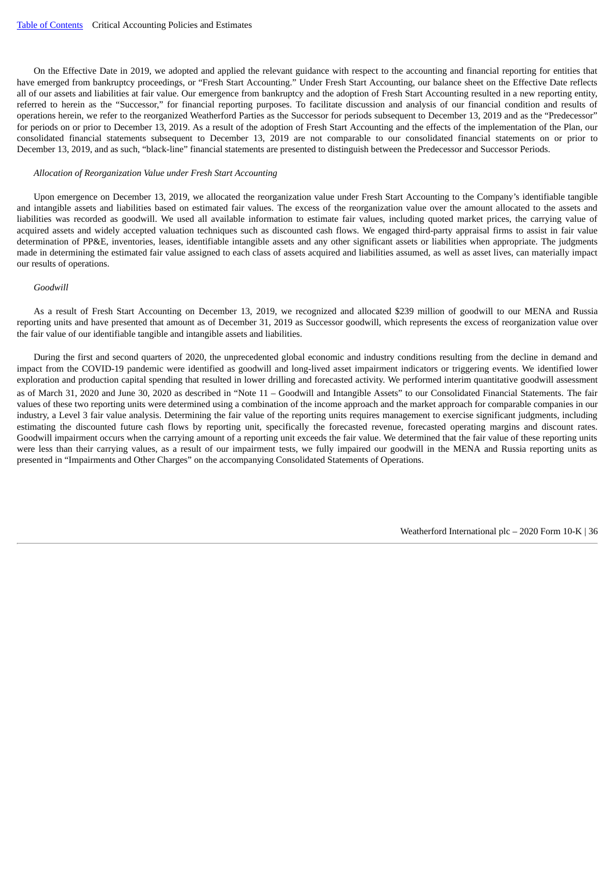On the Effective Date in 2019, we adopted and applied the relevant guidance with respect to the accounting and financial reporting for entities that have emerged from bankruptcy proceedings, or "Fresh Start Accounting." Under Fresh Start Accounting, our balance sheet on the Effective Date reflects all of our assets and liabilities at fair value. Our emergence from bankruptcy and the adoption of Fresh Start Accounting resulted in a new reporting entity, referred to herein as the "Successor," for financial reporting purposes. To facilitate discussion and analysis of our financial condition and results of operations herein, we refer to the reorganized Weatherford Parties as the Successor for periods subsequent to December 13, 2019 and as the "Predecessor" for periods on or prior to December 13, 2019. As a result of the adoption of Fresh Start Accounting and the effects of the implementation of the Plan, our consolidated financial statements subsequent to December 13, 2019 are not comparable to our consolidated financial statements on or prior to December 13, 2019, and as such, "black-line" financial statements are presented to distinguish between the Predecessor and Successor Periods.

#### *Allocation of Reorganization Value under Fresh Start Accounting*

Upon emergence on December 13, 2019, we allocated the reorganization value under Fresh Start Accounting to the Company's identifiable tangible and intangible assets and liabilities based on estimated fair values. The excess of the reorganization value over the amount allocated to the assets and liabilities was recorded as goodwill. We used all available information to estimate fair values, including quoted market prices, the carrying value of acquired assets and widely accepted valuation techniques such as discounted cash flows. We engaged third-party appraisal firms to assist in fair value determination of PP&E, inventories, leases, identifiable intangible assets and any other significant assets or liabilities when appropriate. The judgments made in determining the estimated fair value assigned to each class of assets acquired and liabilities assumed, as well as asset lives, can materially impact our results of operations.

### *Goodwill*

As a result of Fresh Start Accounting on December 13, 2019, we recognized and allocated \$239 million of goodwill to our MENA and Russia reporting units and have presented that amount as of December 31, 2019 as Successor goodwill, which represents the excess of reorganization value over the fair value of our identifiable tangible and intangible assets and liabilities.

During the first and second quarters of 2020, the unprecedented global economic and industry conditions resulting from the decline in demand and impact from the COVID-19 pandemic were identified as goodwill and long-lived asset impairment indicators or triggering events. We identified lower exploration and production capital spending that resulted in lower drilling and forecasted activity. We performed interim quantitative goodwill assessment as of March 31, 2020 and June 30, 2020 as described in "Note 11 – Goodwill and Intangible Assets" to our Consolidated Financial Statements. The fair values of these two reporting units were determined using a combination of the income approach and the market approach for comparable companies in our industry, a Level 3 fair value analysis. Determining the fair value of the reporting units requires management to exercise significant judgments, including estimating the discounted future cash flows by reporting unit, specifically the forecasted revenue, forecasted operating margins and discount rates. Goodwill impairment occurs when the carrying amount of a reporting unit exceeds the fair value. We determined that the fair value of these reporting units were less than their carrying values, as a result of our impairment tests, we fully impaired our goodwill in the MENA and Russia reporting units as presented in "Impairments and Other Charges" on the accompanying Consolidated Statements of Operations.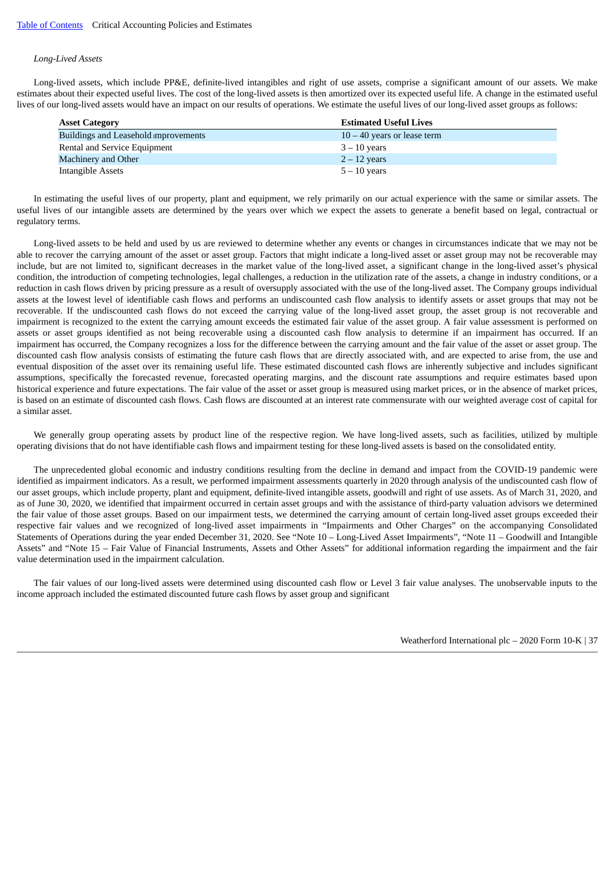# Table of [Contents](#page-0-0) Critical Accounting Policies and Estimates

#### *Long-Lived Assets*

Long-lived assets, which include PP&E, definite-lived intangibles and right of use assets, comprise a significant amount of our assets. We make estimates about their expected useful lives. The cost of the long-lived assets is then amortized over its expected useful life. A change in the estimated useful lives of our long-lived assets would have an impact on our results of operations. We estimate the useful lives of our long-lived asset groups as follows:

| <b>Asset Category</b>                | <b>Estimated Useful Lives</b> |
|--------------------------------------|-------------------------------|
| Buildings and Leasehold improvements | $10 - 40$ years or lease term |
| Rental and Service Equipment         | $3 - 10$ years                |
| Machinery and Other                  | $2 - 12$ years                |
| Intangible Assets                    | $5 - 10$ years                |

In estimating the useful lives of our property, plant and equipment, we rely primarily on our actual experience with the same or similar assets. The useful lives of our intangible assets are determined by the years over which we expect the assets to generate a benefit based on legal, contractual or regulatory terms.

Long-lived assets to be held and used by us are reviewed to determine whether any events or changes in circumstances indicate that we may not be able to recover the carrying amount of the asset or asset group. Factors that might indicate a long-lived asset or asset group may not be recoverable may include, but are not limited to, significant decreases in the market value of the long-lived asset, a significant change in the long-lived asset's physical condition, the introduction of competing technologies, legal challenges, a reduction in the utilization rate of the assets, a change in industry conditions, or a reduction in cash flows driven by pricing pressure as a result of oversupply associated with the use of the long-lived asset. The Company groups individual assets at the lowest level of identifiable cash flows and performs an undiscounted cash flow analysis to identify assets or asset groups that may not be recoverable. If the undiscounted cash flows do not exceed the carrying value of the long-lived asset group, the asset group is not recoverable and impairment is recognized to the extent the carrying amount exceeds the estimated fair value of the asset group. A fair value assessment is performed on assets or asset groups identified as not being recoverable using a discounted cash flow analysis to determine if an impairment has occurred. If an impairment has occurred, the Company recognizes a loss for the difference between the carrying amount and the fair value of the asset or asset group. The discounted cash flow analysis consists of estimating the future cash flows that are directly associated with, and are expected to arise from, the use and eventual disposition of the asset over its remaining useful life. These estimated discounted cash flows are inherently subjective and includes significant assumptions, specifically the forecasted revenue, forecasted operating margins, and the discount rate assumptions and require estimates based upon historical experience and future expectations. The fair value of the asset or asset group is measured using market prices, or in the absence of market prices, is based on an estimate of discounted cash flows. Cash flows are discounted at an interest rate commensurate with our weighted average cost of capital for a similar asset.

We generally group operating assets by product line of the respective region. We have long-lived assets, such as facilities, utilized by multiple operating divisions that do not have identifiable cash flows and impairment testing for these long-lived assets is based on the consolidated entity.

The unprecedented global economic and industry conditions resulting from the decline in demand and impact from the COVID-19 pandemic were identified as impairment indicators. As a result, we performed impairment assessments quarterly in 2020 through analysis of the undiscounted cash flow of our asset groups, which include property, plant and equipment, definite-lived intangible assets, goodwill and right of use assets. As of March 31, 2020, and as of June 30, 2020, we identified that impairment occurred in certain asset groups and with the assistance of third-party valuation advisors we determined the fair value of those asset groups. Based on our impairment tests, we determined the carrying amount of certain long-lived asset groups exceeded their respective fair values and we recognized of long-lived asset impairments in "Impairments and Other Charges" on the accompanying Consolidated Statements of Operations during the year ended December 31, 2020. See "Note 10 – Long-Lived Asset Impairments", "Note 11 – Goodwill and Intangible Assets" and "Note 15 – Fair Value of Financial Instruments, Assets and Other Assets" for additional information regarding the impairment and the fair value determination used in the impairment calculation.

The fair values of our long-lived assets were determined using discounted cash flow or Level 3 fair value analyses. The unobservable inputs to the income approach included the estimated discounted future cash flows by asset group and significant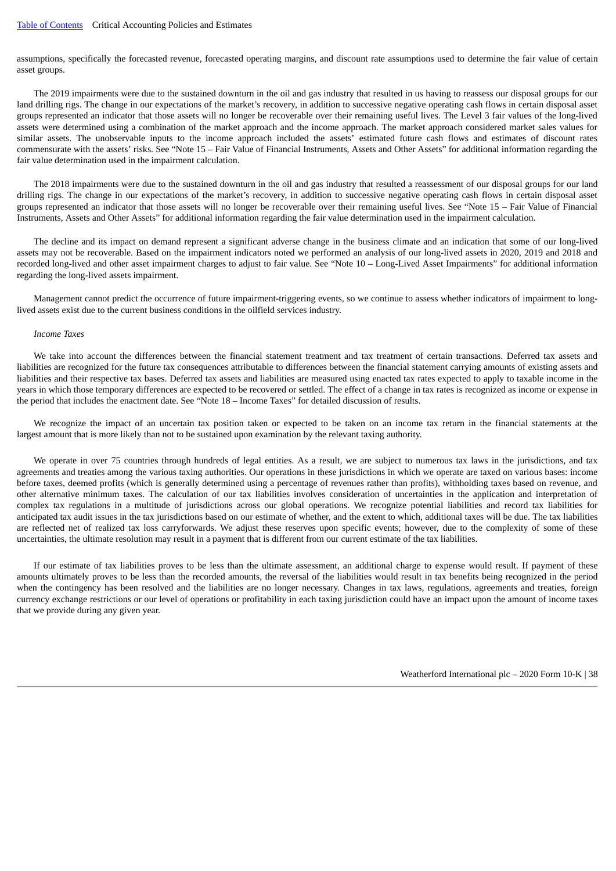assumptions, specifically the forecasted revenue, forecasted operating margins, and discount rate assumptions used to determine the fair value of certain asset groups.

The 2019 impairments were due to the sustained downturn in the oil and gas industry that resulted in us having to reassess our disposal groups for our land drilling rigs. The change in our expectations of the market's recovery, in addition to successive negative operating cash flows in certain disposal asset groups represented an indicator that those assets will no longer be recoverable over their remaining useful lives. The Level 3 fair values of the long-lived assets were determined using a combination of the market approach and the income approach. The market approach considered market sales values for similar assets. The unobservable inputs to the income approach included the assets' estimated future cash flows and estimates of discount rates commensurate with the assets' risks. See "Note 15 – Fair Value of Financial Instruments, Assets and Other Assets" for additional information regarding the fair value determination used in the impairment calculation.

The 2018 impairments were due to the sustained downturn in the oil and gas industry that resulted a reassessment of our disposal groups for our land drilling rigs. The change in our expectations of the market's recovery, in addition to successive negative operating cash flows in certain disposal asset groups represented an indicator that those assets will no longer be recoverable over their remaining useful lives. See "Note 15 – Fair Value of Financial Instruments, Assets and Other Assets" for additional information regarding the fair value determination used in the impairment calculation.

The decline and its impact on demand represent a significant adverse change in the business climate and an indication that some of our long-lived assets may not be recoverable. Based on the impairment indicators noted we performed an analysis of our long-lived assets in 2020, 2019 and 2018 and recorded long-lived and other asset impairment charges to adjust to fair value. See "Note 10 – Long-Lived Asset Impairments" for additional information regarding the long-lived assets impairment.

Management cannot predict the occurrence of future impairment-triggering events, so we continue to assess whether indicators of impairment to longlived assets exist due to the current business conditions in the oilfield services industry.

# *Income Taxes*

We take into account the differences between the financial statement treatment and tax treatment of certain transactions. Deferred tax assets and liabilities are recognized for the future tax consequences attributable to differences between the financial statement carrying amounts of existing assets and liabilities and their respective tax bases. Deferred tax assets and liabilities are measured using enacted tax rates expected to apply to taxable income in the years in which those temporary differences are expected to be recovered or settled. The effect of a change in tax rates is recognized as income or expense in the period that includes the enactment date. See "Note 18 – Income Taxes" for detailed discussion of results.

We recognize the impact of an uncertain tax position taken or expected to be taken on an income tax return in the financial statements at the largest amount that is more likely than not to be sustained upon examination by the relevant taxing authority.

We operate in over 75 countries through hundreds of legal entities. As a result, we are subject to numerous tax laws in the jurisdictions, and tax agreements and treaties among the various taxing authorities. Our operations in these jurisdictions in which we operate are taxed on various bases: income before taxes, deemed profits (which is generally determined using a percentage of revenues rather than profits), withholding taxes based on revenue, and other alternative minimum taxes. The calculation of our tax liabilities involves consideration of uncertainties in the application and interpretation of complex tax regulations in a multitude of jurisdictions across our global operations. We recognize potential liabilities and record tax liabilities for anticipated tax audit issues in the tax jurisdictions based on our estimate of whether, and the extent to which, additional taxes will be due. The tax liabilities are reflected net of realized tax loss carryforwards. We adjust these reserves upon specific events; however, due to the complexity of some of these uncertainties, the ultimate resolution may result in a payment that is different from our current estimate of the tax liabilities.

If our estimate of tax liabilities proves to be less than the ultimate assessment, an additional charge to expense would result. If payment of these amounts ultimately proves to be less than the recorded amounts, the reversal of the liabilities would result in tax benefits being recognized in the period when the contingency has been resolved and the liabilities are no longer necessary. Changes in tax laws, regulations, agreements and treaties, foreign currency exchange restrictions or our level of operations or profitability in each taxing jurisdiction could have an impact upon the amount of income taxes that we provide during any given year.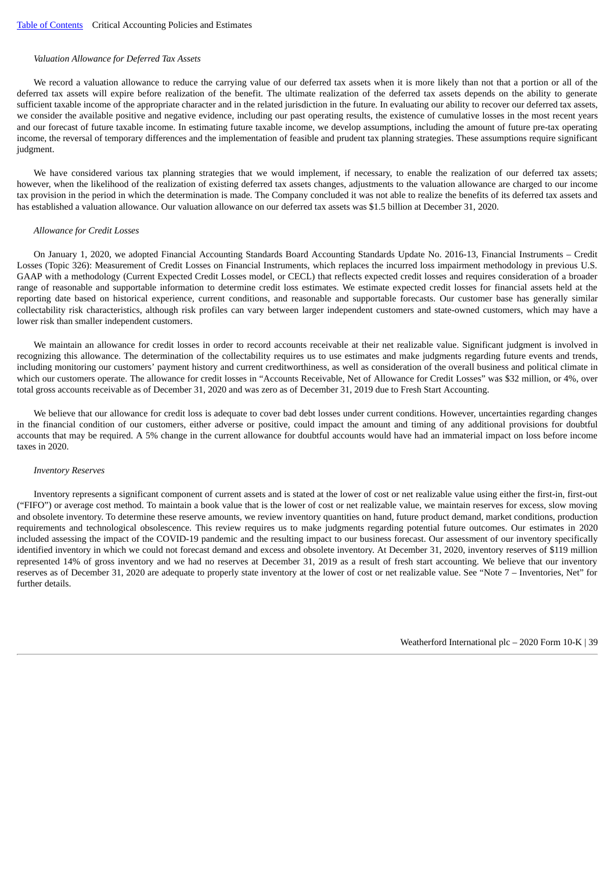### *Valuation Allowance for Deferred Tax Assets*

We record a valuation allowance to reduce the carrying value of our deferred tax assets when it is more likely than not that a portion or all of the deferred tax assets will expire before realization of the benefit. The ultimate realization of the deferred tax assets depends on the ability to generate sufficient taxable income of the appropriate character and in the related jurisdiction in the future. In evaluating our ability to recover our deferred tax assets, we consider the available positive and negative evidence, including our past operating results, the existence of cumulative losses in the most recent years and our forecast of future taxable income. In estimating future taxable income, we develop assumptions, including the amount of future pre-tax operating income, the reversal of temporary differences and the implementation of feasible and prudent tax planning strategies. These assumptions require significant judgment.

We have considered various tax planning strategies that we would implement, if necessary, to enable the realization of our deferred tax assets; however, when the likelihood of the realization of existing deferred tax assets changes, adjustments to the valuation allowance are charged to our income tax provision in the period in which the determination is made. The Company concluded it was not able to realize the benefits of its deferred tax assets and has established a valuation allowance. Our valuation allowance on our deferred tax assets was \$1.5 billion at December 31, 2020.

### *Allowance for Credit Losses*

On January 1, 2020, we adopted Financial Accounting Standards Board Accounting Standards Update No. 2016-13, Financial Instruments – Credit Losses (Topic 326): Measurement of Credit Losses on Financial Instruments, which replaces the incurred loss impairment methodology in previous U.S. GAAP with a methodology (Current Expected Credit Losses model, or CECL) that reflects expected credit losses and requires consideration of a broader range of reasonable and supportable information to determine credit loss estimates. We estimate expected credit losses for financial assets held at the reporting date based on historical experience, current conditions, and reasonable and supportable forecasts. Our customer base has generally similar collectability risk characteristics, although risk profiles can vary between larger independent customers and state-owned customers, which may have a lower risk than smaller independent customers.

We maintain an allowance for credit losses in order to record accounts receivable at their net realizable value. Significant judgment is involved in recognizing this allowance. The determination of the collectability requires us to use estimates and make judgments regarding future events and trends, including monitoring our customers' payment history and current creditworthiness, as well as consideration of the overall business and political climate in which our customers operate. The allowance for credit losses in "Accounts Receivable, Net of Allowance for Credit Losses" was \$32 million, or 4%, over total gross accounts receivable as of December 31, 2020 and was zero as of December 31, 2019 due to Fresh Start Accounting.

We believe that our allowance for credit loss is adequate to cover bad debt losses under current conditions. However, uncertainties regarding changes in the financial condition of our customers, either adverse or positive, could impact the amount and timing of any additional provisions for doubtful accounts that may be required. A 5% change in the current allowance for doubtful accounts would have had an immaterial impact on loss before income taxes in 2020.

# *Inventory Reserves*

Inventory represents a significant component of current assets and is stated at the lower of cost or net realizable value using either the first-in, first-out ("FIFO") or average cost method. To maintain a book value that is the lower of cost or net realizable value, we maintain reserves for excess, slow moving and obsolete inventory. To determine these reserve amounts, we review inventory quantities on hand, future product demand, market conditions, production requirements and technological obsolescence. This review requires us to make judgments regarding potential future outcomes. Our estimates in 2020 included assessing the impact of the COVID-19 pandemic and the resulting impact to our business forecast. Our assessment of our inventory specifically identified inventory in which we could not forecast demand and excess and obsolete inventory. At December 31, 2020, inventory reserves of \$119 million represented 14% of gross inventory and we had no reserves at December 31, 2019 as a result of fresh start accounting. We believe that our inventory reserves as of December 31, 2020 are adequate to properly state inventory at the lower of cost or net realizable value. See "Note 7 – Inventories, Net" for further details.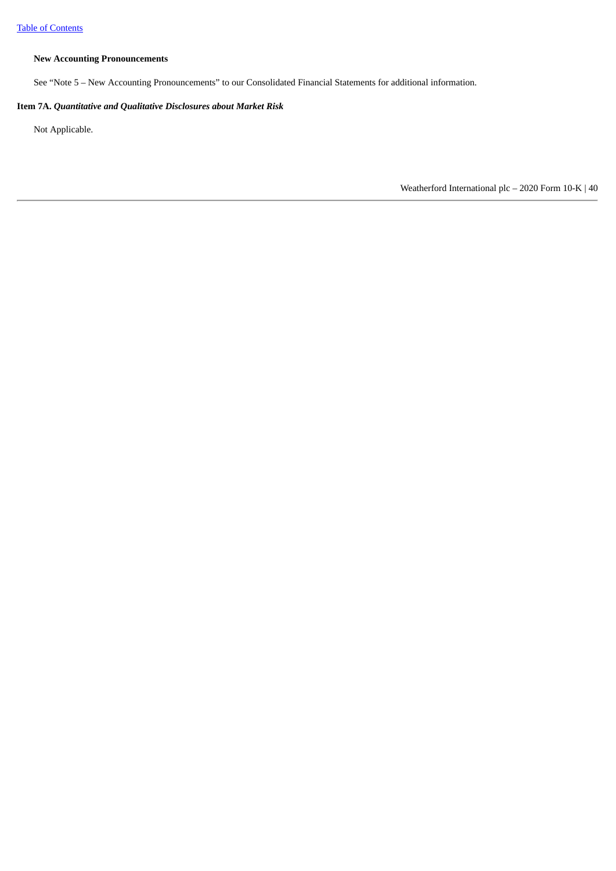# **New Accounting Pronouncements**

See "Note 5 – New Accounting Pronouncements" to our Consolidated Financial Statements for additional information.

# **Item 7A.** *Quantitative and Qualitative Disclosures about Market Risk*

Not Applicable.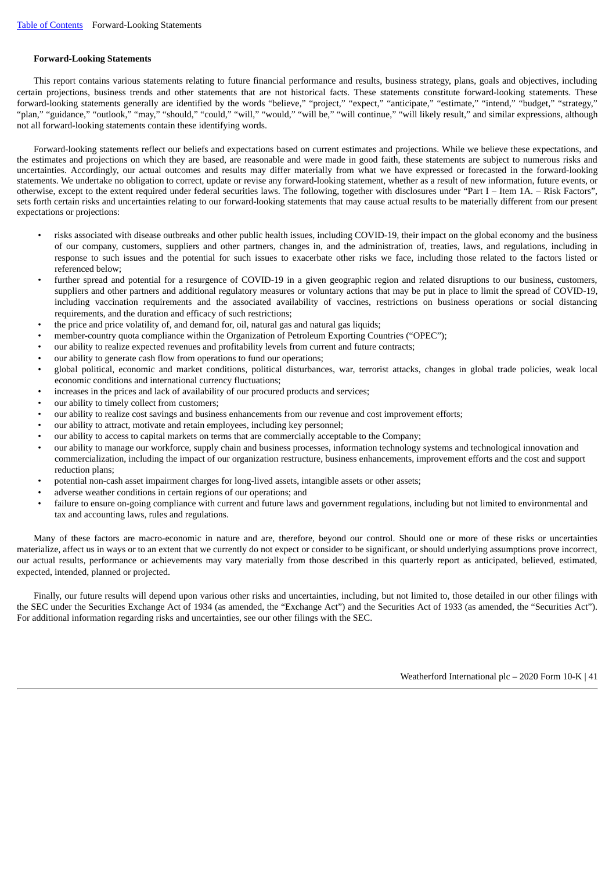# **Forward-Looking Statements**

This report contains various statements relating to future financial performance and results, business strategy, plans, goals and objectives, including certain projections, business trends and other statements that are not historical facts. These statements constitute forward-looking statements. These forward-looking statements generally are identified by the words "believe," "project," "expect," "anticipate," "estimate," "intend," "budget," "strategy," "plan," "guidance," "outlook," "may," "should," "could," "will," "would," "will be," "will continue," "will likely result," and similar expressions, although not all forward-looking statements contain these identifying words.

Forward-looking statements reflect our beliefs and expectations based on current estimates and projections. While we believe these expectations, and the estimates and projections on which they are based, are reasonable and were made in good faith, these statements are subject to numerous risks and uncertainties. Accordingly, our actual outcomes and results may differ materially from what we have expressed or forecasted in the forward-looking statements. We undertake no obligation to correct, update or revise any forward-looking statement, whether as a result of new information, future events, or otherwise, except to the extent required under federal securities laws. The following, together with disclosures under "Part I – Item 1A. – Risk Factors", sets forth certain risks and uncertainties relating to our forward-looking statements that may cause actual results to be materially different from our present expectations or projections:

- risks associated with disease outbreaks and other public health issues, including COVID-19, their impact on the global economy and the business of our company, customers, suppliers and other partners, changes in, and the administration of, treaties, laws, and regulations, including in response to such issues and the potential for such issues to exacerbate other risks we face, including those related to the factors listed or referenced below;
- further spread and potential for a resurgence of COVID-19 in a given geographic region and related disruptions to our business, customers, suppliers and other partners and additional regulatory measures or voluntary actions that may be put in place to limit the spread of COVID-19, including vaccination requirements and the associated availability of vaccines, restrictions on business operations or social distancing requirements, and the duration and efficacy of such restrictions;
- the price and price volatility of, and demand for, oil, natural gas and natural gas liquids;
- member-country quota compliance within the Organization of Petroleum Exporting Countries ("OPEC");
- our ability to realize expected revenues and profitability levels from current and future contracts;
- our ability to generate cash flow from operations to fund our operations;
- global political, economic and market conditions, political disturbances, war, terrorist attacks, changes in global trade policies, weak local economic conditions and international currency fluctuations;
- increases in the prices and lack of availability of our procured products and services;
- our ability to timely collect from customers;
- our ability to realize cost savings and business enhancements from our revenue and cost improvement efforts;
- our ability to attract, motivate and retain employees, including key personnel;
- our ability to access to capital markets on terms that are commercially acceptable to the Company;
- our ability to manage our workforce, supply chain and business processes, information technology systems and technological innovation and commercialization, including the impact of our organization restructure, business enhancements, improvement efforts and the cost and support reduction plans;
- potential non-cash asset impairment charges for long-lived assets, intangible assets or other assets;
- adverse weather conditions in certain regions of our operations; and
- failure to ensure on-going compliance with current and future laws and government regulations, including but not limited to environmental and tax and accounting laws, rules and regulations.

Many of these factors are macro-economic in nature and are, therefore, beyond our control. Should one or more of these risks or uncertainties materialize, affect us in ways or to an extent that we currently do not expect or consider to be significant, or should underlying assumptions prove incorrect, our actual results, performance or achievements may vary materially from those described in this quarterly report as anticipated, believed, estimated, expected, intended, planned or projected.

Finally, our future results will depend upon various other risks and uncertainties, including, but not limited to, those detailed in our other filings with the SEC under the Securities Exchange Act of 1934 (as amended, the "Exchange Act") and the Securities Act of 1933 (as amended, the "Securities Act"). For additional information regarding risks and uncertainties, see our other filings with the SEC.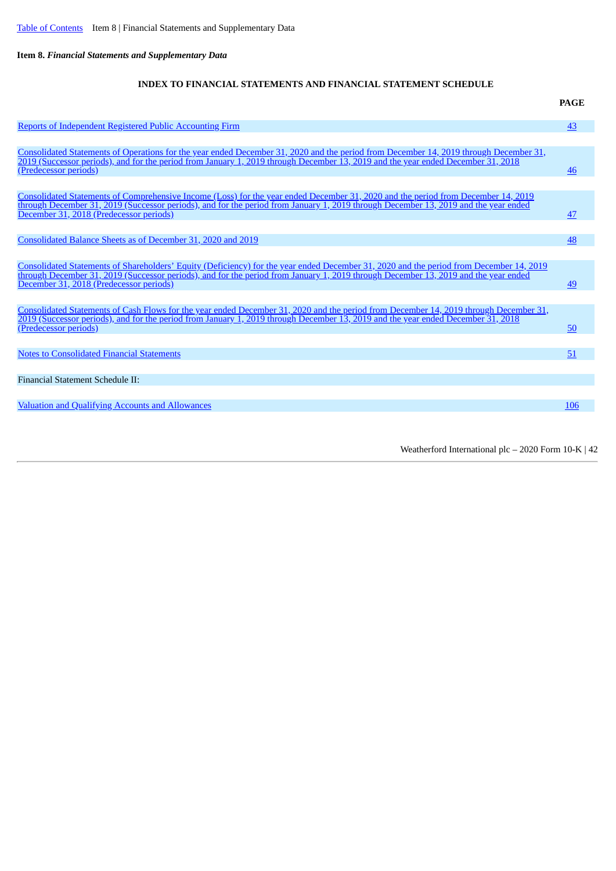# **Item 8.** *Financial Statements and Supplementary Data*

# **INDEX TO FINANCIAL STATEMENTS AND FINANCIAL STATEMENT SCHEDULE**

<span id="page-42-0"></span>

|                                                                                                                                                                                                                                                                                                                           | <b>PAGE</b> |
|---------------------------------------------------------------------------------------------------------------------------------------------------------------------------------------------------------------------------------------------------------------------------------------------------------------------------|-------------|
| Reports of Independent Registered Public Accounting Firm                                                                                                                                                                                                                                                                  | 43          |
|                                                                                                                                                                                                                                                                                                                           |             |
| Consolidated Statements of Operations for the year ended December 31, 2020 and the period from December 14, 2019 through December 31,<br>2019 (Successor periods), and for the period from January 1, 2019 through December 13, 2019 and the year ended December 31, 2018<br>(Predecessor periods)                        | 46          |
|                                                                                                                                                                                                                                                                                                                           |             |
| Consolidated Statements of Comprehensive Income (Loss) for the year ended December 31, 2020 and the period from December 14, 2019<br>through December 31, 2019 (Successor periods), and for the period from January 1, 2019 through December 13, 2019 and the year ended<br>December 31, 2018 (Predecessor periods)       | 47          |
|                                                                                                                                                                                                                                                                                                                           |             |
| Consolidated Balance Sheets as of December 31, 2020 and 2019                                                                                                                                                                                                                                                              | 48          |
|                                                                                                                                                                                                                                                                                                                           |             |
| Consolidated Statements of Shareholders' Equity (Deficiency) for the year ended December 31, 2020 and the period from December 14, 2019<br>through December 31, 2019 (Successor periods), and for the period from January 1, 2019 through December 13, 2019 and the year ended<br>December 31, 2018 (Predecessor periods) | 49          |
|                                                                                                                                                                                                                                                                                                                           |             |
| Consolidated Statements of Cash Flows for the year ended December 31, 2020 and the period from December 14, 2019 through December 31,<br>2019 (Successor periods), and for the period from January 1, 2019 through December 13, 2019 and the year ended December 31, 2018<br>(Predecessor periods)                        | 50          |
|                                                                                                                                                                                                                                                                                                                           |             |
| <b>Notes to Consolidated Financial Statements</b>                                                                                                                                                                                                                                                                         | 51          |
|                                                                                                                                                                                                                                                                                                                           |             |
| Financial Statement Schedule II:                                                                                                                                                                                                                                                                                          |             |
|                                                                                                                                                                                                                                                                                                                           |             |
| Valuation and Qualifying Accounts and Allowances                                                                                                                                                                                                                                                                          | 106         |
|                                                                                                                                                                                                                                                                                                                           |             |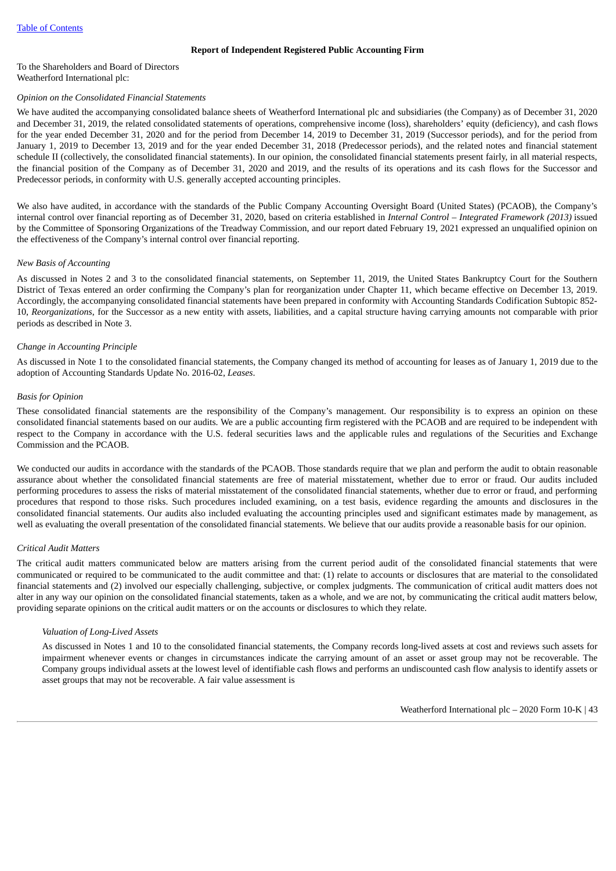## **Report of Independent Registered Public Accounting Firm**

To the Shareholders and Board of Directors Weatherford International plc:

# *Opinion on the Consolidated Financial Statements*

We have audited the accompanying consolidated balance sheets of Weatherford International plc and subsidiaries (the Company) as of December 31, 2020 and December 31, 2019, the related consolidated statements of operations, comprehensive income (loss), shareholders' equity (deficiency), and cash flows for the year ended December 31, 2020 and for the period from December 14, 2019 to December 31, 2019 (Successor periods), and for the period from January 1, 2019 to December 13, 2019 and for the year ended December 31, 2018 (Predecessor periods), and the related notes and financial statement schedule II (collectively, the consolidated financial statements). In our opinion, the consolidated financial statements present fairly, in all material respects, the financial position of the Company as of December 31, 2020 and 2019, and the results of its operations and its cash flows for the Successor and Predecessor periods, in conformity with U.S. generally accepted accounting principles.

We also have audited, in accordance with the standards of the Public Company Accounting Oversight Board (United States) (PCAOB), the Company's internal control over financial reporting as of December 31, 2020, based on criteria established in *Internal Control – Integrated Framework (2013)* issued by the Committee of Sponsoring Organizations of the Treadway Commission, and our report dated February 19, 2021 expressed an unqualified opinion on the effectiveness of the Company's internal control over financial reporting.

# *New Basis of Accounting*

As discussed in Notes 2 and 3 to the consolidated financial statements, on September 11, 2019, the United States Bankruptcy Court for the Southern District of Texas entered an order confirming the Company's plan for reorganization under Chapter 11, which became effective on December 13, 2019. Accordingly, the accompanying consolidated financial statements have been prepared in conformity with Accounting Standards Codification Subtopic 852- 10, *Reorganizations*, for the Successor as a new entity with assets, liabilities, and a capital structure having carrying amounts not comparable with prior periods as described in Note 3.

# *Change in Accounting Principle*

As discussed in Note 1 to the consolidated financial statements, the Company changed its method of accounting for leases as of January 1, 2019 due to the adoption of Accounting Standards Update No. 2016-02, *Leases*.

# *Basis for Opinion*

These consolidated financial statements are the responsibility of the Company's management. Our responsibility is to express an opinion on these consolidated financial statements based on our audits. We are a public accounting firm registered with the PCAOB and are required to be independent with respect to the Company in accordance with the U.S. federal securities laws and the applicable rules and regulations of the Securities and Exchange Commission and the PCAOB.

We conducted our audits in accordance with the standards of the PCAOB. Those standards require that we plan and perform the audit to obtain reasonable assurance about whether the consolidated financial statements are free of material misstatement, whether due to error or fraud. Our audits included performing procedures to assess the risks of material misstatement of the consolidated financial statements, whether due to error or fraud, and performing procedures that respond to those risks. Such procedures included examining, on a test basis, evidence regarding the amounts and disclosures in the consolidated financial statements. Our audits also included evaluating the accounting principles used and significant estimates made by management, as well as evaluating the overall presentation of the consolidated financial statements. We believe that our audits provide a reasonable basis for our opinion.

## *Critical Audit Matters*

The critical audit matters communicated below are matters arising from the current period audit of the consolidated financial statements that were communicated or required to be communicated to the audit committee and that: (1) relate to accounts or disclosures that are material to the consolidated financial statements and (2) involved our especially challenging, subjective, or complex judgments. The communication of critical audit matters does not alter in any way our opinion on the consolidated financial statements, taken as a whole, and we are not, by communicating the critical audit matters below, providing separate opinions on the critical audit matters or on the accounts or disclosures to which they relate.

# *Valuation of Long-Lived Assets*

As discussed in Notes 1 and 10 to the consolidated financial statements, the Company records long-lived assets at cost and reviews such assets for impairment whenever events or changes in circumstances indicate the carrying amount of an asset or asset group may not be recoverable. The Company groups individual assets at the lowest level of identifiable cash flows and performs an undiscounted cash flow analysis to identify assets or asset groups that may not be recoverable. A fair value assessment is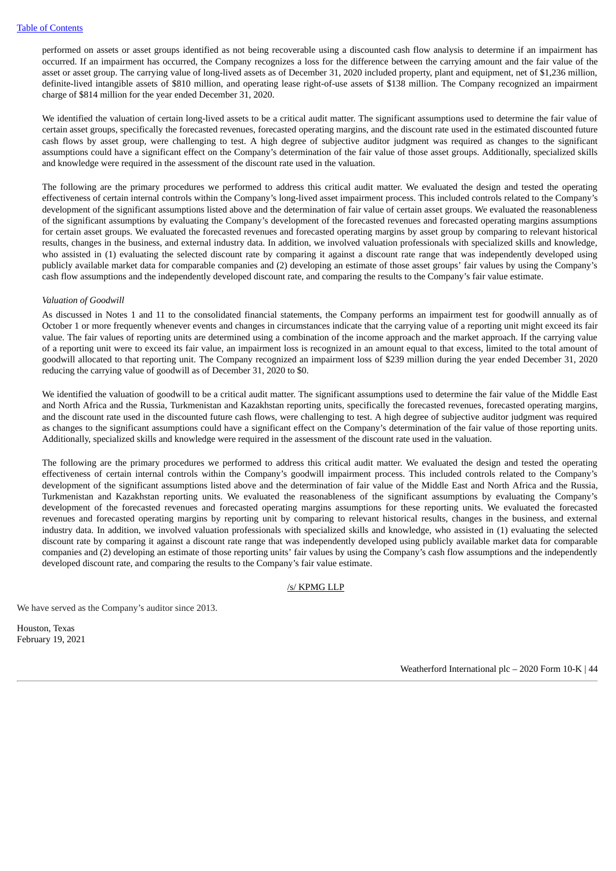performed on assets or asset groups identified as not being recoverable using a discounted cash flow analysis to determine if an impairment has occurred. If an impairment has occurred, the Company recognizes a loss for the difference between the carrying amount and the fair value of the asset or asset group. The carrying value of long-lived assets as of December 31, 2020 included property, plant and equipment, net of \$1,236 million, definite-lived intangible assets of \$810 million, and operating lease right-of-use assets of \$138 million. The Company recognized an impairment charge of \$814 million for the year ended December 31, 2020.

We identified the valuation of certain long-lived assets to be a critical audit matter. The significant assumptions used to determine the fair value of certain asset groups, specifically the forecasted revenues, forecasted operating margins, and the discount rate used in the estimated discounted future cash flows by asset group, were challenging to test. A high degree of subjective auditor judgment was required as changes to the significant assumptions could have a significant effect on the Company's determination of the fair value of those asset groups. Additionally, specialized skills and knowledge were required in the assessment of the discount rate used in the valuation.

The following are the primary procedures we performed to address this critical audit matter. We evaluated the design and tested the operating effectiveness of certain internal controls within the Company's long-lived asset impairment process. This included controls related to the Company's development of the significant assumptions listed above and the determination of fair value of certain asset groups. We evaluated the reasonableness of the significant assumptions by evaluating the Company's development of the forecasted revenues and forecasted operating margins assumptions for certain asset groups. We evaluated the forecasted revenues and forecasted operating margins by asset group by comparing to relevant historical results, changes in the business, and external industry data. In addition, we involved valuation professionals with specialized skills and knowledge, who assisted in (1) evaluating the selected discount rate by comparing it against a discount rate range that was independently developed using publicly available market data for comparable companies and (2) developing an estimate of those asset groups' fair values by using the Company's cash flow assumptions and the independently developed discount rate, and comparing the results to the Company's fair value estimate.

### *Valuation of Goodwill*

As discussed in Notes 1 and 11 to the consolidated financial statements, the Company performs an impairment test for goodwill annually as of October 1 or more frequently whenever events and changes in circumstances indicate that the carrying value of a reporting unit might exceed its fair value. The fair values of reporting units are determined using a combination of the income approach and the market approach. If the carrying value of a reporting unit were to exceed its fair value, an impairment loss is recognized in an amount equal to that excess, limited to the total amount of goodwill allocated to that reporting unit. The Company recognized an impairment loss of \$239 million during the year ended December 31, 2020 reducing the carrying value of goodwill as of December 31, 2020 to \$0.

We identified the valuation of goodwill to be a critical audit matter. The significant assumptions used to determine the fair value of the Middle East and North Africa and the Russia, Turkmenistan and Kazakhstan reporting units, specifically the forecasted revenues, forecasted operating margins, and the discount rate used in the discounted future cash flows, were challenging to test. A high degree of subjective auditor judgment was required as changes to the significant assumptions could have a significant effect on the Company's determination of the fair value of those reporting units. Additionally, specialized skills and knowledge were required in the assessment of the discount rate used in the valuation.

The following are the primary procedures we performed to address this critical audit matter. We evaluated the design and tested the operating effectiveness of certain internal controls within the Company's goodwill impairment process. This included controls related to the Company's development of the significant assumptions listed above and the determination of fair value of the Middle East and North Africa and the Russia, Turkmenistan and Kazakhstan reporting units. We evaluated the reasonableness of the significant assumptions by evaluating the Company's development of the forecasted revenues and forecasted operating margins assumptions for these reporting units. We evaluated the forecasted revenues and forecasted operating margins by reporting unit by comparing to relevant historical results, changes in the business, and external industry data. In addition, we involved valuation professionals with specialized skills and knowledge, who assisted in (1) evaluating the selected discount rate by comparing it against a discount rate range that was independently developed using publicly available market data for comparable companies and (2) developing an estimate of those reporting units' fair values by using the Company's cash flow assumptions and the independently developed discount rate, and comparing the results to the Company's fair value estimate.

# /s/ KPMG LLP

We have served as the Company's auditor since 2013.

Houston, Texas February 19, 2021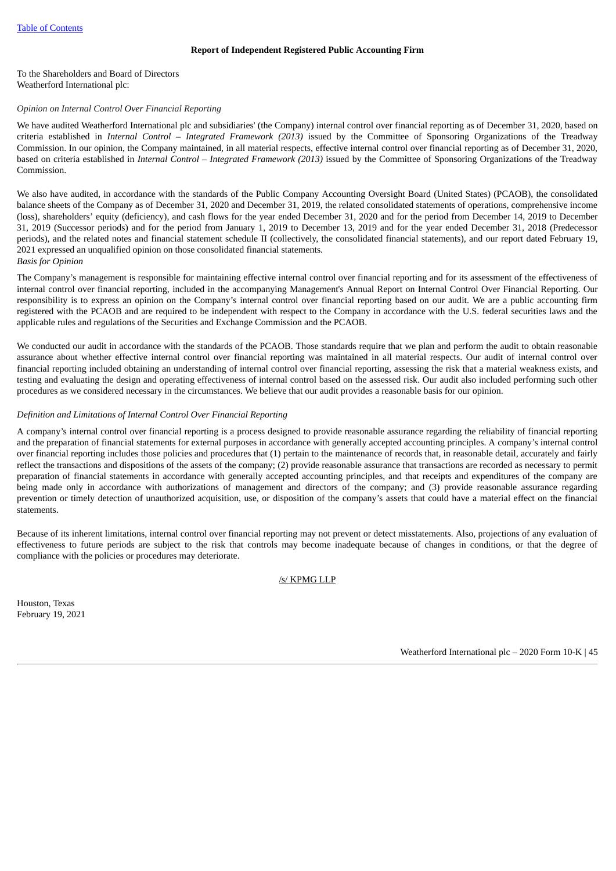## **Report of Independent Registered Public Accounting Firm**

To the Shareholders and Board of Directors Weatherford International plc:

## *Opinion on Internal Control Over Financial Reporting*

We have audited Weatherford International plc and subsidiaries' (the Company) internal control over financial reporting as of December 31, 2020, based on criteria established in *Internal Control – Integrated Framework (2013)* issued by the Committee of Sponsoring Organizations of the Treadway Commission. In our opinion, the Company maintained, in all material respects, effective internal control over financial reporting as of December 31, 2020, based on criteria established in *Internal Control – Integrated Framework (2013)* issued by the Committee of Sponsoring Organizations of the Treadway Commission.

We also have audited, in accordance with the standards of the Public Company Accounting Oversight Board (United States) (PCAOB), the consolidated balance sheets of the Company as of December 31, 2020 and December 31, 2019, the related consolidated statements of operations, comprehensive income (loss), shareholders' equity (deficiency), and cash flows for the year ended December 31, 2020 and for the period from December 14, 2019 to December 31, 2019 (Successor periods) and for the period from January 1, 2019 to December 13, 2019 and for the year ended December 31, 2018 (Predecessor periods), and the related notes and financial statement schedule II (collectively, the consolidated financial statements), and our report dated February 19, 2021 expressed an unqualified opinion on those consolidated financial statements. *Basis for Opinion*

The Company's management is responsible for maintaining effective internal control over financial reporting and for its assessment of the effectiveness of internal control over financial reporting, included in the accompanying Management's Annual Report on Internal Control Over Financial Reporting. Our responsibility is to express an opinion on the Company's internal control over financial reporting based on our audit. We are a public accounting firm registered with the PCAOB and are required to be independent with respect to the Company in accordance with the U.S. federal securities laws and the applicable rules and regulations of the Securities and Exchange Commission and the PCAOB.

We conducted our audit in accordance with the standards of the PCAOB. Those standards require that we plan and perform the audit to obtain reasonable assurance about whether effective internal control over financial reporting was maintained in all material respects. Our audit of internal control over financial reporting included obtaining an understanding of internal control over financial reporting, assessing the risk that a material weakness exists, and testing and evaluating the design and operating effectiveness of internal control based on the assessed risk. Our audit also included performing such other procedures as we considered necessary in the circumstances. We believe that our audit provides a reasonable basis for our opinion.

# *Definition and Limitations of Internal Control Over Financial Reporting*

A company's internal control over financial reporting is a process designed to provide reasonable assurance regarding the reliability of financial reporting and the preparation of financial statements for external purposes in accordance with generally accepted accounting principles. A company's internal control over financial reporting includes those policies and procedures that (1) pertain to the maintenance of records that, in reasonable detail, accurately and fairly reflect the transactions and dispositions of the assets of the company; (2) provide reasonable assurance that transactions are recorded as necessary to permit preparation of financial statements in accordance with generally accepted accounting principles, and that receipts and expenditures of the company are being made only in accordance with authorizations of management and directors of the company; and (3) provide reasonable assurance regarding prevention or timely detection of unauthorized acquisition, use, or disposition of the company's assets that could have a material effect on the financial statements.

Because of its inherent limitations, internal control over financial reporting may not prevent or detect misstatements. Also, projections of any evaluation of effectiveness to future periods are subject to the risk that controls may become inadequate because of changes in conditions, or that the degree of compliance with the policies or procedures may deteriorate.

# /s/ KPMG LLP

<span id="page-45-0"></span>Houston, Texas February 19, 2021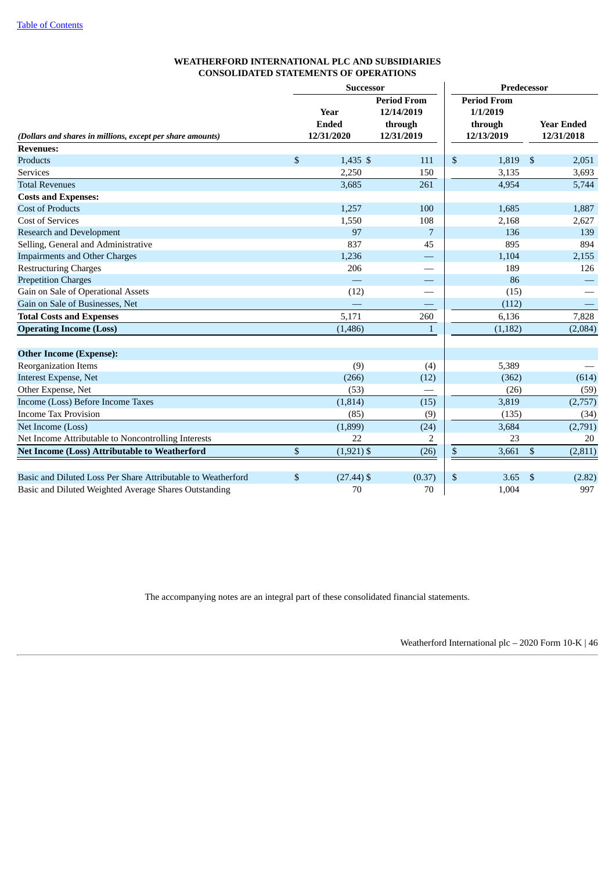# **WEATHERFORD INTERNATIONAL PLC AND SUBSIDIARIES CONSOLIDATED STATEMENTS OF OPERATIONS**

|                                                              | Predecessor<br><b>Successor</b> |                                             |                |                                           |    |                   |
|--------------------------------------------------------------|---------------------------------|---------------------------------------------|----------------|-------------------------------------------|----|-------------------|
|                                                              | Year<br><b>Ended</b>            | <b>Period From</b><br>12/14/2019<br>through |                | <b>Period From</b><br>1/1/2019<br>through |    | <b>Year Ended</b> |
| (Dollars and shares in millions, except per share amounts)   | 12/31/2020                      | 12/31/2019                                  |                | 12/13/2019                                |    | 12/31/2018        |
| <b>Revenues:</b>                                             |                                 |                                             |                |                                           |    |                   |
| Products                                                     | \$<br>$1,435$ \$                | 111                                         | $\mathfrak{s}$ | 1,819                                     | \$ | 2,051             |
| <b>Services</b>                                              | 2,250                           | 150                                         |                | 3,135                                     |    | 3,693             |
| <b>Total Revenues</b>                                        | 3,685                           | 261                                         |                | 4,954                                     |    | 5,744             |
| <b>Costs and Expenses:</b>                                   |                                 |                                             |                |                                           |    |                   |
| <b>Cost of Products</b>                                      | 1,257                           | 100                                         |                | 1.685                                     |    | 1,887             |
| <b>Cost of Services</b>                                      | 1,550                           | 108                                         |                | 2,168                                     |    | 2,627             |
| <b>Research and Development</b>                              | 97                              | $\overline{7}$                              |                | 136                                       |    | 139               |
| Selling, General and Administrative                          | 837                             | 45                                          |                | 895                                       |    | 894               |
| <b>Impairments and Other Charges</b>                         | 1,236                           |                                             |                | 1,104                                     |    | 2,155             |
| <b>Restructuring Charges</b>                                 | 206                             |                                             |                | 189                                       |    | 126               |
| <b>Prepetition Charges</b>                                   |                                 |                                             |                | 86                                        |    |                   |
| Gain on Sale of Operational Assets                           | (12)                            |                                             |                | (15)                                      |    |                   |
| Gain on Sale of Businesses, Net                              |                                 |                                             |                | (112)                                     |    |                   |
| <b>Total Costs and Expenses</b>                              | 5,171                           | 260                                         |                | 6,136                                     |    | 7,828             |
| <b>Operating Income (Loss)</b>                               | (1, 486)                        | $\mathbf{1}$                                |                | (1, 182)                                  |    | (2,084)           |
| <b>Other Income (Expense):</b>                               |                                 |                                             |                |                                           |    |                   |
| <b>Reorganization Items</b>                                  | (9)                             | (4)                                         |                | 5,389                                     |    |                   |
| <b>Interest Expense, Net</b>                                 | (266)                           | (12)                                        |                | (362)                                     |    | (614)             |
| Other Expense, Net                                           | (53)                            |                                             |                | (26)                                      |    | (59)              |
| Income (Loss) Before Income Taxes                            | (1, 814)                        | (15)                                        |                | 3,819                                     |    | (2,757)           |
| <b>Income Tax Provision</b>                                  | (85)                            | (9)                                         |                | (135)                                     |    | (34)              |
| Net Income (Loss)                                            | (1,899)                         | (24)                                        |                | 3,684                                     |    | (2,791)           |
| Net Income Attributable to Noncontrolling Interests          | 22                              | 2                                           |                | 23                                        |    | 20                |
| <b>Net Income (Loss) Attributable to Weatherford</b>         | \$<br>$(1,921)$ \$              | (26)                                        | \$             | 3,661                                     | \$ | (2,811)           |
| Basic and Diluted Loss Per Share Attributable to Weatherford | \$<br>$(27.44)$ \$              | (0.37)                                      | \$             | 3.65                                      | \$ | (2.82)            |
| Basic and Diluted Weighted Average Shares Outstanding        | 70                              | 70                                          |                | 1,004                                     |    | 997               |

<span id="page-46-0"></span>The accompanying notes are an integral part of these consolidated financial statements.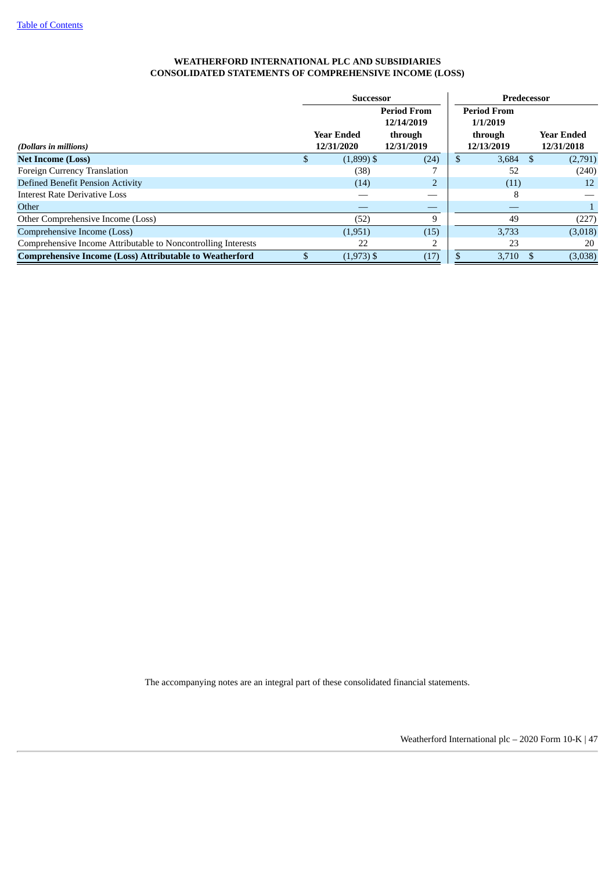# **WEATHERFORD INTERNATIONAL PLC AND SUBSIDIARIES CONSOLIDATED STATEMENTS OF COMPREHENSIVE INCOME (LOSS)**

|                                                               | <b>Successor</b> |                   |                    | Predecessor |                    |  |                   |
|---------------------------------------------------------------|------------------|-------------------|--------------------|-------------|--------------------|--|-------------------|
|                                                               |                  |                   | <b>Period From</b> |             | <b>Period From</b> |  |                   |
|                                                               |                  |                   | 12/14/2019         |             | 1/1/2019           |  |                   |
|                                                               |                  | <b>Year Ended</b> | through            |             | through            |  | <b>Year Ended</b> |
| (Dollars in millions)                                         |                  | 12/31/2020        | 12/31/2019         |             | 12/13/2019         |  | 12/31/2018        |
| <b>Net Income (Loss)</b>                                      |                  | $(1,899)$ \$      | (24)               |             | $3,684$ \$         |  | (2,791)           |
| <b>Foreign Currency Translation</b>                           |                  | (38)              |                    |             | 52                 |  | (240)             |
| <b>Defined Benefit Pension Activity</b>                       |                  | (14)              |                    |             | (11)               |  | 12                |
| <b>Interest Rate Derivative Loss</b>                          |                  |                   |                    |             | 8                  |  |                   |
| Other                                                         |                  |                   |                    |             |                    |  |                   |
| Other Comprehensive Income (Loss)                             |                  | (52)              | 9                  |             | 49                 |  | (227)             |
| Comprehensive Income (Loss)                                   |                  | (1,951)           | (15)               |             | 3,733              |  | (3,018)           |
| Comprehensive Income Attributable to Noncontrolling Interests |                  | 22                |                    |             | 23                 |  | 20                |
| Comprehensive Income (Loss) Attributable to Weatherford       |                  | $(1,973)$ \$      | (17)               |             | $3,710$ \$         |  | (3,038)           |

<span id="page-47-0"></span>The accompanying notes are an integral part of these consolidated financial statements.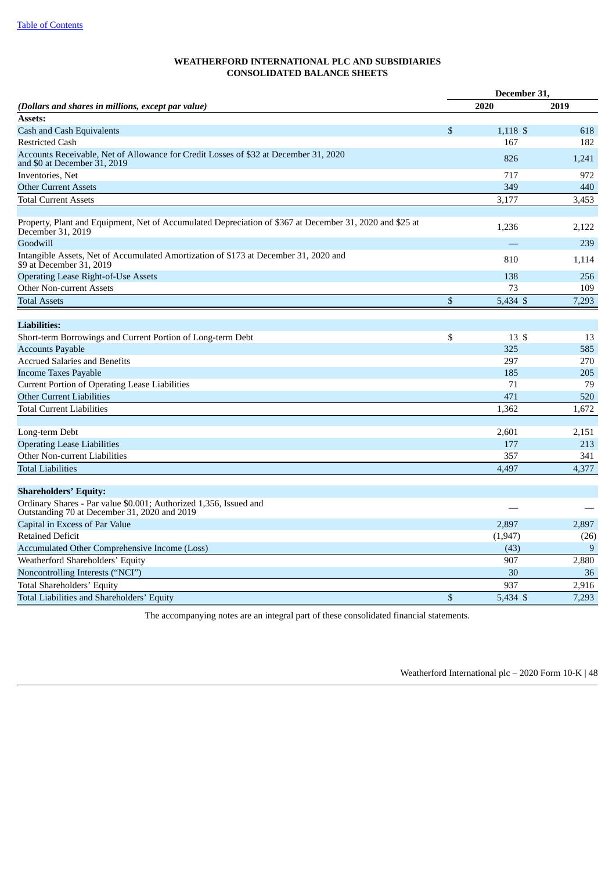# **WEATHERFORD INTERNATIONAL PLC AND SUBSIDIARIES CONSOLIDATED BALANCE SHEETS**

| (Dollars and shares in millions, except par value)<br><b>Assets:</b><br>Cash and Cash Equivalents<br><b>Restricted Cash</b><br>Accounts Receivable, Net of Allowance for Credit Losses of \$32 at December 31, 2020<br>and \$0 at December 31, 2019<br><b>Inventories</b> , Net | \$<br>2020<br>1,118 \$<br>167<br>826<br>717<br>349<br>3,177 | 2019<br>618<br>182<br>1,241<br>972<br>440 |
|---------------------------------------------------------------------------------------------------------------------------------------------------------------------------------------------------------------------------------------------------------------------------------|-------------------------------------------------------------|-------------------------------------------|
|                                                                                                                                                                                                                                                                                 |                                                             |                                           |
|                                                                                                                                                                                                                                                                                 |                                                             |                                           |
|                                                                                                                                                                                                                                                                                 |                                                             |                                           |
|                                                                                                                                                                                                                                                                                 |                                                             |                                           |
|                                                                                                                                                                                                                                                                                 |                                                             |                                           |
|                                                                                                                                                                                                                                                                                 |                                                             |                                           |
| <b>Other Current Assets</b>                                                                                                                                                                                                                                                     |                                                             |                                           |
| <b>Total Current Assets</b>                                                                                                                                                                                                                                                     |                                                             | 3,453                                     |
|                                                                                                                                                                                                                                                                                 |                                                             |                                           |
| Property, Plant and Equipment, Net of Accumulated Depreciation of \$367 at December 31, 2020 and \$25 at<br>December 31, 2019                                                                                                                                                   | 1,236                                                       | 2,122                                     |
| Goodwill                                                                                                                                                                                                                                                                        |                                                             | 239                                       |
| Intangible Assets, Net of Accumulated Amortization of \$173 at December 31, 2020 and<br>\$9 at December 31, 2019                                                                                                                                                                | 810                                                         | 1,114                                     |
| <b>Operating Lease Right-of-Use Assets</b>                                                                                                                                                                                                                                      | 138                                                         | 256                                       |
| <b>Other Non-current Assets</b>                                                                                                                                                                                                                                                 | 73                                                          | 109                                       |
| <b>Total Assets</b>                                                                                                                                                                                                                                                             | \$<br>5,434 \$                                              | 7,293                                     |
|                                                                                                                                                                                                                                                                                 |                                                             |                                           |
| <b>Liabilities:</b>                                                                                                                                                                                                                                                             |                                                             |                                           |
| Short-term Borrowings and Current Portion of Long-term Debt                                                                                                                                                                                                                     | \$<br>13 \$                                                 | 13                                        |
| <b>Accounts Payable</b>                                                                                                                                                                                                                                                         | 325                                                         | 585                                       |
| <b>Accrued Salaries and Benefits</b>                                                                                                                                                                                                                                            | 297                                                         | 270                                       |
| <b>Income Taxes Payable</b>                                                                                                                                                                                                                                                     | 185                                                         | 205                                       |
| <b>Current Portion of Operating Lease Liabilities</b>                                                                                                                                                                                                                           | 71                                                          | 79                                        |
| <b>Other Current Liabilities</b>                                                                                                                                                                                                                                                | 471                                                         | 520                                       |
| <b>Total Current Liabilities</b>                                                                                                                                                                                                                                                | 1,362                                                       | 1,672                                     |
|                                                                                                                                                                                                                                                                                 |                                                             |                                           |
| Long-term Debt                                                                                                                                                                                                                                                                  | 2,601                                                       | 2,151                                     |
| <b>Operating Lease Liabilities</b>                                                                                                                                                                                                                                              | 177                                                         | 213                                       |
| Other Non-current Liabilities                                                                                                                                                                                                                                                   | 357                                                         | 341                                       |
| <b>Total Liabilities</b>                                                                                                                                                                                                                                                        | 4,497                                                       | 4.377                                     |
|                                                                                                                                                                                                                                                                                 |                                                             |                                           |
| <b>Shareholders' Equity:</b>                                                                                                                                                                                                                                                    |                                                             |                                           |
| Ordinary Shares - Par value \$0.001; Authorized 1,356, Issued and<br>Outstanding 70 at December 31, 2020 and 2019                                                                                                                                                               |                                                             |                                           |
| Capital in Excess of Par Value                                                                                                                                                                                                                                                  | 2,897                                                       | 2,897                                     |
| <b>Retained Deficit</b>                                                                                                                                                                                                                                                         | (1, 947)                                                    | (26)                                      |
| Accumulated Other Comprehensive Income (Loss)                                                                                                                                                                                                                                   | (43)                                                        | 9                                         |
| Weatherford Shareholders' Equity                                                                                                                                                                                                                                                | 907                                                         | 2,880                                     |
| Noncontrolling Interests ("NCI")                                                                                                                                                                                                                                                | 30                                                          | 36                                        |
| Total Shareholders' Equity                                                                                                                                                                                                                                                      | 937                                                         | 2,916                                     |
| Total Liabilities and Shareholders' Equity                                                                                                                                                                                                                                      | \$<br>5,434 \$                                              | 7,293                                     |

<span id="page-48-0"></span>The accompanying notes are an integral part of these consolidated financial statements.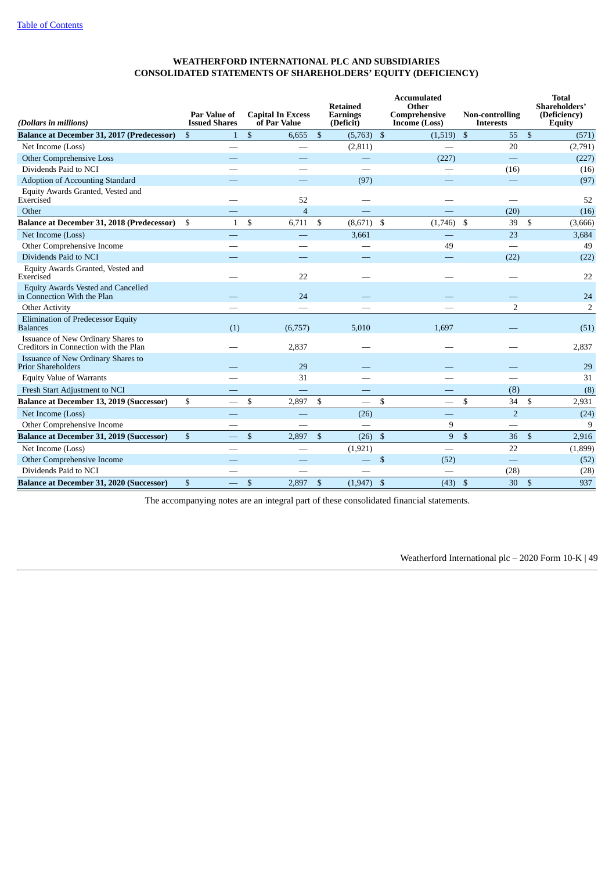# **WEATHERFORD INTERNATIONAL PLC AND SUBSIDIARIES CONSOLIDATED STATEMENTS OF SHAREHOLDERS' EQUITY (DEFICIENCY)**

| (Dollars in millions)                                                       | <b>Par Value of</b><br><b>Issued Shares</b> | <b>Capital In Excess</b><br>of Par Value |                | <b>Retained</b><br><b>Earnings</b><br>(Deficit) |                    | <b>Accumulated</b><br>Other<br>Comprehensive<br>Income (Loss) |                    | Non-controlling<br><b>Interests</b> |                    | <b>Total</b><br>Shareholders'<br>(Deficiency)<br><b>Equity</b> |
|-----------------------------------------------------------------------------|---------------------------------------------|------------------------------------------|----------------|-------------------------------------------------|--------------------|---------------------------------------------------------------|--------------------|-------------------------------------|--------------------|----------------------------------------------------------------|
| <b>Balance at December 31, 2017 (Predecessor)</b>                           | $\mathbb{S}$<br>$\mathbf{1}$                | $\mathbb{S}$<br>6,655                    | $\mathfrak{S}$ | (5,763)                                         | $\mathbf{s}$       | (1,519)                                                       | $\mathbb{S}$       | 55                                  | $\mathbf{s}$       | (571)                                                          |
| Net Income (Loss)                                                           |                                             |                                          |                | (2, 811)                                        |                    |                                                               |                    | 20                                  |                    | (2,791)                                                        |
| Other Comprehensive Loss                                                    |                                             |                                          |                |                                                 |                    | (227)                                                         |                    |                                     |                    | (227)                                                          |
| Dividends Paid to NCI                                                       |                                             |                                          |                |                                                 |                    |                                                               |                    | (16)                                |                    | (16)                                                           |
| <b>Adoption of Accounting Standard</b>                                      |                                             |                                          |                | (97)                                            |                    |                                                               |                    |                                     |                    | (97)                                                           |
| Equity Awards Granted, Vested and<br>Exercised                              |                                             | 52                                       |                |                                                 |                    |                                                               |                    |                                     |                    | 52                                                             |
| Other                                                                       |                                             | $\overline{4}$                           |                |                                                 |                    |                                                               |                    | (20)                                |                    | (16)                                                           |
| Balance at December 31, 2018 (Predecessor)                                  | \$<br>$\mathbf{1}$                          | \$<br>6,711                              | \$             | (8,671)                                         | \$                 | (1,746)                                                       | \$                 | 39                                  | \$                 | (3,666)                                                        |
| Net Income (Loss)                                                           |                                             |                                          |                | 3.661                                           |                    |                                                               |                    | 23                                  |                    | 3,684                                                          |
| Other Comprehensive Income                                                  |                                             |                                          |                |                                                 |                    | 49                                                            |                    |                                     |                    | 49                                                             |
| Dividends Paid to NCI                                                       |                                             |                                          |                |                                                 |                    |                                                               |                    | (22)                                |                    | (22)                                                           |
| Equity Awards Granted, Vested and<br>Exercised                              |                                             | 22                                       |                |                                                 |                    |                                                               |                    |                                     |                    | 22                                                             |
| <b>Equity Awards Vested and Cancelled</b><br>in Connection With the Plan    |                                             | 24                                       |                |                                                 |                    |                                                               |                    |                                     |                    | 24                                                             |
| <b>Other Activity</b>                                                       |                                             |                                          |                |                                                 |                    |                                                               |                    | $\overline{2}$                      |                    | $\overline{2}$                                                 |
| <b>Elimination of Predecessor Equity</b><br><b>Balances</b>                 | (1)                                         | (6,757)                                  |                | 5,010                                           |                    | 1,697                                                         |                    |                                     |                    | (51)                                                           |
| Issuance of New Ordinary Shares to<br>Creditors in Connection with the Plan |                                             | 2,837                                    |                |                                                 |                    |                                                               |                    |                                     |                    | 2,837                                                          |
| <b>Issuance of New Ordinary Shares to</b><br><b>Prior Shareholders</b>      |                                             | 29                                       |                |                                                 |                    |                                                               |                    |                                     |                    | 29                                                             |
| <b>Equity Value of Warrants</b>                                             |                                             | 31                                       |                |                                                 |                    |                                                               |                    |                                     |                    | 31                                                             |
| Fresh Start Adjustment to NCI                                               |                                             |                                          |                |                                                 |                    |                                                               |                    | (8)                                 |                    | (8)                                                            |
| <b>Balance at December 13, 2019 (Successor)</b>                             | \$<br>$\overline{\phantom{0}}$              | \$<br>2,897                              | \$             |                                                 | \$                 | $\overline{\phantom{0}}$                                      | \$                 | 34                                  | \$                 | 2,931                                                          |
| Net Income (Loss)                                                           |                                             |                                          |                | (26)                                            |                    |                                                               |                    | $\overline{2}$                      |                    | (24)                                                           |
| Other Comprehensive Income                                                  |                                             |                                          |                |                                                 |                    | 9                                                             |                    |                                     |                    | 9                                                              |
| <b>Balance at December 31, 2019 (Successor)</b>                             | $\mathbb{S}$                                | \$<br>2,897                              | $\mathbb{S}$   | (26)                                            | $\mathbf{\hat{S}}$ | 9                                                             | $\mathbf{\hat{S}}$ | 36                                  | $\mathbf{\hat{S}}$ | 2,916                                                          |
| Net Income (Loss)                                                           |                                             |                                          |                | (1,921)                                         |                    |                                                               |                    | 22                                  |                    | (1,899)                                                        |
| Other Comprehensive Income                                                  |                                             |                                          |                |                                                 | \$                 | (52)                                                          |                    |                                     |                    | (52)                                                           |
| Dividends Paid to NCI                                                       |                                             |                                          |                |                                                 |                    |                                                               |                    | (28)                                |                    | (28)                                                           |
| <b>Balance at December 31, 2020 (Successor)</b>                             | $\mathbb{S}$                                | \$<br>2,897                              | $\mathbf{s}$   | (1,947)                                         | $\mathbb{S}$       | (43)                                                          | $\mathfrak{s}$     | 30                                  | $\mathfrak{s}$     | 937                                                            |

<span id="page-49-0"></span>The accompanying notes are an integral part of these consolidated financial statements.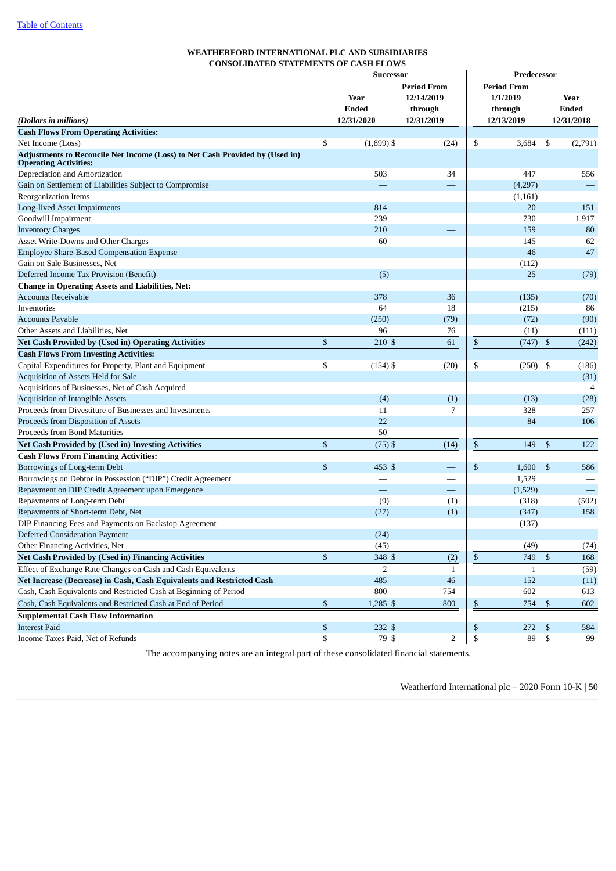# **WEATHERFORD INTERNATIONAL PLC AND SUBSIDIARIES CONSOLIDATED STATEMENTS OF CASH FLOWS**

|                                                                                                              | <b>Successor</b> |                                    |                                                    | Predecessor   |                                                         |                |                             |  |
|--------------------------------------------------------------------------------------------------------------|------------------|------------------------------------|----------------------------------------------------|---------------|---------------------------------------------------------|----------------|-----------------------------|--|
| (Dollars in millions)                                                                                        |                  | Year<br><b>Ended</b><br>12/31/2020 | Period From<br>12/14/2019<br>through<br>12/31/2019 |               | <b>Period From</b><br>1/1/2019<br>through<br>12/13/2019 |                | Year<br>Ended<br>12/31/2018 |  |
| <b>Cash Flows From Operating Activities:</b>                                                                 |                  |                                    |                                                    |               |                                                         |                |                             |  |
| Net Income (Loss)                                                                                            | \$               | $(1,899)$ \$                       | (24)                                               | \$            | 3,684                                                   | \$             | (2,791)                     |  |
| Adjustments to Reconcile Net Income (Loss) to Net Cash Provided by (Used in)<br><b>Operating Activities:</b> |                  |                                    |                                                    |               |                                                         |                |                             |  |
| Depreciation and Amortization                                                                                |                  | 503                                | 34                                                 |               | 447                                                     |                | 556                         |  |
| Gain on Settlement of Liabilities Subject to Compromise                                                      |                  |                                    |                                                    |               | (4,297)                                                 |                |                             |  |
| Reorganization Items                                                                                         |                  |                                    |                                                    |               | (1,161)                                                 |                |                             |  |
| Long-lived Asset Impairments                                                                                 |                  | 814                                |                                                    |               | 20                                                      |                | 151                         |  |
| Goodwill Impairment                                                                                          |                  | 239                                |                                                    |               | 730                                                     |                | 1,917                       |  |
| <b>Inventory Charges</b>                                                                                     |                  | 210                                |                                                    |               | 159                                                     |                | 80                          |  |
| Asset Write-Downs and Other Charges                                                                          |                  | 60                                 |                                                    |               | 145                                                     |                | 62                          |  |
| Employee Share-Based Compensation Expense                                                                    |                  |                                    |                                                    |               | 46                                                      |                | 47                          |  |
| Gain on Sale Businesses, Net                                                                                 |                  |                                    |                                                    |               | (112)                                                   |                |                             |  |
| Deferred Income Tax Provision (Benefit)                                                                      |                  | (5)                                |                                                    |               | 25                                                      |                | (79)                        |  |
| <b>Change in Operating Assets and Liabilities, Net:</b>                                                      |                  |                                    |                                                    |               |                                                         |                |                             |  |
| <b>Accounts Receivable</b>                                                                                   |                  | 378                                | 36                                                 |               | (135)                                                   |                | (70)                        |  |
| Inventories                                                                                                  |                  | 64                                 | 18                                                 |               | (215)                                                   |                | 86                          |  |
| <b>Accounts Pavable</b>                                                                                      |                  | (250)                              | (79)                                               |               | (72)                                                    |                | (90)                        |  |
| Other Assets and Liabilities, Net                                                                            |                  | 96                                 | 76                                                 |               | (11)                                                    |                | (111)                       |  |
| <b>Net Cash Provided by (Used in) Operating Activities</b>                                                   | \$               | 210 \$                             | 61                                                 | \$            | (747)                                                   | \$             | (242)                       |  |
| <b>Cash Flows From Investing Activities:</b>                                                                 |                  |                                    |                                                    |               |                                                         |                |                             |  |
| Capital Expenditures for Property, Plant and Equipment                                                       | \$               | $(154)$ \$                         | (20)                                               | \$            | (250)                                                   | \$             | (186)                       |  |
| Acquisition of Assets Held for Sale                                                                          |                  |                                    |                                                    |               |                                                         |                | (31)                        |  |
| Acquisitions of Businesses, Net of Cash Acquired                                                             |                  |                                    |                                                    |               |                                                         |                | 4                           |  |
| <b>Acquisition of Intangible Assets</b>                                                                      |                  | (4)                                | (1)                                                |               | (13)                                                    |                | (28)                        |  |
| Proceeds from Divestiture of Businesses and Investments                                                      |                  | 11                                 | 7                                                  |               | 328                                                     |                | 257                         |  |
| Proceeds from Disposition of Assets                                                                          |                  | 22                                 |                                                    |               | 84                                                      |                | 106                         |  |
| Proceeds from Bond Maturities                                                                                |                  | 50                                 |                                                    |               |                                                         |                |                             |  |
| Net Cash Provided by (Used in) Investing Activities                                                          | \$               | $(75)$ \$                          | (14)                                               | \$            | 149                                                     | \$             | 122                         |  |
| <b>Cash Flows From Financing Activities:</b>                                                                 |                  |                                    |                                                    |               |                                                         |                |                             |  |
| Borrowings of Long-term Debt                                                                                 | $\mathbf{s}$     | 453 \$                             |                                                    | \$            | 1,600                                                   | \$             | 586                         |  |
| Borrowings on Debtor in Possession ("DIP") Credit Agreement                                                  |                  |                                    |                                                    |               | 1,529                                                   |                |                             |  |
| Repayment on DIP Credit Agreement upon Emergence                                                             |                  |                                    |                                                    |               | (1,529)                                                 |                | $\hspace{0.05cm}$           |  |
| Repayments of Long-term Debt                                                                                 |                  | (9)                                | (1)                                                |               | (318)                                                   |                | (502)                       |  |
| Repayments of Short-term Debt, Net                                                                           |                  | (27)                               | (1)                                                |               | (347)                                                   |                | 158                         |  |
| DIP Financing Fees and Payments on Backstop Agreement                                                        |                  |                                    |                                                    |               | (137)                                                   |                |                             |  |
| Deferred Consideration Payment                                                                               |                  | (24)                               |                                                    |               |                                                         |                |                             |  |
| Other Financing Activities, Net                                                                              |                  | (45)                               | $\overline{\phantom{0}}$                           |               | (49)                                                    |                | (74)                        |  |
| <b>Net Cash Provided by (Used in) Financing Activities</b>                                                   | \$               | 348 \$                             | (2)                                                | \$            | 749                                                     | $\mathfrak{S}$ | 168                         |  |
| Effect of Exchange Rate Changes on Cash and Cash Equivalents                                                 |                  | $\overline{2}$                     | 1                                                  |               | 1                                                       |                | (59)                        |  |
| Net Increase (Decrease) in Cash, Cash Equivalents and Restricted Cash                                        |                  | 485                                | 46                                                 |               | 152                                                     |                | (11)                        |  |
| Cash, Cash Equivalents and Restricted Cash at Beginning of Period                                            |                  | 800                                | 754                                                |               | 602                                                     |                | 613                         |  |
| Cash, Cash Equivalents and Restricted Cash at End of Period                                                  | \$               | $1,285$ \$                         | 800                                                | $\frac{1}{2}$ | 754                                                     | $\mathfrak{S}$ | 602                         |  |
| <b>Supplemental Cash Flow Information</b>                                                                    |                  |                                    |                                                    |               |                                                         |                |                             |  |
| <b>Interest Paid</b>                                                                                         | \$               | $232 \text{ } $$                   |                                                    | \$            | 272                                                     | \$             | 584                         |  |
| Income Taxes Paid, Net of Refunds                                                                            | \$               | 79 \$                              | $\overline{2}$                                     | \$            | 89                                                      | \$             | 99                          |  |
|                                                                                                              |                  |                                    |                                                    |               |                                                         |                |                             |  |

<span id="page-50-0"></span>The accompanying notes are an integral part of these consolidated financial statements.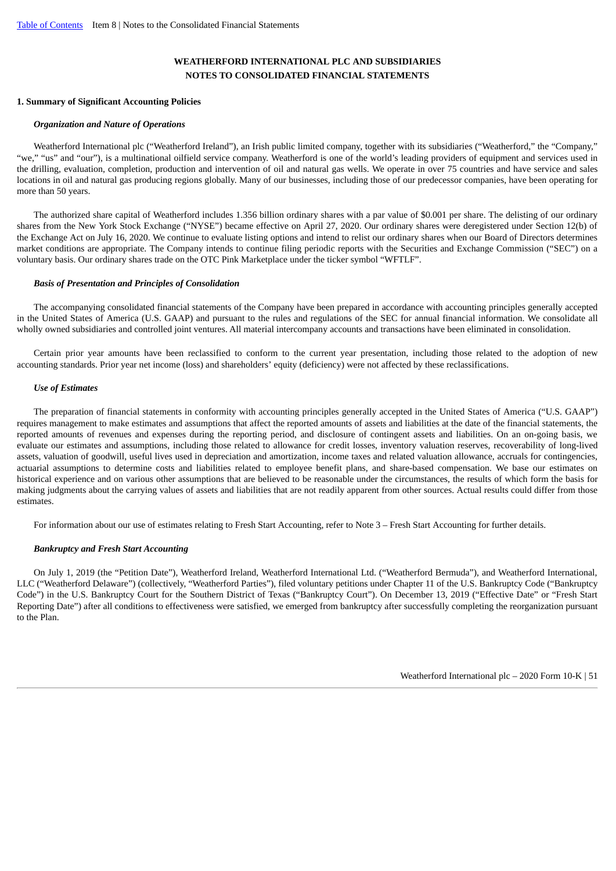# **WEATHERFORD INTERNATIONAL PLC AND SUBSIDIARIES NOTES TO CONSOLIDATED FINANCIAL STATEMENTS**

# **1. Summary of Significant Accounting Policies**

### *Organization and Nature of Operations*

Weatherford International plc ("Weatherford Ireland"), an Irish public limited company, together with its subsidiaries ("Weatherford," the "Company," "we," "us" and "our"), is a multinational oilfield service company. Weatherford is one of the world's leading providers of equipment and services used in the drilling, evaluation, completion, production and intervention of oil and natural gas wells. We operate in over 75 countries and have service and sales locations in oil and natural gas producing regions globally. Many of our businesses, including those of our predecessor companies, have been operating for more than 50 years.

The authorized share capital of Weatherford includes 1.356 billion ordinary shares with a par value of \$0.001 per share. The delisting of our ordinary shares from the New York Stock Exchange ("NYSE") became effective on April 27, 2020. Our ordinary shares were deregistered under Section 12(b) of the Exchange Act on July 16, 2020. We continue to evaluate listing options and intend to relist our ordinary shares when our Board of Directors determines market conditions are appropriate. The Company intends to continue filing periodic reports with the Securities and Exchange Commission ("SEC") on a voluntary basis. Our ordinary shares trade on the OTC Pink Marketplace under the ticker symbol "WFTLF".

### *Basis of Presentation and Principles of Consolidation*

The accompanying consolidated financial statements of the Company have been prepared in accordance with accounting principles generally accepted in the United States of America (U.S. GAAP) and pursuant to the rules and regulations of the SEC for annual financial information. We consolidate all wholly owned subsidiaries and controlled joint ventures. All material intercompany accounts and transactions have been eliminated in consolidation.

Certain prior year amounts have been reclassified to conform to the current year presentation, including those related to the adoption of new accounting standards. Prior year net income (loss) and shareholders' equity (deficiency) were not affected by these reclassifications.

## *Use of Estimates*

The preparation of financial statements in conformity with accounting principles generally accepted in the United States of America ("U.S. GAAP") requires management to make estimates and assumptions that affect the reported amounts of assets and liabilities at the date of the financial statements, the reported amounts of revenues and expenses during the reporting period, and disclosure of contingent assets and liabilities. On an on-going basis, we evaluate our estimates and assumptions, including those related to allowance for credit losses, inventory valuation reserves, recoverability of long-lived assets, valuation of goodwill, useful lives used in depreciation and amortization, income taxes and related valuation allowance, accruals for contingencies, actuarial assumptions to determine costs and liabilities related to employee benefit plans, and share-based compensation. We base our estimates on historical experience and on various other assumptions that are believed to be reasonable under the circumstances, the results of which form the basis for making judgments about the carrying values of assets and liabilities that are not readily apparent from other sources. Actual results could differ from those estimates.

For information about our use of estimates relating to Fresh Start Accounting, refer to Note 3 – Fresh Start Accounting for further details.

# *Bankruptcy and Fresh Start Accounting*

On July 1, 2019 (the "Petition Date"), Weatherford Ireland, Weatherford International Ltd. ("Weatherford Bermuda"), and Weatherford International, LLC ("Weatherford Delaware") (collectively, "Weatherford Parties"), filed voluntary petitions under Chapter 11 of the U.S. Bankruptcy Code ("Bankruptcy Code") in the U.S. Bankruptcy Court for the Southern District of Texas ("Bankruptcy Court"). On December 13, 2019 ("Effective Date" or "Fresh Start Reporting Date") after all conditions to effectiveness were satisfied, we emerged from bankruptcy after successfully completing the reorganization pursuant to the Plan.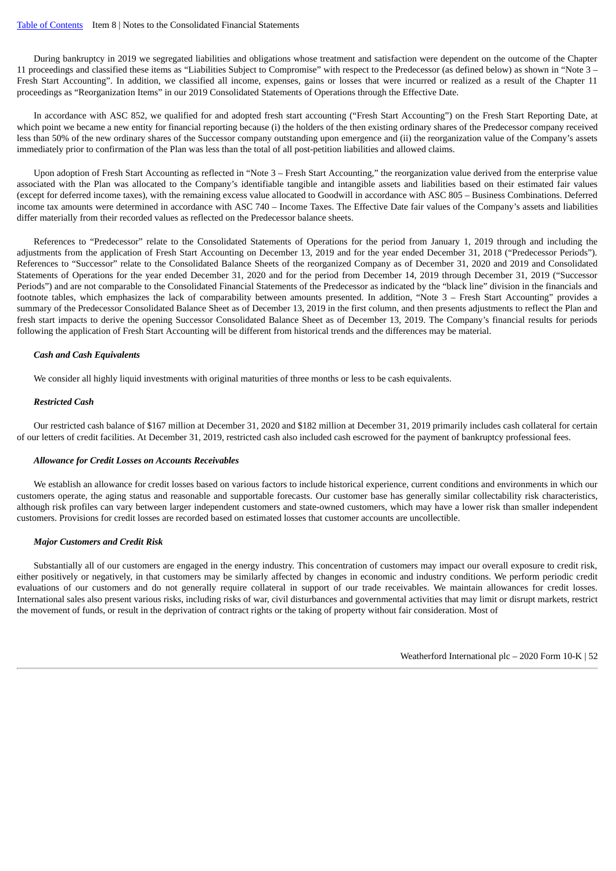# Table of [Contents](#page-0-0) Item 8 | Notes to the Consolidated Financial Statements

During bankruptcy in 2019 we segregated liabilities and obligations whose treatment and satisfaction were dependent on the outcome of the Chapter 11 proceedings and classified these items as "Liabilities Subject to Compromise" with respect to the Predecessor (as defined below) as shown in "Note 3 – Fresh Start Accounting". In addition, we classified all income, expenses, gains or losses that were incurred or realized as a result of the Chapter 11 proceedings as "Reorganization Items" in our 2019 Consolidated Statements of Operations through the Effective Date.

In accordance with ASC 852, we qualified for and adopted fresh start accounting ("Fresh Start Accounting") on the Fresh Start Reporting Date, at which point we became a new entity for financial reporting because (i) the holders of the then existing ordinary shares of the Predecessor company received less than 50% of the new ordinary shares of the Successor company outstanding upon emergence and (ii) the reorganization value of the Company's assets immediately prior to confirmation of the Plan was less than the total of all post-petition liabilities and allowed claims.

Upon adoption of Fresh Start Accounting as reflected in "Note 3 – Fresh Start Accounting," the reorganization value derived from the enterprise value associated with the Plan was allocated to the Company's identifiable tangible and intangible assets and liabilities based on their estimated fair values (except for deferred income taxes), with the remaining excess value allocated to Goodwill in accordance with ASC 805 – Business Combinations. Deferred income tax amounts were determined in accordance with ASC 740 – Income Taxes. The Effective Date fair values of the Company's assets and liabilities differ materially from their recorded values as reflected on the Predecessor balance sheets.

References to "Predecessor" relate to the Consolidated Statements of Operations for the period from January 1, 2019 through and including the adjustments from the application of Fresh Start Accounting on December 13, 2019 and for the year ended December 31, 2018 ("Predecessor Periods"). References to "Successor" relate to the Consolidated Balance Sheets of the reorganized Company as of December 31, 2020 and 2019 and Consolidated Statements of Operations for the year ended December 31, 2020 and for the period from December 14, 2019 through December 31, 2019 ("Successor Periods") and are not comparable to the Consolidated Financial Statements of the Predecessor as indicated by the "black line" division in the financials and footnote tables, which emphasizes the lack of comparability between amounts presented. In addition, "Note 3 – Fresh Start Accounting" provides a summary of the Predecessor Consolidated Balance Sheet as of December 13, 2019 in the first column, and then presents adjustments to reflect the Plan and fresh start impacts to derive the opening Successor Consolidated Balance Sheet as of December 13, 2019. The Company's financial results for periods following the application of Fresh Start Accounting will be different from historical trends and the differences may be material.

# *Cash and Cash Equivalents*

We consider all highly liquid investments with original maturities of three months or less to be cash equivalents.

# *Restricted Cash*

Our restricted cash balance of \$167 million at December 31, 2020 and \$182 million at December 31, 2019 primarily includes cash collateral for certain of our letters of credit facilities. At December 31, 2019, restricted cash also included cash escrowed for the payment of bankruptcy professional fees.

### *Allowance for Credit Losses on Accounts Receivables*

We establish an allowance for credit losses based on various factors to include historical experience, current conditions and environments in which our customers operate, the aging status and reasonable and supportable forecasts. Our customer base has generally similar collectability risk characteristics, although risk profiles can vary between larger independent customers and state-owned customers, which may have a lower risk than smaller independent customers. Provisions for credit losses are recorded based on estimated losses that customer accounts are uncollectible.

# *Major Customers and Credit Risk*

Substantially all of our customers are engaged in the energy industry. This concentration of customers may impact our overall exposure to credit risk, either positively or negatively, in that customers may be similarly affected by changes in economic and industry conditions. We perform periodic credit evaluations of our customers and do not generally require collateral in support of our trade receivables. We maintain allowances for credit losses. International sales also present various risks, including risks of war, civil disturbances and governmental activities that may limit or disrupt markets, restrict the movement of funds, or result in the deprivation of contract rights or the taking of property without fair consideration. Most of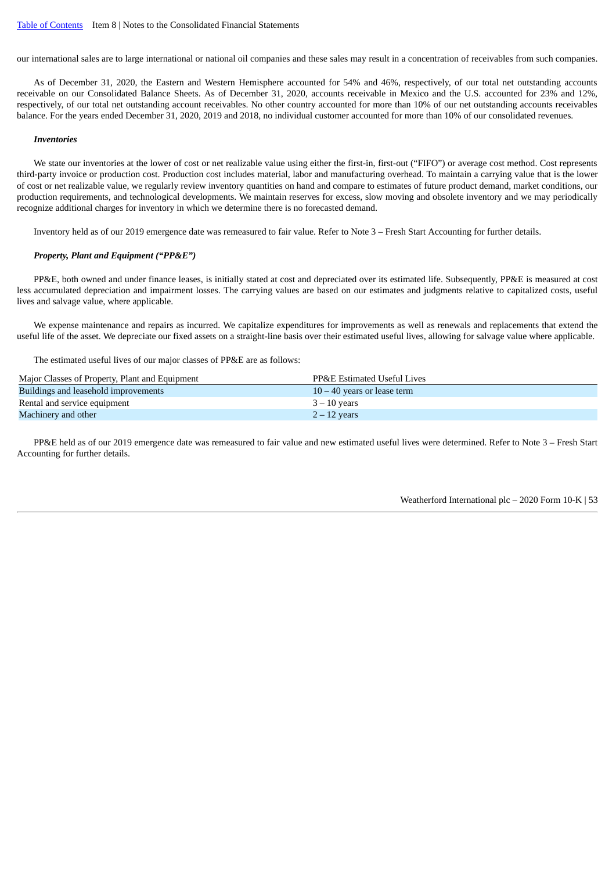our international sales are to large international or national oil companies and these sales may result in a concentration of receivables from such companies.

As of December 31, 2020, the Eastern and Western Hemisphere accounted for 54% and 46%, respectively, of our total net outstanding accounts receivable on our Consolidated Balance Sheets. As of December 31, 2020, accounts receivable in Mexico and the U.S. accounted for 23% and 12%, respectively, of our total net outstanding account receivables. No other country accounted for more than 10% of our net outstanding accounts receivables balance. For the years ended December 31, 2020, 2019 and 2018, no individual customer accounted for more than 10% of our consolidated revenues.

#### *Inventories*

We state our inventories at the lower of cost or net realizable value using either the first-in, first-out ("FIFO") or average cost method. Cost represents third-party invoice or production cost. Production cost includes material, labor and manufacturing overhead. To maintain a carrying value that is the lower of cost or net realizable value, we regularly review inventory quantities on hand and compare to estimates of future product demand, market conditions, our production requirements, and technological developments. We maintain reserves for excess, slow moving and obsolete inventory and we may periodically recognize additional charges for inventory in which we determine there is no forecasted demand.

Inventory held as of our 2019 emergence date was remeasured to fair value. Refer to Note 3 – Fresh Start Accounting for further details.

# *Property, Plant and Equipment ("PP&E")*

PP&E, both owned and under finance leases, is initially stated at cost and depreciated over its estimated life. Subsequently, PP&E is measured at cost less accumulated depreciation and impairment losses. The carrying values are based on our estimates and judgments relative to capitalized costs, useful lives and salvage value, where applicable.

We expense maintenance and repairs as incurred. We capitalize expenditures for improvements as well as renewals and replacements that extend the useful life of the asset. We depreciate our fixed assets on a straight-line basis over their estimated useful lives, allowing for salvage value where applicable.

The estimated useful lives of our major classes of PP&E are as follows:

| Major Classes of Property, Plant and Equipment | PP&E Estimated Useful Lives   |
|------------------------------------------------|-------------------------------|
| Buildings and leasehold improvements           | $10 - 40$ years or lease term |
| Rental and service equipment                   | $3 - 10$ vears                |
| Machinery and other                            | $2 - 12$ years                |

PP&E held as of our 2019 emergence date was remeasured to fair value and new estimated useful lives were determined. Refer to Note 3 – Fresh Start Accounting for further details.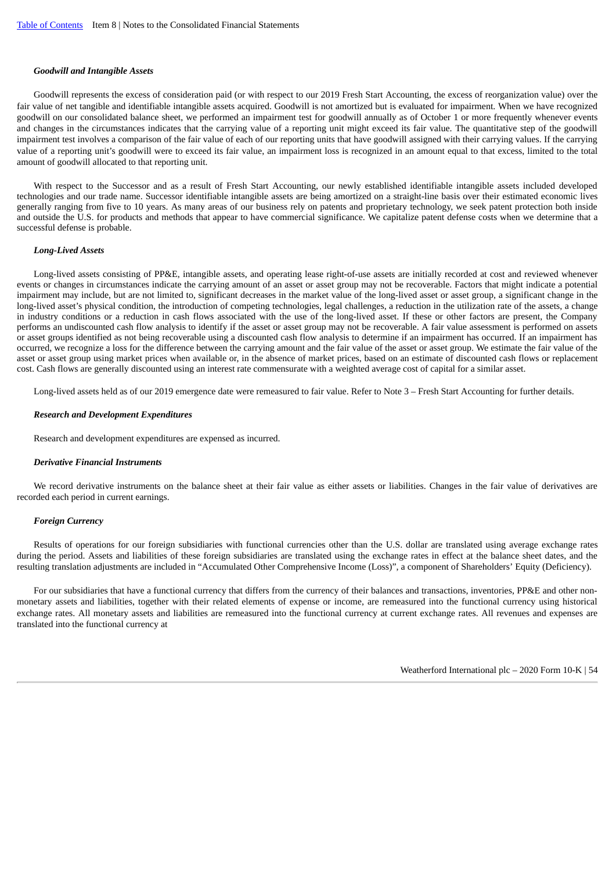#### *Goodwill and Intangible Assets*

Goodwill represents the excess of consideration paid (or with respect to our 2019 Fresh Start Accounting, the excess of reorganization value) over the fair value of net tangible and identifiable intangible assets acquired. Goodwill is not amortized but is evaluated for impairment. When we have recognized goodwill on our consolidated balance sheet, we performed an impairment test for goodwill annually as of October 1 or more frequently whenever events and changes in the circumstances indicates that the carrying value of a reporting unit might exceed its fair value. The quantitative step of the goodwill impairment test involves a comparison of the fair value of each of our reporting units that have goodwill assigned with their carrying values. If the carrying value of a reporting unit's goodwill were to exceed its fair value, an impairment loss is recognized in an amount equal to that excess, limited to the total amount of goodwill allocated to that reporting unit.

With respect to the Successor and as a result of Fresh Start Accounting, our newly established identifiable intangible assets included developed technologies and our trade name. Successor identifiable intangible assets are being amortized on a straight-line basis over their estimated economic lives generally ranging from five to 10 years. As many areas of our business rely on patents and proprietary technology, we seek patent protection both inside and outside the U.S. for products and methods that appear to have commercial significance. We capitalize patent defense costs when we determine that a successful defense is probable.

#### *Long-Lived Assets*

Long-lived assets consisting of PP&E, intangible assets, and operating lease right-of-use assets are initially recorded at cost and reviewed whenever events or changes in circumstances indicate the carrying amount of an asset or asset group may not be recoverable. Factors that might indicate a potential impairment may include, but are not limited to, significant decreases in the market value of the long-lived asset or asset group, a significant change in the long-lived asset's physical condition, the introduction of competing technologies, legal challenges, a reduction in the utilization rate of the assets, a change in industry conditions or a reduction in cash flows associated with the use of the long-lived asset. If these or other factors are present, the Company performs an undiscounted cash flow analysis to identify if the asset or asset group may not be recoverable. A fair value assessment is performed on assets or asset groups identified as not being recoverable using a discounted cash flow analysis to determine if an impairment has occurred. If an impairment has occurred, we recognize a loss for the difference between the carrying amount and the fair value of the asset or asset group. We estimate the fair value of the asset or asset group using market prices when available or, in the absence of market prices, based on an estimate of discounted cash flows or replacement cost. Cash flows are generally discounted using an interest rate commensurate with a weighted average cost of capital for a similar asset.

Long-lived assets held as of our 2019 emergence date were remeasured to fair value. Refer to Note 3 – Fresh Start Accounting for further details.

#### *Research and Development Expenditures*

Research and development expenditures are expensed as incurred.

### *Derivative Financial Instruments*

We record derivative instruments on the balance sheet at their fair value as either assets or liabilities. Changes in the fair value of derivatives are recorded each period in current earnings.

#### *Foreign Currency*

Results of operations for our foreign subsidiaries with functional currencies other than the U.S. dollar are translated using average exchange rates during the period. Assets and liabilities of these foreign subsidiaries are translated using the exchange rates in effect at the balance sheet dates, and the resulting translation adjustments are included in "Accumulated Other Comprehensive Income (Loss)", a component of Shareholders' Equity (Deficiency).

For our subsidiaries that have a functional currency that differs from the currency of their balances and transactions, inventories, PP&E and other nonmonetary assets and liabilities, together with their related elements of expense or income, are remeasured into the functional currency using historical exchange rates. All monetary assets and liabilities are remeasured into the functional currency at current exchange rates. All revenues and expenses are translated into the functional currency at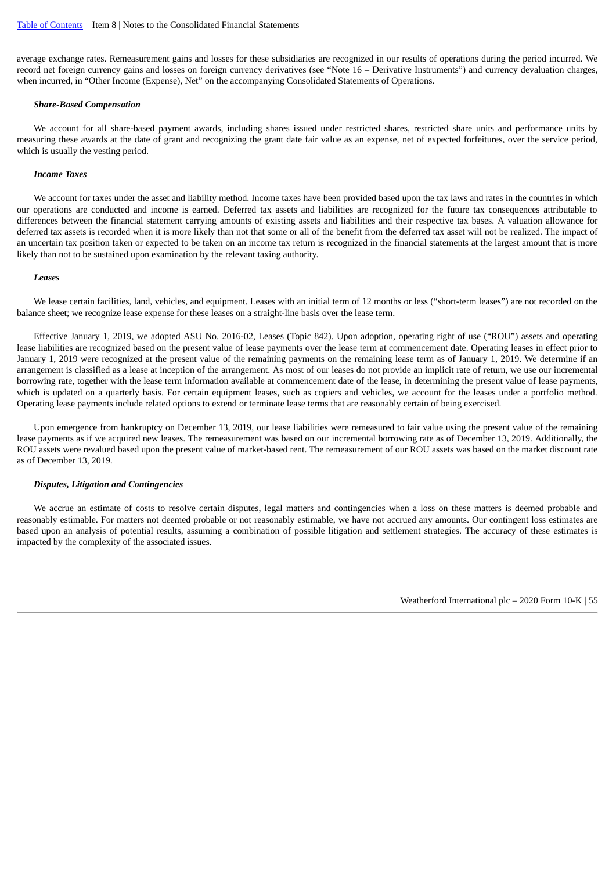average exchange rates. Remeasurement gains and losses for these subsidiaries are recognized in our results of operations during the period incurred. We record net foreign currency gains and losses on foreign currency derivatives (see "Note 16 – Derivative Instruments") and currency devaluation charges, when incurred, in "Other Income (Expense), Net" on the accompanying Consolidated Statements of Operations.

#### *Share-Based Compensation*

We account for all share-based payment awards, including shares issued under restricted shares, restricted share units and performance units by measuring these awards at the date of grant and recognizing the grant date fair value as an expense, net of expected forfeitures, over the service period, which is usually the vesting period.

# *Income Taxes*

We account for taxes under the asset and liability method. Income taxes have been provided based upon the tax laws and rates in the countries in which our operations are conducted and income is earned. Deferred tax assets and liabilities are recognized for the future tax consequences attributable to differences between the financial statement carrying amounts of existing assets and liabilities and their respective tax bases. A valuation allowance for deferred tax assets is recorded when it is more likely than not that some or all of the benefit from the deferred tax asset will not be realized. The impact of an uncertain tax position taken or expected to be taken on an income tax return is recognized in the financial statements at the largest amount that is more likely than not to be sustained upon examination by the relevant taxing authority.

#### *Leases*

We lease certain facilities, land, vehicles, and equipment. Leases with an initial term of 12 months or less ("short-term leases") are not recorded on the balance sheet; we recognize lease expense for these leases on a straight-line basis over the lease term.

Effective January 1, 2019, we adopted ASU No. 2016-02, Leases (Topic 842). Upon adoption, operating right of use ("ROU") assets and operating lease liabilities are recognized based on the present value of lease payments over the lease term at commencement date. Operating leases in effect prior to January 1, 2019 were recognized at the present value of the remaining payments on the remaining lease term as of January 1, 2019. We determine if an arrangement is classified as a lease at inception of the arrangement. As most of our leases do not provide an implicit rate of return, we use our incremental borrowing rate, together with the lease term information available at commencement date of the lease, in determining the present value of lease payments, which is updated on a quarterly basis. For certain equipment leases, such as copiers and vehicles, we account for the leases under a portfolio method. Operating lease payments include related options to extend or terminate lease terms that are reasonably certain of being exercised.

Upon emergence from bankruptcy on December 13, 2019, our lease liabilities were remeasured to fair value using the present value of the remaining lease payments as if we acquired new leases. The remeasurement was based on our incremental borrowing rate as of December 13, 2019. Additionally, the ROU assets were revalued based upon the present value of market-based rent. The remeasurement of our ROU assets was based on the market discount rate as of December 13, 2019.

### *Disputes, Litigation and Contingencies*

We accrue an estimate of costs to resolve certain disputes, legal matters and contingencies when a loss on these matters is deemed probable and reasonably estimable. For matters not deemed probable or not reasonably estimable, we have not accrued any amounts. Our contingent loss estimates are based upon an analysis of potential results, assuming a combination of possible litigation and settlement strategies. The accuracy of these estimates is impacted by the complexity of the associated issues.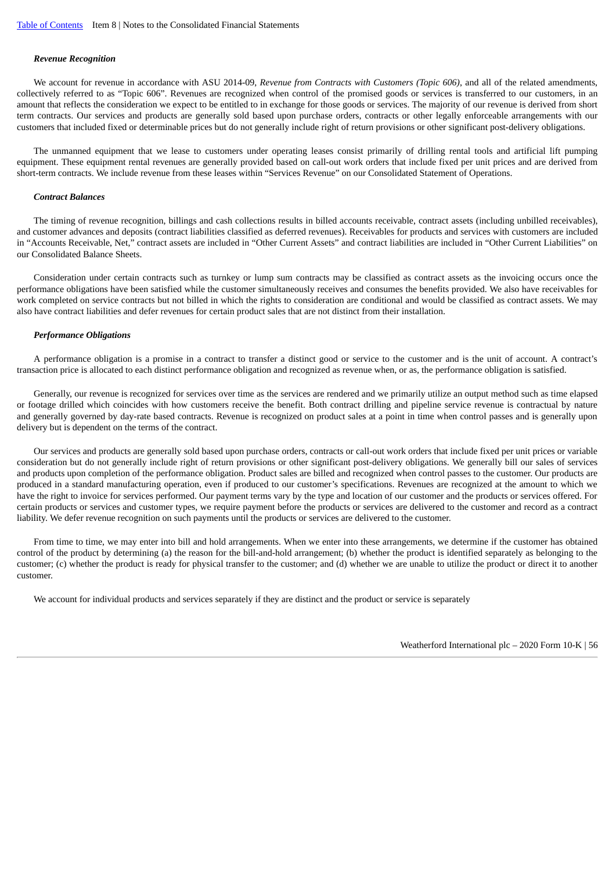#### *Revenue Recognition*

We account for revenue in accordance with ASU 2014-09, *Revenue from Contracts with Customers (Topic 606)*, and all of the related amendments, collectively referred to as "Topic 606". Revenues are recognized when control of the promised goods or services is transferred to our customers, in an amount that reflects the consideration we expect to be entitled to in exchange for those goods or services. The majority of our revenue is derived from short term contracts. Our services and products are generally sold based upon purchase orders, contracts or other legally enforceable arrangements with our customers that included fixed or determinable prices but do not generally include right of return provisions or other significant post-delivery obligations.

The unmanned equipment that we lease to customers under operating leases consist primarily of drilling rental tools and artificial lift pumping equipment. These equipment rental revenues are generally provided based on call-out work orders that include fixed per unit prices and are derived from short-term contracts. We include revenue from these leases within "Services Revenue" on our Consolidated Statement of Operations.

### *Contract Balances*

The timing of revenue recognition, billings and cash collections results in billed accounts receivable, contract assets (including unbilled receivables), and customer advances and deposits (contract liabilities classified as deferred revenues). Receivables for products and services with customers are included in "Accounts Receivable, Net," contract assets are included in "Other Current Assets" and contract liabilities are included in "Other Current Liabilities" on our Consolidated Balance Sheets.

Consideration under certain contracts such as turnkey or lump sum contracts may be classified as contract assets as the invoicing occurs once the performance obligations have been satisfied while the customer simultaneously receives and consumes the benefits provided. We also have receivables for work completed on service contracts but not billed in which the rights to consideration are conditional and would be classified as contract assets. We may also have contract liabilities and defer revenues for certain product sales that are not distinct from their installation.

# *Performance Obligations*

A performance obligation is a promise in a contract to transfer a distinct good or service to the customer and is the unit of account. A contract's transaction price is allocated to each distinct performance obligation and recognized as revenue when, or as, the performance obligation is satisfied.

Generally, our revenue is recognized for services over time as the services are rendered and we primarily utilize an output method such as time elapsed or footage drilled which coincides with how customers receive the benefit. Both contract drilling and pipeline service revenue is contractual by nature and generally governed by day-rate based contracts. Revenue is recognized on product sales at a point in time when control passes and is generally upon delivery but is dependent on the terms of the contract.

Our services and products are generally sold based upon purchase orders, contracts or call-out work orders that include fixed per unit prices or variable consideration but do not generally include right of return provisions or other significant post-delivery obligations. We generally bill our sales of services and products upon completion of the performance obligation. Product sales are billed and recognized when control passes to the customer. Our products are produced in a standard manufacturing operation, even if produced to our customer's specifications. Revenues are recognized at the amount to which we have the right to invoice for services performed. Our payment terms vary by the type and location of our customer and the products or services offered. For certain products or services and customer types, we require payment before the products or services are delivered to the customer and record as a contract liability. We defer revenue recognition on such payments until the products or services are delivered to the customer.

From time to time, we may enter into bill and hold arrangements. When we enter into these arrangements, we determine if the customer has obtained control of the product by determining (a) the reason for the bill-and-hold arrangement; (b) whether the product is identified separately as belonging to the customer; (c) whether the product is ready for physical transfer to the customer; and (d) whether we are unable to utilize the product or direct it to another customer.

We account for individual products and services separately if they are distinct and the product or service is separately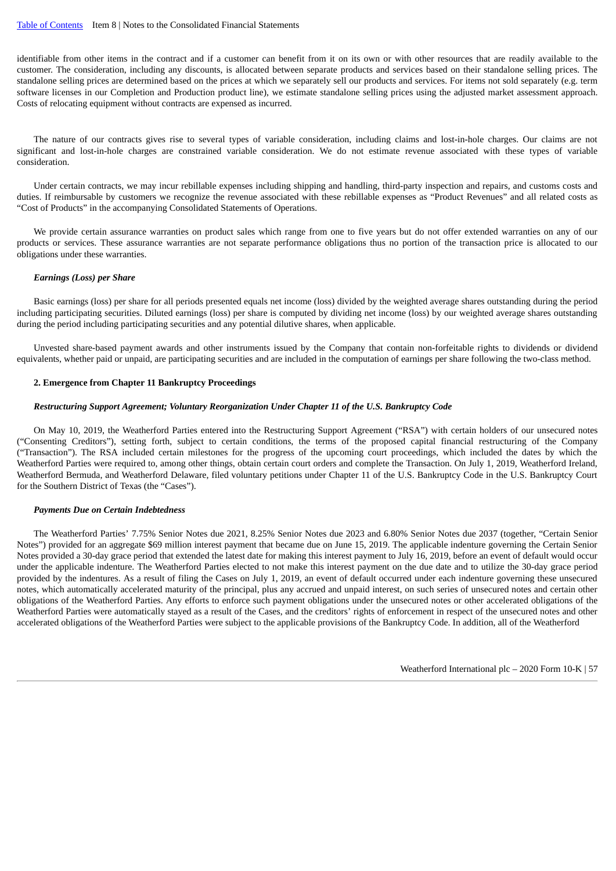identifiable from other items in the contract and if a customer can benefit from it on its own or with other resources that are readily available to the customer. The consideration, including any discounts, is allocated between separate products and services based on their standalone selling prices. The standalone selling prices are determined based on the prices at which we separately sell our products and services. For items not sold separately (e.g. term software licenses in our Completion and Production product line), we estimate standalone selling prices using the adjusted market assessment approach. Costs of relocating equipment without contracts are expensed as incurred.

The nature of our contracts gives rise to several types of variable consideration, including claims and lost-in-hole charges. Our claims are not significant and lost-in-hole charges are constrained variable consideration. We do not estimate revenue associated with these types of variable consideration.

Under certain contracts, we may incur rebillable expenses including shipping and handling, third-party inspection and repairs, and customs costs and duties. If reimbursable by customers we recognize the revenue associated with these rebillable expenses as "Product Revenues" and all related costs as "Cost of Products" in the accompanying Consolidated Statements of Operations.

We provide certain assurance warranties on product sales which range from one to five years but do not offer extended warranties on any of our products or services. These assurance warranties are not separate performance obligations thus no portion of the transaction price is allocated to our obligations under these warranties.

# *Earnings (Loss) per Share*

Basic earnings (loss) per share for all periods presented equals net income (loss) divided by the weighted average shares outstanding during the period including participating securities. Diluted earnings (loss) per share is computed by dividing net income (loss) by our weighted average shares outstanding during the period including participating securities and any potential dilutive shares, when applicable.

Unvested share-based payment awards and other instruments issued by the Company that contain non-forfeitable rights to dividends or dividend equivalents, whether paid or unpaid, are participating securities and are included in the computation of earnings per share following the two-class method.

# **2. Emergence from Chapter 11 Bankruptcy Proceedings**

### *Restructuring Support Agreement; Voluntary Reorganization Under Chapter 11 of the U.S. Bankruptcy Code*

On May 10, 2019, the Weatherford Parties entered into the Restructuring Support Agreement ("RSA") with certain holders of our unsecured notes ("Consenting Creditors"), setting forth, subject to certain conditions, the terms of the proposed capital financial restructuring of the Company ("Transaction"). The RSA included certain milestones for the progress of the upcoming court proceedings, which included the dates by which the Weatherford Parties were required to, among other things, obtain certain court orders and complete the Transaction. On July 1, 2019, Weatherford Ireland, Weatherford Bermuda, and Weatherford Delaware, filed voluntary petitions under Chapter 11 of the U.S. Bankruptcy Code in the U.S. Bankruptcy Court for the Southern District of Texas (the "Cases").

### *Payments Due on Certain Indebtedness*

The Weatherford Parties' 7.75% Senior Notes due 2021, 8.25% Senior Notes due 2023 and 6.80% Senior Notes due 2037 (together, "Certain Senior Notes") provided for an aggregate \$69 million interest payment that became due on June 15, 2019. The applicable indenture governing the Certain Senior Notes provided a 30-day grace period that extended the latest date for making this interest payment to July 16, 2019, before an event of default would occur under the applicable indenture. The Weatherford Parties elected to not make this interest payment on the due date and to utilize the 30-day grace period provided by the indentures. As a result of filing the Cases on July 1, 2019, an event of default occurred under each indenture governing these unsecured notes, which automatically accelerated maturity of the principal, plus any accrued and unpaid interest, on such series of unsecured notes and certain other obligations of the Weatherford Parties. Any efforts to enforce such payment obligations under the unsecured notes or other accelerated obligations of the Weatherford Parties were automatically stayed as a result of the Cases, and the creditors' rights of enforcement in respect of the unsecured notes and other accelerated obligations of the Weatherford Parties were subject to the applicable provisions of the Bankruptcy Code. In addition, all of the Weatherford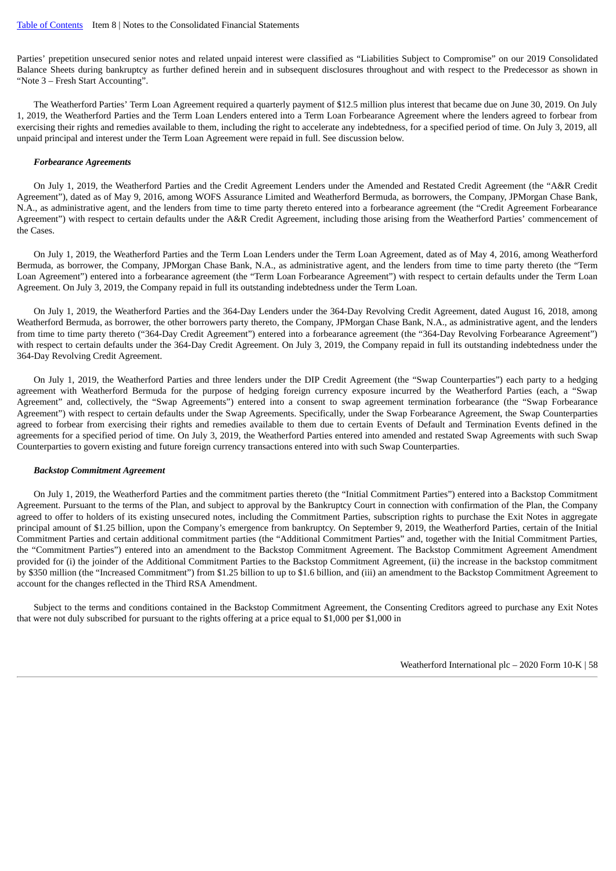Parties' prepetition unsecured senior notes and related unpaid interest were classified as "Liabilities Subject to Compromise" on our 2019 Consolidated Balance Sheets during bankruptcy as further defined herein and in subsequent disclosures throughout and with respect to the Predecessor as shown in "Note 3 – Fresh Start Accounting".

The Weatherford Parties' Term Loan Agreement required a quarterly payment of \$12.5 million plus interest that became due on June 30, 2019. On July 1, 2019, the Weatherford Parties and the Term Loan Lenders entered into a Term Loan Forbearance Agreement where the lenders agreed to forbear from exercising their rights and remedies available to them, including the right to accelerate any indebtedness, for a specified period of time. On July 3, 2019, all unpaid principal and interest under the Term Loan Agreement were repaid in full. See discussion below.

### *Forbearance Agreements*

On July 1, 2019, the Weatherford Parties and the Credit Agreement Lenders under the Amended and Restated Credit Agreement (the "A&R Credit Agreement"), dated as of May 9, 2016, among WOFS Assurance Limited and Weatherford Bermuda, as borrowers, the Company, JPMorgan Chase Bank, N.A., as administrative agent, and the lenders from time to time party thereto entered into a forbearance agreement (the "Credit Agreement Forbearance Agreement") with respect to certain defaults under the A&R Credit Agreement, including those arising from the Weatherford Parties' commencement of the Cases.

On July 1, 2019, the Weatherford Parties and the Term Loan Lenders under the Term Loan Agreement, dated as of May 4, 2016, among Weatherford Bermuda, as borrower, the Company, JPMorgan Chase Bank, N.A., as administrative agent, and the lenders from time to time party thereto (the "Term Loan Agreement") entered into a forbearance agreement (the "Term Loan Forbearance Agreement") with respect to certain defaults under the Term Loan Agreement. On July 3, 2019, the Company repaid in full its outstanding indebtedness under the Term Loan.

On July 1, 2019, the Weatherford Parties and the 364-Day Lenders under the 364-Day Revolving Credit Agreement, dated August 16, 2018, among Weatherford Bermuda, as borrower, the other borrowers party thereto, the Company, JPMorgan Chase Bank, N.A., as administrative agent, and the lenders from time to time party thereto ("364-Day Credit Agreement") entered into a forbearance agreement (the "364-Day Revolving Forbearance Agreement") with respect to certain defaults under the 364-Day Credit Agreement. On July 3, 2019, the Company repaid in full its outstanding indebtedness under the 364-Day Revolving Credit Agreement.

On July 1, 2019, the Weatherford Parties and three lenders under the DIP Credit Agreement (the "Swap Counterparties") each party to a hedging agreement with Weatherford Bermuda for the purpose of hedging foreign currency exposure incurred by the Weatherford Parties (each, a "Swap Agreement" and, collectively, the "Swap Agreements") entered into a consent to swap agreement termination forbearance (the "Swap Forbearance Agreement") with respect to certain defaults under the Swap Agreements. Specifically, under the Swap Forbearance Agreement, the Swap Counterparties agreed to forbear from exercising their rights and remedies available to them due to certain Events of Default and Termination Events defined in the agreements for a specified period of time. On July 3, 2019, the Weatherford Parties entered into amended and restated Swap Agreements with such Swap Counterparties to govern existing and future foreign currency transactions entered into with such Swap Counterparties.

# *Backstop Commitment Agreement*

On July 1, 2019, the Weatherford Parties and the commitment parties thereto (the "Initial Commitment Parties") entered into a Backstop Commitment Agreement. Pursuant to the terms of the Plan, and subject to approval by the Bankruptcy Court in connection with confirmation of the Plan, the Company agreed to offer to holders of its existing unsecured notes, including the Commitment Parties, subscription rights to purchase the Exit Notes in aggregate principal amount of \$1.25 billion, upon the Company's emergence from bankruptcy. On September 9, 2019, the Weatherford Parties, certain of the Initial Commitment Parties and certain additional commitment parties (the "Additional Commitment Parties" and, together with the Initial Commitment Parties, the "Commitment Parties") entered into an amendment to the Backstop Commitment Agreement. The Backstop Commitment Agreement Amendment provided for (i) the joinder of the Additional Commitment Parties to the Backstop Commitment Agreement, (ii) the increase in the backstop commitment by \$350 million (the "Increased Commitment") from \$1.25 billion to up to \$1.6 billion, and (iii) an amendment to the Backstop Commitment Agreement to account for the changes reflected in the Third RSA Amendment.

Subject to the terms and conditions contained in the Backstop Commitment Agreement, the Consenting Creditors agreed to purchase any Exit Notes that were not duly subscribed for pursuant to the rights offering at a price equal to \$1,000 per \$1,000 in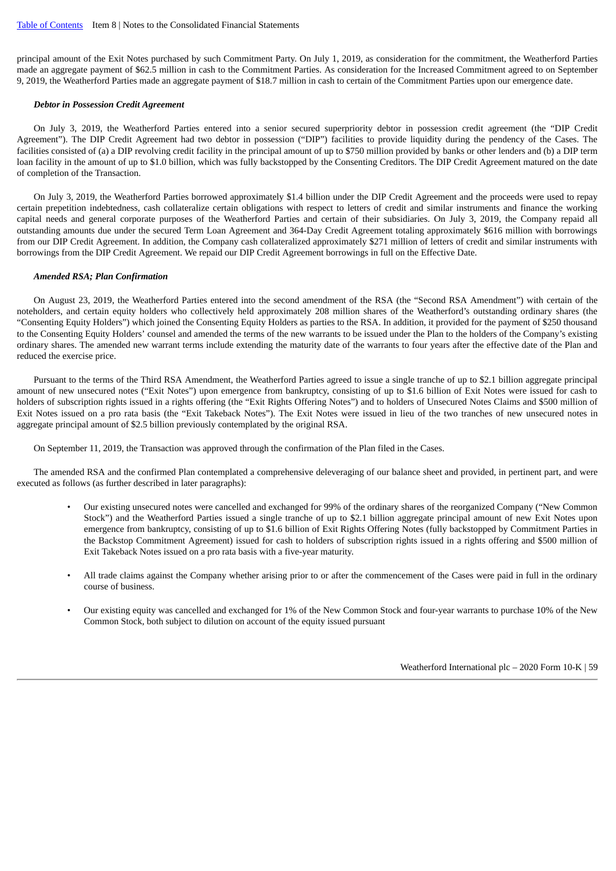principal amount of the Exit Notes purchased by such Commitment Party. On July 1, 2019, as consideration for the commitment, the Weatherford Parties made an aggregate payment of \$62.5 million in cash to the Commitment Parties. As consideration for the Increased Commitment agreed to on September 9, 2019, the Weatherford Parties made an aggregate payment of \$18.7 million in cash to certain of the Commitment Parties upon our emergence date.

### *Debtor in Possession Credit Agreement*

On July 3, 2019, the Weatherford Parties entered into a senior secured superpriority debtor in possession credit agreement (the "DIP Credit Agreement"). The DIP Credit Agreement had two debtor in possession ("DIP") facilities to provide liquidity during the pendency of the Cases. The facilities consisted of (a) a DIP revolving credit facility in the principal amount of up to \$750 million provided by banks or other lenders and (b) a DIP term loan facility in the amount of up to \$1.0 billion, which was fully backstopped by the Consenting Creditors. The DIP Credit Agreement matured on the date of completion of the Transaction.

On July 3, 2019, the Weatherford Parties borrowed approximately \$1.4 billion under the DIP Credit Agreement and the proceeds were used to repay certain prepetition indebtedness, cash collateralize certain obligations with respect to letters of credit and similar instruments and finance the working capital needs and general corporate purposes of the Weatherford Parties and certain of their subsidiaries. On July 3, 2019, the Company repaid all outstanding amounts due under the secured Term Loan Agreement and 364-Day Credit Agreement totaling approximately \$616 million with borrowings from our DIP Credit Agreement. In addition, the Company cash collateralized approximately \$271 million of letters of credit and similar instruments with borrowings from the DIP Credit Agreement. We repaid our DIP Credit Agreement borrowings in full on the Effective Date.

## *Amended RSA; Plan Confirmation*

On August 23, 2019, the Weatherford Parties entered into the second amendment of the RSA (the "Second RSA Amendment") with certain of the noteholders, and certain equity holders who collectively held approximately 208 million shares of the Weatherford's outstanding ordinary shares (the "Consenting Equity Holders") which joined the Consenting Equity Holders as parties to the RSA. In addition, it provided for the payment of \$250 thousand to the Consenting Equity Holders' counsel and amended the terms of the new warrants to be issued under the Plan to the holders of the Company's existing ordinary shares. The amended new warrant terms include extending the maturity date of the warrants to four years after the effective date of the Plan and reduced the exercise price.

Pursuant to the terms of the Third RSA Amendment, the Weatherford Parties agreed to issue a single tranche of up to \$2.1 billion aggregate principal amount of new unsecured notes ("Exit Notes") upon emergence from bankruptcy, consisting of up to \$1.6 billion of Exit Notes were issued for cash to holders of subscription rights issued in a rights offering (the "Exit Rights Offering Notes") and to holders of Unsecured Notes Claims and \$500 million of Exit Notes issued on a pro rata basis (the "Exit Takeback Notes"). The Exit Notes were issued in lieu of the two tranches of new unsecured notes in aggregate principal amount of \$2.5 billion previously contemplated by the original RSA.

On September 11, 2019, the Transaction was approved through the confirmation of the Plan filed in the Cases.

The amended RSA and the confirmed Plan contemplated a comprehensive deleveraging of our balance sheet and provided, in pertinent part, and were executed as follows (as further described in later paragraphs):

- Our existing unsecured notes were cancelled and exchanged for 99% of the ordinary shares of the reorganized Company ("New Common Stock") and the Weatherford Parties issued a single tranche of up to \$2.1 billion aggregate principal amount of new Exit Notes upon emergence from bankruptcy, consisting of up to \$1.6 billion of Exit Rights Offering Notes (fully backstopped by Commitment Parties in the Backstop Commitment Agreement) issued for cash to holders of subscription rights issued in a rights offering and \$500 million of Exit Takeback Notes issued on a pro rata basis with a five-year maturity.
- All trade claims against the Company whether arising prior to or after the commencement of the Cases were paid in full in the ordinary course of business.
- Our existing equity was cancelled and exchanged for 1% of the New Common Stock and four-year warrants to purchase 10% of the New Common Stock, both subject to dilution on account of the equity issued pursuant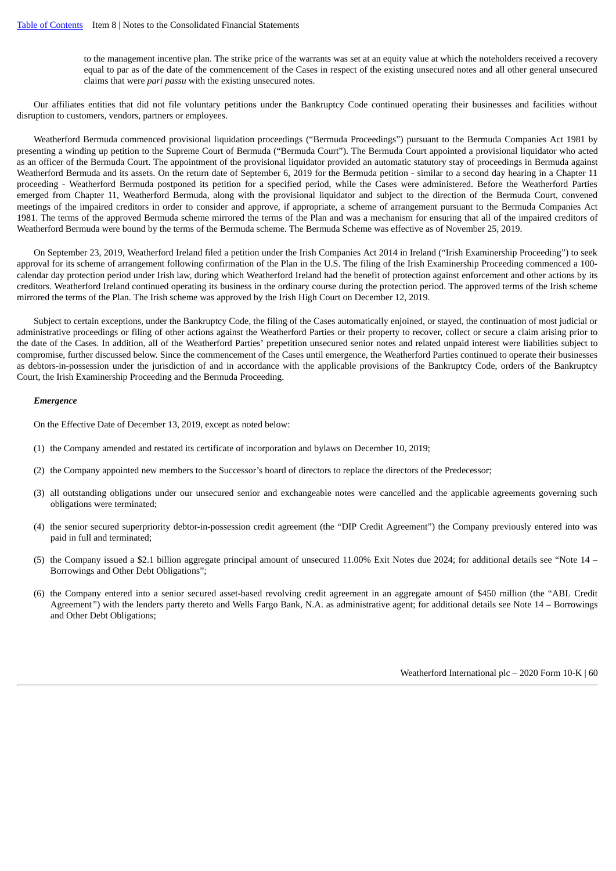to the management incentive plan. The strike price of the warrants was set at an equity value at which the noteholders received a recovery equal to par as of the date of the commencement of the Cases in respect of the existing unsecured notes and all other general unsecured claims that were *pari passu* with the existing unsecured notes.

Our affiliates entities that did not file voluntary petitions under the Bankruptcy Code continued operating their businesses and facilities without disruption to customers, vendors, partners or employees.

Weatherford Bermuda commenced provisional liquidation proceedings ("Bermuda Proceedings") pursuant to the Bermuda Companies Act 1981 by presenting a winding up petition to the Supreme Court of Bermuda ("Bermuda Court"). The Bermuda Court appointed a provisional liquidator who acted as an officer of the Bermuda Court. The appointment of the provisional liquidator provided an automatic statutory stay of proceedings in Bermuda against Weatherford Bermuda and its assets. On the return date of September 6, 2019 for the Bermuda petition - similar to a second day hearing in a Chapter 11 proceeding - Weatherford Bermuda postponed its petition for a specified period, while the Cases were administered. Before the Weatherford Parties emerged from Chapter 11, Weatherford Bermuda, along with the provisional liquidator and subject to the direction of the Bermuda Court, convened meetings of the impaired creditors in order to consider and approve, if appropriate, a scheme of arrangement pursuant to the Bermuda Companies Act 1981. The terms of the approved Bermuda scheme mirrored the terms of the Plan and was a mechanism for ensuring that all of the impaired creditors of Weatherford Bermuda were bound by the terms of the Bermuda scheme. The Bermuda Scheme was effective as of November 25, 2019.

On September 23, 2019, Weatherford Ireland filed a petition under the Irish Companies Act 2014 in Ireland ("Irish Examinership Proceeding") to seek approval for its scheme of arrangement following confirmation of the Plan in the U.S. The filing of the Irish Examinership Proceeding commenced a 100 calendar day protection period under Irish law, during which Weatherford Ireland had the benefit of protection against enforcement and other actions by its creditors. Weatherford Ireland continued operating its business in the ordinary course during the protection period. The approved terms of the Irish scheme mirrored the terms of the Plan. The Irish scheme was approved by the Irish High Court on December 12, 2019.

Subject to certain exceptions, under the Bankruptcy Code, the filing of the Cases automatically enjoined, or stayed, the continuation of most judicial or administrative proceedings or filing of other actions against the Weatherford Parties or their property to recover, collect or secure a claim arising prior to the date of the Cases. In addition, all of the Weatherford Parties' prepetition unsecured senior notes and related unpaid interest were liabilities subject to compromise, further discussed below. Since the commencement of the Cases until emergence, the Weatherford Parties continued to operate their businesses as debtors-in-possession under the jurisdiction of and in accordance with the applicable provisions of the Bankruptcy Code, orders of the Bankruptcy Court, the Irish Examinership Proceeding and the Bermuda Proceeding.

# *Emergence*

On the Effective Date of December 13, 2019, except as noted below:

- (1) the Company amended and restated its certificate of incorporation and bylaws on December 10, 2019;
- (2) the Company appointed new members to the Successor's board of directors to replace the directors of the Predecessor;
- (3) all outstanding obligations under our unsecured senior and exchangeable notes were cancelled and the applicable agreements governing such obligations were terminated;
- (4) the senior secured superpriority debtor-in-possession credit agreement (the "DIP Credit Agreement") the Company previously entered into was paid in full and terminated;
- (5) the Company issued a \$2.1 billion aggregate principal amount of unsecured 11.00% Exit Notes due 2024; for additional details see "Note 14 Borrowings and Other Debt Obligations";
- (6) the Company entered into a senior secured asset-based revolving credit agreement in an aggregate amount of \$450 million (the "ABL Credit Agreement*"*) with the lenders party thereto and Wells Fargo Bank, N.A. as administrative agent; for additional details see Note 14 – Borrowings and Other Debt Obligations;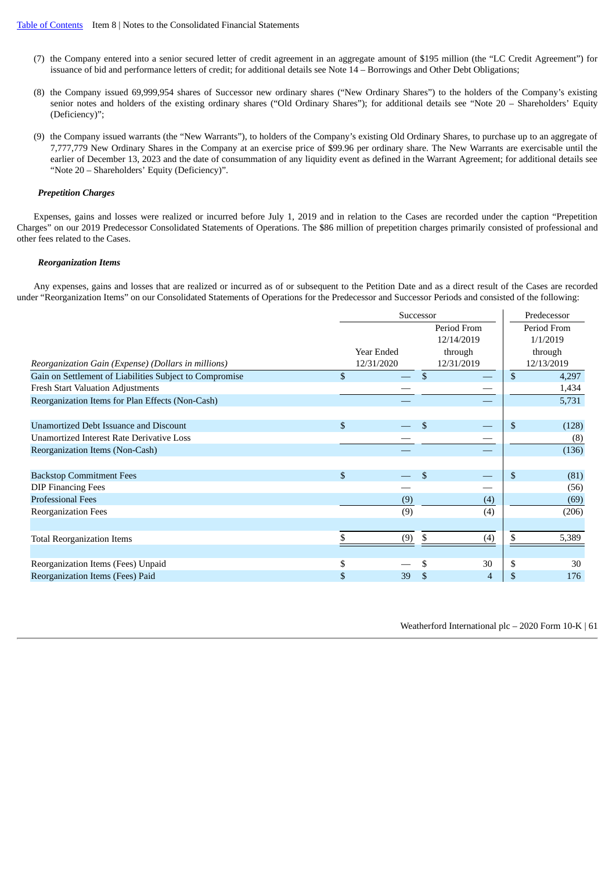- (7) the Company entered into a senior secured letter of credit agreement in an aggregate amount of \$195 million (the "LC Credit Agreement") for issuance of bid and performance letters of credit; for additional details see Note 14 – Borrowings and Other Debt Obligations;
- (8) the Company issued 69,999,954 shares of Successor new ordinary shares ("New Ordinary Shares") to the holders of the Company's existing senior notes and holders of the existing ordinary shares ("Old Ordinary Shares"); for additional details see "Note 20 – Shareholders' Equity (Deficiency)";
- (9) the Company issued warrants (the "New Warrants"), to holders of the Company's existing Old Ordinary Shares, to purchase up to an aggregate of 7,777,779 New Ordinary Shares in the Company at an exercise price of \$99.96 per ordinary share. The New Warrants are exercisable until the earlier of December 13, 2023 and the date of consummation of any liquidity event as defined in the Warrant Agreement; for additional details see "Note 20 – Shareholders' Equity (Deficiency)".

# *Prepetition Charges*

Expenses, gains and losses were realized or incurred before July 1, 2019 and in relation to the Cases are recorded under the caption "Prepetition Charges" on our 2019 Predecessor Consolidated Statements of Operations. The \$86 million of prepetition charges primarily consisted of professional and other fees related to the Cases.

# *Reorganization Items*

Any expenses, gains and losses that are realized or incurred as of or subsequent to the Petition Date and as a direct result of the Cases are recorded under "Reorganization Items" on our Consolidated Statements of Operations for the Predecessor and Successor Periods and consisted of the following:

|                                                         |              | Predecessor |    |            |            |             |  |  |
|---------------------------------------------------------|--------------|-------------|----|------------|------------|-------------|--|--|
|                                                         | Period From  |             |    |            |            | Period From |  |  |
|                                                         | 12/14/2019   |             |    | 1/1/2019   |            |             |  |  |
|                                                         |              | Year Ended  |    | through    |            | through     |  |  |
| Reorganization Gain (Expense) (Dollars in millions)     |              | 12/31/2020  |    | 12/31/2019 | 12/13/2019 |             |  |  |
| Gain on Settlement of Liabilities Subject to Compromise | \$           |             | \$ |            | \$         | 4,297       |  |  |
| <b>Fresh Start Valuation Adjustments</b>                |              |             |    |            |            | 1,434       |  |  |
| Reorganization Items for Plan Effects (Non-Cash)        |              |             |    |            |            | 5,731       |  |  |
|                                                         |              |             |    |            |            |             |  |  |
| Unamortized Debt Issuance and Discount                  | $\mathbb{S}$ |             | \$ |            | \$         | (128)       |  |  |
| <b>Unamortized Interest Rate Derivative Loss</b>        |              |             |    |            |            | (8)         |  |  |
| Reorganization Items (Non-Cash)                         |              |             |    |            |            | (136)       |  |  |
|                                                         |              |             |    |            |            |             |  |  |
| <b>Backstop Commitment Fees</b>                         | \$           |             | \$ |            | \$         | (81)        |  |  |
| <b>DIP Financing Fees</b>                               |              |             |    |            |            | (56)        |  |  |
| <b>Professional Fees</b>                                |              | (9)         |    | (4)        |            | (69)        |  |  |
| <b>Reorganization Fees</b>                              |              | (9)         |    | (4)        |            | (206)       |  |  |
|                                                         |              |             |    |            |            |             |  |  |
| <b>Total Reorganization Items</b>                       |              | (9)         | \$ | (4)        | \$         | 5,389       |  |  |
|                                                         |              |             |    |            |            |             |  |  |
| Reorganization Items (Fees) Unpaid                      | \$           |             | \$ | 30         | \$         | 30          |  |  |
| Reorganization Items (Fees) Paid                        | \$           | 39          | \$ | 4          |            | 176         |  |  |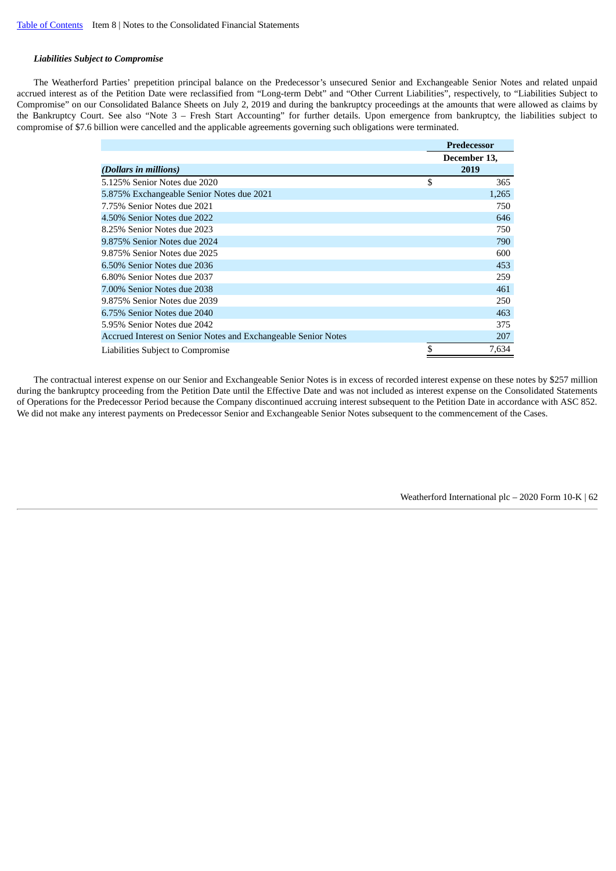# *Liabilities Subject to Compromise*

The Weatherford Parties' prepetition principal balance on the Predecessor's unsecured Senior and Exchangeable Senior Notes and related unpaid accrued interest as of the Petition Date were reclassified from "Long-term Debt" and "Other Current Liabilities", respectively, to "Liabilities Subject to Compromise" on our Consolidated Balance Sheets on July 2, 2019 and during the bankruptcy proceedings at the amounts that were allowed as claims by the Bankruptcy Court. See also "Note 3 – Fresh Start Accounting" for further details. Upon emergence from bankruptcy, the liabilities subject to compromise of \$7.6 billion were cancelled and the applicable agreements governing such obligations were terminated.

|                                                                | <b>Predecessor</b> |  |  |  |  |
|----------------------------------------------------------------|--------------------|--|--|--|--|
|                                                                | December 13,       |  |  |  |  |
| (Dollars in millions)                                          | 2019               |  |  |  |  |
| 5.125% Senior Notes due 2020                                   | \$<br>365          |  |  |  |  |
| 5.875% Exchangeable Senior Notes due 2021                      | 1,265              |  |  |  |  |
| 7.75% Senior Notes due 2021                                    | 750                |  |  |  |  |
| 4.50% Senior Notes due 2022                                    | 646                |  |  |  |  |
| 8.25% Senior Notes due 2023                                    | 750                |  |  |  |  |
| 9.875% Senior Notes due 2024                                   | 790                |  |  |  |  |
| 9.875% Senior Notes due 2025                                   | 600                |  |  |  |  |
| 6.50% Senior Notes due 2036                                    | 453                |  |  |  |  |
| 6.80% Senior Notes due 2037                                    | 259                |  |  |  |  |
| 7.00% Senior Notes due 2038                                    | 461                |  |  |  |  |
| 9.875% Senior Notes due 2039                                   | 250                |  |  |  |  |
| 6.75% Senior Notes due 2040                                    | 463                |  |  |  |  |
| 5.95% Senior Notes due 2042                                    | 375                |  |  |  |  |
| Accrued Interest on Senior Notes and Exchangeable Senior Notes | 207                |  |  |  |  |
| Liabilities Subject to Compromise                              | \$<br>7,634        |  |  |  |  |

The contractual interest expense on our Senior and Exchangeable Senior Notes is in excess of recorded interest expense on these notes by \$257 million during the bankruptcy proceeding from the Petition Date until the Effective Date and was not included as interest expense on the Consolidated Statements of Operations for the Predecessor Period because the Company discontinued accruing interest subsequent to the Petition Date in accordance with ASC 852. We did not make any interest payments on Predecessor Senior and Exchangeable Senior Notes subsequent to the commencement of the Cases.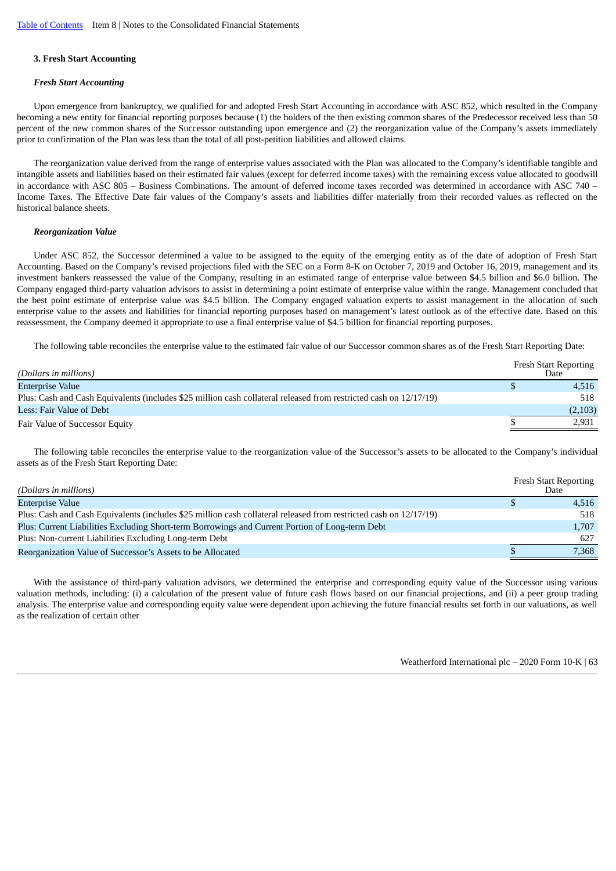# **3. Fresh Start Accounting**

### *Fresh Start Accounting*

Upon emergence from bankruptcy, we qualified for and adopted Fresh Start Accounting in accordance with ASC 852, which resulted in the Company becoming a new entity for financial reporting purposes because (1) the holders of the then existing common shares of the Predecessor received less than 50 percent of the new common shares of the Successor outstanding upon emergence and (2) the reorganization value of the Company's assets immediately prior to confirmation of the Plan was less than the total of all post-petition liabilities and allowed claims.

The reorganization value derived from the range of enterprise values associated with the Plan was allocated to the Company's identifiable tangible and intangible assets and liabilities based on their estimated fair values (except for deferred income taxes) with the remaining excess value allocated to goodwill in accordance with ASC 805 – Business Combinations. The amount of deferred income taxes recorded was determined in accordance with ASC 740 – Income Taxes. The Effective Date fair values of the Company's assets and liabilities differ materially from their recorded values as reflected on the historical balance sheets.

### *Reorganization Value*

Under ASC 852, the Successor determined a value to be assigned to the equity of the emerging entity as of the date of adoption of Fresh Start Accounting. Based on the Company's revised projections filed with the SEC on a Form 8-K on October 7, 2019 and October 16, 2019, management and its investment bankers reassessed the value of the Company, resulting in an estimated range of enterprise value between \$4.5 billion and \$6.0 billion. The Company engaged third-party valuation advisors to assist in determining a point estimate of enterprise value within the range. Management concluded that the best point estimate of enterprise value was \$4.5 billion. The Company engaged valuation experts to assist management in the allocation of such enterprise value to the assets and liabilities for financial reporting purposes based on management's latest outlook as of the effective date. Based on this reassessment, the Company deemed it appropriate to use a final enterprise value of \$4.5 billion for financial reporting purposes.

The following table reconciles the enterprise value to the estimated fair value of our Successor common shares as of the Fresh Start Reporting Date:

| (Dollars in millions)                                                                                             | <b>Fresh Start Reporting</b><br>Date |         |
|-------------------------------------------------------------------------------------------------------------------|--------------------------------------|---------|
| <b>Enterprise Value</b>                                                                                           |                                      | 4,516   |
| Plus: Cash and Cash Equivalents (includes \$25 million cash collateral released from restricted cash on 12/17/19) |                                      | 518     |
| Less: Fair Value of Debt                                                                                          |                                      | (2,103) |
| Fair Value of Successor Equity                                                                                    |                                      | 2,931   |

The following table reconciles the enterprise value to the reorganization value of the Successor's assets to be allocated to the Company's individual assets as of the Fresh Start Reporting Date:

| (Dollars in millions)                                                                                             | <b>Fresh Start Reporting</b><br>Date |
|-------------------------------------------------------------------------------------------------------------------|--------------------------------------|
| <b>Enterprise Value</b>                                                                                           | 4,516                                |
| Plus: Cash and Cash Equivalents (includes \$25 million cash collateral released from restricted cash on 12/17/19) | 518                                  |
| Plus: Current Liabilities Excluding Short-term Borrowings and Current Portion of Long-term Debt                   | 1,707                                |
| Plus: Non-current Liabilities Excluding Long-term Debt                                                            | 627                                  |
| Reorganization Value of Successor's Assets to be Allocated                                                        | 7.368                                |

With the assistance of third-party valuation advisors, we determined the enterprise and corresponding equity value of the Successor using various valuation methods, including: (i) a calculation of the present value of future cash flows based on our financial projections, and (ii) a peer group trading analysis. The enterprise value and corresponding equity value were dependent upon achieving the future financial results set forth in our valuations, as well as the realization of certain other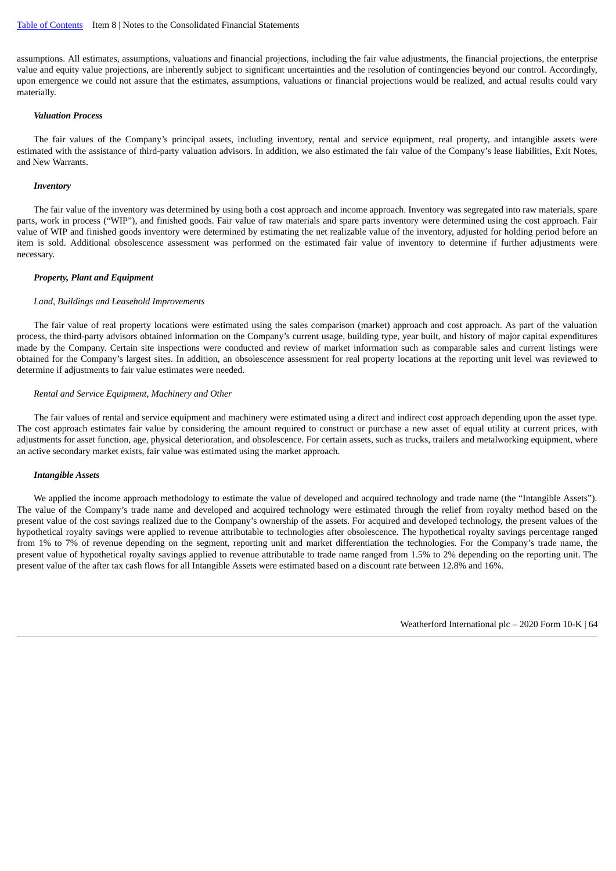assumptions. All estimates, assumptions, valuations and financial projections, including the fair value adjustments, the financial projections, the enterprise value and equity value projections, are inherently subject to significant uncertainties and the resolution of contingencies beyond our control. Accordingly, upon emergence we could not assure that the estimates, assumptions, valuations or financial projections would be realized, and actual results could vary materially.

## *Valuation Process*

The fair values of the Company's principal assets, including inventory, rental and service equipment, real property, and intangible assets were estimated with the assistance of third-party valuation advisors. In addition, we also estimated the fair value of the Company's lease liabilities, Exit Notes, and New Warrants.

## *Inventory*

The fair value of the inventory was determined by using both a cost approach and income approach. Inventory was segregated into raw materials, spare parts, work in process ("WIP"), and finished goods. Fair value of raw materials and spare parts inventory were determined using the cost approach. Fair value of WIP and finished goods inventory were determined by estimating the net realizable value of the inventory, adjusted for holding period before an item is sold. Additional obsolescence assessment was performed on the estimated fair value of inventory to determine if further adjustments were necessary.

# *Property, Plant and Equipment*

# *Land, Buildings and Leasehold Improvements*

The fair value of real property locations were estimated using the sales comparison (market) approach and cost approach. As part of the valuation process, the third-party advisors obtained information on the Company's current usage, building type, year built, and history of major capital expenditures made by the Company. Certain site inspections were conducted and review of market information such as comparable sales and current listings were obtained for the Company's largest sites. In addition, an obsolescence assessment for real property locations at the reporting unit level was reviewed to determine if adjustments to fair value estimates were needed.

### *Rental and Service Equipment, Machinery and Other*

The fair values of rental and service equipment and machinery were estimated using a direct and indirect cost approach depending upon the asset type. The cost approach estimates fair value by considering the amount required to construct or purchase a new asset of equal utility at current prices, with adjustments for asset function, age, physical deterioration, and obsolescence. For certain assets, such as trucks, trailers and metalworking equipment, where an active secondary market exists, fair value was estimated using the market approach.

### *Intangible Assets*

We applied the income approach methodology to estimate the value of developed and acquired technology and trade name (the "Intangible Assets"). The value of the Company's trade name and developed and acquired technology were estimated through the relief from royalty method based on the present value of the cost savings realized due to the Company's ownership of the assets. For acquired and developed technology, the present values of the hypothetical royalty savings were applied to revenue attributable to technologies after obsolescence. The hypothetical royalty savings percentage ranged from 1% to 7% of revenue depending on the segment, reporting unit and market differentiation the technologies. For the Company's trade name, the present value of hypothetical royalty savings applied to revenue attributable to trade name ranged from 1.5% to 2% depending on the reporting unit. The present value of the after tax cash flows for all Intangible Assets were estimated based on a discount rate between 12.8% and 16%.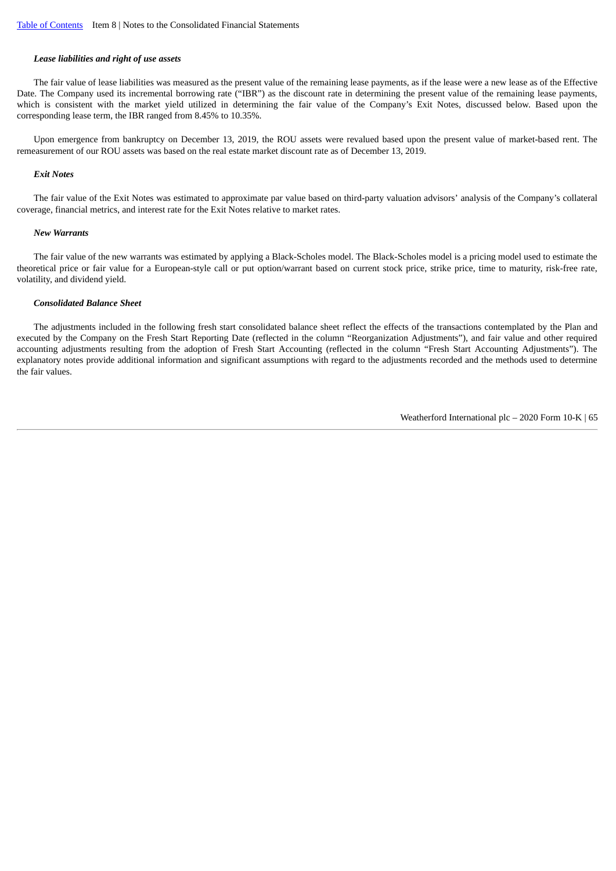# *Lease liabilities and right of use assets*

The fair value of lease liabilities was measured as the present value of the remaining lease payments, as if the lease were a new lease as of the Effective Date. The Company used its incremental borrowing rate ("IBR") as the discount rate in determining the present value of the remaining lease payments, which is consistent with the market yield utilized in determining the fair value of the Company's Exit Notes, discussed below. Based upon the corresponding lease term, the IBR ranged from 8.45% to 10.35%.

Upon emergence from bankruptcy on December 13, 2019, the ROU assets were revalued based upon the present value of market-based rent. The remeasurement of our ROU assets was based on the real estate market discount rate as of December 13, 2019.

# *Exit Notes*

The fair value of the Exit Notes was estimated to approximate par value based on third-party valuation advisors' analysis of the Company's collateral coverage, financial metrics, and interest rate for the Exit Notes relative to market rates.

#### *New Warrants*

The fair value of the new warrants was estimated by applying a Black-Scholes model. The Black-Scholes model is a pricing model used to estimate the theoretical price or fair value for a European-style call or put option/warrant based on current stock price, strike price, time to maturity, risk-free rate, volatility, and dividend yield.

# *Consolidated Balance Sheet*

The adjustments included in the following fresh start consolidated balance sheet reflect the effects of the transactions contemplated by the Plan and executed by the Company on the Fresh Start Reporting Date (reflected in the column "Reorganization Adjustments"), and fair value and other required accounting adjustments resulting from the adoption of Fresh Start Accounting (reflected in the column "Fresh Start Accounting Adjustments"). The explanatory notes provide additional information and significant assumptions with regard to the adjustments recorded and the methods used to determine the fair values.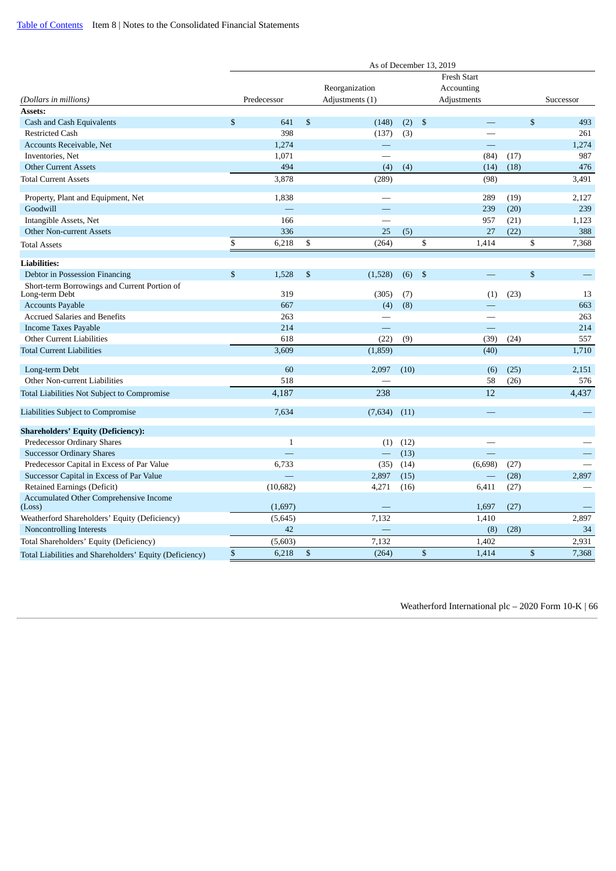|                                                                |              |              |                | As of December 13, 2019 |      |                |                                  |      |                |           |
|----------------------------------------------------------------|--------------|--------------|----------------|-------------------------|------|----------------|----------------------------------|------|----------------|-----------|
|                                                                |              |              |                | Reorganization          |      |                | <b>Fresh Start</b><br>Accounting |      |                |           |
| (Dollars in millions)                                          |              | Predecessor  |                | Adjustments (1)         |      |                | Adjustments                      |      |                | Successor |
| Assets:                                                        |              |              |                |                         |      |                |                                  |      |                |           |
| Cash and Cash Equivalents                                      | $\mathbb{S}$ | 641          | $\mathbf{s}$   | (148)                   | (2)  | -\$            |                                  |      | \$             | 493       |
| <b>Restricted Cash</b>                                         |              | 398          |                | (137)                   | (3)  |                | <u>in a</u>                      |      |                | 261       |
| Accounts Receivable, Net                                       |              | 1,274        |                |                         |      |                | ш,                               |      |                | 1,274     |
| Inventories, Net                                               |              | 1,071        |                |                         |      |                | (84)                             | (17) |                | 987       |
| <b>Other Current Assets</b>                                    |              | 494          |                | (4)                     | (4)  |                | (14)                             | (18) |                | 476       |
| <b>Total Current Assets</b>                                    |              | 3,878        |                | (289)                   |      |                | (98)                             |      |                | 3,491     |
| Property, Plant and Equipment, Net                             |              | 1,838        |                |                         |      |                | 289                              | (19) |                | 2,127     |
| Goodwill                                                       |              |              |                |                         |      |                | 239                              | (20) |                | 239       |
| Intangible Assets, Net                                         |              | 166          |                |                         |      |                | 957                              | (21) |                | 1,123     |
| <b>Other Non-current Assets</b>                                |              | 336          |                | 25                      | (5)  |                | 27                               | (22) |                | 388       |
| <b>Total Assets</b>                                            | \$           | 6,218        | \$             | (264)                   |      | \$             | 1,414                            |      | \$             | 7,368     |
| <b>Liabilities:</b>                                            |              |              |                |                         |      |                |                                  |      |                |           |
| Debtor in Possession Financing                                 | \$           | 1,528        | \$             | (1,528)                 | (6)  | $\mathfrak{s}$ |                                  |      | \$             |           |
| Short-term Borrowings and Current Portion of<br>Long-term Debt |              | 319          |                | (305)                   | (7)  |                | (1)                              | (23) |                | 13        |
| <b>Accounts Payable</b>                                        |              | 667          |                | (4)                     | (8)  |                |                                  |      |                | 663       |
| <b>Accrued Salaries and Benefits</b>                           |              | 263          |                |                         |      |                |                                  |      |                | 263       |
| <b>Income Taxes Payable</b>                                    |              | 214          |                |                         |      |                |                                  |      |                | 214       |
| <b>Other Current Liabilities</b>                               |              | 618          |                | (22)                    | (9)  |                | (39)                             | (24) |                | 557       |
| <b>Total Current Liabilities</b>                               |              | 3,609        |                | (1,859)                 |      |                | (40)                             |      |                | 1,710     |
| Long-term Debt                                                 |              | 60           |                | 2,097                   | (10) |                | (6)                              | (25) |                | 2,151     |
| Other Non-current Liabilities                                  |              | 518          |                |                         |      |                | 58                               | (26) |                | 576       |
|                                                                |              | 4,187        |                | 238                     |      |                | 12                               |      |                | 4,437     |
| Total Liabilities Not Subject to Compromise                    |              |              |                |                         |      |                |                                  |      |                |           |
| Liabilities Subject to Compromise                              |              | 7,634        |                | (7,634)                 | (11) |                |                                  |      |                |           |
| <b>Shareholders' Equity (Deficiency):</b>                      |              |              |                |                         |      |                |                                  |      |                |           |
| Predecessor Ordinary Shares                                    |              | $\mathbf{1}$ |                | (1)                     | (12) |                |                                  |      |                |           |
| <b>Successor Ordinary Shares</b>                               |              |              |                |                         | (13) |                |                                  |      |                |           |
| Predecessor Capital in Excess of Par Value                     |              | 6,733        |                | (35)                    | (14) |                | (6,698)                          | (27) |                |           |
| Successor Capital in Excess of Par Value                       |              |              |                | 2,897                   | (15) |                |                                  | (28) |                | 2,897     |
| <b>Retained Earnings (Deficit)</b>                             |              | (10,682)     |                | 4,271                   | (16) |                | 6,411                            | (27) |                |           |
| Accumulated Other Comprehensive Income<br>(Loss)               |              | (1,697)      |                |                         |      |                | 1,697                            | (27) |                |           |
| Weatherford Shareholders' Equity (Deficiency)                  |              | (5,645)      |                | 7,132                   |      |                | 1,410                            |      |                | 2,897     |
| Noncontrolling Interests                                       |              | 42           |                |                         |      |                | (8)                              | (28) |                | 34        |
| Total Shareholders' Equity (Deficiency)                        |              | (5,603)      |                | 7,132                   |      |                | 1,402                            |      |                | 2,931     |
| Total Liabilities and Shareholders' Equity (Deficiency)        | \$           | 6,218        | $\mathfrak{s}$ | (264)                   |      | \$             | 1,414                            |      | $\mathfrak{s}$ | 7,368     |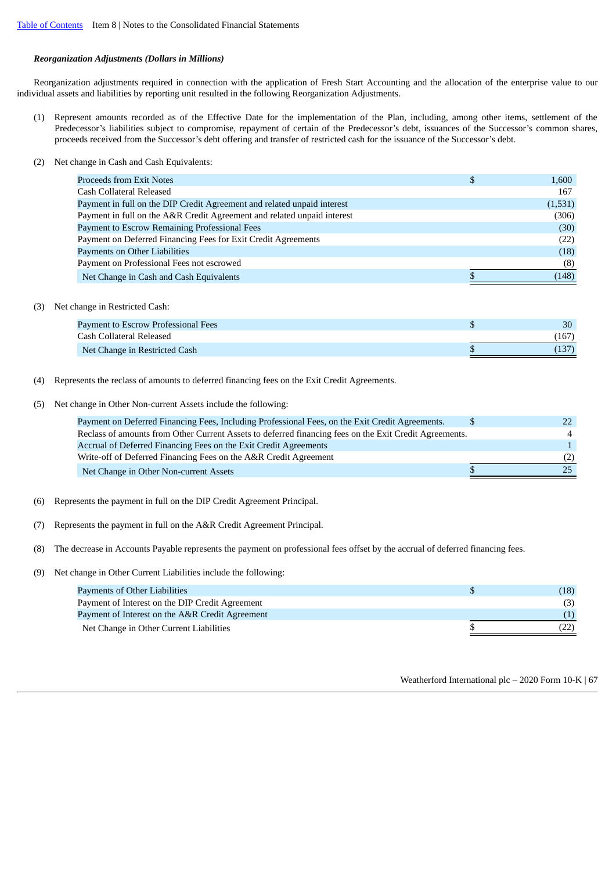# *Reorganization Adjustments (Dollars in Millions)*

Reorganization adjustments required in connection with the application of Fresh Start Accounting and the allocation of the enterprise value to our individual assets and liabilities by reporting unit resulted in the following Reorganization Adjustments.

- (1) Represent amounts recorded as of the Effective Date for the implementation of the Plan, including, among other items, settlement of the Predecessor's liabilities subject to compromise, repayment of certain of the Predecessor's debt, issuances of the Successor's common shares, proceeds received from the Successor's debt offering and transfer of restricted cash for the issuance of the Successor's debt.
- (2) Net change in Cash and Cash Equivalents:

| Proceeds from Exit Notes                                                | S | 1,600   |
|-------------------------------------------------------------------------|---|---------|
| Cash Collateral Released                                                |   | 167     |
| Payment in full on the DIP Credit Agreement and related unpaid interest |   | (1,531) |
| Payment in full on the A&R Credit Agreement and related unpaid interest |   | (306)   |
| Payment to Escrow Remaining Professional Fees                           |   | (30)    |
| Payment on Deferred Financing Fees for Exit Credit Agreements           |   | (22)    |
| Payments on Other Liabilities                                           |   | (18)    |
| Payment on Professional Fees not escrowed                               |   | (8)     |
| Net Change in Cash and Cash Equivalents                                 |   | (148)   |

(3) Net change in Restricted Cash:

| Payment to Escrow Professional Fees | 30 |
|-------------------------------------|----|
| Cash Collateral Released            |    |
| Net Change in Restricted Cash       |    |

- (4) Represents the reclass of amounts to deferred financing fees on the Exit Credit Agreements.
- (5) Net change in Other Non-current Assets include the following:

| Payment on Deferred Financing Fees, Including Professional Fees, on the Exit Credit Agreements.        | P. |              |
|--------------------------------------------------------------------------------------------------------|----|--------------|
| Reclass of amounts from Other Current Assets to deferred financing fees on the Exit Credit Agreements. |    | $\mathbf{A}$ |
| Accrual of Deferred Financing Fees on the Exit Credit Agreements                                       |    | $\mathbf{1}$ |
| Write-off of Deferred Financing Fees on the A&R Credit Agreement                                       |    | (2)          |
| Net Change in Other Non-current Assets                                                                 |    |              |
|                                                                                                        |    |              |

- (6) Represents the payment in full on the DIP Credit Agreement Principal.
- (7) Represents the payment in full on the A&R Credit Agreement Principal.
- (8) The decrease in Accounts Payable represents the payment on professional fees offset by the accrual of deferred financing fees.
- (9) Net change in Other Current Liabilities include the following:

| Payments of Other Liabilities                   | (18) |
|-------------------------------------------------|------|
| Payment of Interest on the DIP Credit Agreement |      |
| Payment of Interest on the A&R Credit Agreement |      |
| Net Change in Other Current Liabilities         |      |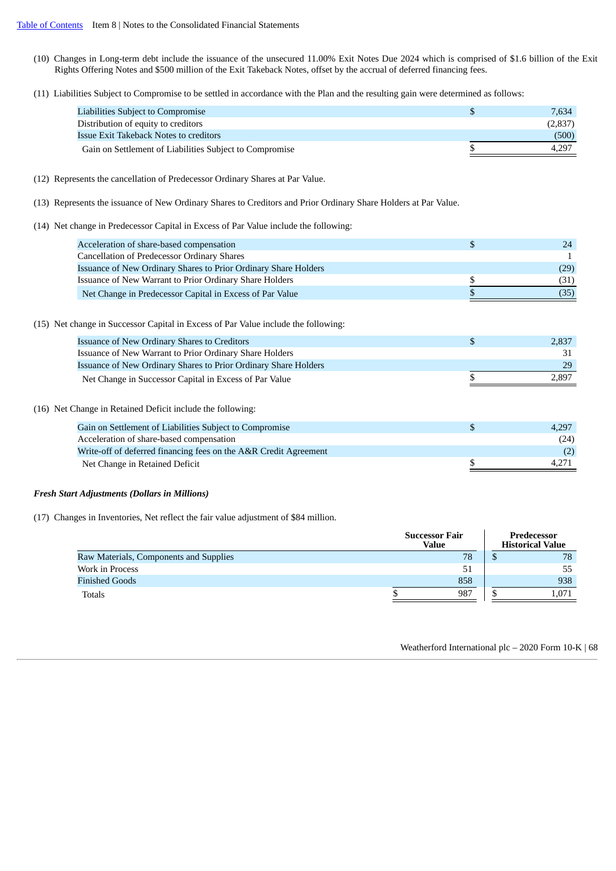- (10) Changes in Long-term debt include the issuance of the unsecured 11.00% Exit Notes Due 2024 which is comprised of \$1.6 billion of the Exit Rights Offering Notes and \$500 million of the Exit Takeback Notes, offset by the accrual of deferred financing fees.
- (11) Liabilities Subject to Compromise to be settled in accordance with the Plan and the resulting gain were determined as follows:

| Liabilities Subject to Compromise                       | 7.634   |
|---------------------------------------------------------|---------|
| Distribution of equity to creditors                     | (2,837) |
| Issue Exit Takeback Notes to creditors                  | (500)   |
| Gain on Settlement of Liabilities Subject to Compromise | 4.297   |

- (12) Represents the cancellation of Predecessor Ordinary Shares at Par Value.
- (13) Represents the issuance of New Ordinary Shares to Creditors and Prior Ordinary Share Holders at Par Value.
- (14) Net change in Predecessor Capital in Excess of Par Value include the following:

| Acceleration of share-based compensation                        | 24   |
|-----------------------------------------------------------------|------|
| Cancellation of Predecessor Ordinary Shares                     |      |
| Issuance of New Ordinary Shares to Prior Ordinary Share Holders | (29) |
| Issuance of New Warrant to Prior Ordinary Share Holders         | (31) |
| Net Change in Predecessor Capital in Excess of Par Value        | (35) |

(15) Net change in Successor Capital in Excess of Par Value include the following:

| Issuance of New Ordinary Shares to Creditors                    | 2.837 |
|-----------------------------------------------------------------|-------|
| Issuance of New Warrant to Prior Ordinary Share Holders         |       |
| Issuance of New Ordinary Shares to Prior Ordinary Share Holders | 29    |
| Net Change in Successor Capital in Excess of Par Value          | 2.897 |

# (16) Net Change in Retained Deficit include the following:

| Gain on Settlement of Liabilities Subject to Compromise          | 4.297 |
|------------------------------------------------------------------|-------|
| Acceleration of share-based compensation                         | (24)  |
| Write-off of deferred financing fees on the A&R Credit Agreement | (2)   |
| Net Change in Retained Deficit                                   | 4.271 |

# *Fresh Start Adjustments (Dollars in Millions)*

(17) Changes in Inventories, Net reflect the fair value adjustment of \$84 million.

|                                        | <b>Successor Fair</b><br>Value | Predecessor<br><b>Historical Value</b> |       |  |
|----------------------------------------|--------------------------------|----------------------------------------|-------|--|
| Raw Materials, Components and Supplies | 78                             |                                        | 78    |  |
| Work in Process                        | 51                             |                                        | 55    |  |
| <b>Finished Goods</b>                  | 858                            |                                        | 938   |  |
| Totals                                 | 987                            |                                        | 1.071 |  |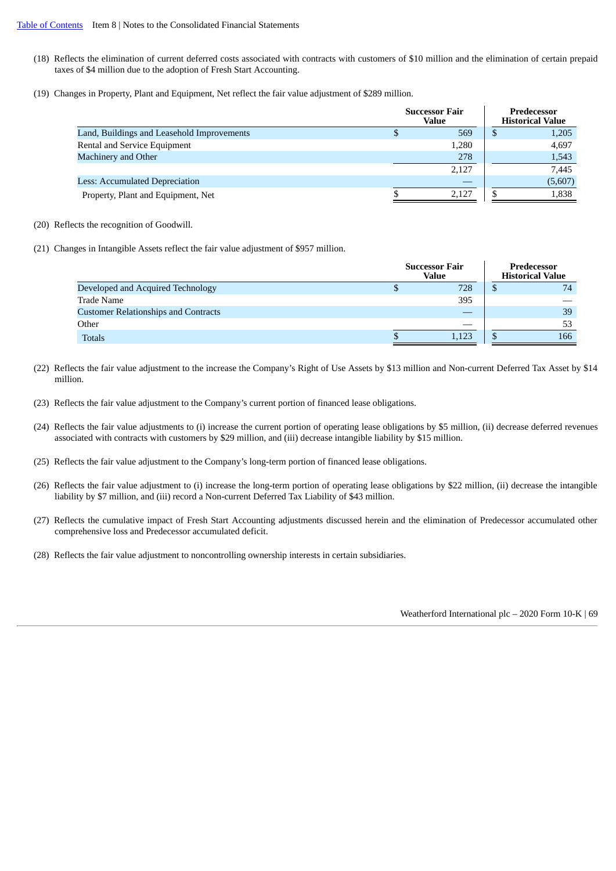- (18) Reflects the elimination of current deferred costs associated with contracts with customers of \$10 million and the elimination of certain prepaid taxes of \$4 million due to the adoption of Fresh Start Accounting.
- (19) Changes in Property, Plant and Equipment, Net reflect the fair value adjustment of \$289 million.

|                                            |   | <b>Successor Fair</b><br>Value |  | Predecessor<br><b>Historical Value</b> |
|--------------------------------------------|---|--------------------------------|--|----------------------------------------|
| Land, Buildings and Leasehold Improvements | Φ | 569                            |  | 1,205                                  |
| Rental and Service Equipment               |   | 1,280                          |  | 4,697                                  |
| Machinery and Other                        |   | 278                            |  | 1,543                                  |
|                                            |   | 2,127                          |  | 7.445                                  |
| <b>Less: Accumulated Depreciation</b>      |   |                                |  | (5,607)                                |
| Property, Plant and Equipment, Net         |   | 2,127                          |  | 1,838                                  |

# (20) Reflects the recognition of Goodwill.

(21) Changes in Intangible Assets reflect the fair value adjustment of \$957 million.

|                                             | <b>Successor Fair</b><br><b>Value</b> |       | Predecessor<br><b>Historical Value</b> |     |
|---------------------------------------------|---------------------------------------|-------|----------------------------------------|-----|
| Developed and Acquired Technology           |                                       | 728   |                                        | 74  |
| Trade Name                                  |                                       | 395   |                                        |     |
| <b>Customer Relationships and Contracts</b> |                                       | _     |                                        | 39  |
| Other                                       |                                       |       |                                        | 53  |
| <b>Totals</b>                               |                                       | 1,123 |                                        | 166 |

- (22) Reflects the fair value adjustment to the increase the Company's Right of Use Assets by \$13 million and Non-current Deferred Tax Asset by \$14 million.
- (23) Reflects the fair value adjustment to the Company's current portion of financed lease obligations.
- (24) Reflects the fair value adjustments to (i) increase the current portion of operating lease obligations by \$5 million, (ii) decrease deferred revenues associated with contracts with customers by \$29 million, and (iii) decrease intangible liability by \$15 million.
- (25) Reflects the fair value adjustment to the Company's long-term portion of financed lease obligations.
- (26) Reflects the fair value adjustment to (i) increase the long-term portion of operating lease obligations by \$22 million, (ii) decrease the intangible liability by \$7 million, and (iii) record a Non-current Deferred Tax Liability of \$43 million.
- (27) Reflects the cumulative impact of Fresh Start Accounting adjustments discussed herein and the elimination of Predecessor accumulated other comprehensive loss and Predecessor accumulated deficit.
- (28) Reflects the fair value adjustment to noncontrolling ownership interests in certain subsidiaries.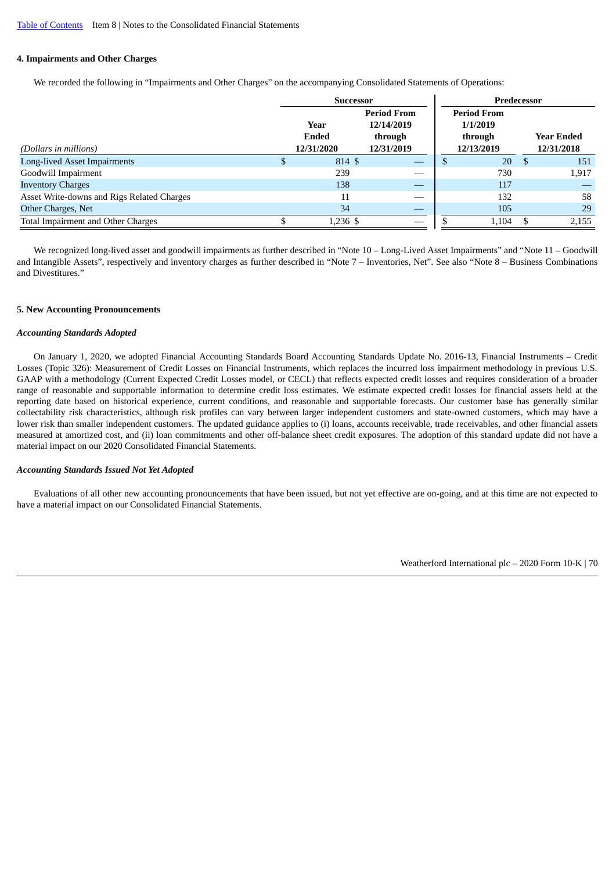# **4. Impairments and Other Charges**

We recorded the following in "Impairments and Other Charges" on the accompanying Consolidated Statements of Operations:

|                                            | <b>Successor</b> |            |                                | Predecessor        |          |    |                   |
|--------------------------------------------|------------------|------------|--------------------------------|--------------------|----------|----|-------------------|
|                                            |                  |            | <b>Period From</b>             | <b>Period From</b> |          |    |                   |
|                                            |                  | Year       | 12/14/2019                     |                    | 1/1/2019 |    |                   |
|                                            |                  | Ended      | through                        |                    | through  |    | <b>Year Ended</b> |
| (Dollars in millions)                      |                  | 12/31/2020 | 12/31/2019                     | 12/13/2019         |          |    | 12/31/2018        |
| Long-lived Asset Impairments               |                  | 814 \$     |                                |                    | 20       | -S | 151               |
| Goodwill Impairment                        |                  | 239        |                                |                    | 730      |    | 1,917             |
| <b>Inventory Charges</b>                   |                  | 138        | $-$                            |                    | 117      |    |                   |
| Asset Write-downs and Rigs Related Charges |                  | 11         | $\overbrace{\hspace{25mm}}^{}$ |                    | 132      |    | 58                |
| Other Charges, Net                         |                  | 34         | –                              |                    | 105      |    | 29                |
| Total Impairment and Other Charges         |                  | 1,236 \$   |                                |                    | 1,104    | S  | 2,155             |

We recognized long-lived asset and goodwill impairments as further described in "Note 10 – Long-Lived Asset Impairments" and "Note 11 – Goodwill and Intangible Assets", respectively and inventory charges as further described in "Note 7 – Inventories, Net". See also "Note 8 – Business Combinations and Divestitures."

### **5. New Accounting Pronouncements**

#### *Accounting Standards Adopted*

On January 1, 2020, we adopted Financial Accounting Standards Board Accounting Standards Update No. 2016-13, Financial Instruments – Credit Losses (Topic 326): Measurement of Credit Losses on Financial Instruments, which replaces the incurred loss impairment methodology in previous U.S. GAAP with a methodology (Current Expected Credit Losses model, or CECL) that reflects expected credit losses and requires consideration of a broader range of reasonable and supportable information to determine credit loss estimates. We estimate expected credit losses for financial assets held at the reporting date based on historical experience, current conditions, and reasonable and supportable forecasts. Our customer base has generally similar collectability risk characteristics, although risk profiles can vary between larger independent customers and state-owned customers, which may have a lower risk than smaller independent customers. The updated guidance applies to (i) loans, accounts receivable, trade receivables, and other financial assets measured at amortized cost, and (ii) loan commitments and other off-balance sheet credit exposures. The adoption of this standard update did not have a material impact on our 2020 Consolidated Financial Statements.

# *Accounting Standards Issued Not Yet Adopted*

Evaluations of all other new accounting pronouncements that have been issued, but not yet effective are on-going, and at this time are not expected to have a material impact on our Consolidated Financial Statements.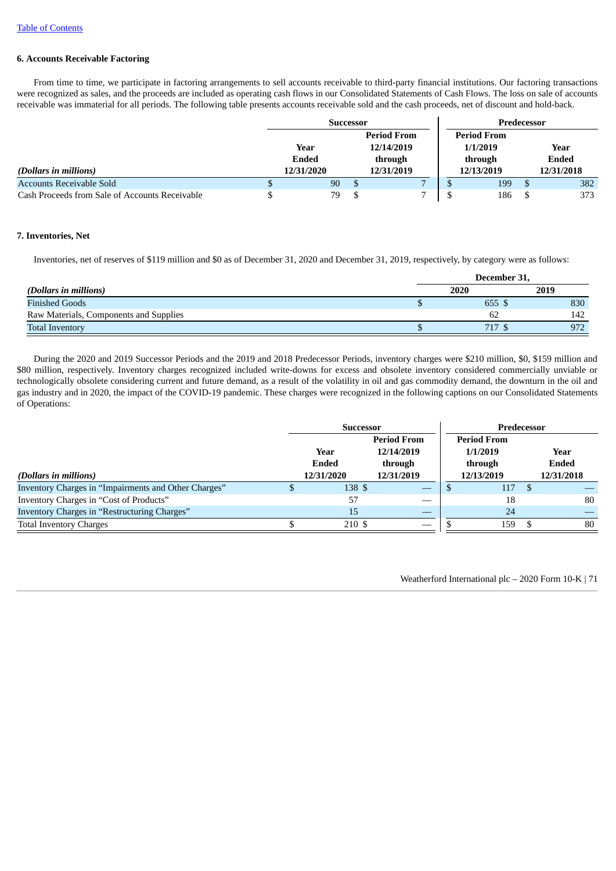# **6. Accounts Receivable Factoring**

From time to time, we participate in factoring arrangements to sell accounts receivable to third-party financial institutions. Our factoring transactions were recognized as sales, and the proceeds are included as operating cash flows in our Consolidated Statements of Cash Flows. The loss on sale of accounts receivable was immaterial for all periods. The following table presents accounts receivable sold and the cash proceeds, net of discount and hold-back.

|                                                | <b>Successor</b> |  |                    |  |         | Predecessor        |       |            |  |
|------------------------------------------------|------------------|--|--------------------|--|---------|--------------------|-------|------------|--|
|                                                |                  |  | <b>Period From</b> |  |         | <b>Period From</b> |       |            |  |
|                                                | Year             |  | 12/14/2019         |  |         | 1/1/2019           |       | Year       |  |
|                                                | Ended            |  | through            |  | through |                    | Ended |            |  |
| (Dollars in millions)                          | 12/31/2020       |  | 12/31/2019         |  |         | 12/13/2019         |       | 12/31/2018 |  |
| <b>Accounts Receivable Sold</b>                | 90               |  |                    |  |         | 199                |       | 382        |  |
| Cash Proceeds from Sale of Accounts Receivable | 79               |  |                    |  |         | 186                |       | 373        |  |

# **7. Inventories, Net**

Inventories, net of reserves of \$119 million and \$0 as of December 31, 2020 and December 31, 2019, respectively, by category were as follows:

|                                        | December 31, |      |  |
|----------------------------------------|--------------|------|--|
| (Dollars in millions)                  | 2020         | 2019 |  |
| <b>Finished Goods</b>                  | 655 \$       | 830  |  |
| Raw Materials, Components and Supplies | 62           | 142  |  |
| <b>Total Inventory</b>                 | 717 \$       | 972  |  |

During the 2020 and 2019 Successor Periods and the 2019 and 2018 Predecessor Periods, inventory charges were \$210 million, \$0, \$159 million and \$80 million, respectively. Inventory charges recognized included write-downs for excess and obsolete inventory considered commercially unviable or technologically obsolete considering current and future demand, as a result of the volatility in oil and gas commodity demand, the downturn in the oil and gas industry and in 2020, the impact of the COVID-19 pandemic. These charges were recognized in the following captions on our Consolidated Statements of Operations:

|                                                      | Successor |            |                    |    | Predecessor        |  |            |  |  |
|------------------------------------------------------|-----------|------------|--------------------|----|--------------------|--|------------|--|--|
|                                                      |           |            | <b>Period From</b> |    | <b>Period From</b> |  |            |  |  |
|                                                      |           | Year       | 12/14/2019         |    | 1/1/2019           |  | Year       |  |  |
|                                                      |           | Ended      | through            |    | through            |  | Ended      |  |  |
| (Dollars in millions)                                |           | 12/31/2020 | 12/31/2019         |    | 12/13/2019         |  | 12/31/2018 |  |  |
| Inventory Charges in "Impairments and Other Charges" |           | 138 \$     |                    | ۰D | 117                |  |            |  |  |
| Inventory Charges in "Cost of Products"              |           | 57         |                    |    | 18                 |  | 80         |  |  |
| Inventory Charges in "Restructuring Charges"         |           | 15         |                    |    | 24                 |  |            |  |  |
| <b>Total Inventory Charges</b>                       |           | 210 \$     | _                  |    | 159                |  | 80         |  |  |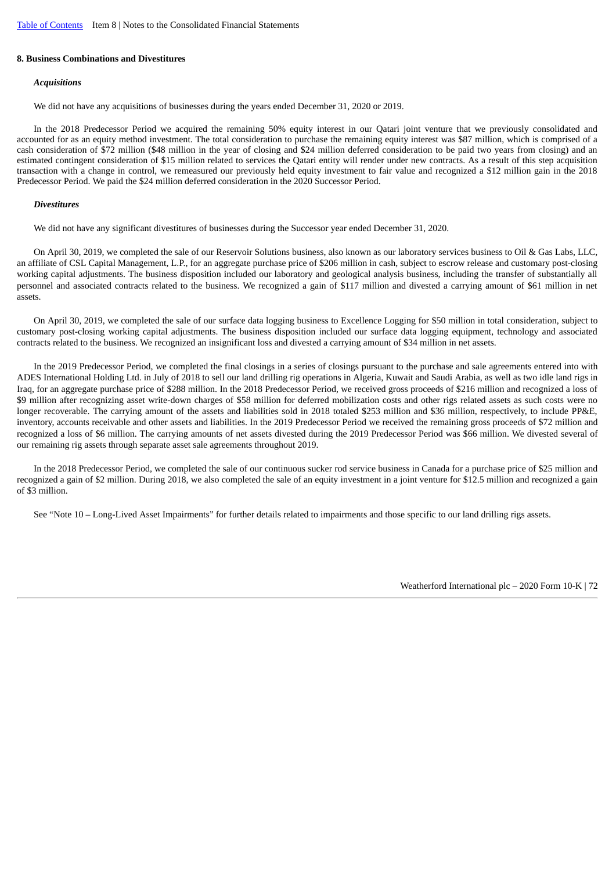## **8. Business Combinations and Divestitures**

### *Acquisitions*

We did not have any acquisitions of businesses during the years ended December 31, 2020 or 2019.

In the 2018 Predecessor Period we acquired the remaining 50% equity interest in our Qatari joint venture that we previously consolidated and accounted for as an equity method investment. The total consideration to purchase the remaining equity interest was \$87 million, which is comprised of a cash consideration of \$72 million (\$48 million in the year of closing and \$24 million deferred consideration to be paid two years from closing) and an estimated contingent consideration of \$15 million related to services the Qatari entity will render under new contracts. As a result of this step acquisition transaction with a change in control, we remeasured our previously held equity investment to fair value and recognized a \$12 million gain in the 2018 Predecessor Period. We paid the \$24 million deferred consideration in the 2020 Successor Period.

## *Divestitures*

We did not have any significant divestitures of businesses during the Successor year ended December 31, 2020.

On April 30, 2019, we completed the sale of our Reservoir Solutions business, also known as our laboratory services business to Oil & Gas Labs, LLC, an affiliate of CSL Capital Management, L.P., for an aggregate purchase price of \$206 million in cash, subject to escrow release and customary post-closing working capital adjustments. The business disposition included our laboratory and geological analysis business, including the transfer of substantially all personnel and associated contracts related to the business. We recognized a gain of \$117 million and divested a carrying amount of \$61 million in net assets.

On April 30, 2019, we completed the sale of our surface data logging business to Excellence Logging for \$50 million in total consideration, subject to customary post-closing working capital adjustments. The business disposition included our surface data logging equipment, technology and associated contracts related to the business. We recognized an insignificant loss and divested a carrying amount of \$34 million in net assets.

In the 2019 Predecessor Period, we completed the final closings in a series of closings pursuant to the purchase and sale agreements entered into with ADES International Holding Ltd. in July of 2018 to sell our land drilling rig operations in Algeria, Kuwait and Saudi Arabia, as well as two idle land rigs in Iraq, for an aggregate purchase price of \$288 million. In the 2018 Predecessor Period, we received gross proceeds of \$216 million and recognized a loss of \$9 million after recognizing asset write-down charges of \$58 million for deferred mobilization costs and other rigs related assets as such costs were no longer recoverable. The carrying amount of the assets and liabilities sold in 2018 totaled \$253 million and \$36 million, respectively, to include PP&E, inventory, accounts receivable and other assets and liabilities. In the 2019 Predecessor Period we received the remaining gross proceeds of \$72 million and recognized a loss of \$6 million. The carrying amounts of net assets divested during the 2019 Predecessor Period was \$66 million. We divested several of our remaining rig assets through separate asset sale agreements throughout 2019.

In the 2018 Predecessor Period, we completed the sale of our continuous sucker rod service business in Canada for a purchase price of \$25 million and recognized a gain of \$2 million. During 2018, we also completed the sale of an equity investment in a joint venture for \$12.5 million and recognized a gain of \$3 million.

See "Note 10 – Long-Lived Asset Impairments" for further details related to impairments and those specific to our land drilling rigs assets.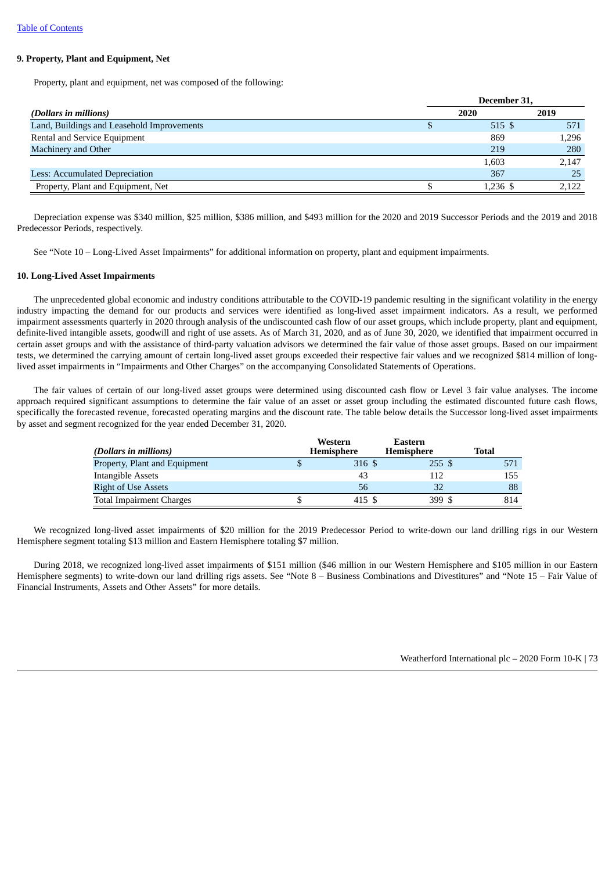# **9. Property, Plant and Equipment, Net**

Property, plant and equipment, net was composed of the following:

|                                            | December 31. |            |       |  |  |  |  |  |
|--------------------------------------------|--------------|------------|-------|--|--|--|--|--|
| (Dollars in millions)                      |              | 2020       | 2019  |  |  |  |  |  |
| Land, Buildings and Leasehold Improvements |              | 515 S      | 571   |  |  |  |  |  |
| Rental and Service Equipment               |              | 869        | 1,296 |  |  |  |  |  |
| Machinery and Other                        |              | 219        | 280   |  |  |  |  |  |
|                                            |              | 1,603      | 2,147 |  |  |  |  |  |
| Less: Accumulated Depreciation             |              | 367        | 25    |  |  |  |  |  |
| Property, Plant and Equipment, Net         |              | $1,236$ \$ | 2,122 |  |  |  |  |  |

Depreciation expense was \$340 million, \$25 million, \$386 million, and \$493 million for the 2020 and 2019 Successor Periods and the 2019 and 2018 Predecessor Periods, respectively.

See "Note 10 – Long-Lived Asset Impairments" for additional information on property, plant and equipment impairments.

# **10. Long-Lived Asset Impairments**

The unprecedented global economic and industry conditions attributable to the COVID-19 pandemic resulting in the significant volatility in the energy industry impacting the demand for our products and services were identified as long-lived asset impairment indicators. As a result, we performed impairment assessments quarterly in 2020 through analysis of the undiscounted cash flow of our asset groups, which include property, plant and equipment, definite-lived intangible assets, goodwill and right of use assets. As of March 31, 2020, and as of June 30, 2020, we identified that impairment occurred in certain asset groups and with the assistance of third-party valuation advisors we determined the fair value of those asset groups. Based on our impairment tests, we determined the carrying amount of certain long-lived asset groups exceeded their respective fair values and we recognized \$814 million of longlived asset impairments in "Impairments and Other Charges" on the accompanying Consolidated Statements of Operations.

The fair values of certain of our long-lived asset groups were determined using discounted cash flow or Level 3 fair value analyses. The income approach required significant assumptions to determine the fair value of an asset or asset group including the estimated discounted future cash flows, specifically the forecasted revenue, forecasted operating margins and the discount rate. The table below details the Successor long-lived asset impairments by asset and segment recognized for the year ended December 31, 2020.

| (Dollars in millions)           | Western<br><b>Hemisphere</b> | Eastern<br>Hemisphere | Total |     |
|---------------------------------|------------------------------|-----------------------|-------|-----|
| Property, Plant and Equipment   | 316 \$                       | 255S                  |       | 571 |
| Intangible Assets               | 43                           | 112                   |       | 155 |
| <b>Right of Use Assets</b>      | 56                           | 32                    |       | 88  |
| <b>Total Impairment Charges</b> | 415 \$                       | 399 \$                |       | 814 |

We recognized long-lived asset impairments of \$20 million for the 2019 Predecessor Period to write-down our land drilling rigs in our Western Hemisphere segment totaling \$13 million and Eastern Hemisphere totaling \$7 million.

During 2018, we recognized long-lived asset impairments of \$151 million (\$46 million in our Western Hemisphere and \$105 million in our Eastern Hemisphere segments) to write-down our land drilling rigs assets. See "Note 8 – Business Combinations and Divestitures" and "Note 15 – Fair Value of Financial Instruments, Assets and Other Assets" for more details.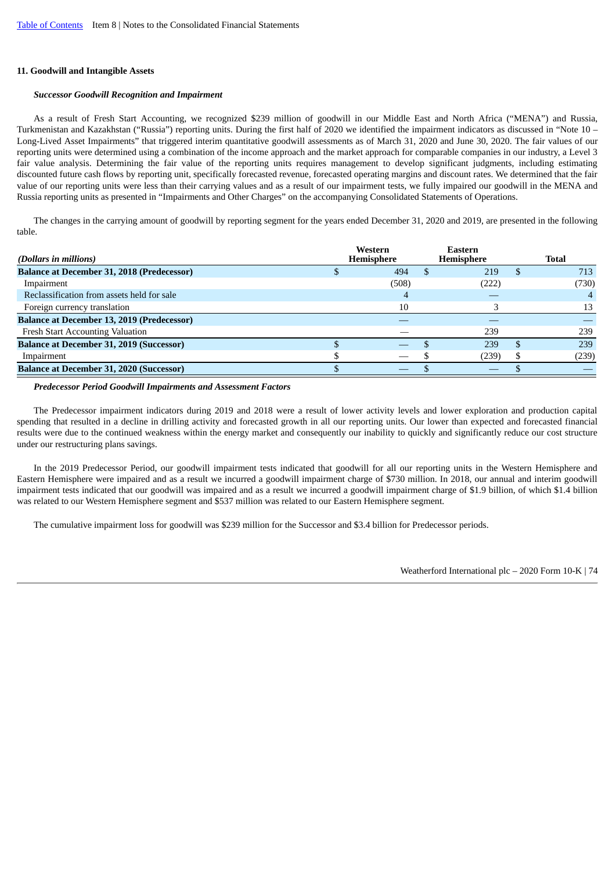### **11. Goodwill and Intangible Assets**

#### *Successor Goodwill Recognition and Impairment*

As a result of Fresh Start Accounting, we recognized \$239 million of goodwill in our Middle East and North Africa ("MENA") and Russia, Turkmenistan and Kazakhstan ("Russia") reporting units. During the first half of 2020 we identified the impairment indicators as discussed in "Note 10 – Long-Lived Asset Impairments" that triggered interim quantitative goodwill assessments as of March 31, 2020 and June 30, 2020. The fair values of our reporting units were determined using a combination of the income approach and the market approach for comparable companies in our industry, a Level 3 fair value analysis. Determining the fair value of the reporting units requires management to develop significant judgments, including estimating discounted future cash flows by reporting unit, specifically forecasted revenue, forecasted operating margins and discount rates. We determined that the fair value of our reporting units were less than their carrying values and as a result of our impairment tests, we fully impaired our goodwill in the MENA and Russia reporting units as presented in "Impairments and Other Charges" on the accompanying Consolidated Statements of Operations.

The changes in the carrying amount of goodwill by reporting segment for the years ended December 31, 2020 and 2019, are presented in the following table.

|                                                   | Western |            |  | Eastern           |       |                |  |
|---------------------------------------------------|---------|------------|--|-------------------|-------|----------------|--|
| (Dollars in millions)                             |         | Hemisphere |  | <b>Hemisphere</b> | Total |                |  |
| <b>Balance at December 31, 2018 (Predecessor)</b> |         | 494        |  | 219               |       | 713            |  |
| Impairment                                        |         | (508)      |  | (222)             |       | (730)          |  |
| Reclassification from assets held for sale        |         | 4          |  |                   |       | $\overline{4}$ |  |
| Foreign currency translation                      |         | 10         |  |                   |       | 13             |  |
| <b>Balance at December 13, 2019 (Predecessor)</b> |         |            |  |                   |       |                |  |
| <b>Fresh Start Accounting Valuation</b>           |         |            |  | 239               |       | 239            |  |
| <b>Balance at December 31, 2019 (Successor)</b>   |         |            |  | 239               | S.    | 239            |  |
| Impairment                                        |         |            |  | (239)             |       | (239)          |  |
| <b>Balance at December 31, 2020 (Successor)</b>   |         |            |  |                   |       |                |  |

#### *Predecessor Period Goodwill Impairments and Assessment Factors*

The Predecessor impairment indicators during 2019 and 2018 were a result of lower activity levels and lower exploration and production capital spending that resulted in a decline in drilling activity and forecasted growth in all our reporting units. Our lower than expected and forecasted financial results were due to the continued weakness within the energy market and consequently our inability to quickly and significantly reduce our cost structure under our restructuring plans savings.

In the 2019 Predecessor Period, our goodwill impairment tests indicated that goodwill for all our reporting units in the Western Hemisphere and Eastern Hemisphere were impaired and as a result we incurred a goodwill impairment charge of \$730 million. In 2018, our annual and interim goodwill impairment tests indicated that our goodwill was impaired and as a result we incurred a goodwill impairment charge of \$1.9 billion, of which \$1.4 billion was related to our Western Hemisphere segment and \$537 million was related to our Eastern Hemisphere segment.

The cumulative impairment loss for goodwill was \$239 million for the Successor and \$3.4 billion for Predecessor periods.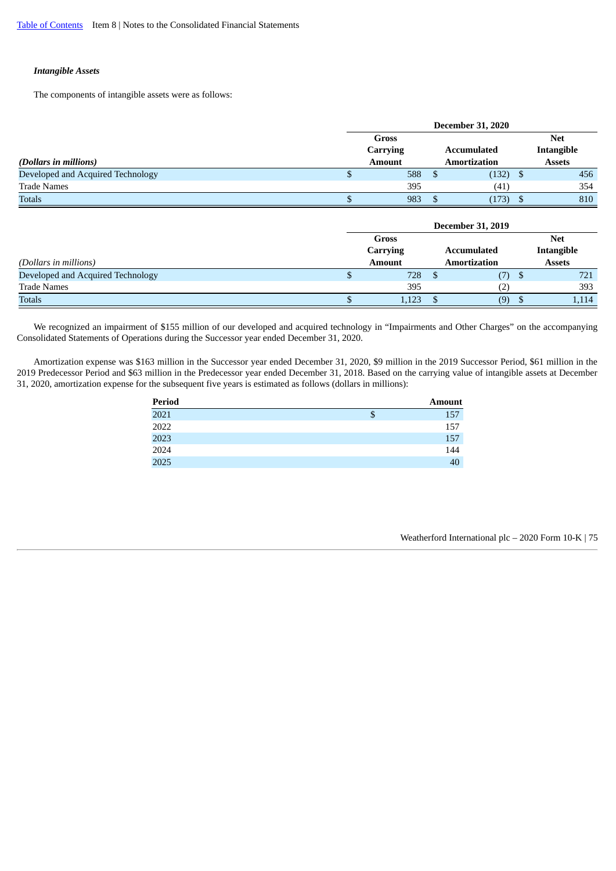# *Intangible Assets*

The components of intangible assets were as follows:

| <b>December 31, 2020</b> |               |  |                     |  |               |  |  |
|--------------------------|---------------|--|---------------------|--|---------------|--|--|
|                          | Gross         |  |                     |  | <b>Net</b>    |  |  |
|                          | Carrying      |  | Accumulated         |  | Intangible    |  |  |
|                          | <b>Amount</b> |  | <b>Amortization</b> |  | <b>Assets</b> |  |  |
| Φ                        | 588           |  | (132)               |  | 456           |  |  |
|                          | 395           |  | (41)                |  | 354           |  |  |
|                          | 983           |  | (173)               |  | 810           |  |  |
|                          |               |  |                     |  |               |  |  |

|                                   | <b>December 31, 2019</b> |  |                     |     |                          |  |  |  |
|-----------------------------------|--------------------------|--|---------------------|-----|--------------------------|--|--|--|
|                                   | Gross<br><b>Carrying</b> |  | Accumulated         |     | <b>Net</b><br>Intangible |  |  |  |
| (Dollars in millions)             | <b>Amount</b>            |  | <b>Amortization</b> |     | <b>Assets</b>            |  |  |  |
| Developed and Acquired Technology | 728                      |  | (7)                 | ⊩ D | 721                      |  |  |  |
| <b>Trade Names</b>                | 395                      |  | (2)                 |     | 393                      |  |  |  |
| <b>Totals</b>                     | 1,123                    |  | (9)                 |     | 1,114                    |  |  |  |

We recognized an impairment of \$155 million of our developed and acquired technology in "Impairments and Other Charges" on the accompanying Consolidated Statements of Operations during the Successor year ended December 31, 2020.

Amortization expense was \$163 million in the Successor year ended December 31, 2020, \$9 million in the 2019 Successor Period, \$61 million in the 2019 Predecessor Period and \$63 million in the Predecessor year ended December 31, 2018. Based on the carrying value of intangible assets at December 31, 2020, amortization expense for the subsequent five years is estimated as follows (dollars in millions):

| <b>Period</b> |   | <b>Amount</b> |
|---------------|---|---------------|
| 2021          | Č | 157           |
| 2022          |   | 157           |
| 2023          |   | 157           |
| 2024          |   | 144           |
| 2025          |   | 40            |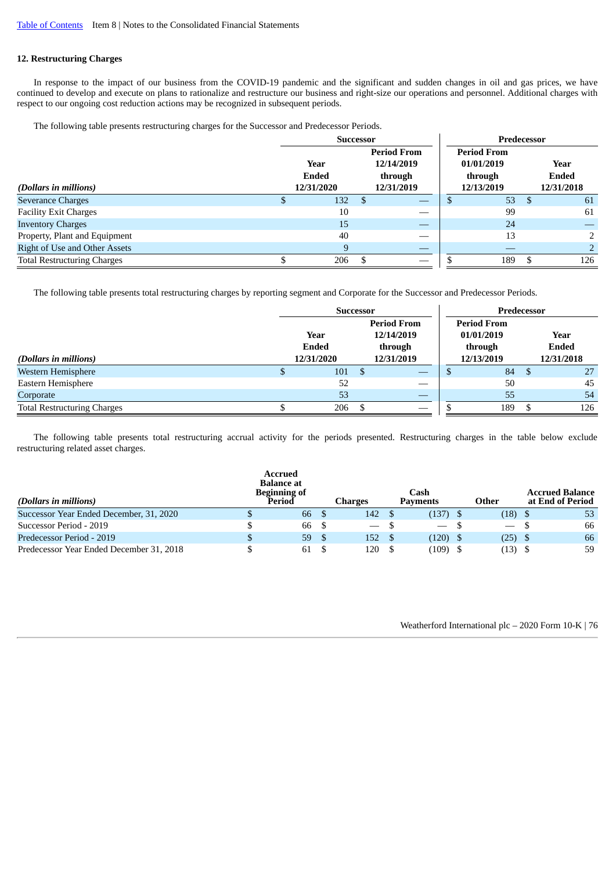# **12. Restructuring Charges**

In response to the impact of our business from the COVID-19 pandemic and the significant and sudden changes in oil and gas prices, we have continued to develop and execute on plans to rationalize and restructure our business and right-size our operations and personnel. Additional charges with respect to our ongoing cost reduction actions may be recognized in subsequent periods.

The following table presents restructuring charges for the Successor and Predecessor Periods.

|                                    | Successor |                             |                                                           |                          |  |                                                           | Predecessor |                             |  |
|------------------------------------|-----------|-----------------------------|-----------------------------------------------------------|--------------------------|--|-----------------------------------------------------------|-------------|-----------------------------|--|
| (Dollars in millions)              |           | Year<br>Ended<br>12/31/2020 | <b>Period From</b><br>12/14/2019<br>through<br>12/31/2019 |                          |  | <b>Period From</b><br>01/01/2019<br>through<br>12/13/2019 |             | Year<br>Ended<br>12/31/2018 |  |
| <b>Severance Charges</b>           |           | 132                         | -S                                                        | $\overline{\phantom{m}}$ |  | 53                                                        | - \$        | 61                          |  |
| <b>Facility Exit Charges</b>       |           | 10                          |                                                           | __                       |  | 99                                                        |             | 61                          |  |
| <b>Inventory Charges</b>           |           | 15                          |                                                           | __                       |  | 24                                                        |             |                             |  |
| Property, Plant and Equipment      |           | 40                          |                                                           |                          |  | 13                                                        |             |                             |  |
| Right of Use and Other Assets      |           | 9                           |                                                           | $-$                      |  |                                                           |             |                             |  |
| <b>Total Restructuring Charges</b> |           | 206                         | -S                                                        |                          |  | 189                                                       |             | 126                         |  |

The following table presents total restructuring charges by reporting segment and Corporate for the Successor and Predecessor Periods.

|                                    | Successor                                |     |         |                    |         | Predecessor |              |            |  |
|------------------------------------|------------------------------------------|-----|---------|--------------------|---------|-------------|--------------|------------|--|
|                                    | <b>Period From</b><br>12/14/2019<br>Year |     |         | <b>Period From</b> |         |             |              |            |  |
|                                    |                                          |     |         | 01/01/2019         |         | Year        |              |            |  |
|                                    | <b>Ended</b>                             |     | through |                    | through |             | <b>Ended</b> |            |  |
| (Dollars in millions)              | 12/31/2020                               |     |         | 12/31/2019         |         | 12/13/2019  |              | 12/31/2018 |  |
| Western Hemisphere                 |                                          | 101 | S       |                    |         | 84          | - \$         | 27         |  |
| Eastern Hemisphere                 |                                          | 52  |         | __                 |         | 50          |              | 45         |  |
| Corporate                          |                                          | 53  |         | __                 |         | 55          |              | 54         |  |
| <b>Total Restructuring Charges</b> |                                          | 206 |         |                    |         | 189         |              | 126        |  |

The following table presents total restructuring accrual activity for the periods presented. Restructuring charges in the table below exclude restructuring related asset charges.

|                                          | Accrued<br><b>Balance</b> at  |      |         |                         |           |                                            |
|------------------------------------------|-------------------------------|------|---------|-------------------------|-----------|--------------------------------------------|
| (Dollars in millions)                    | <b>Beginning of</b><br>Period |      | Charges | Cash<br><b>Payments</b> | Other     | <b>Accrued Balance</b><br>at End of Period |
| Successor Year Ended December, 31, 2020  | 66                            |      | 142.    | (137)                   | $(18)$ \$ | 53                                         |
| Successor Period - 2019                  | 66 \$                         |      |         | $\hspace{0.05cm}$       |           | 66                                         |
| Predecessor Period - 2019                | 59                            | - \$ | 152     | (120)                   | $(25)$ \$ | 66                                         |
| Predecessor Year Ended December 31, 2018 | 61                            |      | 120     | (109)                   | $(13)$ \$ | 59                                         |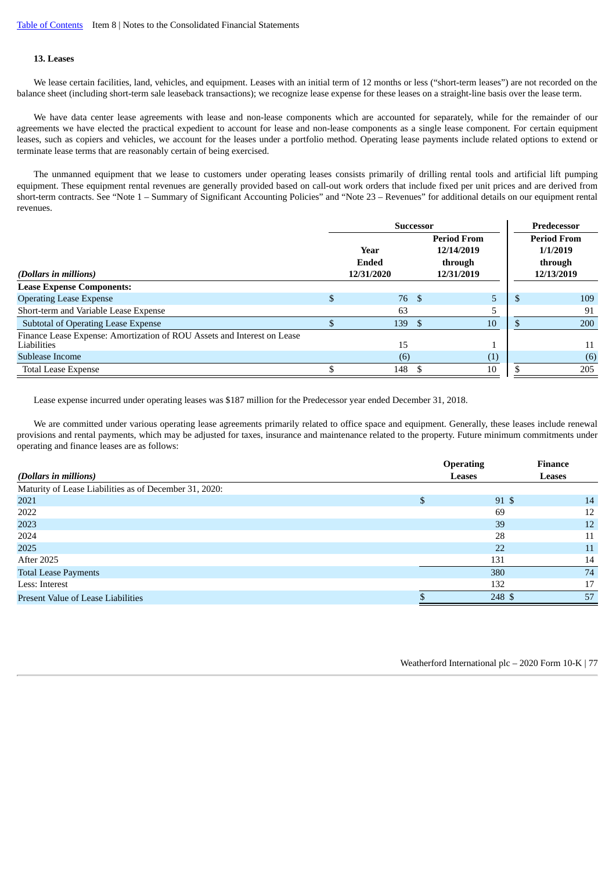# **13. Leases**

We lease certain facilities, land, vehicles, and equipment. Leases with an initial term of 12 months or less ("short-term leases") are not recorded on the balance sheet (including short-term sale leaseback transactions); we recognize lease expense for these leases on a straight-line basis over the lease term.

We have data center lease agreements with lease and non-lease components which are accounted for separately, while for the remainder of our agreements we have elected the practical expedient to account for lease and non-lease components as a single lease component. For certain equipment leases, such as copiers and vehicles, we account for the leases under a portfolio method. Operating lease payments include related options to extend or terminate lease terms that are reasonably certain of being exercised.

The unmanned equipment that we lease to customers under operating leases consists primarily of drilling rental tools and artificial lift pumping equipment. These equipment rental revenues are generally provided based on call-out work orders that include fixed per unit prices and are derived from short-term contracts. See "Note 1 – Summary of Significant Accounting Policies" and "Note 23 – Revenues" for additional details on our equipment rental revenues.

|                                                                                        |    | <b>Successor</b> |      | Predecessor                                               |   |                                                         |
|----------------------------------------------------------------------------------------|----|------------------|------|-----------------------------------------------------------|---|---------------------------------------------------------|
| Year<br>Ended<br>12/31/2020<br>(Dollars in millions)                                   |    |                  |      | <b>Period From</b><br>12/14/2019<br>through<br>12/31/2019 |   | <b>Period From</b><br>1/1/2019<br>through<br>12/13/2019 |
| <b>Lease Expense Components:</b>                                                       |    |                  |      |                                                           |   |                                                         |
| <b>Operating Lease Expense</b>                                                         | \$ | 76 \$            |      | 5                                                         | S | 109                                                     |
| Short-term and Variable Lease Expense                                                  |    | 63               |      |                                                           |   | 91                                                      |
| <b>Subtotal of Operating Lease Expense</b>                                             | \$ | 139              | - \$ | 10                                                        |   | 200                                                     |
| Finance Lease Expense: Amortization of ROU Assets and Interest on Lease<br>Liabilities |    | 15               |      |                                                           |   | 11                                                      |
| Sublease Income                                                                        |    | (6)              |      | $\left(1\right)$                                          |   | (6)                                                     |
| <b>Total Lease Expense</b>                                                             |    | 148              |      | 10                                                        |   | 205                                                     |

Lease expense incurred under operating leases was \$187 million for the Predecessor year ended December 31, 2018.

We are committed under various operating lease agreements primarily related to office space and equipment. Generally, these leases include renewal provisions and rental payments, which may be adjusted for taxes, insurance and maintenance related to the property. Future minimum commitments under operating and finance leases are as follows:

|                                                        |               | <b>Operating</b> | <b>Finance</b> |  |  |
|--------------------------------------------------------|---------------|------------------|----------------|--|--|
| (Dollars in millions)                                  | <b>Leases</b> |                  |                |  |  |
| Maturity of Lease Liabilities as of December 31, 2020: |               |                  |                |  |  |
| 2021                                                   | \$            | 91 \$            | 14             |  |  |
| 2022                                                   |               | 69               | 12             |  |  |
| 2023                                                   |               | 39               | 12             |  |  |
| 2024                                                   |               | 28               | 11             |  |  |
| 2025                                                   |               | 22               | 11             |  |  |
| <b>After 2025</b>                                      |               | 131              | 14             |  |  |
| <b>Total Lease Payments</b>                            |               | 380              | 74             |  |  |
| Less: Interest                                         |               | 132              | 17             |  |  |
| Present Value of Lease Liabilities                     |               | $248 \text{ } $$ | 57             |  |  |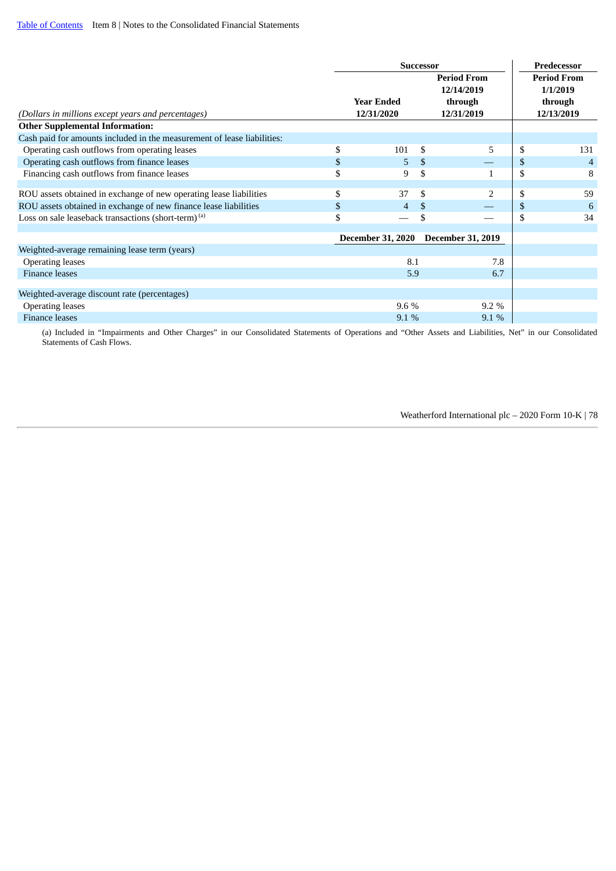|                                                                         |    | Predecessor                     |                                                           |    |                                                         |
|-------------------------------------------------------------------------|----|---------------------------------|-----------------------------------------------------------|----|---------------------------------------------------------|
| (Dollars in millions except years and percentages)                      |    | <b>Year Ended</b><br>12/31/2020 | <b>Period From</b><br>12/14/2019<br>through<br>12/31/2019 |    | <b>Period From</b><br>1/1/2019<br>through<br>12/13/2019 |
| <b>Other Supplemental Information:</b>                                  |    |                                 |                                                           |    |                                                         |
| Cash paid for amounts included in the measurement of lease liabilities: |    |                                 |                                                           |    |                                                         |
| Operating cash outflows from operating leases                           | \$ | 101                             | \$<br>5                                                   | \$ | 131                                                     |
| Operating cash outflows from finance leases                             | \$ | 5                               | \$                                                        | \$ | 4                                                       |
| Financing cash outflows from finance leases                             | \$ | 9                               | \$                                                        | \$ | 8                                                       |
|                                                                         |    |                                 |                                                           |    |                                                         |
| ROU assets obtained in exchange of new operating lease liabilities      | \$ | 37                              | \$<br>2                                                   | \$ | 59                                                      |
| ROU assets obtained in exchange of new finance lease liabilities        | \$ | $\overline{4}$                  | \$                                                        | \$ | 6                                                       |
| Loss on sale leaseback transactions (short-term) <sup>(a)</sup>         | \$ |                                 | \$                                                        | \$ | 34                                                      |
|                                                                         |    | <b>December 31, 2020</b>        | <b>December 31, 2019</b>                                  |    |                                                         |
| Weighted-average remaining lease term (years)                           |    |                                 |                                                           |    |                                                         |
| <b>Operating leases</b>                                                 |    | 8.1                             | 7.8                                                       |    |                                                         |
| <b>Finance leases</b>                                                   |    | 5.9                             | 6.7                                                       |    |                                                         |
|                                                                         |    |                                 |                                                           |    |                                                         |
| Weighted-average discount rate (percentages)                            |    |                                 |                                                           |    |                                                         |
| <b>Operating leases</b>                                                 |    | $9.6\%$                         | 9.2%                                                      |    |                                                         |
| <b>Finance leases</b>                                                   |    | 9.1 %                           | 9.1 %                                                     |    |                                                         |

(a) Included in "Impairments and Other Charges" in our Consolidated Statements of Operations and "Other Assets and Liabilities, Net" in our Consolidated Statements of Cash Flows.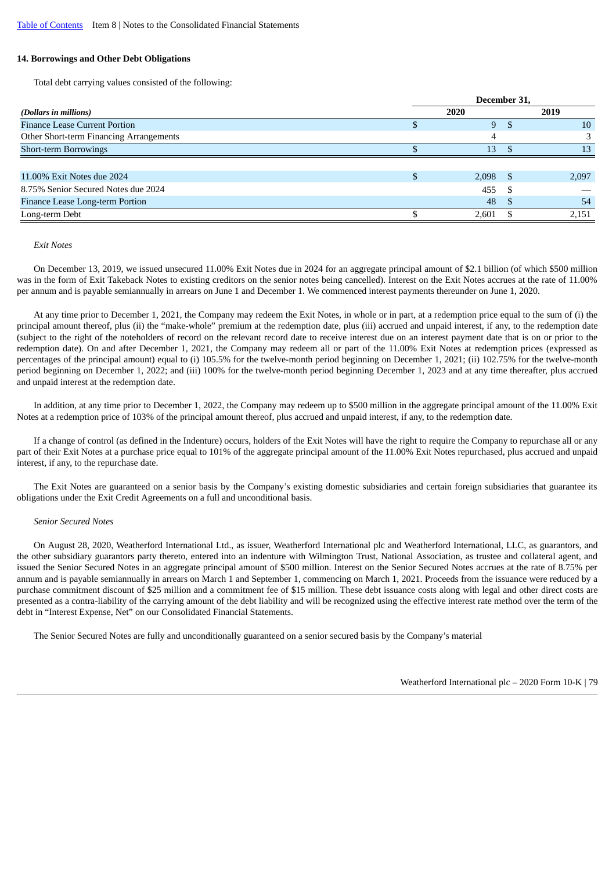# **14. Borrowings and Other Debt Obligations**

Total debt carrying values consisted of the following:

|                                         | December 31, |      |       |
|-----------------------------------------|--------------|------|-------|
| (Dollars in millions)                   | 2020         |      | 2019  |
| <b>Finance Lease Current Portion</b>    | 9            |      | 10    |
| Other Short-term Financing Arrangements | 4            |      |       |
| <b>Short-term Borrowings</b>            | 13           |      | 13    |
|                                         |              |      |       |
| 11.00% Exit Notes due 2024              | 2,098        | - \$ | 2,097 |
| 8.75% Senior Secured Notes due 2024     | 455          |      |       |
| Finance Lease Long-term Portion         | 48           |      | 54    |
| Long-term Debt                          | 2,601        |      | 2,151 |

### *Exit Notes*

On December 13, 2019, we issued unsecured 11.00% Exit Notes due in 2024 for an aggregate principal amount of \$2.1 billion (of which \$500 million was in the form of Exit Takeback Notes to existing creditors on the senior notes being cancelled). Interest on the Exit Notes accrues at the rate of 11.00% per annum and is payable semiannually in arrears on June 1 and December 1. We commenced interest payments thereunder on June 1, 2020.

At any time prior to December 1, 2021, the Company may redeem the Exit Notes, in whole or in part, at a redemption price equal to the sum of (i) the principal amount thereof, plus (ii) the "make-whole" premium at the redemption date, plus (iii) accrued and unpaid interest, if any, to the redemption date (subject to the right of the noteholders of record on the relevant record date to receive interest due on an interest payment date that is on or prior to the redemption date). On and after December 1, 2021, the Company may redeem all or part of the 11.00% Exit Notes at redemption prices (expressed as percentages of the principal amount) equal to (i) 105.5% for the twelve-month period beginning on December 1, 2021; (ii) 102.75% for the twelve-month period beginning on December 1, 2022; and (iii) 100% for the twelve-month period beginning December 1, 2023 and at any time thereafter, plus accrued and unpaid interest at the redemption date.

In addition, at any time prior to December 1, 2022, the Company may redeem up to \$500 million in the aggregate principal amount of the 11.00% Exit Notes at a redemption price of 103% of the principal amount thereof, plus accrued and unpaid interest, if any, to the redemption date.

If a change of control (as defined in the Indenture) occurs, holders of the Exit Notes will have the right to require the Company to repurchase all or any part of their Exit Notes at a purchase price equal to 101% of the aggregate principal amount of the 11.00% Exit Notes repurchased, plus accrued and unpaid interest, if any, to the repurchase date.

The Exit Notes are guaranteed on a senior basis by the Company's existing domestic subsidiaries and certain foreign subsidiaries that guarantee its obligations under the Exit Credit Agreements on a full and unconditional basis.

### *Senior Secured Notes*

On August 28, 2020, Weatherford International Ltd., as issuer, Weatherford International plc and Weatherford International, LLC, as guarantors, and the other subsidiary guarantors party thereto, entered into an indenture with Wilmington Trust, National Association, as trustee and collateral agent, and issued the Senior Secured Notes in an aggregate principal amount of \$500 million. Interest on the Senior Secured Notes accrues at the rate of 8.75% per annum and is payable semiannually in arrears on March 1 and September 1, commencing on March 1, 2021. Proceeds from the issuance were reduced by a purchase commitment discount of \$25 million and a commitment fee of \$15 million. These debt issuance costs along with legal and other direct costs are presented as a contra-liability of the carrying amount of the debt liability and will be recognized using the effective interest rate method over the term of the debt in "Interest Expense, Net" on our Consolidated Financial Statements.

The Senior Secured Notes are fully and unconditionally guaranteed on a senior secured basis by the Company's material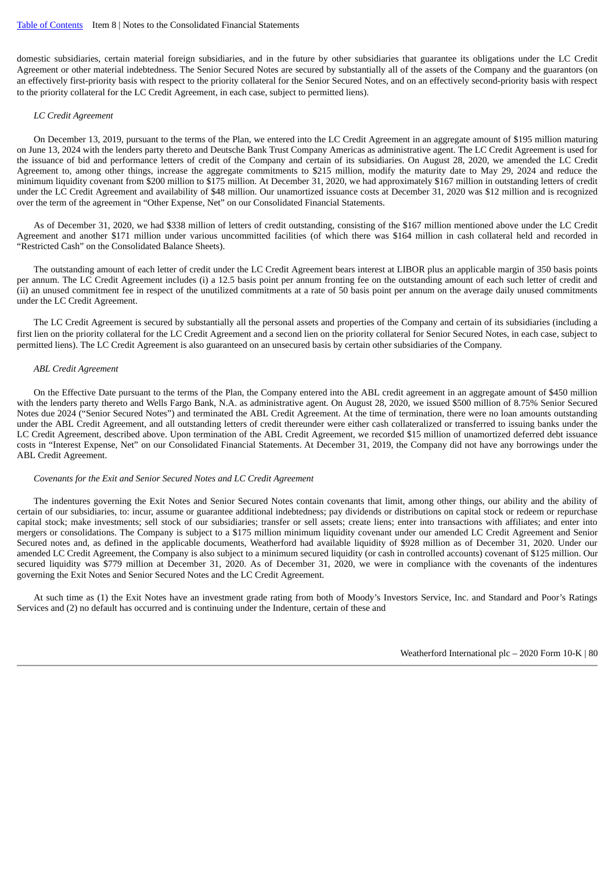domestic subsidiaries, certain material foreign subsidiaries, and in the future by other subsidiaries that guarantee its obligations under the LC Credit Agreement or other material indebtedness. The Senior Secured Notes are secured by substantially all of the assets of the Company and the guarantors (on an effectively first-priority basis with respect to the priority collateral for the Senior Secured Notes, and on an effectively second-priority basis with respect to the priority collateral for the LC Credit Agreement, in each case, subject to permitted liens).

### *LC Credit Agreement*

On December 13, 2019, pursuant to the terms of the Plan, we entered into the LC Credit Agreement in an aggregate amount of \$195 million maturing on June 13, 2024 with the lenders party thereto and Deutsche Bank Trust Company Americas as administrative agent. The LC Credit Agreement is used for the issuance of bid and performance letters of credit of the Company and certain of its subsidiaries. On August 28, 2020, we amended the LC Credit Agreement to, among other things, increase the aggregate commitments to \$215 million, modify the maturity date to May 29, 2024 and reduce the minimum liquidity covenant from \$200 million to \$175 million. At December 31, 2020, we had approximately \$167 million in outstanding letters of credit under the LC Credit Agreement and availability of \$48 million. Our unamortized issuance costs at December 31, 2020 was \$12 million and is recognized over the term of the agreement in "Other Expense, Net" on our Consolidated Financial Statements.

As of December 31, 2020, we had \$338 million of letters of credit outstanding, consisting of the \$167 million mentioned above under the LC Credit Agreement and another \$171 million under various uncommitted facilities (of which there was \$164 million in cash collateral held and recorded in "Restricted Cash" on the Consolidated Balance Sheets).

The outstanding amount of each letter of credit under the LC Credit Agreement bears interest at LIBOR plus an applicable margin of 350 basis points per annum. The LC Credit Agreement includes (i) a 12.5 basis point per annum fronting fee on the outstanding amount of each such letter of credit and (ii) an unused commitment fee in respect of the unutilized commitments at a rate of 50 basis point per annum on the average daily unused commitments under the LC Credit Agreement.

The LC Credit Agreement is secured by substantially all the personal assets and properties of the Company and certain of its subsidiaries (including a first lien on the priority collateral for the LC Credit Agreement and a second lien on the priority collateral for Senior Secured Notes, in each case, subject to permitted liens). The LC Credit Agreement is also guaranteed on an unsecured basis by certain other subsidiaries of the Company.

# *ABL Credit Agreement*

On the Effective Date pursuant to the terms of the Plan, the Company entered into the ABL credit agreement in an aggregate amount of \$450 million with the lenders party thereto and Wells Fargo Bank, N.A. as administrative agent. On August 28, 2020, we issued \$500 million of 8.75% Senior Secured Notes due 2024 ("Senior Secured Notes") and terminated the ABL Credit Agreement. At the time of termination, there were no loan amounts outstanding under the ABL Credit Agreement, and all outstanding letters of credit thereunder were either cash collateralized or transferred to issuing banks under the LC Credit Agreement, described above. Upon termination of the ABL Credit Agreement, we recorded \$15 million of unamortized deferred debt issuance costs in "Interest Expense, Net" on our Consolidated Financial Statements. At December 31, 2019, the Company did not have any borrowings under the ABL Credit Agreement.

## *Covenants for the Exit and Senior Secured Notes and LC Credit Agreement*

The indentures governing the Exit Notes and Senior Secured Notes contain covenants that limit, among other things, our ability and the ability of certain of our subsidiaries, to: incur, assume or guarantee additional indebtedness; pay dividends or distributions on capital stock or redeem or repurchase capital stock; make investments; sell stock of our subsidiaries; transfer or sell assets; create liens; enter into transactions with affiliates; and enter into mergers or consolidations. The Company is subject to a \$175 million minimum liquidity covenant under our amended LC Credit Agreement and Senior Secured notes and, as defined in the applicable documents, Weatherford had available liquidity of \$928 million as of December 31, 2020. Under our amended LC Credit Agreement, the Company is also subject to a minimum secured liquidity (or cash in controlled accounts) covenant of \$125 million. Our secured liquidity was \$779 million at December 31, 2020. As of December 31, 2020, we were in compliance with the covenants of the indentures governing the Exit Notes and Senior Secured Notes and the LC Credit Agreement.

At such time as (1) the Exit Notes have an investment grade rating from both of Moody's Investors Service, Inc. and Standard and Poor's Ratings Services and (2) no default has occurred and is continuing under the Indenture, certain of these and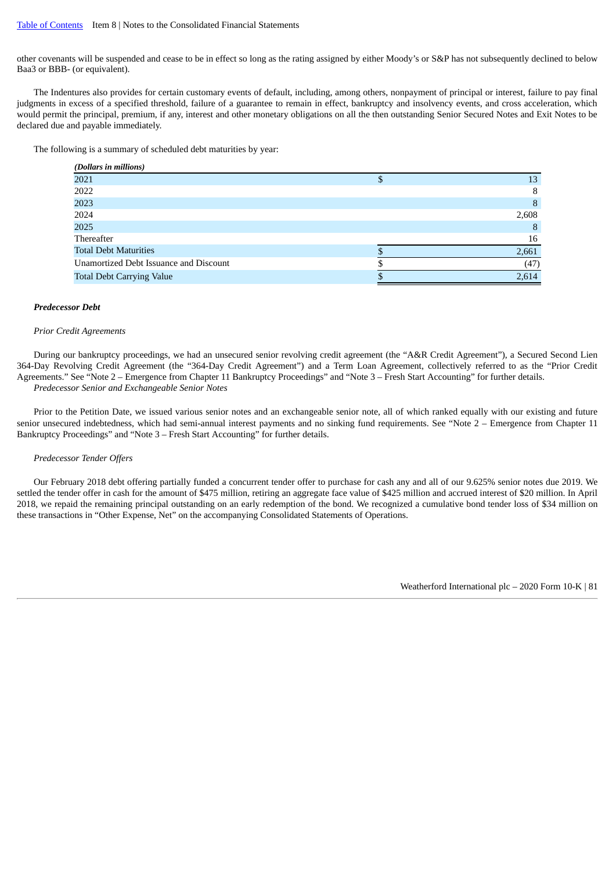other covenants will be suspended and cease to be in effect so long as the rating assigned by either Moody's or S&P has not subsequently declined to below Baa3 or BBB- (or equivalent).

The Indentures also provides for certain customary events of default, including, among others, nonpayment of principal or interest, failure to pay final judgments in excess of a specified threshold, failure of a guarantee to remain in effect, bankruptcy and insolvency events, and cross acceleration, which would permit the principal, premium, if any, interest and other monetary obligations on all the then outstanding Senior Secured Notes and Exit Notes to be declared due and payable immediately.

The following is a summary of scheduled debt maturities by year:

*(Dollars in millions)*

| (Dollars in millions)                  |       |
|----------------------------------------|-------|
| 2021                                   | 13    |
| 2022                                   | 8     |
| 2023                                   | 8     |
| 2024                                   | 2,608 |
| 2025                                   | 8     |
| Thereafter                             | 16    |
| <b>Total Debt Maturities</b>           | 2,661 |
| Unamortized Debt Issuance and Discount | (47)  |
| <b>Total Debt Carrying Value</b>       | 2,614 |
|                                        |       |

### *Predecessor Debt*

#### *Prior Credit Agreements*

During our bankruptcy proceedings, we had an unsecured senior revolving credit agreement (the "A&R Credit Agreement"), a Secured Second Lien 364-Day Revolving Credit Agreement (the "364-Day Credit Agreement") and a Term Loan Agreement, collectively referred to as the "Prior Credit Agreements." See "Note 2 – Emergence from Chapter 11 Bankruptcy Proceedings" and "Note 3 – Fresh Start Accounting" for further details. *Predecessor Senior and Exchangeable Senior Notes*

Prior to the Petition Date, we issued various senior notes and an exchangeable senior note, all of which ranked equally with our existing and future senior unsecured indebtedness, which had semi-annual interest payments and no sinking fund requirements. See "Note 2 – Emergence from Chapter 11 Bankruptcy Proceedings" and "Note 3 – Fresh Start Accounting" for further details.

# *Predecessor Tender Offers*

Our February 2018 debt offering partially funded a concurrent tender offer to purchase for cash any and all of our 9.625% senior notes due 2019. We settled the tender offer in cash for the amount of \$475 million, retiring an aggregate face value of \$425 million and accrued interest of \$20 million. In April 2018, we repaid the remaining principal outstanding on an early redemption of the bond. We recognized a cumulative bond tender loss of \$34 million on these transactions in "Other Expense, Net" on the accompanying Consolidated Statements of Operations.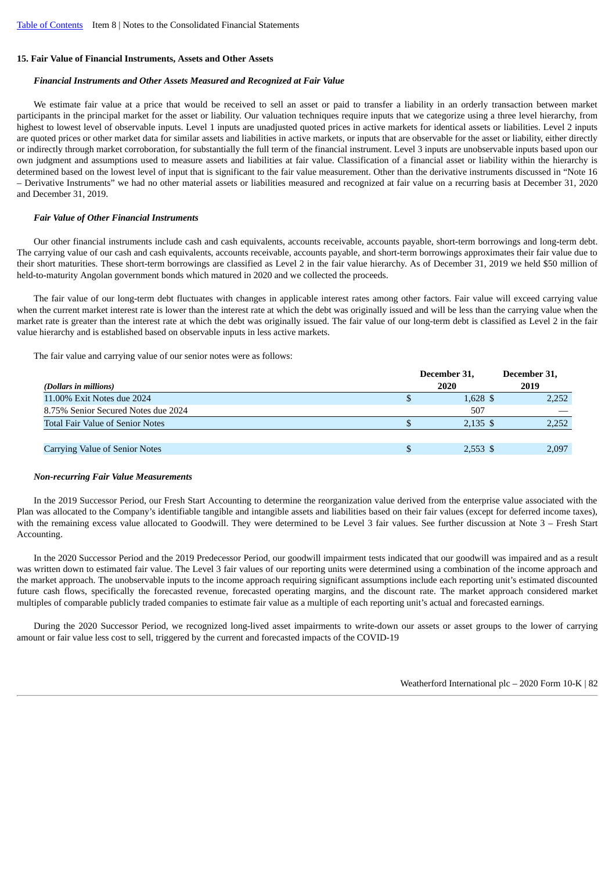# **15. Fair Value of Financial Instruments, Assets and Other Assets**

#### *Financial Instruments and Other Assets Measured and Recognized at Fair Value*

We estimate fair value at a price that would be received to sell an asset or paid to transfer a liability in an orderly transaction between market participants in the principal market for the asset or liability. Our valuation techniques require inputs that we categorize using a three level hierarchy, from highest to lowest level of observable inputs. Level 1 inputs are unadjusted quoted prices in active markets for identical assets or liabilities. Level 2 inputs are quoted prices or other market data for similar assets and liabilities in active markets, or inputs that are observable for the asset or liability, either directly or indirectly through market corroboration, for substantially the full term of the financial instrument. Level 3 inputs are unobservable inputs based upon our own judgment and assumptions used to measure assets and liabilities at fair value. Classification of a financial asset or liability within the hierarchy is determined based on the lowest level of input that is significant to the fair value measurement. Other than the derivative instruments discussed in "Note 16 – Derivative Instruments" we had no other material assets or liabilities measured and recognized at fair value on a recurring basis at December 31, 2020 and December 31, 2019.

#### *Fair Value of Other Financial Instruments*

Our other financial instruments include cash and cash equivalents, accounts receivable, accounts payable, short-term borrowings and long-term debt. The carrying value of our cash and cash equivalents, accounts receivable, accounts payable, and short-term borrowings approximates their fair value due to their short maturities. These short-term borrowings are classified as Level 2 in the fair value hierarchy. As of December 31, 2019 we held \$50 million of held-to-maturity Angolan government bonds which matured in 2020 and we collected the proceeds.

The fair value of our long-term debt fluctuates with changes in applicable interest rates among other factors. Fair value will exceed carrying value when the current market interest rate is lower than the interest rate at which the debt was originally issued and will be less than the carrying value when the market rate is greater than the interest rate at which the debt was originally issued. The fair value of our long-term debt is classified as Level 2 in the fair value hierarchy and is established based on observable inputs in less active markets.

The fair value and carrying value of our senior notes were as follows:

|                                         |  | December 31, | December 31, |
|-----------------------------------------|--|--------------|--------------|
| (Dollars in millions)                   |  | 2020         | 2019         |
| 11.00% Exit Notes due 2024              |  | $1,628$ \$   | 2,252        |
| 8.75% Senior Secured Notes due 2024     |  | 507          |              |
| <b>Total Fair Value of Senior Notes</b> |  | 2.135 \$     | 2,252        |
|                                         |  |              |              |
| <b>Carrying Value of Senior Notes</b>   |  | 2,553 \$     | 2.097        |

#### *Non-recurring Fair Value Measurements*

In the 2019 Successor Period, our Fresh Start Accounting to determine the reorganization value derived from the enterprise value associated with the Plan was allocated to the Company's identifiable tangible and intangible assets and liabilities based on their fair values (except for deferred income taxes), with the remaining excess value allocated to Goodwill. They were determined to be Level 3 fair values. See further discussion at Note 3 – Fresh Start Accounting.

In the 2020 Successor Period and the 2019 Predecessor Period, our goodwill impairment tests indicated that our goodwill was impaired and as a result was written down to estimated fair value. The Level 3 fair values of our reporting units were determined using a combination of the income approach and the market approach. The unobservable inputs to the income approach requiring significant assumptions include each reporting unit's estimated discounted future cash flows, specifically the forecasted revenue, forecasted operating margins, and the discount rate. The market approach considered market multiples of comparable publicly traded companies to estimate fair value as a multiple of each reporting unit's actual and forecasted earnings.

During the 2020 Successor Period, we recognized long-lived asset impairments to write-down our assets or asset groups to the lower of carrying amount or fair value less cost to sell, triggered by the current and forecasted impacts of the COVID-19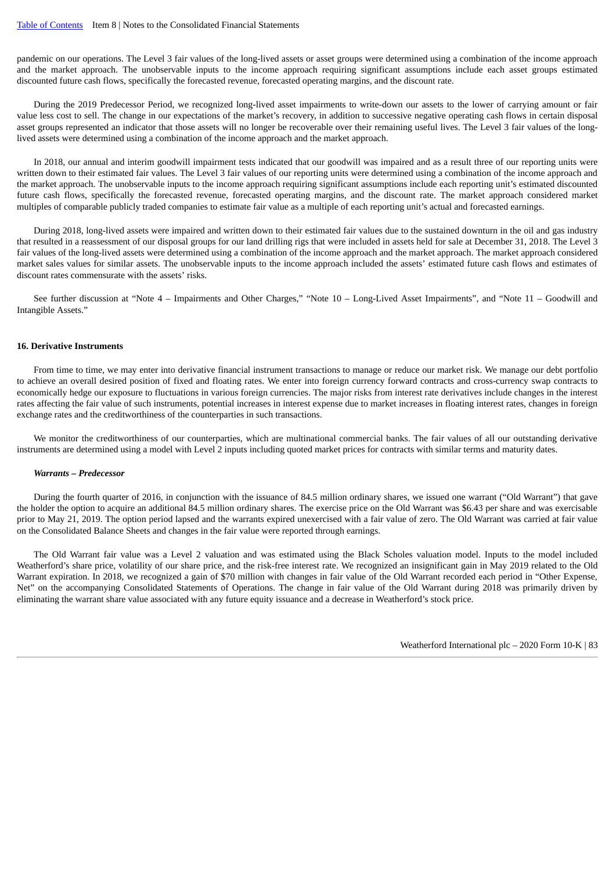pandemic on our operations. The Level 3 fair values of the long-lived assets or asset groups were determined using a combination of the income approach and the market approach. The unobservable inputs to the income approach requiring significant assumptions include each asset groups estimated discounted future cash flows, specifically the forecasted revenue, forecasted operating margins, and the discount rate.

During the 2019 Predecessor Period, we recognized long-lived asset impairments to write-down our assets to the lower of carrying amount or fair value less cost to sell. The change in our expectations of the market's recovery, in addition to successive negative operating cash flows in certain disposal asset groups represented an indicator that those assets will no longer be recoverable over their remaining useful lives. The Level 3 fair values of the longlived assets were determined using a combination of the income approach and the market approach.

In 2018, our annual and interim goodwill impairment tests indicated that our goodwill was impaired and as a result three of our reporting units were written down to their estimated fair values. The Level 3 fair values of our reporting units were determined using a combination of the income approach and the market approach. The unobservable inputs to the income approach requiring significant assumptions include each reporting unit's estimated discounted future cash flows, specifically the forecasted revenue, forecasted operating margins, and the discount rate. The market approach considered market multiples of comparable publicly traded companies to estimate fair value as a multiple of each reporting unit's actual and forecasted earnings.

During 2018, long-lived assets were impaired and written down to their estimated fair values due to the sustained downturn in the oil and gas industry that resulted in a reassessment of our disposal groups for our land drilling rigs that were included in assets held for sale at December 31, 2018. The Level 3 fair values of the long-lived assets were determined using a combination of the income approach and the market approach. The market approach considered market sales values for similar assets. The unobservable inputs to the income approach included the assets' estimated future cash flows and estimates of discount rates commensurate with the assets' risks.

See further discussion at "Note 4 – Impairments and Other Charges," "Note 10 – Long-Lived Asset Impairments", and "Note 11 – Goodwill and Intangible Assets."

### **16. Derivative Instruments**

From time to time, we may enter into derivative financial instrument transactions to manage or reduce our market risk. We manage our debt portfolio to achieve an overall desired position of fixed and floating rates. We enter into foreign currency forward contracts and cross-currency swap contracts to economically hedge our exposure to fluctuations in various foreign currencies. The major risks from interest rate derivatives include changes in the interest rates affecting the fair value of such instruments, potential increases in interest expense due to market increases in floating interest rates, changes in foreign exchange rates and the creditworthiness of the counterparties in such transactions.

We monitor the creditworthiness of our counterparties, which are multinational commercial banks. The fair values of all our outstanding derivative instruments are determined using a model with Level 2 inputs including quoted market prices for contracts with similar terms and maturity dates.

#### *Warrants – Predecessor*

During the fourth quarter of 2016, in conjunction with the issuance of 84.5 million ordinary shares, we issued one warrant ("Old Warrant") that gave the holder the option to acquire an additional 84.5 million ordinary shares. The exercise price on the Old Warrant was \$6.43 per share and was exercisable prior to May 21, 2019. The option period lapsed and the warrants expired unexercised with a fair value of zero. The Old Warrant was carried at fair value on the Consolidated Balance Sheets and changes in the fair value were reported through earnings.

The Old Warrant fair value was a Level 2 valuation and was estimated using the Black Scholes valuation model. Inputs to the model included Weatherford's share price, volatility of our share price, and the risk-free interest rate. We recognized an insignificant gain in May 2019 related to the Old Warrant expiration. In 2018, we recognized a gain of \$70 million with changes in fair value of the Old Warrant recorded each period in "Other Expense, Net" on the accompanying Consolidated Statements of Operations. The change in fair value of the Old Warrant during 2018 was primarily driven by eliminating the warrant share value associated with any future equity issuance and a decrease in Weatherford's stock price.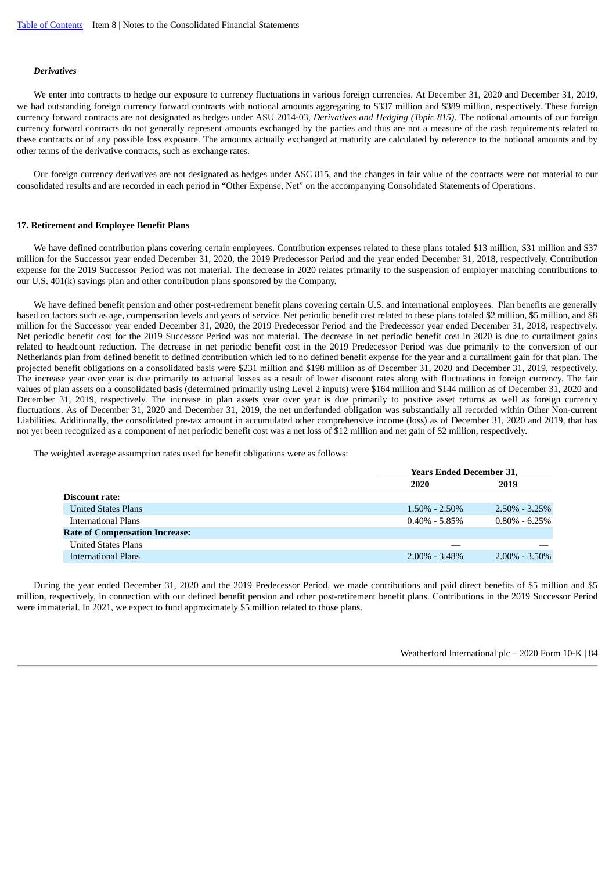#### *Derivatives*

We enter into contracts to hedge our exposure to currency fluctuations in various foreign currencies. At December 31, 2020 and December 31, 2019, we had outstanding foreign currency forward contracts with notional amounts aggregating to \$337 million and \$389 million, respectively. These foreign currency forward contracts are not designated as hedges under ASU 2014-03*, Derivatives and Hedging (Topic 815)*. The notional amounts of our foreign currency forward contracts do not generally represent amounts exchanged by the parties and thus are not a measure of the cash requirements related to these contracts or of any possible loss exposure. The amounts actually exchanged at maturity are calculated by reference to the notional amounts and by other terms of the derivative contracts, such as exchange rates.

Our foreign currency derivatives are not designated as hedges under ASC 815, and the changes in fair value of the contracts were not material to our consolidated results and are recorded in each period in "Other Expense, Net" on the accompanying Consolidated Statements of Operations.

#### **17. Retirement and Employee Benefit Plans**

We have defined contribution plans covering certain employees. Contribution expenses related to these plans totaled \$13 million, \$31 million and \$37 million for the Successor year ended December 31, 2020, the 2019 Predecessor Period and the year ended December 31, 2018, respectively. Contribution expense for the 2019 Successor Period was not material. The decrease in 2020 relates primarily to the suspension of employer matching contributions to our U.S. 401(k) savings plan and other contribution plans sponsored by the Company.

We have defined benefit pension and other post-retirement benefit plans covering certain U.S. and international employees. Plan benefits are generally based on factors such as age, compensation levels and years of service. Net periodic benefit cost related to these plans totaled \$2 million, \$5 million, and \$8 million for the Successor year ended December 31, 2020, the 2019 Predecessor Period and the Predecessor year ended December 31, 2018, respectively. Net periodic benefit cost for the 2019 Successor Period was not material. The decrease in net periodic benefit cost in 2020 is due to curtailment gains related to headcount reduction. The decrease in net periodic benefit cost in the 2019 Predecessor Period was due primarily to the conversion of our Netherlands plan from defined benefit to defined contribution which led to no defined benefit expense for the year and a curtailment gain for that plan. The projected benefit obligations on a consolidated basis were \$231 million and \$198 million as of December 31, 2020 and December 31, 2019, respectively. The increase year over year is due primarily to actuarial losses as a result of lower discount rates along with fluctuations in foreign currency. The fair values of plan assets on a consolidated basis (determined primarily using Level 2 inputs) were \$164 million and \$144 million as of December 31, 2020 and December 31, 2019, respectively. The increase in plan assets year over year is due primarily to positive asset returns as well as foreign currency fluctuations. As of December 31, 2020 and December 31, 2019, the net underfunded obligation was substantially all recorded within Other Non-current Liabilities. Additionally, the consolidated pre-tax amount in accumulated other comprehensive income (loss) as of December 31, 2020 and 2019, that has not yet been recognized as a component of net periodic benefit cost was a net loss of \$12 million and net gain of \$2 million, respectively.

The weighted average assumption rates used for benefit obligations were as follows:

|                                       | <b>Years Ended December 31,</b> |                   |  |  |
|---------------------------------------|---------------------------------|-------------------|--|--|
|                                       | 2020                            | 2019              |  |  |
| <b>Discount rate:</b>                 |                                 |                   |  |  |
| <b>United States Plans</b>            | $1.50\% - 2.50\%$               | $2.50\% - 3.25\%$ |  |  |
| <b>International Plans</b>            | $0.40\%$ - 5.85%                | $0.80\% - 6.25\%$ |  |  |
| <b>Rate of Compensation Increase:</b> |                                 |                   |  |  |
| <b>United States Plans</b>            |                                 |                   |  |  |
| <b>International Plans</b>            | $2.00\%$ - 3.48%                | $2.00\% - 3.50\%$ |  |  |

During the year ended December 31, 2020 and the 2019 Predecessor Period, we made contributions and paid direct benefits of \$5 million and \$5 million, respectively, in connection with our defined benefit pension and other post-retirement benefit plans. Contributions in the 2019 Successor Period were immaterial. In 2021, we expect to fund approximately \$5 million related to those plans.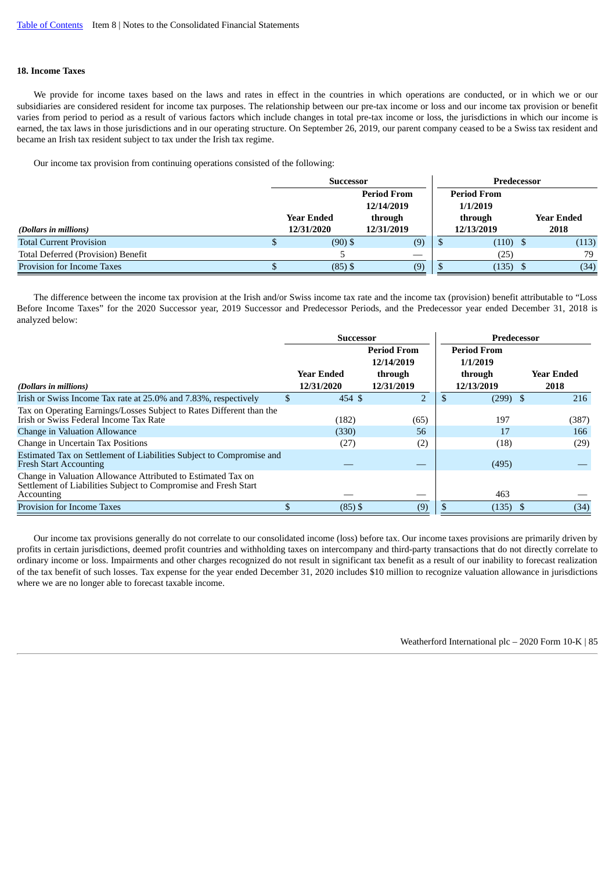### **18. Income Taxes**

We provide for income taxes based on the laws and rates in effect in the countries in which operations are conducted, or in which we or our subsidiaries are considered resident for income tax purposes. The relationship between our pre-tax income or loss and our income tax provision or benefit varies from period to period as a result of various factors which include changes in total pre-tax income or loss, the jurisdictions in which our income is earned, the tax laws in those jurisdictions and in our operating structure. On September 26, 2019, our parent company ceased to be a Swiss tax resident and became an Irish tax resident subject to tax under the Irish tax regime.

Our income tax provision from continuing operations consisted of the following:

|                                    |  | <b>Successor</b>                 |            |  | Predecessor        |  |                   |
|------------------------------------|--|----------------------------------|------------|--|--------------------|--|-------------------|
|                                    |  | <b>Period From</b><br>12/14/2019 |            |  | <b>Period From</b> |  |                   |
|                                    |  |                                  |            |  | 1/1/2019           |  |                   |
|                                    |  | <b>Year Ended</b>                | through    |  | through            |  | <b>Year Ended</b> |
| (Dollars in millions)              |  | 12/31/2020                       | 12/31/2019 |  | 12/13/2019         |  | 2018              |
| <b>Total Current Provision</b>     |  | $(90)$ \$                        | (9)        |  | $(110)$ \$         |  | (113)             |
| Total Deferred (Provision) Benefit |  |                                  | –          |  | (25)               |  | 79                |
| Provision for Income Taxes         |  | $(85)$ \$                        | (9)        |  | (135)              |  | (34)              |

The difference between the income tax provision at the Irish and/or Swiss income tax rate and the income tax (provision) benefit attributable to "Loss Before Income Taxes" for the 2020 Successor year, 2019 Successor and Predecessor Periods, and the Predecessor year ended December 31, 2018 is analyzed below:

|                                                                                                                                               | <b>Successor</b> |                                             |   | Predecessor                               |  |                   |  |
|-----------------------------------------------------------------------------------------------------------------------------------------------|------------------|---------------------------------------------|---|-------------------------------------------|--|-------------------|--|
|                                                                                                                                               | Year Ended       | <b>Period From</b><br>12/14/2019<br>through |   | <b>Period From</b><br>1/1/2019<br>through |  | <b>Year Ended</b> |  |
| (Dollars in millions)                                                                                                                         | 12/31/2020       | 12/31/2019                                  |   | 12/13/2019                                |  | 2018              |  |
| Irish or Swiss Income Tax rate at 25.0% and 7.83%, respectively                                                                               | 454 \$           |                                             | S | $(299)$ \$                                |  | 216               |  |
| Tax on Operating Earnings/Losses Subject to Rates Different than the<br>Irish or Swiss Federal Income Tax Rate                                | (182)            | (65)                                        |   | 197                                       |  | (387)             |  |
| <b>Change in Valuation Allowance</b>                                                                                                          | (330)            | 56                                          |   | 17                                        |  | 166               |  |
| Change in Uncertain Tax Positions                                                                                                             | (27)             | (2)                                         |   | (18)                                      |  | (29)              |  |
| Estimated Tax on Settlement of Liabilities Subject to Compromise and<br><b>Fresh Start Accounting</b>                                         |                  |                                             |   | (495)                                     |  |                   |  |
| Change in Valuation Allowance Attributed to Estimated Tax on<br>Settlement of Liabilities Subject to Compromise and Fresh Start<br>Accounting |                  |                                             |   | 463                                       |  |                   |  |
| Provision for Income Taxes                                                                                                                    | $(85)$ \$        | (9)                                         |   | $(135)$ \$                                |  | (34)              |  |

Our income tax provisions generally do not correlate to our consolidated income (loss) before tax. Our income taxes provisions are primarily driven by profits in certain jurisdictions, deemed profit countries and withholding taxes on intercompany and third-party transactions that do not directly correlate to ordinary income or loss. Impairments and other charges recognized do not result in significant tax benefit as a result of our inability to forecast realization of the tax benefit of such losses. Tax expense for the year ended December 31, 2020 includes \$10 million to recognize valuation allowance in jurisdictions where we are no longer able to forecast taxable income.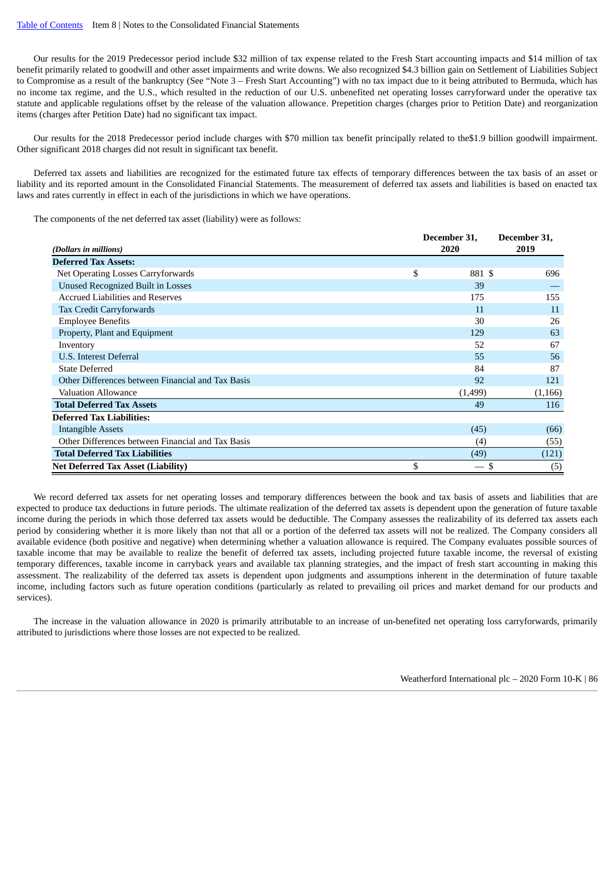Our results for the 2019 Predecessor period include \$32 million of tax expense related to the Fresh Start accounting impacts and \$14 million of tax benefit primarily related to goodwill and other asset impairments and write downs. We also recognized \$4.3 billion gain on Settlement of Liabilities Subject to Compromise as a result of the bankruptcy (See "Note 3 – Fresh Start Accounting") with no tax impact due to it being attributed to Bermuda, which has no income tax regime, and the U.S., which resulted in the reduction of our U.S. unbenefited net operating losses carryforward under the operative tax statute and applicable regulations offset by the release of the valuation allowance. Prepetition charges (charges prior to Petition Date) and reorganization items (charges after Petition Date) had no significant tax impact.

Our results for the 2018 Predecessor period include charges with \$70 million tax benefit principally related to the\$1.9 billion goodwill impairment. Other significant 2018 charges did not result in significant tax benefit.

Deferred tax assets and liabilities are recognized for the estimated future tax effects of temporary differences between the tax basis of an asset or liability and its reported amount in the Consolidated Financial Statements. The measurement of deferred tax assets and liabilities is based on enacted tax laws and rates currently in effect in each of the jurisdictions in which we have operations.

The components of the net deferred tax asset (liability) were as follows:

|                                                   | December 31, | December 31, |
|---------------------------------------------------|--------------|--------------|
| (Dollars in millions)                             | 2020         | 2019         |
| <b>Deferred Tax Assets:</b>                       |              |              |
| Net Operating Losses Carryforwards                | \$<br>881 \$ | 696          |
| Unused Recognized Built in Losses                 | 39           |              |
| <b>Accrued Liabilities and Reserves</b>           | 175          | 155          |
| <b>Tax Credit Carryforwards</b>                   | 11           | 11           |
| <b>Employee Benefits</b>                          | 30           | 26           |
| Property, Plant and Equipment                     | 129          | 63           |
| Inventory                                         | 52           | 67           |
| <b>U.S. Interest Deferral</b>                     | 55           | 56           |
| <b>State Deferred</b>                             | 84           | 87           |
| Other Differences between Financial and Tax Basis | 92           | 121          |
| Valuation Allowance                               | (1,499)      | (1, 166)     |
| <b>Total Deferred Tax Assets</b>                  | 49           | 116          |
| <b>Deferred Tax Liabilities:</b>                  |              |              |
| <b>Intangible Assets</b>                          | (45)         | (66)         |
| Other Differences between Financial and Tax Basis | (4)          | (55)         |
| <b>Total Deferred Tax Liabilities</b>             | (49)         | (121)        |
| <b>Net Deferred Tax Asset (Liability)</b>         | \$<br>-\$    | (5)          |

We record deferred tax assets for net operating losses and temporary differences between the book and tax basis of assets and liabilities that are expected to produce tax deductions in future periods. The ultimate realization of the deferred tax assets is dependent upon the generation of future taxable income during the periods in which those deferred tax assets would be deductible. The Company assesses the realizability of its deferred tax assets each period by considering whether it is more likely than not that all or a portion of the deferred tax assets will not be realized. The Company considers all available evidence (both positive and negative) when determining whether a valuation allowance is required. The Company evaluates possible sources of taxable income that may be available to realize the benefit of deferred tax assets, including projected future taxable income, the reversal of existing temporary differences, taxable income in carryback years and available tax planning strategies, and the impact of fresh start accounting in making this assessment. The realizability of the deferred tax assets is dependent upon judgments and assumptions inherent in the determination of future taxable income, including factors such as future operation conditions (particularly as related to prevailing oil prices and market demand for our products and services).

The increase in the valuation allowance in 2020 is primarily attributable to an increase of un-benefited net operating loss carryforwards, primarily attributed to jurisdictions where those losses are not expected to be realized.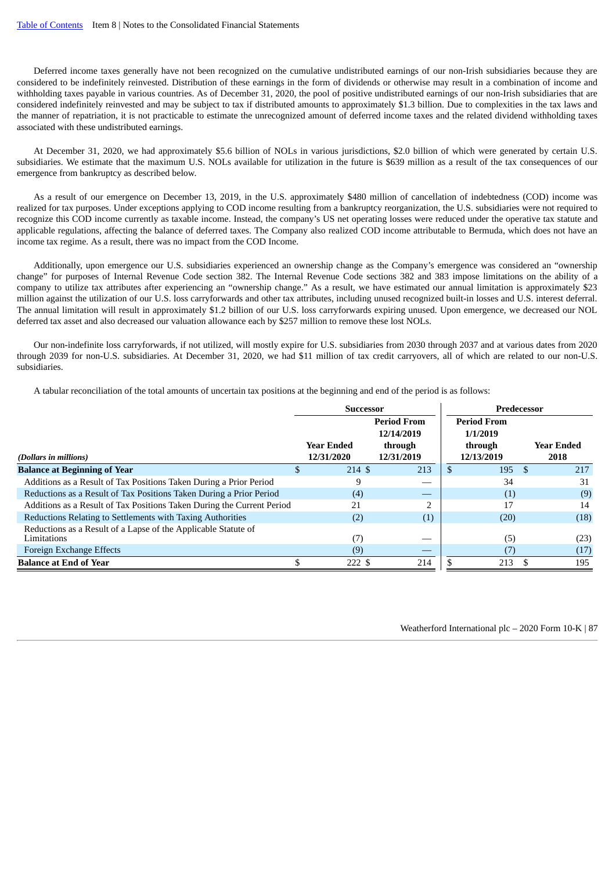Deferred income taxes generally have not been recognized on the cumulative undistributed earnings of our non-Irish subsidiaries because they are considered to be indefinitely reinvested. Distribution of these earnings in the form of dividends or otherwise may result in a combination of income and withholding taxes payable in various countries. As of December 31, 2020, the pool of positive undistributed earnings of our non-Irish subsidiaries that are considered indefinitely reinvested and may be subject to tax if distributed amounts to approximately \$1.3 billion. Due to complexities in the tax laws and the manner of repatriation, it is not practicable to estimate the unrecognized amount of deferred income taxes and the related dividend withholding taxes associated with these undistributed earnings.

At December 31, 2020, we had approximately \$5.6 billion of NOLs in various jurisdictions, \$2.0 billion of which were generated by certain U.S. subsidiaries. We estimate that the maximum U.S. NOLs available for utilization in the future is \$639 million as a result of the tax consequences of our emergence from bankruptcy as described below.

As a result of our emergence on December 13, 2019, in the U.S. approximately \$480 million of cancellation of indebtedness (COD) income was realized for tax purposes. Under exceptions applying to COD income resulting from a bankruptcy reorganization, the U.S. subsidiaries were not required to recognize this COD income currently as taxable income. Instead, the company's US net operating losses were reduced under the operative tax statute and applicable regulations, affecting the balance of deferred taxes. The Company also realized COD income attributable to Bermuda, which does not have an income tax regime. As a result, there was no impact from the COD Income.

Additionally, upon emergence our U.S. subsidiaries experienced an ownership change as the Company's emergence was considered an "ownership change" for purposes of Internal Revenue Code section 382. The Internal Revenue Code sections 382 and 383 impose limitations on the ability of a company to utilize tax attributes after experiencing an "ownership change." As a result, we have estimated our annual limitation is approximately \$23 million against the utilization of our U.S. loss carryforwards and other tax attributes, including unused recognized built-in losses and U.S. interest deferral. The annual limitation will result in approximately \$1.2 billion of our U.S. loss carryforwards expiring unused. Upon emergence, we decreased our NOL deferred tax asset and also decreased our valuation allowance each by \$257 million to remove these lost NOLs.

Our non-indefinite loss carryforwards, if not utilized, will mostly expire for U.S. subsidiaries from 2030 through 2037 and at various dates from 2020 through 2039 for non-U.S. subsidiaries. At December 31, 2020, we had \$11 million of tax credit carryovers, all of which are related to our non-U.S. subsidiaries.

A tabular reconciliation of the total amounts of uncertain tax positions at the beginning and end of the period is as follows:

|                                                                               | <b>Successor</b> |                                 |                                  | Predecessor |                                |      |                           |
|-------------------------------------------------------------------------------|------------------|---------------------------------|----------------------------------|-------------|--------------------------------|------|---------------------------|
|                                                                               |                  |                                 | <b>Period From</b><br>12/14/2019 |             | <b>Period From</b><br>1/1/2019 |      |                           |
| (Dollars in millions)                                                         |                  | <b>Year Ended</b><br>12/31/2020 | through<br>12/31/2019            |             | through<br>12/13/2019          |      | <b>Year Ended</b><br>2018 |
| <b>Balance at Beginning of Year</b>                                           | S                | 214 \$                          | 213                              | \$          | 195                            | - \$ | 217                       |
| Additions as a Result of Tax Positions Taken During a Prior Period            |                  | 9                               |                                  |             | 34                             |      | 31                        |
| Reductions as a Result of Tax Positions Taken During a Prior Period           |                  | (4)                             |                                  |             | (1)                            |      | (9)                       |
| Additions as a Result of Tax Positions Taken During the Current Period        |                  | 21                              |                                  |             | 17                             |      | 14                        |
| Reductions Relating to Settlements with Taxing Authorities                    |                  | (2)                             | (1)                              |             | (20)                           |      | (18)                      |
| Reductions as a Result of a Lapse of the Applicable Statute of<br>Limitations |                  | (7)                             |                                  |             | (5)                            |      | (23)                      |
| Foreign Exchange Effects                                                      |                  | (9)                             |                                  |             |                                |      | (17)                      |
| <b>Balance at End of Year</b>                                                 |                  | 222 \$                          | 214                              |             | 213                            |      | 195                       |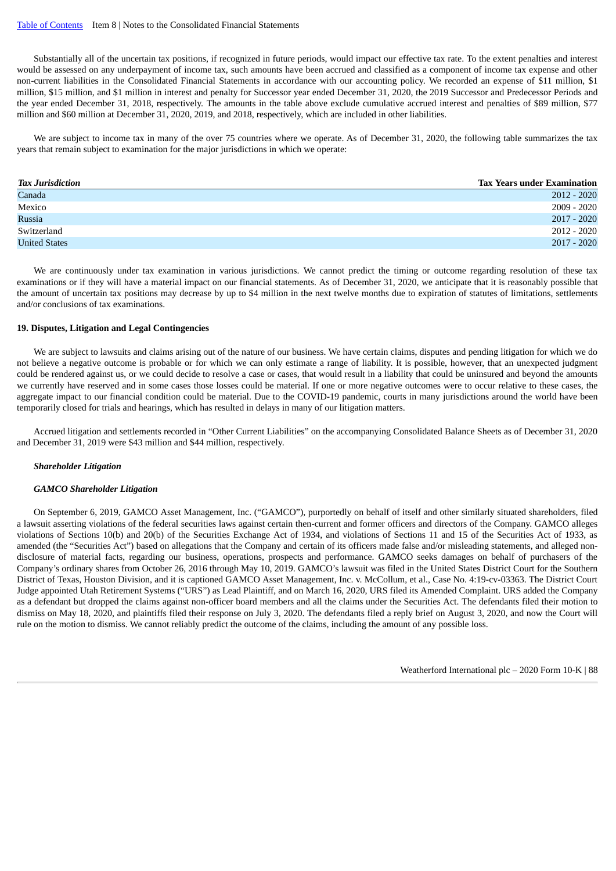Substantially all of the uncertain tax positions, if recognized in future periods, would impact our effective tax rate. To the extent penalties and interest would be assessed on any underpayment of income tax, such amounts have been accrued and classified as a component of income tax expense and other non-current liabilities in the Consolidated Financial Statements in accordance with our accounting policy. We recorded an expense of \$11 million, \$1 million, \$15 million, and \$1 million in interest and penalty for Successor year ended December 31, 2020, the 2019 Successor and Predecessor Periods and the year ended December 31, 2018, respectively. The amounts in the table above exclude cumulative accrued interest and penalties of \$89 million, \$77 million and \$60 million at December 31, 2020, 2019, and 2018, respectively, which are included in other liabilities.

We are subject to income tax in many of the over 75 countries where we operate. As of December 31, 2020, the following table summarizes the tax years that remain subject to examination for the major jurisdictions in which we operate:

| <b>Tax Jurisdiction</b> | <b>Tax Years under Examination</b> |
|-------------------------|------------------------------------|
| Canada                  | 2012 - 2020                        |
| Mexico                  | $2009 - 2020$                      |
| <b>Russia</b>           | $2017 - 2020$                      |
| Switzerland             | $2012 - 2020$                      |
| <b>United States</b>    | $2017 - 2020$                      |

We are continuously under tax examination in various jurisdictions. We cannot predict the timing or outcome regarding resolution of these tax examinations or if they will have a material impact on our financial statements. As of December 31, 2020, we anticipate that it is reasonably possible that the amount of uncertain tax positions may decrease by up to \$4 million in the next twelve months due to expiration of statutes of limitations, settlements and/or conclusions of tax examinations.

### **19. Disputes, Litigation and Legal Contingencies**

We are subject to lawsuits and claims arising out of the nature of our business. We have certain claims, disputes and pending litigation for which we do not believe a negative outcome is probable or for which we can only estimate a range of liability. It is possible, however, that an unexpected judgment could be rendered against us, or we could decide to resolve a case or cases, that would result in a liability that could be uninsured and beyond the amounts we currently have reserved and in some cases those losses could be material. If one or more negative outcomes were to occur relative to these cases, the aggregate impact to our financial condition could be material. Due to the COVID-19 pandemic, courts in many jurisdictions around the world have been temporarily closed for trials and hearings, which has resulted in delays in many of our litigation matters.

Accrued litigation and settlements recorded in "Other Current Liabilities" on the accompanying Consolidated Balance Sheets as of December 31, 2020 and December 31, 2019 were \$43 million and \$44 million, respectively.

### *Shareholder Litigation*

#### *GAMCO Shareholder Litigation*

On September 6, 2019, GAMCO Asset Management, Inc. ("GAMCO"), purportedly on behalf of itself and other similarly situated shareholders, filed a lawsuit asserting violations of the federal securities laws against certain then-current and former officers and directors of the Company. GAMCO alleges violations of Sections 10(b) and 20(b) of the Securities Exchange Act of 1934, and violations of Sections 11 and 15 of the Securities Act of 1933, as amended (the "Securities Act") based on allegations that the Company and certain of its officers made false and/or misleading statements, and alleged nondisclosure of material facts, regarding our business, operations, prospects and performance. GAMCO seeks damages on behalf of purchasers of the Company's ordinary shares from October 26, 2016 through May 10, 2019. GAMCO's lawsuit was filed in the United States District Court for the Southern District of Texas, Houston Division, and it is captioned GAMCO Asset Management, Inc. v. McCollum, et al., Case No. 4:19-cv-03363. The District Court Judge appointed Utah Retirement Systems ("URS") as Lead Plaintiff, and on March 16, 2020, URS filed its Amended Complaint. URS added the Company as a defendant but dropped the claims against non-officer board members and all the claims under the Securities Act. The defendants filed their motion to dismiss on May 18, 2020, and plaintiffs filed their response on July 3, 2020. The defendants filed a reply brief on August 3, 2020, and now the Court will rule on the motion to dismiss. We cannot reliably predict the outcome of the claims, including the amount of any possible loss.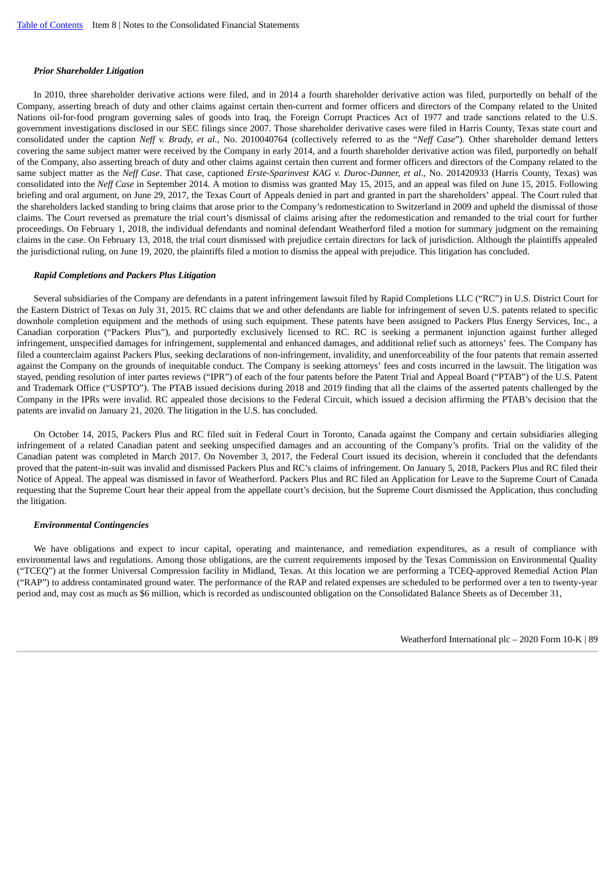#### *Prior Shareholder Litigation*

In 2010, three shareholder derivative actions were filed, and in 2014 a fourth shareholder derivative action was filed, purportedly on behalf of the Company, asserting breach of duty and other claims against certain then-current and former officers and directors of the Company related to the United Nations oil-for-food program governing sales of goods into Iraq, the Foreign Corrupt Practices Act of 1977 and trade sanctions related to the U.S. government investigations disclosed in our SEC filings since 2007. Those shareholder derivative cases were filed in Harris County, Texas state court and consolidated under the caption *Neff v. Brady, et al.*, No. 2010040764 (collectively referred to as the "*Neff Case*"). Other shareholder demand letters covering the same subject matter were received by the Company in early 2014, and a fourth shareholder derivative action was filed, purportedly on behalf of the Company, also asserting breach of duty and other claims against certain then current and former officers and directors of the Company related to the same subject matter as the *Neff Case*. That case, captioned *Erste-Sparinvest KAG v. Duroc-Danner, et al.,* No. 201420933 (Harris County, Texas) was consolidated into the *Neff Case* in September 2014. A motion to dismiss was granted May 15, 2015, and an appeal was filed on June 15, 2015. Following briefing and oral argument, on June 29, 2017, the Texas Court of Appeals denied in part and granted in part the shareholders' appeal. The Court ruled that the shareholders lacked standing to bring claims that arose prior to the Company's redomestication to Switzerland in 2009 and upheld the dismissal of those claims. The Court reversed as premature the trial court's dismissal of claims arising after the redomestication and remanded to the trial court for further proceedings. On February 1, 2018, the individual defendants and nominal defendant Weatherford filed a motion for summary judgment on the remaining claims in the case. On February 13, 2018, the trial court dismissed with prejudice certain directors for lack of jurisdiction. Although the plaintiffs appealed the jurisdictional ruling, on June 19, 2020, the plaintiffs filed a motion to dismiss the appeal with prejudice. This litigation has concluded.

#### *Rapid Completions and Packers Plus Litigation*

Several subsidiaries of the Company are defendants in a patent infringement lawsuit filed by Rapid Completions LLC ("RC") in U.S. District Court for the Eastern District of Texas on July 31, 2015. RC claims that we and other defendants are liable for infringement of seven U.S. patents related to specific downhole completion equipment and the methods of using such equipment. These patents have been assigned to Packers Plus Energy Services, Inc., a Canadian corporation ("Packers Plus"), and purportedly exclusively licensed to RC. RC is seeking a permanent injunction against further alleged infringement, unspecified damages for infringement, supplemental and enhanced damages, and additional relief such as attorneys' fees. The Company has filed a counterclaim against Packers Plus, seeking declarations of non-infringement, invalidity, and unenforceability of the four patents that remain asserted against the Company on the grounds of inequitable conduct. The Company is seeking attorneys' fees and costs incurred in the lawsuit. The litigation was stayed, pending resolution of inter partes reviews ("IPR") of each of the four patents before the Patent Trial and Appeal Board ("PTAB") of the U.S. Patent and Trademark Office ("USPTO"). The PTAB issued decisions during 2018 and 2019 finding that all the claims of the asserted patents challenged by the Company in the IPRs were invalid. RC appealed those decisions to the Federal Circuit, which issued a decision affirming the PTAB's decision that the patents are invalid on January 21, 2020. The litigation in the U.S. has concluded.

On October 14, 2015, Packers Plus and RC filed suit in Federal Court in Toronto, Canada against the Company and certain subsidiaries alleging infringement of a related Canadian patent and seeking unspecified damages and an accounting of the Company's profits. Trial on the validity of the Canadian patent was completed in March 2017. On November 3, 2017, the Federal Court issued its decision, wherein it concluded that the defendants proved that the patent-in-suit was invalid and dismissed Packers Plus and RC's claims of infringement. On January 5, 2018, Packers Plus and RC filed their Notice of Appeal. The appeal was dismissed in favor of Weatherford. Packers Plus and RC filed an Application for Leave to the Supreme Court of Canada requesting that the Supreme Court hear their appeal from the appellate court's decision, but the Supreme Court dismissed the Application, thus concluding the litigation.

### *Environmental Contingencies*

We have obligations and expect to incur capital, operating and maintenance, and remediation expenditures, as a result of compliance with environmental laws and regulations. Among those obligations, are the current requirements imposed by the Texas Commission on Environmental Quality ("TCEQ") at the former Universal Compression facility in Midland, Texas. At this location we are performing a TCEQ-approved Remedial Action Plan ("RAP") to address contaminated ground water. The performance of the RAP and related expenses are scheduled to be performed over a ten to twenty-year period and, may cost as much as \$6 million, which is recorded as undiscounted obligation on the Consolidated Balance Sheets as of December 31,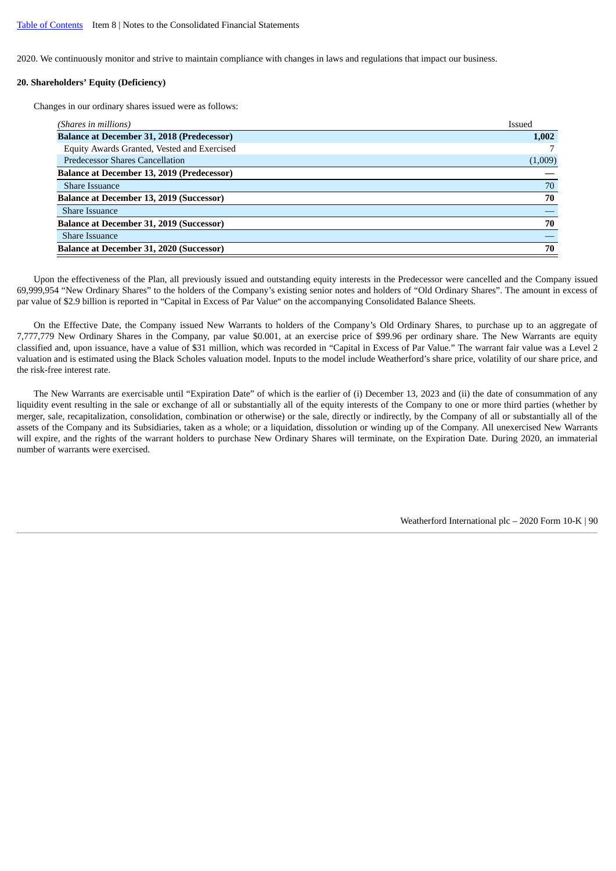2020. We continuously monitor and strive to maintain compliance with changes in laws and regulations that impact our business.

# **20. Shareholders' Equity (Deficiency)**

Changes in our ordinary shares issued were as follows:

| (Shares in millions)                              | Issued  |
|---------------------------------------------------|---------|
| <b>Balance at December 31, 2018 (Predecessor)</b> | 1,002   |
| Equity Awards Granted, Vested and Exercised       |         |
| <b>Predecessor Shares Cancellation</b>            | (1,009) |
| <b>Balance at December 13, 2019 (Predecessor)</b> |         |
| Share Issuance                                    | 70      |
| <b>Balance at December 13, 2019 (Successor)</b>   | 70      |
| <b>Share Issuance</b>                             |         |
| <b>Balance at December 31, 2019 (Successor)</b>   | 70      |
| Share Issuance                                    |         |
| <b>Balance at December 31, 2020 (Successor)</b>   | 70      |

Upon the effectiveness of the Plan, all previously issued and outstanding equity interests in the Predecessor were cancelled and the Company issued 69,999,954 "New Ordinary Shares" to the holders of the Company's existing senior notes and holders of "Old Ordinary Shares". The amount in excess of par value of \$2.9 billion is reported in "Capital in Excess of Par Value" on the accompanying Consolidated Balance Sheets.

On the Effective Date, the Company issued New Warrants to holders of the Company's Old Ordinary Shares, to purchase up to an aggregate of 7,777,779 New Ordinary Shares in the Company, par value \$0.001, at an exercise price of \$99.96 per ordinary share. The New Warrants are equity classified and, upon issuance, have a value of \$31 million, which was recorded in "Capital in Excess of Par Value." The warrant fair value was a Level 2 valuation and is estimated using the Black Scholes valuation model. Inputs to the model include Weatherford's share price, volatility of our share price, and the risk-free interest rate.

The New Warrants are exercisable until "Expiration Date" of which is the earlier of (i) December 13, 2023 and (ii) the date of consummation of any liquidity event resulting in the sale or exchange of all or substantially all of the equity interests of the Company to one or more third parties (whether by merger, sale, recapitalization, consolidation, combination or otherwise) or the sale, directly or indirectly, by the Company of all or substantially all of the assets of the Company and its Subsidiaries, taken as a whole; or a liquidation, dissolution or winding up of the Company. All unexercised New Warrants will expire, and the rights of the warrant holders to purchase New Ordinary Shares will terminate, on the Expiration Date. During 2020, an immaterial number of warrants were exercised.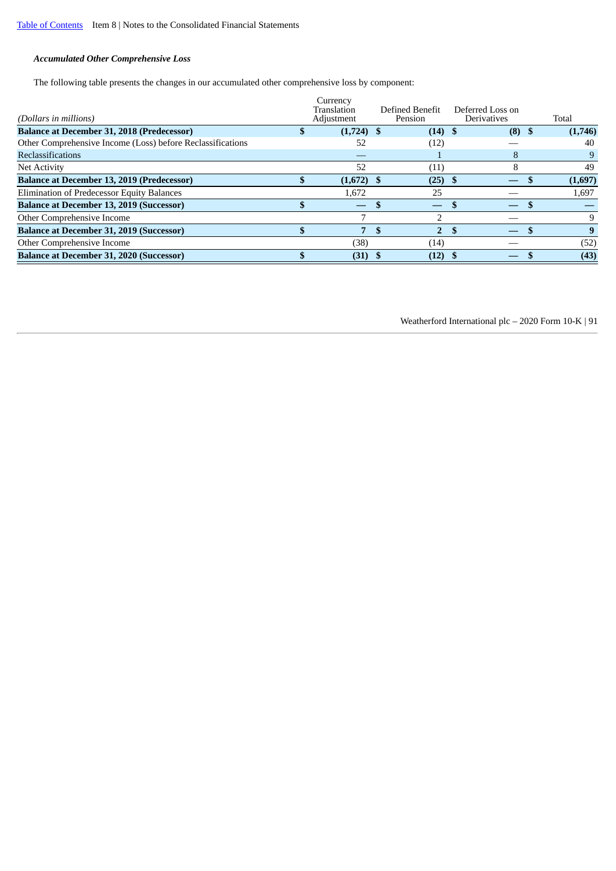# *Accumulated Other Comprehensive Loss*

The following table presents the changes in our accumulated other comprehensive loss by component:

|                                                            | Currency       |                      |     |                    |   |         |
|------------------------------------------------------------|----------------|----------------------|-----|--------------------|---|---------|
|                                                            | Translation    | Defined Benefit      |     | Deferred Loss on   |   |         |
| (Dollars in millions)                                      | Adjustment     | Pension              |     | <b>Derivatives</b> |   | Total   |
| <b>Balance at December 31, 2018 (Predecessor)</b>          | $(1,724)$ \$   | $(14)$ \$            |     | (8)                | ъ | (1,746) |
| Other Comprehensive Income (Loss) before Reclassifications | 52             | (12)                 |     |                    |   | 40      |
| Reclassifications                                          |                |                      |     | 8                  |   | 9       |
| Net Activity                                               | 52             | (11)                 |     | 8                  |   | 49      |
| <b>Balance at December 13, 2019 (Predecessor)</b>          | $(1,672)$ \$   | (25)                 | - 5 |                    |   | (1,697) |
| Elimination of Predecessor Equity Balances                 | 1,672          | 25                   |     |                    |   | 1,697   |
| <b>Balance at December 13, 2019 (Successor)</b>            |                |                      |     |                    |   |         |
| Other Comprehensive Income                                 |                |                      |     |                    |   | 9       |
| <b>Balance at December 31, 2019 (Successor)</b>            | $7\phantom{.}$ | 2 <sup>1</sup><br>\$ | -\$ |                    |   | 9       |
| Other Comprehensive Income                                 | (38)           | (14)                 |     |                    |   | (52)    |
| <b>Balance at December 31, 2020 (Successor)</b>            | (31)           | (12)                 |     |                    |   | (43)    |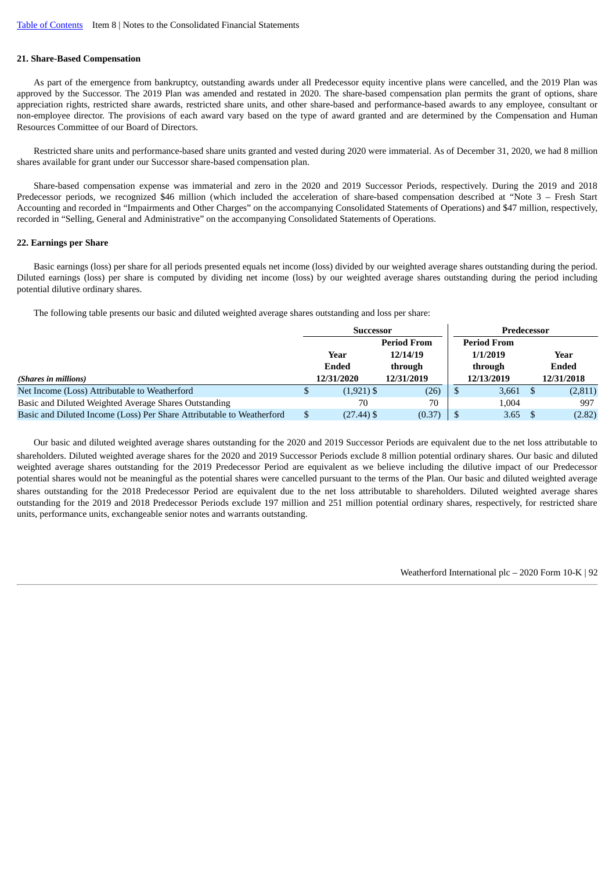### **21. Share-Based Compensation**

As part of the emergence from bankruptcy, outstanding awards under all Predecessor equity incentive plans were cancelled, and the 2019 Plan was approved by the Successor. The 2019 Plan was amended and restated in 2020. The share-based compensation plan permits the grant of options, share appreciation rights, restricted share awards, restricted share units, and other share-based and performance-based awards to any employee, consultant or non-employee director. The provisions of each award vary based on the type of award granted and are determined by the Compensation and Human Resources Committee of our Board of Directors.

Restricted share units and performance-based share units granted and vested during 2020 were immaterial. As of December 31, 2020, we had 8 million shares available for grant under our Successor share-based compensation plan.

Share-based compensation expense was immaterial and zero in the 2020 and 2019 Successor Periods, respectively. During the 2019 and 2018 Predecessor periods, we recognized \$46 million (which included the acceleration of share-based compensation described at "Note 3 – Fresh Start Accounting and recorded in "Impairments and Other Charges" on the accompanying Consolidated Statements of Operations) and \$47 million, respectively, recorded in "Selling, General and Administrative" on the accompanying Consolidated Statements of Operations.

# **22. Earnings per Share**

Basic earnings (loss) per share for all periods presented equals net income (loss) divided by our weighted average shares outstanding during the period. Diluted earnings (loss) per share is computed by dividing net income (loss) by our weighted average shares outstanding during the period including potential dilutive ordinary shares.

The following table presents our basic and diluted weighted average shares outstanding and loss per share:

|                                                                       | <b>Successor</b>   |            | Predecessor |                    |  |            |
|-----------------------------------------------------------------------|--------------------|------------|-------------|--------------------|--|------------|
|                                                                       | <b>Period From</b> |            |             | <b>Period From</b> |  |            |
|                                                                       | Year               | 12/14/19   |             | 1/1/2019           |  | Year       |
|                                                                       | Ended              | through    |             | through            |  | Ended      |
| (Shares in millions)                                                  | 12/31/2020         | 12/31/2019 |             | 12/13/2019         |  | 12/31/2018 |
| Net Income (Loss) Attributable to Weatherford                         | $(1,921)$ \$       | (26)       | - \$        | $3,661$ \$         |  | (2,811)    |
| Basic and Diluted Weighted Average Shares Outstanding                 | 70                 | 70         |             | 1.004              |  | 997        |
| Basic and Diluted Income (Loss) Per Share Attributable to Weatherford | $(27.44)$ \$       | (0.37)     | - \$        | $3.65$ \$          |  | (2.82)     |

Our basic and diluted weighted average shares outstanding for the 2020 and 2019 Successor Periods are equivalent due to the net loss attributable to shareholders. Diluted weighted average shares for the 2020 and 2019 Successor Periods exclude 8 million potential ordinary shares. Our basic and diluted weighted average shares outstanding for the 2019 Predecessor Period are equivalent as we believe including the dilutive impact of our Predecessor potential shares would not be meaningful as the potential shares were cancelled pursuant to the terms of the Plan. Our basic and diluted weighted average shares outstanding for the 2018 Predecessor Period are equivalent due to the net loss attributable to shareholders. Diluted weighted average shares outstanding for the 2019 and 2018 Predecessor Periods exclude 197 million and 251 million potential ordinary shares, respectively, for restricted share units, performance units, exchangeable senior notes and warrants outstanding.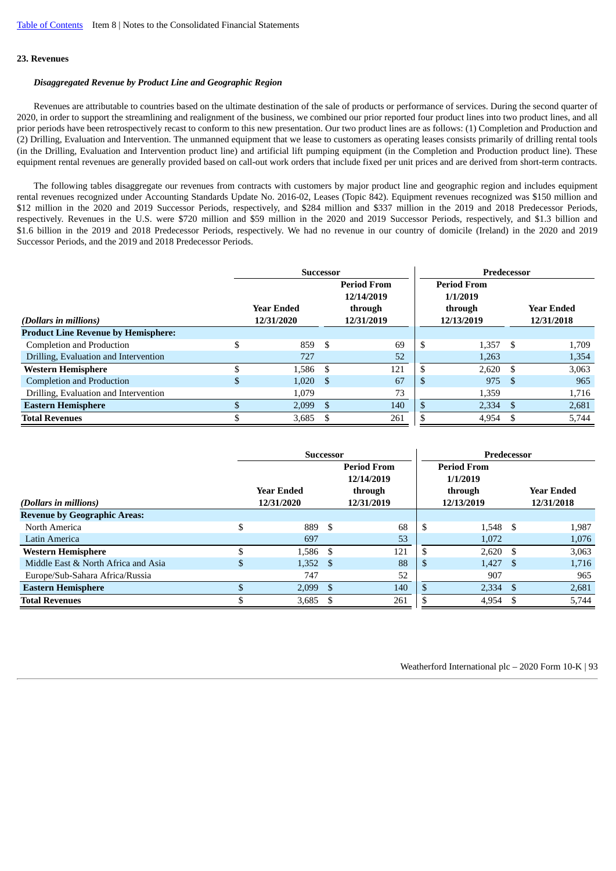# **23. Revenues**

### *Disaggregated Revenue by Product Line and Geographic Region*

Revenues are attributable to countries based on the ultimate destination of the sale of products or performance of services. During the second quarter of 2020, in order to support the streamlining and realignment of the business, we combined our prior reported four product lines into two product lines, and all prior periods have been retrospectively recast to conform to this new presentation. Our two product lines are as follows: (1) Completion and Production and (2) Drilling, Evaluation and Intervention. The unmanned equipment that we lease to customers as operating leases consists primarily of drilling rental tools (in the Drilling, Evaluation and Intervention product line) and artificial lift pumping equipment (in the Completion and Production product line). These equipment rental revenues are generally provided based on call-out work orders that include fixed per unit prices and are derived from short-term contracts.

The following tables disaggregate our revenues from contracts with customers by major product line and geographic region and includes equipment rental revenues recognized under Accounting Standards Update No. 2016-02, Leases (Topic 842). Equipment revenues recognized was \$150 million and \$12 million in the 2020 and 2019 Successor Periods, respectively, and \$284 million and \$337 million in the 2019 and 2018 Predecessor Periods, respectively. Revenues in the U.S. were \$720 million and \$59 million in the 2020 and 2019 Successor Periods, respectively, and \$1.3 billion and \$1.6 billion in the 2019 and 2018 Predecessor Periods, respectively. We had no revenue in our country of domicile (Ireland) in the 2020 and 2019 Successor Periods, and the 2019 and 2018 Predecessor Periods.

|                                            | <b>Successor</b>  |      |                                             | Predecessor |                                           |      |                   |
|--------------------------------------------|-------------------|------|---------------------------------------------|-------------|-------------------------------------------|------|-------------------|
|                                            | <b>Year Ended</b> |      | <b>Period From</b><br>12/14/2019<br>through |             | <b>Period From</b><br>1/1/2019<br>through |      | <b>Year Ended</b> |
| (Dollars in millions)                      | 12/31/2020        |      | 12/31/2019                                  |             | 12/13/2019                                |      | 12/31/2018        |
| <b>Product Line Revenue by Hemisphere:</b> |                   |      |                                             |             |                                           |      |                   |
| Completion and Production                  | 859               | - \$ | 69                                          | \$          | 1.357                                     | -S   | 1,709             |
| Drilling, Evaluation and Intervention      | 727               |      | 52                                          |             | 1,263                                     |      | 1,354             |
| <b>Western Hemisphere</b>                  | 1,586 \$          |      | 121                                         | \$          | 2,620                                     | - \$ | 3,063             |
| Completion and Production                  | $1,020$ \$        |      | 67                                          | S           | 975 \$                                    |      | 965               |
| Drilling, Evaluation and Intervention      | 1,079             |      | 73                                          |             | 1,359                                     |      | 1,716             |
| <b>Eastern Hemisphere</b>                  | 2,099             | -S   | 140                                         |             | $2,334$ \$                                |      | 2,681             |
| <b>Total Revenues</b>                      | 3,685             |      | 261                                         |             | 4,954                                     |      | 5,744             |

|                                     | Successor                       |      |                                                           | Predecessor |                                                         |    |                                 |
|-------------------------------------|---------------------------------|------|-----------------------------------------------------------|-------------|---------------------------------------------------------|----|---------------------------------|
| (Dollars in millions)               | <b>Year Ended</b><br>12/31/2020 |      | <b>Period From</b><br>12/14/2019<br>through<br>12/31/2019 |             | <b>Period From</b><br>1/1/2019<br>through<br>12/13/2019 |    | <b>Year Ended</b><br>12/31/2018 |
| <b>Revenue by Geographic Areas:</b> |                                 |      |                                                           |             |                                                         |    |                                 |
| North America                       | \$<br>889                       | -\$  | 68                                                        | .S          | $1,548$ \$                                              |    | 1,987                           |
| Latin America                       | 697                             |      | 53                                                        |             | 1,072                                                   |    | 1,076                           |
| <b>Western Hemisphere</b>           | 1,586                           | - \$ | 121                                                       |             | 2,620                                                   | -S | 3,063                           |
| Middle East & North Africa and Asia | \$<br>1,352                     | - \$ | 88                                                        | S           | $1,427$ \$                                              |    | 1,716                           |
| Europe/Sub-Sahara Africa/Russia     | 747                             |      | 52                                                        |             | 907                                                     |    | 965                             |
| <b>Eastern Hemisphere</b>           | 2.099                           | -\$  | 140                                                       |             | $2,334$ \$                                              |    | 2,681                           |
| <b>Total Revenues</b>               | 3,685                           | -S   | 261                                                       |             | $4,954$ \$                                              |    | 5,744                           |
|                                     |                                 |      |                                                           |             |                                                         |    |                                 |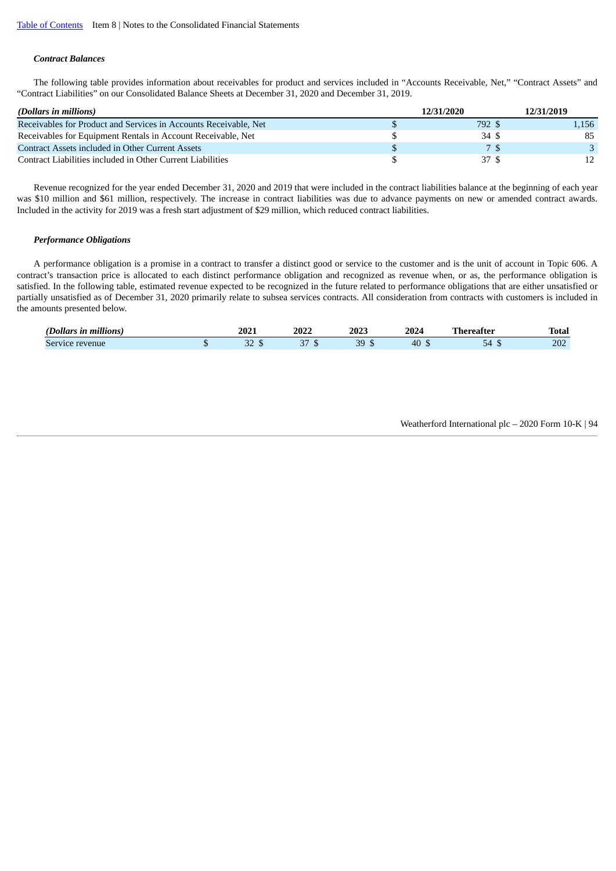### *Contract Balances*

The following table provides information about receivables for product and services included in "Accounts Receivable, Net," "Contract Assets" and "Contract Liabilities" on our Consolidated Balance Sheets at December 31, 2020 and December 31, 2019.

| (Dollars in millions)                                            | 12/31/2020 | 12/31/2019 |
|------------------------------------------------------------------|------------|------------|
| Receivables for Product and Services in Accounts Receivable, Net | 792 \$     | 1,156      |
| Receivables for Equipment Rentals in Account Receivable, Net     | 34 \$      | 85         |
| Contract Assets included in Other Current Assets                 | 7 S        |            |
| Contract Liabilities included in Other Current Liabilities       | 37 S       |            |

Revenue recognized for the year ended December 31, 2020 and 2019 that were included in the contract liabilities balance at the beginning of each year was \$10 million and \$61 million, respectively. The increase in contract liabilities was due to advance payments on new or amended contract awards. Included in the activity for 2019 was a fresh start adjustment of \$29 million, which reduced contract liabilities.

### *Performance Obligations*

A performance obligation is a promise in a contract to transfer a distinct good or service to the customer and is the unit of account in Topic 606. A contract's transaction price is allocated to each distinct performance obligation and recognized as revenue when, or as, the performance obligation is satisfied. In the following table, estimated revenue expected to be recognized in the future related to performance obligations that are either unsatisfied or partially unsatisfied as of December 31, 2020 primarily relate to subsea services contracts. All consideration from contracts with customers is included in the amounts presented below.

| <br>$T_{\text{D}}$<br>millions.<br>1 ама<br>- 734 | 2021               | 2022                  | 2023                       | 2024 | 'hereatter | <b>Total</b> |
|---------------------------------------------------|--------------------|-----------------------|----------------------------|------|------------|--------------|
| $\sim$<br>revenue<br>Serv                         | $\sim$<br>пD<br>ےر | $\sim$ $-$<br>ັ<br>п. | n <sub>0</sub><br>ъD<br>رر | 40   | -<br>54    | 202          |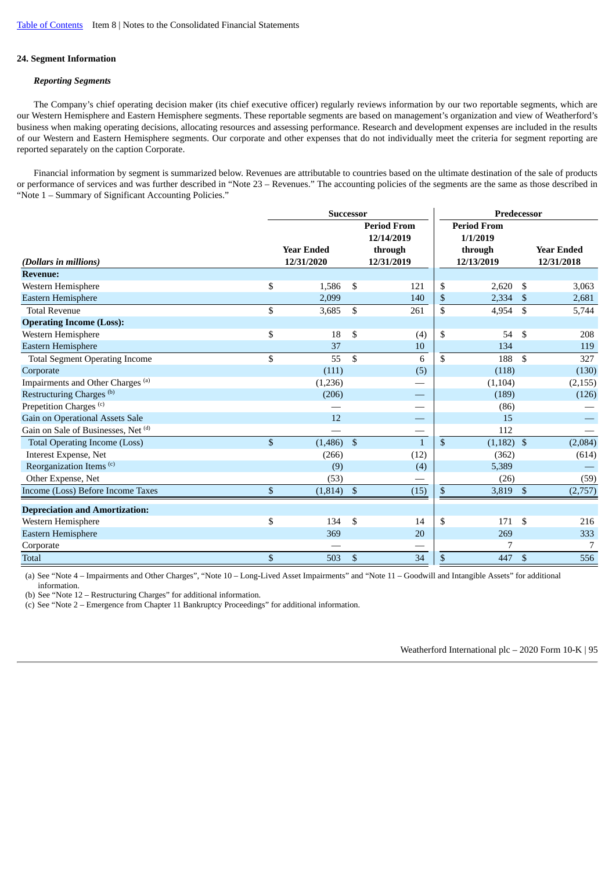# **24. Segment Information**

### *Reporting Segments*

The Company's chief operating decision maker (its chief executive officer) regularly reviews information by our two reportable segments, which are our Western Hemisphere and Eastern Hemisphere segments. These reportable segments are based on management's organization and view of Weatherford's business when making operating decisions, allocating resources and assessing performance. Research and development expenses are included in the results of our Western and Eastern Hemisphere segments. Our corporate and other expenses that do not individually meet the criteria for segment reporting are reported separately on the caption Corporate.

Financial information by segment is summarized below. Revenues are attributable to countries based on the ultimate destination of the sale of products or performance of services and was further described in "Note 23 – Revenues." The accounting policies of the segments are the same as those described in "Note 1 – Summary of Significant Accounting Policies."

|                                              | <b>Successor</b>  |                           |                    | Predecessor               |                    |                   |
|----------------------------------------------|-------------------|---------------------------|--------------------|---------------------------|--------------------|-------------------|
|                                              |                   |                           | <b>Period From</b> |                           | <b>Period From</b> |                   |
|                                              |                   |                           | 12/14/2019         |                           | 1/1/2019           |                   |
|                                              | <b>Year Ended</b> |                           | through            |                           | through            | <b>Year Ended</b> |
| (Dollars in millions)                        | 12/31/2020        |                           | 12/31/2019         |                           | 12/13/2019         | 12/31/2018        |
| <b>Revenue:</b>                              |                   |                           |                    |                           |                    |                   |
| Western Hemisphere                           | \$<br>1,586       | \$                        | 121                | \$                        | 2,620              | \$<br>3,063       |
| Eastern Hemisphere                           | 2,099             |                           | 140                | \$                        | 2,334              | \$<br>2,681       |
| <b>Total Revenue</b>                         | \$<br>3,685       | \$                        | 261                | \$                        | 4,954              | \$<br>5,744       |
| <b>Operating Income (Loss):</b>              |                   |                           |                    |                           |                    |                   |
| Western Hemisphere                           | \$<br>18          | \$                        | (4)                | \$                        | 54                 | \$<br>208         |
| Eastern Hemisphere                           | 37                |                           | 10                 |                           | 134                | 119               |
| <b>Total Segment Operating Income</b>        | \$<br>55          | \$                        | 6                  | \$                        | 188                | \$<br>327         |
| Corporate                                    | (111)             |                           | (5)                |                           | (118)              | (130)             |
| Impairments and Other Charges <sup>(a)</sup> | (1,236)           |                           |                    |                           | (1,104)            | (2, 155)          |
| Restructuring Charges <sup>(b)</sup>         | (206)             |                           |                    |                           | (189)              | (126)             |
| Prepetition Charges <sup>(c)</sup>           |                   |                           |                    |                           | (86)               |                   |
| Gain on Operational Assets Sale              | 12                |                           |                    |                           | 15                 |                   |
| Gain on Sale of Businesses, Net (d)          |                   |                           |                    |                           | 112                |                   |
| <b>Total Operating Income (Loss)</b>         | \$<br>(1,486)     | $\boldsymbol{\mathsf{S}}$ | $\mathbf{1}$       | $\boldsymbol{\mathsf{S}}$ | $(1,182)$ \$       | (2,084)           |
| Interest Expense, Net                        | (266)             |                           | (12)               |                           | (362)              | (614)             |
| Reorganization Items <sup>(c)</sup>          | (9)               |                           | (4)                |                           | 5,389              |                   |
| Other Expense, Net                           | (53)              |                           |                    |                           | (26)               | (59)              |
| Income (Loss) Before Income Taxes            | \$<br>(1,814)     | \$                        | (15)               | \$.                       | 3,819              | \$<br>(2,757)     |
| <b>Depreciation and Amortization:</b>        |                   |                           |                    |                           |                    |                   |
| Western Hemisphere                           | \$<br>134         | \$                        | 14                 | \$                        | 171                | \$<br>216         |
| Eastern Hemisphere                           | 369               |                           | 20                 |                           | 269                | 333               |
| Corporate                                    |                   |                           |                    |                           | 7                  | 7                 |
| Total                                        | \$<br>503         | \$                        | 34                 | \$                        | 447                | \$<br>556         |

(a) See "Note 4 – Impairments and Other Charges", "Note 10 – Long-Lived Asset Impairments" and "Note 11 – Goodwill and Intangible Assets" for additional information.

(b) See "Note 12 – Restructuring Charges" for additional information.

(c) See "Note 2 – Emergence from Chapter 11 Bankruptcy Proceedings" for additional information.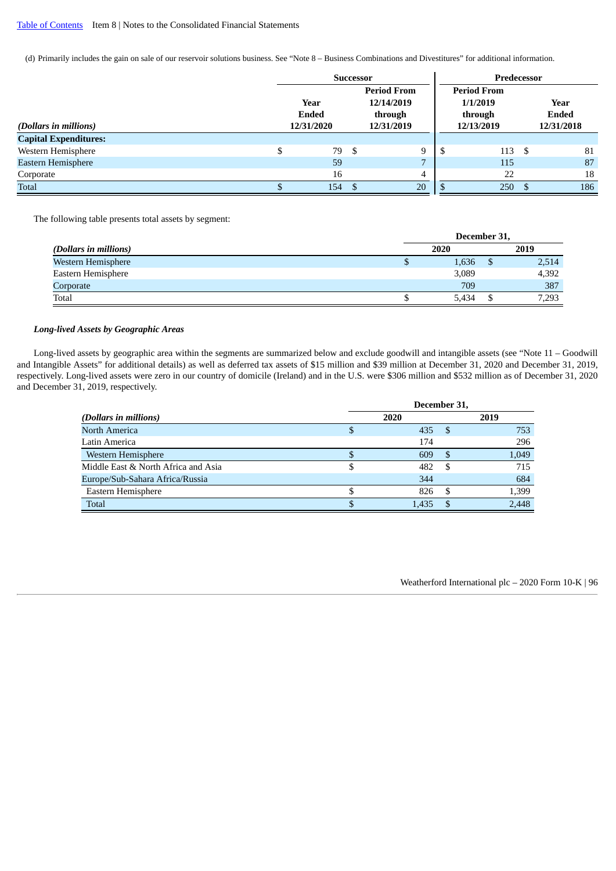(d) Primarily includes the gain on sale of our reservoir solutions business. See "Note 8 – Business Combinations and Divestitures" for additional information.

|                              |                    | <b>Successor</b> |      |                    |   | Predecessor |    |              |  |
|------------------------------|--------------------|------------------|------|--------------------|---|-------------|----|--------------|--|
|                              | <b>Period From</b> |                  |      | <b>Period From</b> |   |             |    |              |  |
|                              |                    | Year             |      | 12/14/2019         |   | 1/1/2019    |    | Year         |  |
|                              |                    | Ended            |      | through            |   | through     |    | <b>Ended</b> |  |
| (Dollars in millions)        |                    | 12/31/2020       |      | 12/31/2019         |   | 12/13/2019  |    | 12/31/2018   |  |
| <b>Capital Expenditures:</b> |                    |                  |      |                    |   |             |    |              |  |
| Western Hemisphere           |                    | 79               | - \$ | 9                  | S | 113         | -S | 81           |  |
| Eastern Hemisphere           |                    | 59               |      | $\mathbf{r}$       |   | 115         |    | 87           |  |
| Corporate                    |                    | 16               |      | 4                  |   | 22          |    | 18           |  |
| <b>Total</b>                 |                    | 154              |      | 20                 |   | 250         | .S | 186          |  |

The following table presents total assets by segment:

|                       | December 31, |       |  |       |  |  |  |
|-----------------------|--------------|-------|--|-------|--|--|--|
| (Dollars in millions) |              | 2020  |  | 2019  |  |  |  |
| Western Hemisphere    |              | 1,636 |  | 2,514 |  |  |  |
| Eastern Hemisphere    |              | 3,089 |  | 4,392 |  |  |  |
| Corporate             |              | 709   |  | 387   |  |  |  |
| Total                 |              | 5,434 |  | 7,293 |  |  |  |

# *Long-lived Assets by Geographic Areas*

Long-lived assets by geographic area within the segments are summarized below and exclude goodwill and intangible assets (see "Note 11 – Goodwill and Intangible Assets" for additional details) as well as deferred tax assets of \$15 million and \$39 million at December 31, 2020 and December 31, 2019, respectively. Long-lived assets were zero in our country of domicile (Ireland) and in the U.S. were \$306 million and \$532 million as of December 31, 2020 and December 31, 2019, respectively.

|                                     |   | December 31, |      |       |
|-------------------------------------|---|--------------|------|-------|
| (Dollars in millions)               |   | 2020         |      | 2019  |
| <b>North America</b>                |   | 435          | - \$ | 753   |
| Latin America                       |   | 174          |      | 296   |
| Western Hemisphere                  | Φ | 609          | -S   | 1,049 |
| Middle East & North Africa and Asia | C | 482          | S    | 715   |
| Europe/Sub-Sahara Africa/Russia     |   | 344          |      | 684   |
| Eastern Hemisphere                  |   | 826          | .S   | 1,399 |
| <b>Total</b>                        |   | 1,435        |      | 2,448 |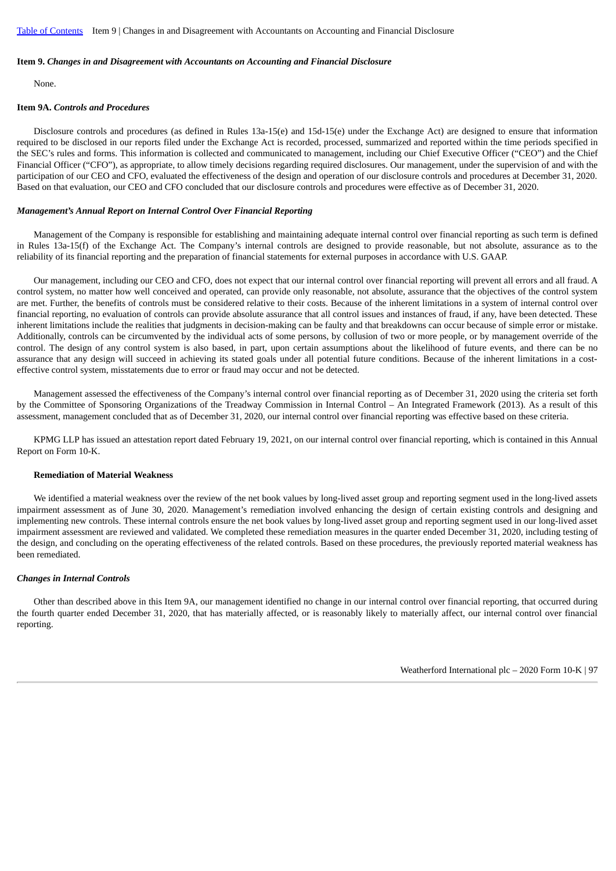# **Item 9.** *Changes in and Disagreement with Accountants on Accounting and Financial Disclosure*

None.

# **Item 9A.** *Controls and Procedures*

Disclosure controls and procedures (as defined in Rules 13a-15(e) and 15d-15(e) under the Exchange Act) are designed to ensure that information required to be disclosed in our reports filed under the Exchange Act is recorded, processed, summarized and reported within the time periods specified in the SEC's rules and forms. This information is collected and communicated to management, including our Chief Executive Officer ("CEO") and the Chief Financial Officer ("CFO"), as appropriate, to allow timely decisions regarding required disclosures. Our management, under the supervision of and with the participation of our CEO and CFO, evaluated the effectiveness of the design and operation of our disclosure controls and procedures at December 31, 2020. Based on that evaluation, our CEO and CFO concluded that our disclosure controls and procedures were effective as of December 31, 2020.

# *Management's Annual Report on Internal Control Over Financial Reporting*

Management of the Company is responsible for establishing and maintaining adequate internal control over financial reporting as such term is defined in Rules 13a-15(f) of the Exchange Act. The Company's internal controls are designed to provide reasonable, but not absolute, assurance as to the reliability of its financial reporting and the preparation of financial statements for external purposes in accordance with U.S. GAAP.

Our management, including our CEO and CFO, does not expect that our internal control over financial reporting will prevent all errors and all fraud. A control system, no matter how well conceived and operated, can provide only reasonable, not absolute, assurance that the objectives of the control system are met. Further, the benefits of controls must be considered relative to their costs. Because of the inherent limitations in a system of internal control over financial reporting, no evaluation of controls can provide absolute assurance that all control issues and instances of fraud, if any, have been detected. These inherent limitations include the realities that judgments in decision-making can be faulty and that breakdowns can occur because of simple error or mistake. Additionally, controls can be circumvented by the individual acts of some persons, by collusion of two or more people, or by management override of the control. The design of any control system is also based, in part, upon certain assumptions about the likelihood of future events, and there can be no assurance that any design will succeed in achieving its stated goals under all potential future conditions. Because of the inherent limitations in a costeffective control system, misstatements due to error or fraud may occur and not be detected.

Management assessed the effectiveness of the Company's internal control over financial reporting as of December 31, 2020 using the criteria set forth by the Committee of Sponsoring Organizations of the Treadway Commission in Internal Control – An Integrated Framework (2013). As a result of this assessment, management concluded that as of December 31, 2020, our internal control over financial reporting was effective based on these criteria.

KPMG LLP has issued an attestation report dated February 19, 2021, on our internal control over financial reporting, which is contained in this Annual Report on Form 10-K.

## **Remediation of Material Weakness**

We identified a material weakness over the review of the net book values by long-lived asset group and reporting segment used in the long-lived assets impairment assessment as of June 30, 2020. Management's remediation involved enhancing the design of certain existing controls and designing and implementing new controls. These internal controls ensure the net book values by long-lived asset group and reporting segment used in our long-lived asset impairment assessment are reviewed and validated. We completed these remediation measures in the quarter ended December 31, 2020, including testing of the design, and concluding on the operating effectiveness of the related controls. Based on these procedures, the previously reported material weakness has been remediated.

# *Changes in Internal Controls*

Other than described above in this Item 9A, our management identified no change in our internal control over financial reporting, that occurred during the fourth quarter ended December 31, 2020, that has materially affected, or is reasonably likely to materially affect, our internal control over financial reporting.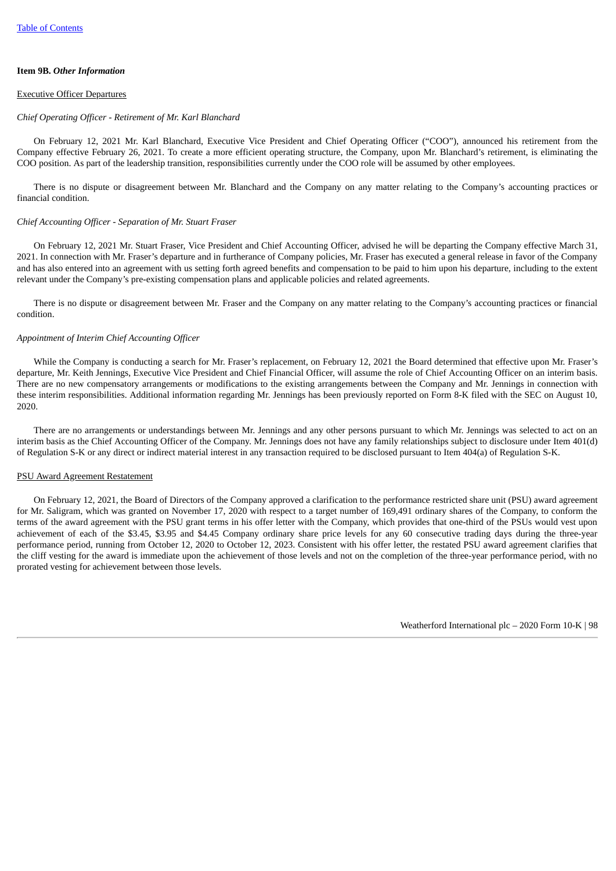### **Item 9B.** *Other Information*

# Executive Officer Departures

### *Chief Operating Officer - Retirement of Mr. Karl Blanchard*

On February 12, 2021 Mr. Karl Blanchard, Executive Vice President and Chief Operating Officer ("COO"), announced his retirement from the Company effective February 26, 2021. To create a more efficient operating structure, the Company, upon Mr. Blanchard's retirement, is eliminating the COO position. As part of the leadership transition, responsibilities currently under the COO role will be assumed by other employees.

There is no dispute or disagreement between Mr. Blanchard and the Company on any matter relating to the Company's accounting practices or financial condition.

#### *Chief Accounting Officer - Separation of Mr. Stuart Fraser*

On February 12, 2021 Mr. Stuart Fraser, Vice President and Chief Accounting Officer, advised he will be departing the Company effective March 31, 2021. In connection with Mr. Fraser's departure and in furtherance of Company policies, Mr. Fraser has executed a general release in favor of the Company and has also entered into an agreement with us setting forth agreed benefits and compensation to be paid to him upon his departure, including to the extent relevant under the Company's pre-existing compensation plans and applicable policies and related agreements.

There is no dispute or disagreement between Mr. Fraser and the Company on any matter relating to the Company's accounting practices or financial condition.

#### *Appointment of Interim Chief Accounting Officer*

While the Company is conducting a search for Mr. Fraser's replacement, on February 12, 2021 the Board determined that effective upon Mr. Fraser's departure, Mr. Keith Jennings, Executive Vice President and Chief Financial Officer, will assume the role of Chief Accounting Officer on an interim basis. There are no new compensatory arrangements or modifications to the existing arrangements between the Company and Mr. Jennings in connection with these interim responsibilities. Additional information regarding Mr. Jennings has been previously reported on Form 8-K filed with the SEC on August 10, 2020.

There are no arrangements or understandings between Mr. Jennings and any other persons pursuant to which Mr. Jennings was selected to act on an interim basis as the Chief Accounting Officer of the Company. Mr. Jennings does not have any family relationships subject to disclosure under Item 401(d) of Regulation S-K or any direct or indirect material interest in any transaction required to be disclosed pursuant to Item 404(a) of Regulation S-K.

#### PSU Award Agreement Restatement

On February 12, 2021, the Board of Directors of the Company approved a clarification to the performance restricted share unit (PSU) award agreement for Mr. Saligram, which was granted on November 17, 2020 with respect to a target number of 169,491 ordinary shares of the Company, to conform the terms of the award agreement with the PSU grant terms in his offer letter with the Company, which provides that one-third of the PSUs would vest upon achievement of each of the \$3.45, \$3.95 and \$4.45 Company ordinary share price levels for any 60 consecutive trading days during the three-year performance period, running from October 12, 2020 to October 12, 2023. Consistent with his offer letter, the restated PSU award agreement clarifies that the cliff vesting for the award is immediate upon the achievement of those levels and not on the completion of the three-year performance period, with no prorated vesting for achievement between those levels.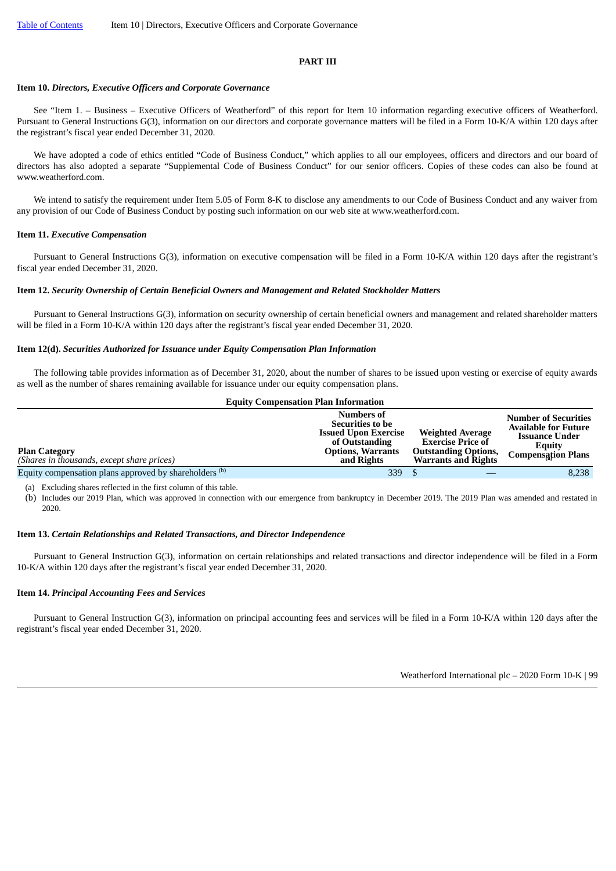# **PART III**

### **Item 10.** *Directors, Executive Officers and Corporate Governance*

See "Item 1. – Business – Executive Officers of Weatherford" of this report for Item 10 information regarding executive officers of Weatherford. Pursuant to General Instructions G(3), information on our directors and corporate governance matters will be filed in a Form 10-K/A within 120 days after the registrant's fiscal year ended December 31, 2020.

We have adopted a code of ethics entitled "Code of Business Conduct," which applies to all our employees, officers and directors and our board of directors has also adopted a separate "Supplemental Code of Business Conduct" for our senior officers. Copies of these codes can also be found at www.weatherford.com.

We intend to satisfy the requirement under Item 5.05 of Form 8-K to disclose any amendments to our Code of Business Conduct and any waiver from any provision of our Code of Business Conduct by posting such information on our web site at www.weatherford.com.

# **Item 11.** *Executive Compensation*

Pursuant to General Instructions G(3), information on executive compensation will be filed in a Form 10-K/A within 120 days after the registrant's fiscal year ended December 31, 2020.

# **Item 12.** *Security Ownership of Certain Beneficial Owners and Management and Related Stockholder Matters*

Pursuant to General Instructions G(3), information on security ownership of certain beneficial owners and management and related shareholder matters will be filed in a Form 10-K/A within 120 days after the registrant's fiscal year ended December 31, 2020.

# **Item 12(d).** *Securities Authorized for Issuance under Equity Compensation Plan Information*

The following table provides information as of December 31, 2020, about the number of shares to be issued upon vesting or exercise of equity awards as well as the number of shares remaining available for issuance under our equity compensation plans.

| <b>Equity Compensation Plan Information</b>                        |                                                                                                                                         |                                                                                                                  |                                                                                                                            |  |  |  |
|--------------------------------------------------------------------|-----------------------------------------------------------------------------------------------------------------------------------------|------------------------------------------------------------------------------------------------------------------|----------------------------------------------------------------------------------------------------------------------------|--|--|--|
| <b>Plan Category</b><br>(Shares in thousands, except share prices) | <b>Numbers of</b><br><b>Securities to be</b><br><b>Issued Upon Exercise</b><br>of Outstanding<br><b>Options, Warrants</b><br>and Rights | <b>Weighted Average</b><br><b>Exercise Price of</b><br><b>Outstanding Options,</b><br><b>Warrants and Rights</b> | <b>Number of Securities</b><br><b>Available for Future</b><br><b>Issuance Under</b><br>Equity<br><b>Compensation Plans</b> |  |  |  |
| Equity compensation plans approved by shareholders (b)             | 339                                                                                                                                     |                                                                                                                  | 8,238                                                                                                                      |  |  |  |

(a) Excluding shares reflected in the first column of this table.

(b) Includes our 2019 Plan, which was approved in connection with our emergence from bankruptcy in December 2019. The 2019 Plan was amended and restated in 2020.

### **Item 13.** *Certain Relationships and Related Transactions, and Director Independence*

Pursuant to General Instruction G(3), information on certain relationships and related transactions and director independence will be filed in a Form 10-K/A within 120 days after the registrant's fiscal year ended December 31, 2020.

### **Item 14.** *Principal Accounting Fees and Services*

Pursuant to General Instruction G(3), information on principal accounting fees and services will be filed in a Form 10-K/A within 120 days after the registrant's fiscal year ended December 31, 2020.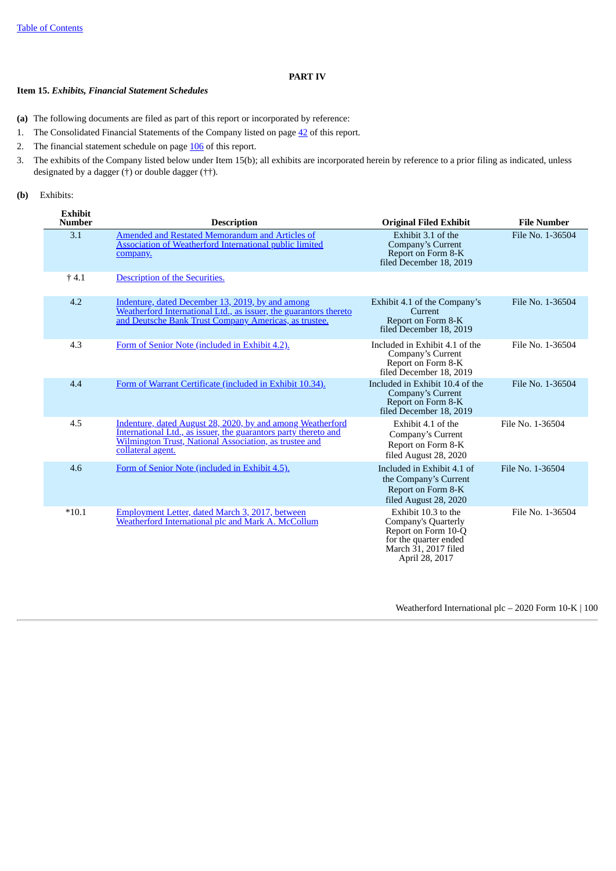# **PART IV**

# **Item 15.** *Exhibits, Financial Statement Schedules*

- **(a)** The following documents are filed as part of this report or incorporated by reference:
- 1. The Consolidated Financial Statements of the Company listed on page [42](#page-41-0) of this report.
- 2. The financial statement schedule on page [106](#page-105-0) of this report.
- 3. The exhibits of the Company listed below under Item 15(b); all exhibits are incorporated herein by reference to a prior filing as indicated, unless designated by a dagger (†) or double dagger (††).

# **(b)** Exhibits:

| <b>Exhibit</b><br><b>Number</b> | <b>Description</b>                                                                                                                                                                                           | <b>Original Filed Exhibit</b>                                                                                                        | <b>File Number</b> |
|---------------------------------|--------------------------------------------------------------------------------------------------------------------------------------------------------------------------------------------------------------|--------------------------------------------------------------------------------------------------------------------------------------|--------------------|
| 3.1                             | <b>Amended and Restated Memorandum and Articles of</b><br>Association of Weatherford International public limited<br>company.                                                                                | Exhibit 3.1 of the<br>Company's Current<br>Report on Form 8-K<br>filed December 18, 2019                                             | File No. 1-36504   |
| $+4.1$                          | Description of the Securities.                                                                                                                                                                               |                                                                                                                                      |                    |
| 4.2                             | Indenture, dated December 13, 2019, by and among<br>Weatherford International Ltd., as issuer, the guarantors thereto<br>and Deutsche Bank Trust Company Americas, as trustee.                               | Exhibit 4.1 of the Company's<br>Current<br>Report on Form 8-K<br>filed December 18, 2019                                             | File No. 1-36504   |
| 4.3                             | Form of Senior Note (included in Exhibit 4.2).                                                                                                                                                               | Included in Exhibit 4.1 of the<br>Company's Current<br>Report on Form 8-K<br>filed December 18, 2019                                 | File No. 1-36504   |
| 4.4                             | Form of Warrant Certificate (included in Exhibit 10.34).                                                                                                                                                     | Included in Exhibit 10.4 of the<br>Company's Current<br>Report on Form 8-K<br>filed December 18, 2019                                | File No. 1-36504   |
| 4.5                             | Indenture, dated August 28, 2020, by and among Weatherford<br>International Ltd., as issuer, the guarantors party thereto and<br>Wilmington Trust, National Association, as trustee and<br>collateral agent. | Exhibit 4.1 of the<br>Company's Current<br>Report on Form 8-K<br>filed August 28, 2020                                               | File No. 1-36504   |
| 4.6                             | Form of Senior Note (included in Exhibit 4.5).                                                                                                                                                               | Included in Exhibit 4.1 of<br>the Company's Current<br>Report on Form 8-K<br>filed August 28, 2020                                   | File No. 1-36504   |
| $*10.1$                         | Employment Letter, dated March 3, 2017, between<br>Weatherford International plc and Mark A. McCollum                                                                                                        | Exhibit 10.3 to the<br>Company's Quarterly<br>Report on Form 10-Q<br>for the quarter ended<br>March 31, 2017 filed<br>April 28, 2017 | File No. 1-36504   |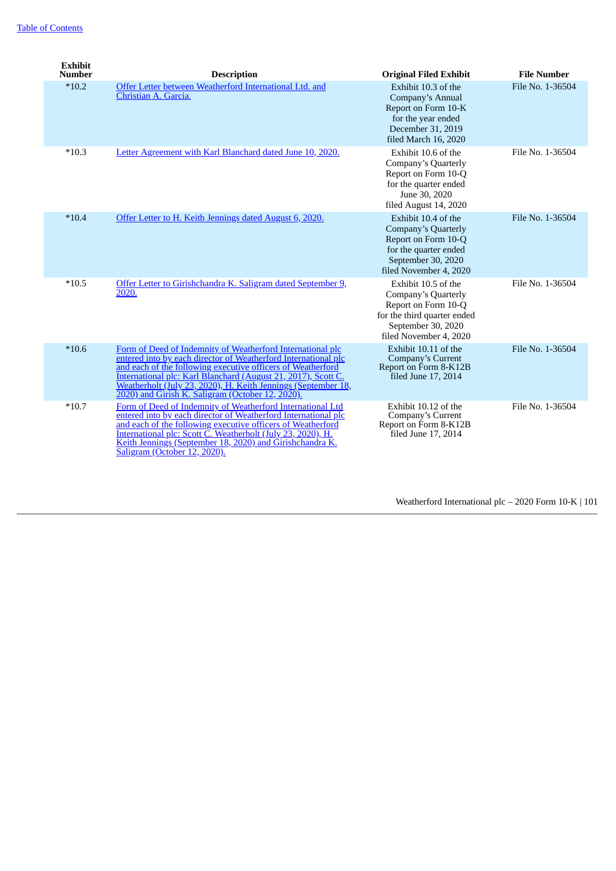| <b>Exhibit</b><br><b>Number</b> | <b>Description</b>                                                                                                                                                                                                                                                                                                                                                                       | <b>Original Filed Exhibit</b>                                                                                                                    | <b>File Number</b> |
|---------------------------------|------------------------------------------------------------------------------------------------------------------------------------------------------------------------------------------------------------------------------------------------------------------------------------------------------------------------------------------------------------------------------------------|--------------------------------------------------------------------------------------------------------------------------------------------------|--------------------|
| $*10.2$                         | Offer Letter between Weatherford International Ltd. and<br>Christian A. Garcia.                                                                                                                                                                                                                                                                                                          | Exhibit 10.3 of the<br>Company's Annual<br>Report on Form 10-K<br>for the year ended<br>December 31, 2019<br>filed March 16, 2020                | File No. 1-36504   |
| $*10.3$                         | Letter Agreement with Karl Blanchard dated June 10, 2020.                                                                                                                                                                                                                                                                                                                                | Exhibit 10.6 of the<br>Company's Quarterly<br>Report on Form 10-Q<br>for the quarter ended<br>June 30, 2020<br>filed August 14, 2020             | File No. 1-36504   |
| $*10.4$                         | Offer Letter to H. Keith Jennings dated August 6, 2020.                                                                                                                                                                                                                                                                                                                                  | Exhibit 10.4 of the<br>Company's Quarterly<br>Report on Form 10-Q<br>for the quarter ended<br>September 30, 2020<br>filed November 4, 2020       | File No. 1-36504   |
| $*10.5$                         | Offer Letter to Girishchandra K. Saligram dated September 9,<br>2020.                                                                                                                                                                                                                                                                                                                    | Exhibit 10.5 of the<br>Company's Quarterly<br>Report on Form 10-Q<br>for the third quarter ended<br>September 30, 2020<br>filed November 4, 2020 | File No. 1-36504   |
| $*10.6$                         | Form of Deed of Indemnity of Weatherford International plc<br>entered into by each director of Weatherford International plc<br>and each of the following executive officers of Weatherford<br><u>International plc: Karl Blanchard (August 21, 2017), Scott C.</u><br>Weatherholt (July 23, 2020), H. Keith Jennings (September 18,<br>2020) and Girish K. Saligram (October 12, 2020). | Exhibit 10.11 of the<br>Company's Current<br>Report on Form 8-K12B<br>filed June 17, 2014                                                        | File No. 1-36504   |
| $*10.7$                         | Form of Deed of Indemnity of Weatherford International Ltd<br>entered into by each director of Weatherford International plc<br>and each of the following executive officers of Weatherford<br>International plc: Scott C. Weatherholt (July 23, 2020), H.<br>Keith Jennings (September 18, 2020) and Girishchandra K.<br>Saligram (October 12, 2020).                                   | Exhibit 10.12 of the<br>Company's Current<br>Report on Form 8-K12B<br>filed June 17, 2014                                                        | File No. 1-36504   |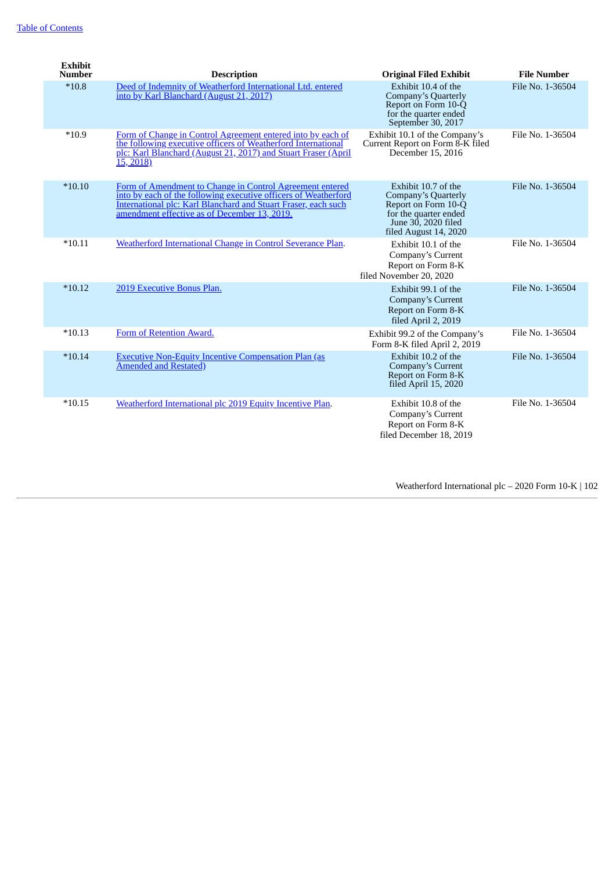| <b>Exhibit</b><br><b>Number</b> | <b>Description</b>                                                                                                                                                                                                                            | <b>Original Filed Exhibit</b>                                                                                                                     | <b>File Number</b> |
|---------------------------------|-----------------------------------------------------------------------------------------------------------------------------------------------------------------------------------------------------------------------------------------------|---------------------------------------------------------------------------------------------------------------------------------------------------|--------------------|
| $*10.8$                         | Deed of Indemnity of Weatherford International Ltd. entered<br>into by Karl Blanchard (August 21, 2017)                                                                                                                                       | Exhibit 10.4 of the<br>Company's Quarterly<br>Report on Form 10-Q<br>for the quarter ended<br>September 30, 2017                                  | File No. 1-36504   |
| $*10.9$                         | Form of Change in Control Agreement entered into by each of<br>the following executive officers of Weatherford International<br>plc: Karl Blanchard (August 21, 2017) and Stuart Fraser (April<br>15, 2018)                                   | Exhibit 10.1 of the Company's<br>Current Report on Form 8-K filed<br>December 15, 2016                                                            | File No. 1-36504   |
| $*10.10$                        | Form of Amendment to Change in Control Agreement entered<br>into by each of the following executive officers of Weatherford<br>International plc: Karl Blanchard and Stuart Fraser, each such<br>amendment effective as of December 13, 2019. | Exhibit 10.7 of the<br><b>Company's Quarterly</b><br>Report on Form 10-Q<br>for the quarter ended<br>June 30, 2020 filed<br>filed August 14, 2020 | File No. 1-36504   |
| $*10.11$                        | Weatherford International Change in Control Severance Plan.                                                                                                                                                                                   | Exhibit 10.1 of the<br>Company's Current<br>Report on Form 8-K<br>filed November 20, 2020                                                         | File No. 1-36504   |
| $*10.12$                        | 2019 Executive Bonus Plan.                                                                                                                                                                                                                    | Exhibit 99.1 of the<br>Company's Current<br>Report on Form 8-K<br>filed April 2, 2019                                                             | File No. 1-36504   |
| $*10.13$                        | Form of Retention Award.                                                                                                                                                                                                                      | Exhibit 99.2 of the Company's<br>Form 8-K filed April 2, 2019                                                                                     | File No. 1-36504   |
| $*10.14$                        | <b>Executive Non-Equity Incentive Compensation Plan (as</b><br><b>Amended and Restated)</b>                                                                                                                                                   | Exhibit 10.2 of the<br>Company's Current<br>Report on Form 8-K<br>filed April 15, 2020                                                            | File No. 1-36504   |
| $*10.15$                        | Weatherford International plc 2019 Equity Incentive Plan.                                                                                                                                                                                     | Exhibit 10.8 of the<br>Company's Current<br>Report on Form 8-K<br>filed December 18, 2019                                                         | File No. 1-36504   |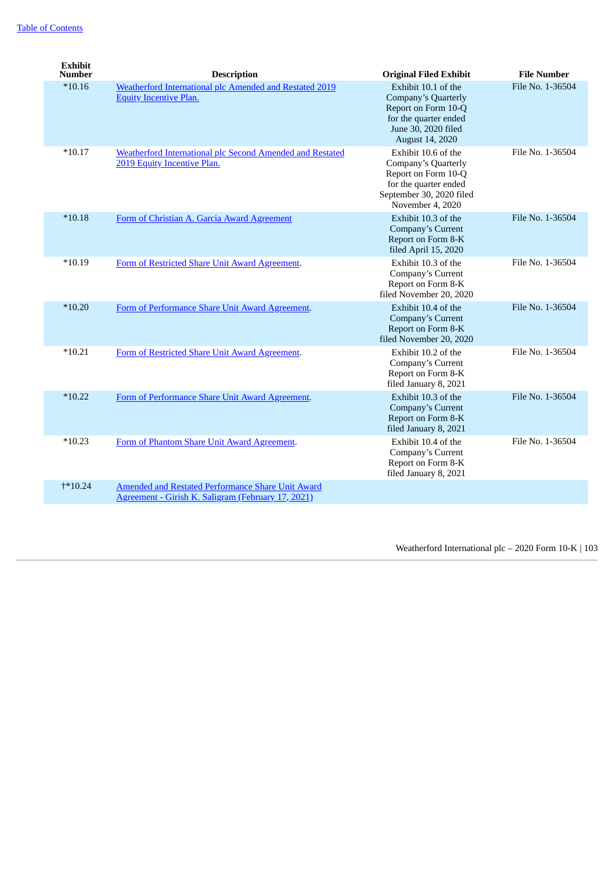| <b>Exhibit</b><br><b>Number</b> | <b>Description</b>                                                                                      | <b>Original Filed Exhibit</b>                                                                                                              | <b>File Number</b> |
|---------------------------------|---------------------------------------------------------------------------------------------------------|--------------------------------------------------------------------------------------------------------------------------------------------|--------------------|
| $*10.16$                        | Weatherford International plc Amended and Restated 2019<br><b>Equity Incentive Plan.</b>                | Exhibit 10.1 of the<br>Company's Quarterly<br>Report on Form 10-Q<br>for the quarter ended<br>June 30, 2020 filed<br>August 14, 2020       | File No. 1-36504   |
| $*10.17$                        | <b>Weatherford International plc Second Amended and Restated</b><br>2019 Equity Incentive Plan.         | Exhibit 10.6 of the<br>Company's Quarterly<br>Report on Form 10-Q<br>for the quarter ended<br>September 30, 2020 filed<br>November 4, 2020 | File No. 1-36504   |
| $*10.18$                        | Form of Christian A. Garcia Award Agreement                                                             | Exhibit 10.3 of the<br>Company's Current<br>Report on Form 8-K<br>filed April 15, 2020                                                     | File No. 1-36504   |
| $*10.19$                        | Form of Restricted Share Unit Award Agreement.                                                          | Exhibit 10.3 of the<br>Company's Current<br>Report on Form 8-K<br>filed November 20, 2020                                                  | File No. 1-36504   |
| $*10.20$                        | Form of Performance Share Unit Award Agreement.                                                         | Exhibit 10.4 of the<br>Company's Current<br>Report on Form 8-K<br>filed November 20, 2020                                                  | File No. 1-36504   |
| $*10.21$                        | Form of Restricted Share Unit Award Agreement.                                                          | Exhibit 10.2 of the<br>Company's Current<br>Report on Form 8-K<br>filed January 8, 2021                                                    | File No. 1-36504   |
| $*10.22$                        | Form of Performance Share Unit Award Agreement.                                                         | Exhibit 10.3 of the<br>Company's Current<br>Report on Form 8-K<br>filed January 8, 2021                                                    | File No. 1-36504   |
| $*10.23$                        | Form of Phantom Share Unit Award Agreement.                                                             | Exhibit 10.4 of the<br>Company's Current<br>Report on Form 8-K<br>filed January 8, 2021                                                    | File No. 1-36504   |
| $+*10.24$                       | Amended and Restated Performance Share Unit Award<br>Agreement - Girish K. Saligram (February 17, 2021) |                                                                                                                                            |                    |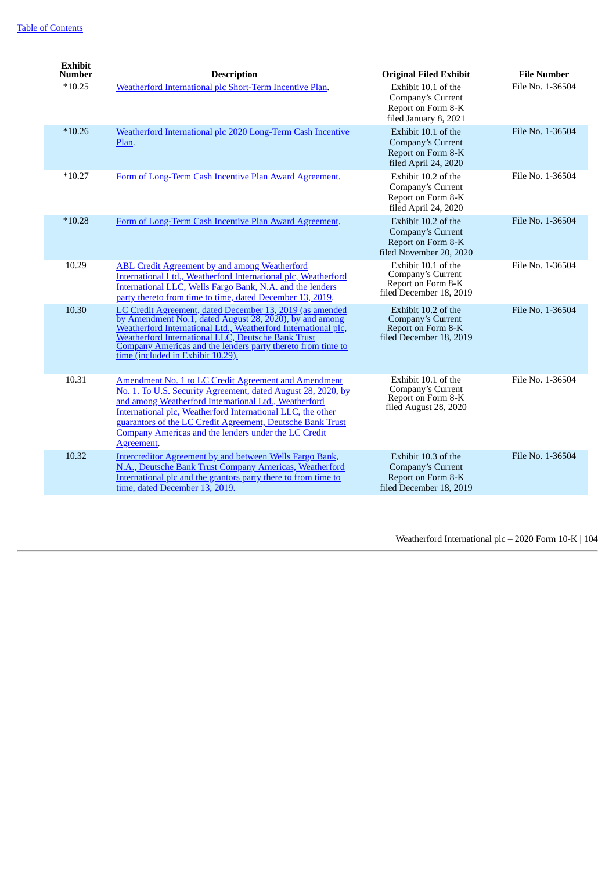| $*10.26$<br>Exhibit 10.1 of the<br>Weatherford International plc 2020 Long-Term Cash Incentive<br>Company's Current<br>Plan.<br>Report on Form 8-K<br>filed April 24, 2020<br>$*10.27$<br>Form of Long-Term Cash Incentive Plan Award Agreement.<br>Exhibit 10.2 of the<br>Company's Current<br>Report on Form 8-K<br>filed April 24, 2020                                                                                                                                                  | File No. 1-36504<br>File No. 1-36504 |
|---------------------------------------------------------------------------------------------------------------------------------------------------------------------------------------------------------------------------------------------------------------------------------------------------------------------------------------------------------------------------------------------------------------------------------------------------------------------------------------------|--------------------------------------|
|                                                                                                                                                                                                                                                                                                                                                                                                                                                                                             |                                      |
|                                                                                                                                                                                                                                                                                                                                                                                                                                                                                             |                                      |
| $*10.28$<br>File No. 1-36504<br>Exhibit 10.2 of the<br>Form of Long-Term Cash Incentive Plan Award Agreement.<br>Company's Current<br>Report on Form 8-K<br>filed November 20, 2020                                                                                                                                                                                                                                                                                                         |                                      |
| 10.29<br>Exhibit 10.1 of the<br><b>ABL Credit Agreement by and among Weatherford</b><br>Company's Current<br>International Ltd., Weatherford International plc, Weatherford<br>Report on Form 8-K<br>International LLC, Wells Fargo Bank, N.A. and the lenders<br>filed December 18, 2019<br>party thereto from time to time, dated December 13, 2019.                                                                                                                                      | File No. 1-36504                     |
| LC Credit Agreement, dated December 13, 2019 (as amended<br>10.30<br>Exhibit 10.2 of the<br>by Amendment No.1, dated August 28, 2020), by and among<br>Company's Current<br>Weatherford International Ltd., Weatherford International plc,<br>Report on Form 8-K<br>Weatherford International LLC, Deutsche Bank Trust<br>filed December 18, 2019<br>Company Americas and the lenders party thereto from time to<br>time (included in Exhibit 10.29).                                       | File No. 1-36504                     |
| 10.31<br>Exhibit 10.1 of the<br><b>Amendment No. 1 to LC Credit Agreement and Amendment</b><br>Company's Current<br>No. 1. To U.S. Security Agreement, dated August 28, 2020, by<br>Report on Form 8-K<br>and among Weatherford International Ltd., Weatherford<br>filed August 28, 2020<br>International plc, Weatherford International LLC, the other<br>guarantors of the LC Credit Agreement, Deutsche Bank Trust<br>Company Americas and the lenders under the LC Credit<br>Agreement. | File No. 1-36504                     |
| 10.32<br>Intercreditor Agreement by and between Wells Fargo Bank,<br>Exhibit 10.3 of the<br>N.A., Deutsche Bank Trust Company Americas, Weatherford<br>Company's Current<br>International plc and the grantors party there to from time to<br>Report on Form 8-K<br>time, dated December 13, 2019.<br>filed December 18, 2019                                                                                                                                                               | File No. 1-36504                     |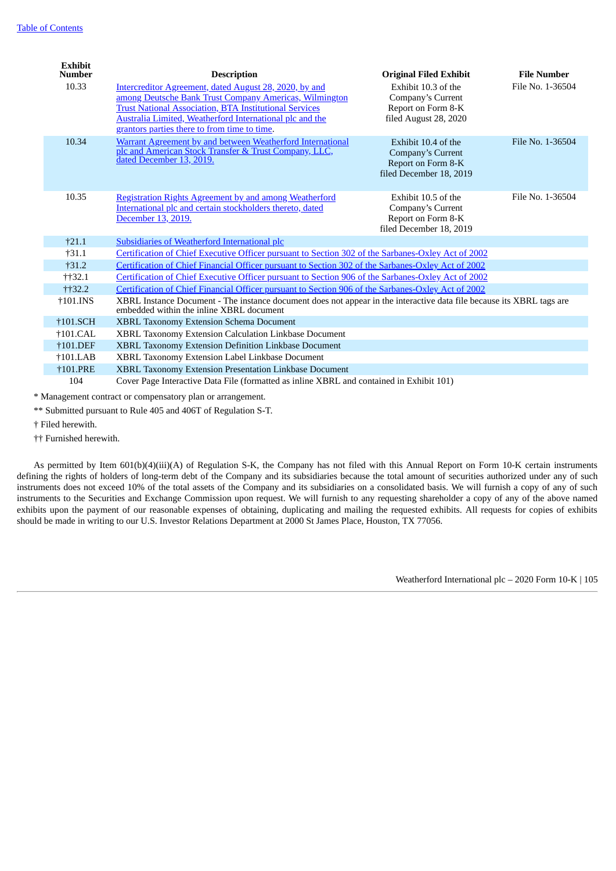| <b>Exhibit</b><br><b>Number</b><br>10.33 | <b>Description</b><br>Intercreditor Agreement, dated August 28, 2020, by and<br>among Deutsche Bank Trust Company Americas, Wilmington<br><b>Trust National Association, BTA Institutional Services</b><br>Australia Limited, Weatherford International plc and the<br>grantors parties there to from time to time. | <b>Original Filed Exhibit</b><br>Exhibit 10.3 of the<br>Company's Current<br>Report on Form 8-K<br>filed August 28, 2020 | <b>File Number</b><br>File No. 1-36504 |  |  |  |
|------------------------------------------|---------------------------------------------------------------------------------------------------------------------------------------------------------------------------------------------------------------------------------------------------------------------------------------------------------------------|--------------------------------------------------------------------------------------------------------------------------|----------------------------------------|--|--|--|
| 10.34                                    | Warrant Agreement by and between Weatherford International<br>plc and American Stock Transfer & Trust Company, LLC,<br>dated December 13, 2019.                                                                                                                                                                     | Exhibit 10.4 of the<br>Company's Current<br>Report on Form 8-K<br>filed December 18, 2019                                | File No. 1-36504                       |  |  |  |
| 10.35                                    | <b>Registration Rights Agreement by and among Weatherford</b><br>International plc and certain stockholders thereto, dated<br>December 13, 2019.                                                                                                                                                                    | Exhibit 10.5 of the<br>Company's Current<br>Report on Form 8-K<br>filed December 18, 2019                                | File No. 1-36504                       |  |  |  |
| $+21.1$                                  | Subsidiaries of Weatherford International plc                                                                                                                                                                                                                                                                       |                                                                                                                          |                                        |  |  |  |
| $+31.1$                                  | Certification of Chief Executive Officer pursuant to Section 302 of the Sarbanes-Oxley Act of 2002                                                                                                                                                                                                                  |                                                                                                                          |                                        |  |  |  |
| $+31.2$                                  | Certification of Chief Financial Officer pursuant to Section 302 of the Sarbanes-Oxley Act of 2002                                                                                                                                                                                                                  |                                                                                                                          |                                        |  |  |  |
| $+132.1$                                 | <b>Certification of Chief Executive Officer pursuant to Section 906 of the Sarbanes-Oxley Act of 2002</b>                                                                                                                                                                                                           |                                                                                                                          |                                        |  |  |  |
| $+132.2$                                 | Certification of Chief Financial Officer pursuant to Section 906 of the Sarbanes-Oxley Act of 2002                                                                                                                                                                                                                  |                                                                                                                          |                                        |  |  |  |
| $\dagger$ 101.INS                        | XBRL Instance Document - The instance document does not appear in the interactive data file because its XBRL tags are<br>embedded within the inline XBRL document                                                                                                                                                   |                                                                                                                          |                                        |  |  |  |
| <b>†101.SCH</b>                          | <b>XBRL Taxonomy Extension Schema Document</b>                                                                                                                                                                                                                                                                      |                                                                                                                          |                                        |  |  |  |
| <b>†101.CAL</b>                          | XBRL Taxonomy Extension Calculation Linkbase Document                                                                                                                                                                                                                                                               |                                                                                                                          |                                        |  |  |  |
| <b>†101.DEF</b>                          | XBRL Taxonomy Extension Definition Linkbase Document                                                                                                                                                                                                                                                                |                                                                                                                          |                                        |  |  |  |
| $\dagger$ 101.LAB                        | XBRL Taxonomy Extension Label Linkbase Document                                                                                                                                                                                                                                                                     |                                                                                                                          |                                        |  |  |  |
| <b>+101.PRE</b>                          | XBRL Taxonomy Extension Presentation Linkbase Document                                                                                                                                                                                                                                                              |                                                                                                                          |                                        |  |  |  |
| 104                                      | Cover Page Interactive Data File (formatted as inline XBRL and contained in Exhibit 101)                                                                                                                                                                                                                            |                                                                                                                          |                                        |  |  |  |

\* Management contract or compensatory plan or arrangement.

\*\* Submitted pursuant to Rule 405 and 406T of Regulation S-T.

† Filed herewith.

†† Furnished herewith.

<span id="page-105-0"></span>As permitted by Item 601(b)(4)(iii)(A) of Regulation S-K, the Company has not filed with this Annual Report on Form 10-K certain instruments defining the rights of holders of long-term debt of the Company and its subsidiaries because the total amount of securities authorized under any of such instruments does not exceed 10% of the total assets of the Company and its subsidiaries on a consolidated basis. We will furnish a copy of any of such instruments to the Securities and Exchange Commission upon request. We will furnish to any requesting shareholder a copy of any of the above named exhibits upon the payment of our reasonable expenses of obtaining, duplicating and mailing the requested exhibits. All requests for copies of exhibits should be made in writing to our U.S. Investor Relations Department at 2000 St James Place, Houston, TX 77056.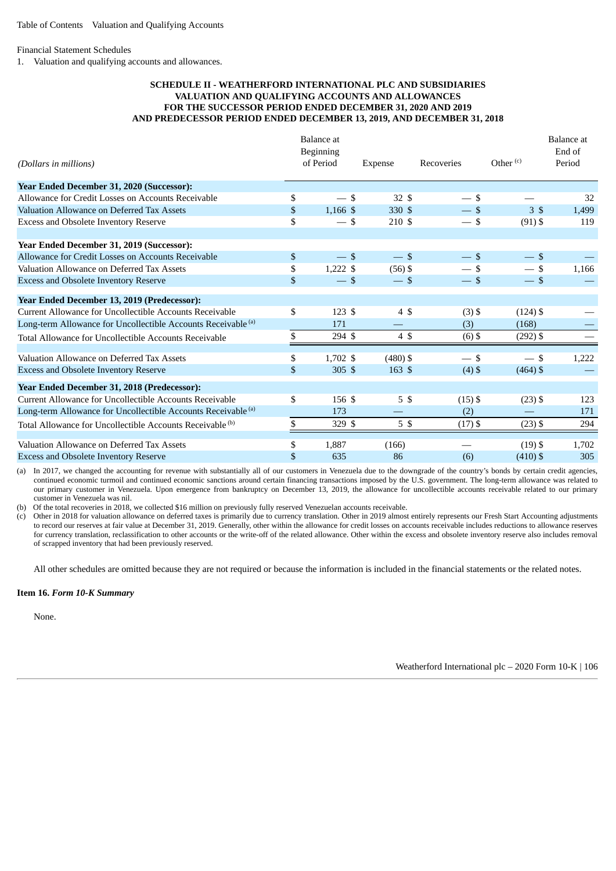# Financial Statement Schedules

1. Valuation and qualifying accounts and allowances.

# **SCHEDULE II - WEATHERFORD INTERNATIONAL PLC AND SUBSIDIARIES VALUATION AND QUALIFYING ACCOUNTS AND ALLOWANCES FOR THE SUCCESSOR PERIOD ENDED DECEMBER 31, 2020 AND 2019 AND PREDECESSOR PERIOD ENDED DECEMBER 13, 2019, AND DECEMBER 31, 2018**

| (Dollars in millions)                                                    |     | <b>Balance</b> at<br>Beginning<br>of Period | Expense      | Recoveries | Other $(c)$    | Balance at<br>End of<br>Period |
|--------------------------------------------------------------------------|-----|---------------------------------------------|--------------|------------|----------------|--------------------------------|
| Year Ended December 31, 2020 (Successor):                                |     |                                             |              |            |                |                                |
| Allowance for Credit Losses on Accounts Receivable                       | \$  | $-$ \$                                      | 32S          | $-$ \$     |                | 32                             |
| Valuation Allowance on Deferred Tax Assets                               | \$  | 1,166 \$                                    | 330 \$       | $-$ \$     | 3 <sup>3</sup> | 1,499                          |
| <b>Excess and Obsolete Inventory Reserve</b>                             | \$  |                                             | \$<br>210 \$ | - \$       | $(91)$ \$      | 119                            |
|                                                                          |     |                                             |              |            |                |                                |
| Year Ended December 31, 2019 (Successor):                                |     |                                             |              |            |                |                                |
| Allowance for Credit Losses on Accounts Receivable                       | \$  | $-$ \$                                      | $-$ \$       | $-$ \$     | $-$ \$         |                                |
| Valuation Allowance on Deferred Tax Assets                               | \$  | $1,222$ \$                                  | $(56)$ \$    | $-$ \$     | $-$ \$         | 1,166                          |
| <b>Excess and Obsolete Inventory Reserve</b>                             | \$  | $-$ \$                                      | $-5$         | $-$ \$     | $-$ \$         |                                |
| Year Ended December 13, 2019 (Predecessor):                              |     |                                             |              |            |                |                                |
| Current Allowance for Uncollectible Accounts Receivable                  | \$  | 123 \$                                      | 4\$          | $(3)$ \$   | $(124)$ \$     |                                |
| Long-term Allowance for Uncollectible Accounts Receivable <sup>(a)</sup> |     | 171                                         |              | (3)        | (168)          |                                |
| Total Allowance for Uncollectible Accounts Receivable                    | \$. | 294 \$                                      | 4\$          | $(6)$ \$   | $(292)$ \$     |                                |
| Valuation Allowance on Deferred Tax Assets                               | \$  | $1,702$ \$                                  | $(480)$ \$   | $-$ \$     | $-$ \$         | 1,222                          |
| <b>Excess and Obsolete Inventory Reserve</b>                             | \$  | 305 \$                                      | 163 \$       | $(4)$ \$   | $(464)$ \$     |                                |
|                                                                          |     |                                             |              |            |                |                                |
| Year Ended December 31, 2018 (Predecessor):                              |     |                                             |              |            |                |                                |
| Current Allowance for Uncollectible Accounts Receivable                  | \$  | 156 \$                                      | 5\$          | $(15)$ \$  | $(23)$ \$      | 123                            |
| Long-term Allowance for Uncollectible Accounts Receivable <sup>(a)</sup> |     | 173                                         |              | (2)        |                | 171                            |
| Total Allowance for Uncollectible Accounts Receivable (b)                | \$  | 329 \$                                      | 5\$          | $(17)$ \$  | $(23)$ \$      | 294                            |
| Valuation Allowance on Deferred Tax Assets                               | \$  | 1,887                                       | (166)        |            | $(19)$ \$      | 1,702                          |
| <b>Excess and Obsolete Inventory Reserve</b>                             | \$  | 635                                         | 86           | (6)        | $(410)$ \$     | 305                            |

(a) In 2017, we changed the accounting for revenue with substantially all of our customers in Venezuela due to the downgrade of the country's bonds by certain credit agencies, continued economic turmoil and continued economic sanctions around certain financing transactions imposed by the U.S. government. The long-term allowance was related to our primary customer in Venezuela. Upon emergence from bankruptcy on December 13, 2019, the allowance for uncollectible accounts receivable related to our primary customer in Venezuela was nil.

(b) Of the total recoveries in 2018, we collected \$16 million on previously fully reserved Venezuelan accounts receivable.

(c) Other in 2018 for valuation allowance on deferred taxes is primarily due to currency translation. Other in 2019 almost entirely represents our Fresh Start Accounting adjustments to record our reserves at fair value at December 31, 2019. Generally, other within the allowance for credit losses on accounts receivable includes reductions to allowance reserves for currency translation, reclassification to other accounts or the write-off of the related allowance. Other within the excess and obsolete inventory reserve also includes removal of scrapped inventory that had been previously reserved.

All other schedules are omitted because they are not required or because the information is included in the financial statements or the related notes.

# **Item 16.** *Form 10-K Summary*

None.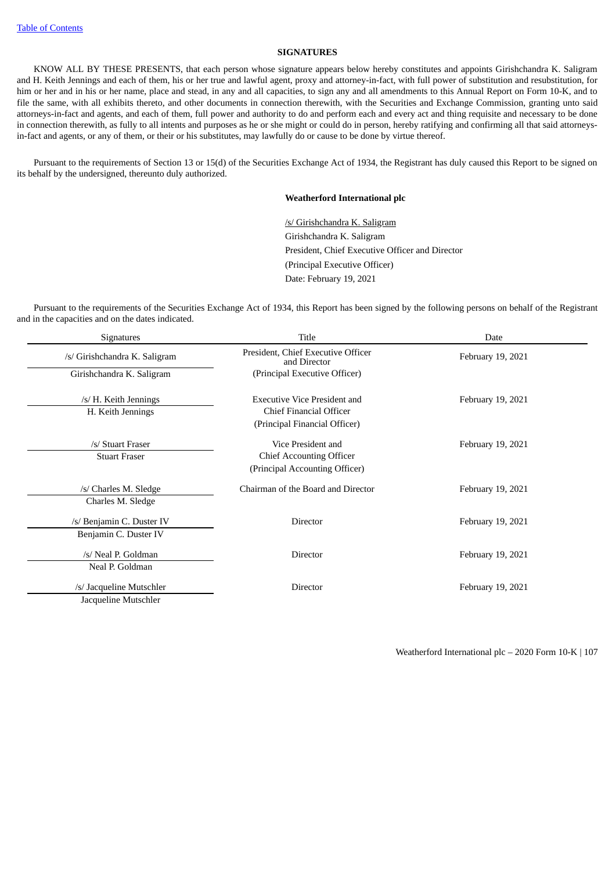# **SIGNATURES**

KNOW ALL BY THESE PRESENTS, that each person whose signature appears below hereby constitutes and appoints Girishchandra K. Saligram and H. Keith Jennings and each of them, his or her true and lawful agent, proxy and attorney-in-fact, with full power of substitution and resubstitution, for him or her and in his or her name, place and stead, in any and all capacities, to sign any and all amendments to this Annual Report on Form 10-K, and to file the same, with all exhibits thereto, and other documents in connection therewith, with the Securities and Exchange Commission, granting unto said attorneys-in-fact and agents, and each of them, full power and authority to do and perform each and every act and thing requisite and necessary to be done in connection therewith, as fully to all intents and purposes as he or she might or could do in person, hereby ratifying and confirming all that said attorneysin-fact and agents, or any of them, or their or his substitutes, may lawfully do or cause to be done by virtue thereof.

Pursuant to the requirements of Section 13 or 15(d) of the Securities Exchange Act of 1934, the Registrant has duly caused this Report to be signed on its behalf by the undersigned, thereunto duly authorized.

# **Weatherford International plc**

/s/ Girishchandra K. Saligram Girishchandra K. Saligram President, Chief Executive Officer and Director (Principal Executive Officer) Date: February 19, 2021

Pursuant to the requirements of the Securities Exchange Act of 1934, this Report has been signed by the following persons on behalf of the Registrant and in the capacities and on the dates indicated.

| Signatures                                 | Title                                                                                           | Date              |  |  |
|--------------------------------------------|-------------------------------------------------------------------------------------------------|-------------------|--|--|
| /s/ Girishchandra K. Saligram              | President, Chief Executive Officer<br>and Director                                              | February 19, 2021 |  |  |
| Girishchandra K. Saligram                  | (Principal Executive Officer)                                                                   |                   |  |  |
| /s/ H. Keith Jennings<br>H. Keith Jennings | <b>Executive Vice President and</b><br>Chief Financial Officer<br>(Principal Financial Officer) | February 19, 2021 |  |  |
| /s/ Stuart Fraser                          | Vice President and                                                                              | February 19, 2021 |  |  |
| <b>Stuart Fraser</b>                       | <b>Chief Accounting Officer</b>                                                                 |                   |  |  |
|                                            | (Principal Accounting Officer)                                                                  |                   |  |  |
| /s/ Charles M. Sledge<br>Charles M. Sledge | Chairman of the Board and Director                                                              | February 19, 2021 |  |  |
| /s/ Benjamin C. Duster IV                  | Director                                                                                        | February 19, 2021 |  |  |
| Benjamin C. Duster IV                      |                                                                                                 |                   |  |  |
| /s/ Neal P. Goldman<br>Neal P. Goldman     | Director                                                                                        | February 19, 2021 |  |  |
| /s/ Jacqueline Mutschler                   | Director                                                                                        | February 19, 2021 |  |  |
| Jacqueline Mutschler                       |                                                                                                 |                   |  |  |
|                                            |                                                                                                 |                   |  |  |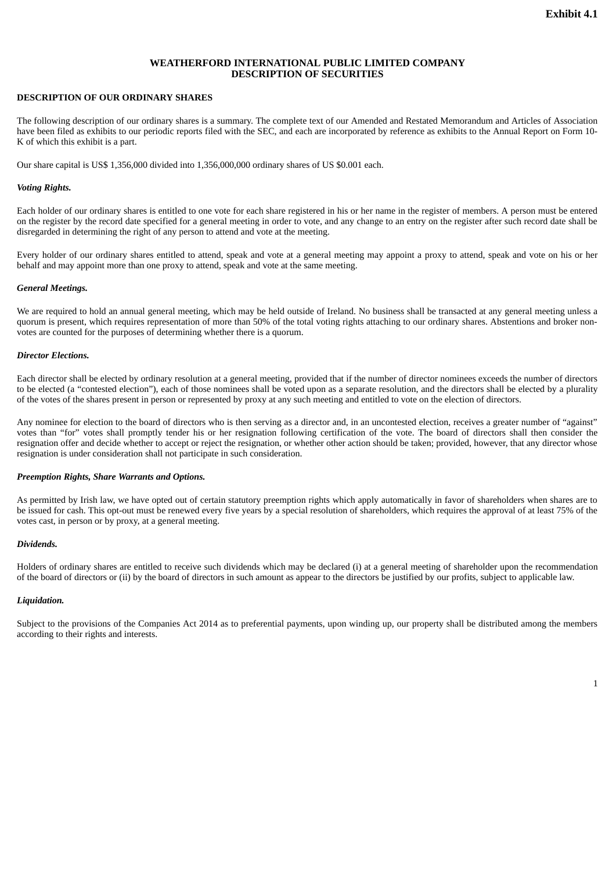### **WEATHERFORD INTERNATIONAL PUBLIC LIMITED COMPANY DESCRIPTION OF SECURITIES**

### **DESCRIPTION OF OUR ORDINARY SHARES**

The following description of our ordinary shares is a summary. The complete text of our Amended and Restated Memorandum and Articles of Association have been filed as exhibits to our periodic reports filed with the SEC, and each are incorporated by reference as exhibits to the Annual Report on Form 10- K of which this exhibit is a part.

Our share capital is US\$ 1,356,000 divided into 1,356,000,000 ordinary shares of US \$0.001 each.

#### *Voting Rights.*

Each holder of our ordinary shares is entitled to one vote for each share registered in his or her name in the register of members. A person must be entered on the register by the record date specified for a general meeting in order to vote, and any change to an entry on the register after such record date shall be disregarded in determining the right of any person to attend and vote at the meeting.

Every holder of our ordinary shares entitled to attend, speak and vote at a general meeting may appoint a proxy to attend, speak and vote on his or her behalf and may appoint more than one proxy to attend, speak and vote at the same meeting.

#### *General Meetings.*

We are required to hold an annual general meeting, which may be held outside of Ireland. No business shall be transacted at any general meeting unless a quorum is present, which requires representation of more than 50% of the total voting rights attaching to our ordinary shares. Abstentions and broker nonvotes are counted for the purposes of determining whether there is a quorum.

#### *Director Elections.*

Each director shall be elected by ordinary resolution at a general meeting, provided that if the number of director nominees exceeds the number of directors to be elected (a "contested election"), each of those nominees shall be voted upon as a separate resolution, and the directors shall be elected by a plurality of the votes of the shares present in person or represented by proxy at any such meeting and entitled to vote on the election of directors.

Any nominee for election to the board of directors who is then serving as a director and, in an uncontested election, receives a greater number of "against" votes than "for" votes shall promptly tender his or her resignation following certification of the vote. The board of directors shall then consider the resignation offer and decide whether to accept or reject the resignation, or whether other action should be taken; provided, however, that any director whose resignation is under consideration shall not participate in such consideration.

#### *Preemption Rights, Share Warrants and Options.*

As permitted by Irish law, we have opted out of certain statutory preemption rights which apply automatically in favor of shareholders when shares are to be issued for cash. This opt-out must be renewed every five years by a special resolution of shareholders, which requires the approval of at least 75% of the votes cast, in person or by proxy, at a general meeting.

#### *Dividends.*

Holders of ordinary shares are entitled to receive such dividends which may be declared (i) at a general meeting of shareholder upon the recommendation of the board of directors or (ii) by the board of directors in such amount as appear to the directors be justified by our profits, subject to applicable law.

#### *Liquidation.*

Subject to the provisions of the Companies Act 2014 as to preferential payments, upon winding up, our property shall be distributed among the members according to their rights and interests.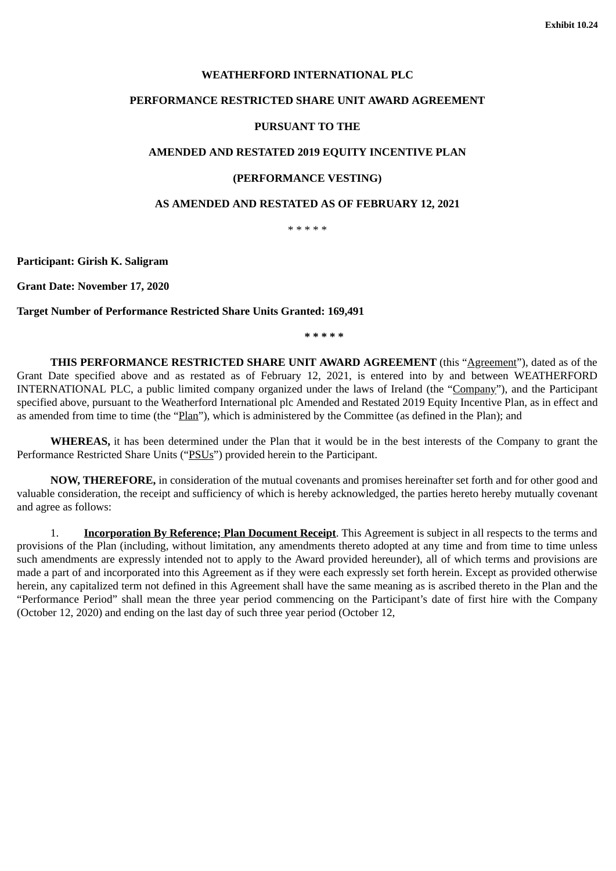# **WEATHERFORD INTERNATIONAL PLC**

# **PERFORMANCE RESTRICTED SHARE UNIT AWARD AGREEMENT**

# **PURSUANT TO THE**

# **AMENDED AND RESTATED 2019 EQUITY INCENTIVE PLAN**

### **(PERFORMANCE VESTING)**

### **AS AMENDED AND RESTATED AS OF FEBRUARY 12, 2021**

\* \* \* \* \*

**Participant: Girish K. Saligram**

**Grant Date: November 17, 2020**

**Target Number of Performance Restricted Share Units Granted: 169,491**

**\* \* \* \* \***

**THIS PERFORMANCE RESTRICTED SHARE UNIT AWARD AGREEMENT** (this "Agreement"), dated as of the Grant Date specified above and as restated as of February 12, 2021, is entered into by and between WEATHERFORD INTERNATIONAL PLC, a public limited company organized under the laws of Ireland (the "Company"), and the Participant specified above, pursuant to the Weatherford International plc Amended and Restated 2019 Equity Incentive Plan, as in effect and as amended from time to time (the "Plan"), which is administered by the Committee (as defined in the Plan); and

**WHEREAS,** it has been determined under the Plan that it would be in the best interests of the Company to grant the Performance Restricted Share Units ("PSUs") provided herein to the Participant.

**NOW, THEREFORE,** in consideration of the mutual covenants and promises hereinafter set forth and for other good and valuable consideration, the receipt and sufficiency of which is hereby acknowledged, the parties hereto hereby mutually covenant and agree as follows:

1. **Incorporation By Reference; Plan Document Receipt**. This Agreement is subject in all respects to the terms and provisions of the Plan (including, without limitation, any amendments thereto adopted at any time and from time to time unless such amendments are expressly intended not to apply to the Award provided hereunder), all of which terms and provisions are made a part of and incorporated into this Agreement as if they were each expressly set forth herein. Except as provided otherwise herein, any capitalized term not defined in this Agreement shall have the same meaning as is ascribed thereto in the Plan and the "Performance Period" shall mean the three year period commencing on the Participant's date of first hire with the Company (October 12, 2020) and ending on the last day of such three year period (October 12,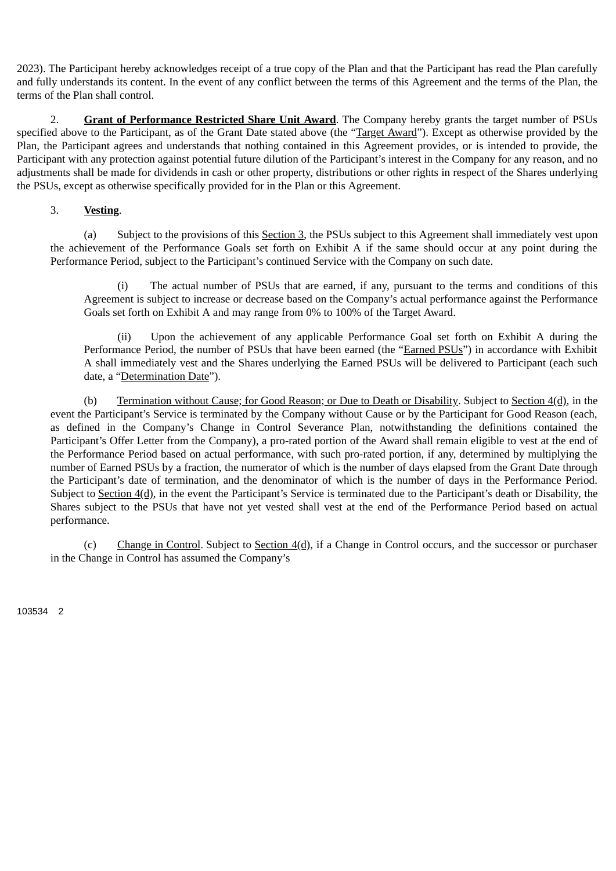2023). The Participant hereby acknowledges receipt of a true copy of the Plan and that the Participant has read the Plan carefully and fully understands its content. In the event of any conflict between the terms of this Agreement and the terms of the Plan, the terms of the Plan shall control.

2. **Grant of Performance Restricted Share Unit Award**. The Company hereby grants the target number of PSUs specified above to the Participant, as of the Grant Date stated above (the "Target Award"). Except as otherwise provided by the Plan, the Participant agrees and understands that nothing contained in this Agreement provides, or is intended to provide, the Participant with any protection against potential future dilution of the Participant's interest in the Company for any reason, and no adjustments shall be made for dividends in cash or other property, distributions or other rights in respect of the Shares underlying the PSUs, except as otherwise specifically provided for in the Plan or this Agreement.

# 3. **Vesting**.

(a) Subject to the provisions of this Section 3, the PSUs subject to this Agreement shall immediately vest upon the achievement of the Performance Goals set forth on Exhibit A if the same should occur at any point during the Performance Period, subject to the Participant's continued Service with the Company on such date.

(i) The actual number of PSUs that are earned, if any, pursuant to the terms and conditions of this Agreement is subject to increase or decrease based on the Company's actual performance against the Performance Goals set forth on Exhibit A and may range from 0% to 100% of the Target Award.

(ii) Upon the achievement of any applicable Performance Goal set forth on Exhibit A during the Performance Period, the number of PSUs that have been earned (the "Earned PSUs") in accordance with Exhibit A shall immediately vest and the Shares underlying the Earned PSUs will be delivered to Participant (each such date, a "Determination Date").

(b) Termination without Cause; for Good Reason; or Due to Death or Disability. Subject to Section  $4(d)$ , in the event the Participant's Service is terminated by the Company without Cause or by the Participant for Good Reason (each, as defined in the Company's Change in Control Severance Plan, notwithstanding the definitions contained the Participant's Offer Letter from the Company), a pro-rated portion of the Award shall remain eligible to vest at the end of the Performance Period based on actual performance, with such pro-rated portion, if any, determined by multiplying the number of Earned PSUs by a fraction, the numerator of which is the number of days elapsed from the Grant Date through the Participant's date of termination, and the denominator of which is the number of days in the Performance Period. Subject to Section 4(d), in the event the Participant's Service is terminated due to the Participant's death or Disability, the Shares subject to the PSUs that have not yet vested shall vest at the end of the Performance Period based on actual performance.

(c) Change in Control. Subject to Section  $4(d)$ , if a Change in Control occurs, and the successor or purchaser in the Change in Control has assumed the Company's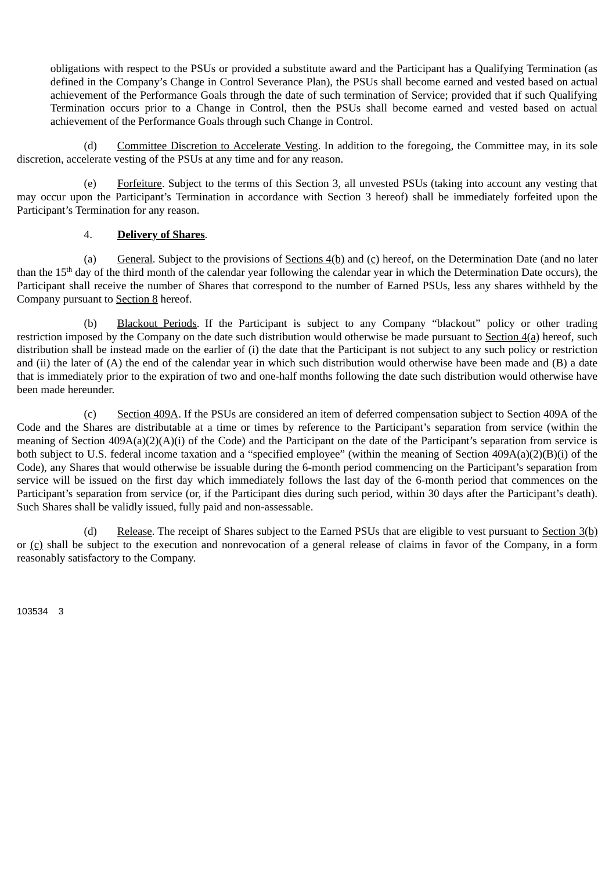obligations with respect to the PSUs or provided a substitute award and the Participant has a Qualifying Termination (as defined in the Company's Change in Control Severance Plan), the PSUs shall become earned and vested based on actual achievement of the Performance Goals through the date of such termination of Service; provided that if such Qualifying Termination occurs prior to a Change in Control, then the PSUs shall become earned and vested based on actual achievement of the Performance Goals through such Change in Control.

(d) Committee Discretion to Accelerate Vesting. In addition to the foregoing, the Committee may, in its sole discretion, accelerate vesting of the PSUs at any time and for any reason.

(e) Forfeiture. Subject to the terms of this Section 3, all unvested PSUs (taking into account any vesting that may occur upon the Participant's Termination in accordance with Section 3 hereof) shall be immediately forfeited upon the Participant's Termination for any reason.

# 4. **Delivery of Shares**.

(a) General. Subject to the provisions of Sections  $4(b)$  and  $(c)$  hereof, on the Determination Date (and no later than the 15<sup>th</sup> day of the third month of the calendar year following the calendar year in which the Determination Date occurs), the Participant shall receive the number of Shares that correspond to the number of Earned PSUs, less any shares withheld by the Company pursuant to Section 8 hereof.

(b) Blackout Periods. If the Participant is subject to any Company "blackout" policy or other trading restriction imposed by the Company on the date such distribution would otherwise be made pursuant to Section 4(a) hereof, such distribution shall be instead made on the earlier of (i) the date that the Participant is not subject to any such policy or restriction and (ii) the later of (A) the end of the calendar year in which such distribution would otherwise have been made and (B) a date that is immediately prior to the expiration of two and one-half months following the date such distribution would otherwise have been made hereunder.

(c) Section 409A. If the PSUs are considered an item of deferred compensation subject to Section 409A of the Code and the Shares are distributable at a time or times by reference to the Participant's separation from service (within the meaning of Section 409A(a)(2)(A)(i) of the Code) and the Participant on the date of the Participant's separation from service is both subject to U.S. federal income taxation and a "specified employee" (within the meaning of Section 409A(a)(2)(B)(i) of the Code), any Shares that would otherwise be issuable during the 6-month period commencing on the Participant's separation from service will be issued on the first day which immediately follows the last day of the 6-month period that commences on the Participant's separation from service (or, if the Participant dies during such period, within 30 days after the Participant's death). Such Shares shall be validly issued, fully paid and non-assessable.

(d) Release. The receipt of Shares subject to the Earned PSUs that are eligible to vest pursuant to Section 3(b) or  $(c)$  shall be subject to the execution and nonrevocation of a general release of claims in favor of the Company, in a form reasonably satisfactory to the Company.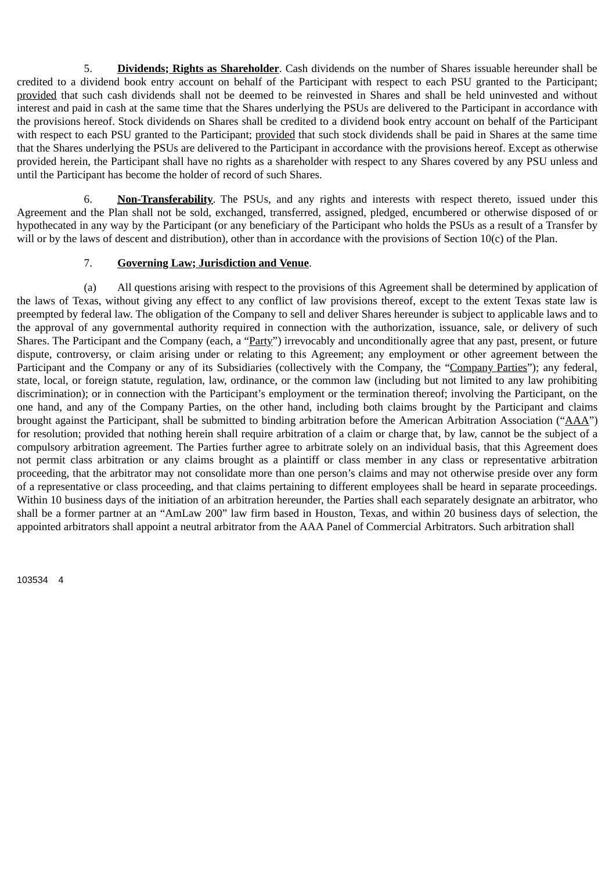5. **Dividends; Rights as Shareholder**. Cash dividends on the number of Shares issuable hereunder shall be credited to a dividend book entry account on behalf of the Participant with respect to each PSU granted to the Participant; provided that such cash dividends shall not be deemed to be reinvested in Shares and shall be held uninvested and without interest and paid in cash at the same time that the Shares underlying the PSUs are delivered to the Participant in accordance with the provisions hereof. Stock dividends on Shares shall be credited to a dividend book entry account on behalf of the Participant with respect to each PSU granted to the Participant; provided that such stock dividends shall be paid in Shares at the same time that the Shares underlying the PSUs are delivered to the Participant in accordance with the provisions hereof. Except as otherwise provided herein, the Participant shall have no rights as a shareholder with respect to any Shares covered by any PSU unless and until the Participant has become the holder of record of such Shares.

6. **Non-Transferability**. The PSUs, and any rights and interests with respect thereto, issued under this Agreement and the Plan shall not be sold, exchanged, transferred, assigned, pledged, encumbered or otherwise disposed of or hypothecated in any way by the Participant (or any beneficiary of the Participant who holds the PSUs as a result of a Transfer by will or by the laws of descent and distribution), other than in accordance with the provisions of Section 10(c) of the Plan.

# 7. **Governing Law; Jurisdiction and Venue**.

(a) All questions arising with respect to the provisions of this Agreement shall be determined by application of the laws of Texas, without giving any effect to any conflict of law provisions thereof, except to the extent Texas state law is preempted by federal law. The obligation of the Company to sell and deliver Shares hereunder is subject to applicable laws and to the approval of any governmental authority required in connection with the authorization, issuance, sale, or delivery of such Shares. The Participant and the Company (each, a "Party") irrevocably and unconditionally agree that any past, present, or future dispute, controversy, or claim arising under or relating to this Agreement; any employment or other agreement between the Participant and the Company or any of its Subsidiaries (collectively with the Company, the "Company Parties"); any federal, state, local, or foreign statute, regulation, law, ordinance, or the common law (including but not limited to any law prohibiting discrimination); or in connection with the Participant's employment or the termination thereof; involving the Participant, on the one hand, and any of the Company Parties, on the other hand, including both claims brought by the Participant and claims brought against the Participant, shall be submitted to binding arbitration before the American Arbitration Association ("AAA") for resolution; provided that nothing herein shall require arbitration of a claim or charge that, by law, cannot be the subject of a compulsory arbitration agreement. The Parties further agree to arbitrate solely on an individual basis, that this Agreement does not permit class arbitration or any claims brought as a plaintiff or class member in any class or representative arbitration proceeding, that the arbitrator may not consolidate more than one person's claims and may not otherwise preside over any form of a representative or class proceeding, and that claims pertaining to different employees shall be heard in separate proceedings. Within 10 business days of the initiation of an arbitration hereunder, the Parties shall each separately designate an arbitrator, who shall be a former partner at an "AmLaw 200" law firm based in Houston, Texas, and within 20 business days of selection, the appointed arbitrators shall appoint a neutral arbitrator from the AAA Panel of Commercial Arbitrators. Such arbitration shall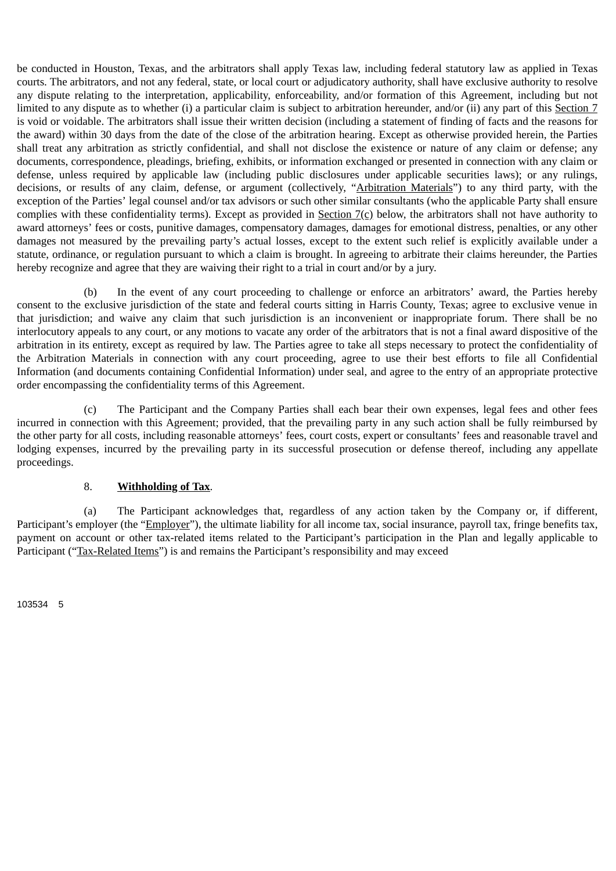be conducted in Houston, Texas, and the arbitrators shall apply Texas law, including federal statutory law as applied in Texas courts. The arbitrators, and not any federal, state, or local court or adjudicatory authority, shall have exclusive authority to resolve any dispute relating to the interpretation, applicability, enforceability, and/or formation of this Agreement, including but not limited to any dispute as to whether (i) a particular claim is subject to arbitration hereunder, and/or (ii) any part of this Section 7 is void or voidable. The arbitrators shall issue their written decision (including a statement of finding of facts and the reasons for the award) within 30 days from the date of the close of the arbitration hearing. Except as otherwise provided herein, the Parties shall treat any arbitration as strictly confidential, and shall not disclose the existence or nature of any claim or defense; any documents, correspondence, pleadings, briefing, exhibits, or information exchanged or presented in connection with any claim or defense, unless required by applicable law (including public disclosures under applicable securities laws); or any rulings, decisions, or results of any claim, defense, or argument (collectively, "Arbitration Materials") to any third party, with the exception of the Parties' legal counsel and/or tax advisors or such other similar consultants (who the applicable Party shall ensure complies with these confidentiality terms). Except as provided in Section 7(c) below, the arbitrators shall not have authority to award attorneys' fees or costs, punitive damages, compensatory damages, damages for emotional distress, penalties, or any other damages not measured by the prevailing party's actual losses, except to the extent such relief is explicitly available under a statute, ordinance, or regulation pursuant to which a claim is brought. In agreeing to arbitrate their claims hereunder, the Parties hereby recognize and agree that they are waiving their right to a trial in court and/or by a jury.

(b) In the event of any court proceeding to challenge or enforce an arbitrators' award, the Parties hereby consent to the exclusive jurisdiction of the state and federal courts sitting in Harris County, Texas; agree to exclusive venue in that jurisdiction; and waive any claim that such jurisdiction is an inconvenient or inappropriate forum. There shall be no interlocutory appeals to any court, or any motions to vacate any order of the arbitrators that is not a final award dispositive of the arbitration in its entirety, except as required by law. The Parties agree to take all steps necessary to protect the confidentiality of the Arbitration Materials in connection with any court proceeding, agree to use their best efforts to file all Confidential Information (and documents containing Confidential Information) under seal, and agree to the entry of an appropriate protective order encompassing the confidentiality terms of this Agreement.

(c) The Participant and the Company Parties shall each bear their own expenses, legal fees and other fees incurred in connection with this Agreement; provided, that the prevailing party in any such action shall be fully reimbursed by the other party for all costs, including reasonable attorneys' fees, court costs, expert or consultants' fees and reasonable travel and lodging expenses, incurred by the prevailing party in its successful prosecution or defense thereof, including any appellate proceedings.

# 8. **Withholding of Tax**.

(a) The Participant acknowledges that, regardless of any action taken by the Company or, if different, Participant's employer (the "Employer"), the ultimate liability for all income tax, social insurance, payroll tax, fringe benefits tax, payment on account or other tax-related items related to the Participant's participation in the Plan and legally applicable to Participant ("Tax-Related Items") is and remains the Participant's responsibility and may exceed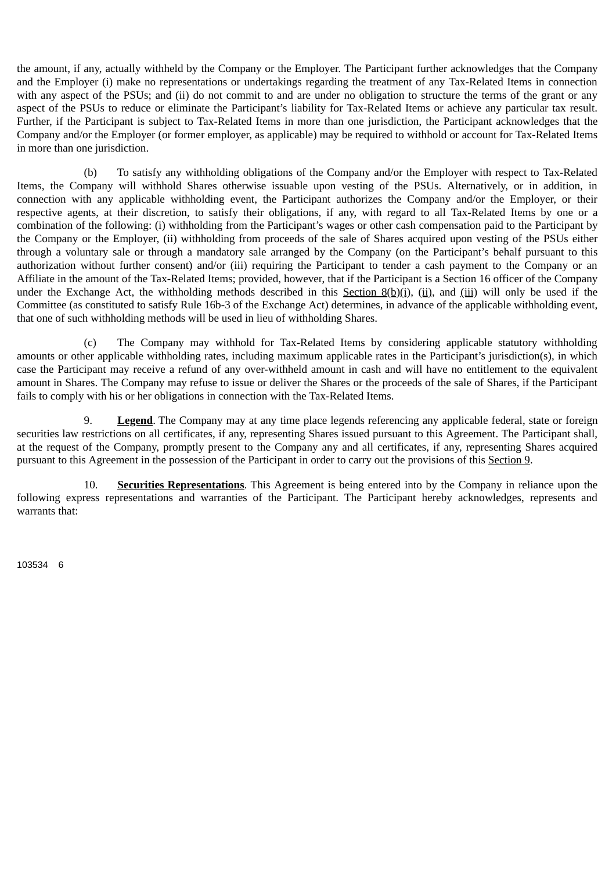the amount, if any, actually withheld by the Company or the Employer. The Participant further acknowledges that the Company and the Employer (i) make no representations or undertakings regarding the treatment of any Tax-Related Items in connection with any aspect of the PSUs; and (ii) do not commit to and are under no obligation to structure the terms of the grant or any aspect of the PSUs to reduce or eliminate the Participant's liability for Tax-Related Items or achieve any particular tax result. Further, if the Participant is subject to Tax-Related Items in more than one jurisdiction, the Participant acknowledges that the Company and/or the Employer (or former employer, as applicable) may be required to withhold or account for Tax-Related Items in more than one jurisdiction.

(b) To satisfy any withholding obligations of the Company and/or the Employer with respect to Tax-Related Items, the Company will withhold Shares otherwise issuable upon vesting of the PSUs. Alternatively, or in addition, in connection with any applicable withholding event, the Participant authorizes the Company and/or the Employer, or their respective agents, at their discretion, to satisfy their obligations, if any, with regard to all Tax-Related Items by one or a combination of the following: (i) withholding from the Participant's wages or other cash compensation paid to the Participant by the Company or the Employer, (ii) withholding from proceeds of the sale of Shares acquired upon vesting of the PSUs either through a voluntary sale or through a mandatory sale arranged by the Company (on the Participant's behalf pursuant to this authorization without further consent) and/or (iii) requiring the Participant to tender a cash payment to the Company or an Affiliate in the amount of the Tax-Related Items; provided, however, that if the Participant is a Section 16 officer of the Company under the Exchange Act, the withholding methods described in this Section 8(b)(i), (ii), and (iii) will only be used if the Committee (as constituted to satisfy Rule 16b-3 of the Exchange Act) determines, in advance of the applicable withholding event, that one of such withholding methods will be used in lieu of withholding Shares.

(c) The Company may withhold for Tax-Related Items by considering applicable statutory withholding amounts or other applicable withholding rates, including maximum applicable rates in the Participant's jurisdiction(s), in which case the Participant may receive a refund of any over-withheld amount in cash and will have no entitlement to the equivalent amount in Shares. The Company may refuse to issue or deliver the Shares or the proceeds of the sale of Shares, if the Participant fails to comply with his or her obligations in connection with the Tax-Related Items.

9. **Legend**. The Company may at any time place legends referencing any applicable federal, state or foreign securities law restrictions on all certificates, if any, representing Shares issued pursuant to this Agreement. The Participant shall, at the request of the Company, promptly present to the Company any and all certificates, if any, representing Shares acquired pursuant to this Agreement in the possession of the Participant in order to carry out the provisions of this Section 9.

10. **Securities Representations**. This Agreement is being entered into by the Company in reliance upon the following express representations and warranties of the Participant. The Participant hereby acknowledges, represents and warrants that: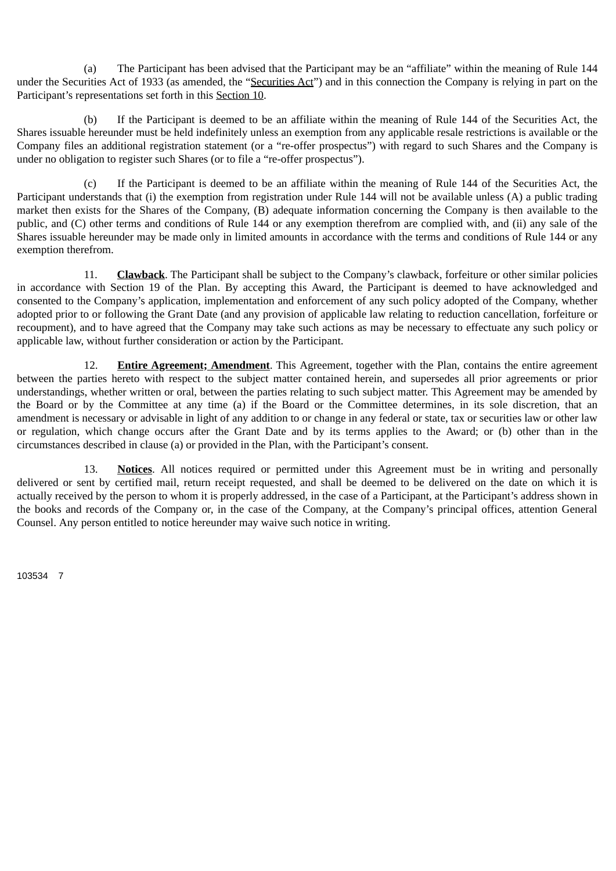(a) The Participant has been advised that the Participant may be an "affiliate" within the meaning of Rule 144 under the Securities Act of 1933 (as amended, the "Securities Act") and in this connection the Company is relying in part on the Participant's representations set forth in this Section 10.

(b) If the Participant is deemed to be an affiliate within the meaning of Rule 144 of the Securities Act, the Shares issuable hereunder must be held indefinitely unless an exemption from any applicable resale restrictions is available or the Company files an additional registration statement (or a "re-offer prospectus") with regard to such Shares and the Company is under no obligation to register such Shares (or to file a "re-offer prospectus").

(c) If the Participant is deemed to be an affiliate within the meaning of Rule 144 of the Securities Act, the Participant understands that (i) the exemption from registration under Rule 144 will not be available unless (A) a public trading market then exists for the Shares of the Company, (B) adequate information concerning the Company is then available to the public, and (C) other terms and conditions of Rule 144 or any exemption therefrom are complied with, and (ii) any sale of the Shares issuable hereunder may be made only in limited amounts in accordance with the terms and conditions of Rule 144 or any exemption therefrom.

11. **Clawback**. The Participant shall be subject to the Company's clawback, forfeiture or other similar policies in accordance with Section 19 of the Plan. By accepting this Award, the Participant is deemed to have acknowledged and consented to the Company's application, implementation and enforcement of any such policy adopted of the Company, whether adopted prior to or following the Grant Date (and any provision of applicable law relating to reduction cancellation, forfeiture or recoupment), and to have agreed that the Company may take such actions as may be necessary to effectuate any such policy or applicable law, without further consideration or action by the Participant.

12. **Entire Agreement; Amendment**. This Agreement, together with the Plan, contains the entire agreement between the parties hereto with respect to the subject matter contained herein, and supersedes all prior agreements or prior understandings, whether written or oral, between the parties relating to such subject matter. This Agreement may be amended by the Board or by the Committee at any time (a) if the Board or the Committee determines, in its sole discretion, that an amendment is necessary or advisable in light of any addition to or change in any federal or state, tax or securities law or other law or regulation, which change occurs after the Grant Date and by its terms applies to the Award; or (b) other than in the circumstances described in clause (a) or provided in the Plan, with the Participant's consent.

13. **Notices**. All notices required or permitted under this Agreement must be in writing and personally delivered or sent by certified mail, return receipt requested, and shall be deemed to be delivered on the date on which it is actually received by the person to whom it is properly addressed, in the case of a Participant, at the Participant's address shown in the books and records of the Company or, in the case of the Company, at the Company's principal offices, attention General Counsel. Any person entitled to notice hereunder may waive such notice in writing.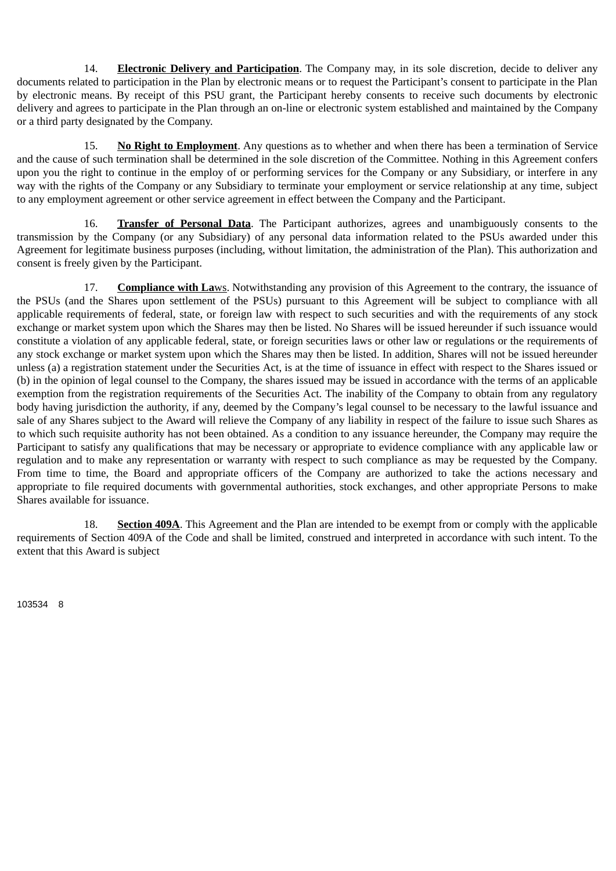14. **Electronic Delivery and Participation**. The Company may, in its sole discretion, decide to deliver any documents related to participation in the Plan by electronic means or to request the Participant's consent to participate in the Plan by electronic means. By receipt of this PSU grant, the Participant hereby consents to receive such documents by electronic delivery and agrees to participate in the Plan through an on-line or electronic system established and maintained by the Company or a third party designated by the Company.

15. **No Right to Employment**. Any questions as to whether and when there has been a termination of Service and the cause of such termination shall be determined in the sole discretion of the Committee. Nothing in this Agreement confers upon you the right to continue in the employ of or performing services for the Company or any Subsidiary, or interfere in any way with the rights of the Company or any Subsidiary to terminate your employment or service relationship at any time, subject to any employment agreement or other service agreement in effect between the Company and the Participant.

16. **Transfer of Personal Data**. The Participant authorizes, agrees and unambiguously consents to the transmission by the Company (or any Subsidiary) of any personal data information related to the PSUs awarded under this Agreement for legitimate business purposes (including, without limitation, the administration of the Plan). This authorization and consent is freely given by the Participant.

17. **Compliance with La**ws. Notwithstanding any provision of this Agreement to the contrary, the issuance of the PSUs (and the Shares upon settlement of the PSUs) pursuant to this Agreement will be subject to compliance with all applicable requirements of federal, state, or foreign law with respect to such securities and with the requirements of any stock exchange or market system upon which the Shares may then be listed. No Shares will be issued hereunder if such issuance would constitute a violation of any applicable federal, state, or foreign securities laws or other law or regulations or the requirements of any stock exchange or market system upon which the Shares may then be listed. In addition, Shares will not be issued hereunder unless (a) a registration statement under the Securities Act, is at the time of issuance in effect with respect to the Shares issued or (b) in the opinion of legal counsel to the Company, the shares issued may be issued in accordance with the terms of an applicable exemption from the registration requirements of the Securities Act. The inability of the Company to obtain from any regulatory body having jurisdiction the authority, if any, deemed by the Company's legal counsel to be necessary to the lawful issuance and sale of any Shares subject to the Award will relieve the Company of any liability in respect of the failure to issue such Shares as to which such requisite authority has not been obtained. As a condition to any issuance hereunder, the Company may require the Participant to satisfy any qualifications that may be necessary or appropriate to evidence compliance with any applicable law or regulation and to make any representation or warranty with respect to such compliance as may be requested by the Company. From time to time, the Board and appropriate officers of the Company are authorized to take the actions necessary and appropriate to file required documents with governmental authorities, stock exchanges, and other appropriate Persons to make Shares available for issuance.

18. **Section 409A**. This Agreement and the Plan are intended to be exempt from or comply with the applicable requirements of Section 409A of the Code and shall be limited, construed and interpreted in accordance with such intent. To the extent that this Award is subject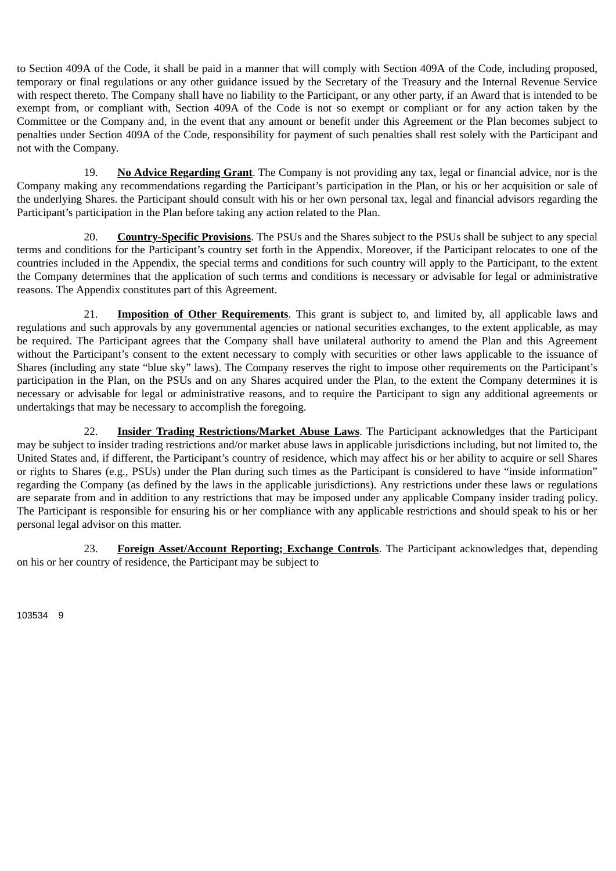to Section 409A of the Code, it shall be paid in a manner that will comply with Section 409A of the Code, including proposed, temporary or final regulations or any other guidance issued by the Secretary of the Treasury and the Internal Revenue Service with respect thereto. The Company shall have no liability to the Participant, or any other party, if an Award that is intended to be exempt from, or compliant with, Section 409A of the Code is not so exempt or compliant or for any action taken by the Committee or the Company and, in the event that any amount or benefit under this Agreement or the Plan becomes subject to penalties under Section 409A of the Code, responsibility for payment of such penalties shall rest solely with the Participant and not with the Company.

19. **No Advice Regarding Grant**. The Company is not providing any tax, legal or financial advice, nor is the Company making any recommendations regarding the Participant's participation in the Plan, or his or her acquisition or sale of the underlying Shares. the Participant should consult with his or her own personal tax, legal and financial advisors regarding the Participant's participation in the Plan before taking any action related to the Plan.

20. **Country-Specific Provisions**. The PSUs and the Shares subject to the PSUs shall be subject to any special terms and conditions for the Participant's country set forth in the Appendix. Moreover, if the Participant relocates to one of the countries included in the Appendix, the special terms and conditions for such country will apply to the Participant, to the extent the Company determines that the application of such terms and conditions is necessary or advisable for legal or administrative reasons. The Appendix constitutes part of this Agreement.

21. **Imposition of Other Requirements**. This grant is subject to, and limited by, all applicable laws and regulations and such approvals by any governmental agencies or national securities exchanges, to the extent applicable, as may be required. The Participant agrees that the Company shall have unilateral authority to amend the Plan and this Agreement without the Participant's consent to the extent necessary to comply with securities or other laws applicable to the issuance of Shares (including any state "blue sky" laws). The Company reserves the right to impose other requirements on the Participant's participation in the Plan, on the PSUs and on any Shares acquired under the Plan, to the extent the Company determines it is necessary or advisable for legal or administrative reasons, and to require the Participant to sign any additional agreements or undertakings that may be necessary to accomplish the foregoing.

22. **Insider Trading Restrictions/Market Abuse Laws**. The Participant acknowledges that the Participant may be subject to insider trading restrictions and/or market abuse laws in applicable jurisdictions including, but not limited to, the United States and, if different, the Participant's country of residence, which may affect his or her ability to acquire or sell Shares or rights to Shares (e.g., PSUs) under the Plan during such times as the Participant is considered to have "inside information" regarding the Company (as defined by the laws in the applicable jurisdictions). Any restrictions under these laws or regulations are separate from and in addition to any restrictions that may be imposed under any applicable Company insider trading policy. The Participant is responsible for ensuring his or her compliance with any applicable restrictions and should speak to his or her personal legal advisor on this matter.

23. **Foreign Asset/Account Reporting; Exchange Controls**. The Participant acknowledges that, depending on his or her country of residence, the Participant may be subject to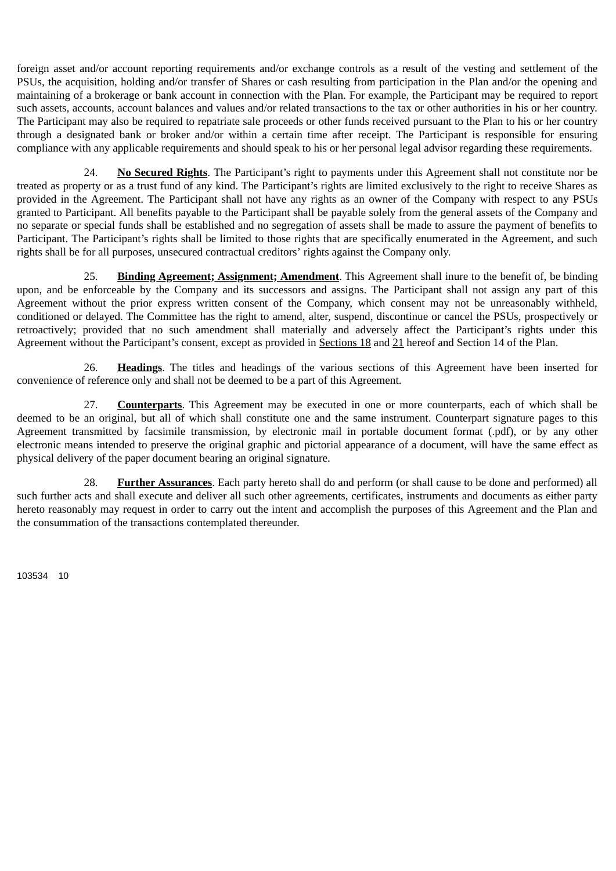foreign asset and/or account reporting requirements and/or exchange controls as a result of the vesting and settlement of the PSUs, the acquisition, holding and/or transfer of Shares or cash resulting from participation in the Plan and/or the opening and maintaining of a brokerage or bank account in connection with the Plan. For example, the Participant may be required to report such assets, accounts, account balances and values and/or related transactions to the tax or other authorities in his or her country. The Participant may also be required to repatriate sale proceeds or other funds received pursuant to the Plan to his or her country through a designated bank or broker and/or within a certain time after receipt. The Participant is responsible for ensuring compliance with any applicable requirements and should speak to his or her personal legal advisor regarding these requirements.

24. **No Secured Rights**. The Participant's right to payments under this Agreement shall not constitute nor be treated as property or as a trust fund of any kind. The Participant's rights are limited exclusively to the right to receive Shares as provided in the Agreement. The Participant shall not have any rights as an owner of the Company with respect to any PSUs granted to Participant. All benefits payable to the Participant shall be payable solely from the general assets of the Company and no separate or special funds shall be established and no segregation of assets shall be made to assure the payment of benefits to Participant. The Participant's rights shall be limited to those rights that are specifically enumerated in the Agreement, and such rights shall be for all purposes, unsecured contractual creditors' rights against the Company only.

25. **Binding Agreement; Assignment; Amendment**. This Agreement shall inure to the benefit of, be binding upon, and be enforceable by the Company and its successors and assigns. The Participant shall not assign any part of this Agreement without the prior express written consent of the Company, which consent may not be unreasonably withheld, conditioned or delayed. The Committee has the right to amend, alter, suspend, discontinue or cancel the PSUs, prospectively or retroactively; provided that no such amendment shall materially and adversely affect the Participant's rights under this Agreement without the Participant's consent, except as provided in Sections 18 and 21 hereof and Section 14 of the Plan.

26. **Headings**. The titles and headings of the various sections of this Agreement have been inserted for convenience of reference only and shall not be deemed to be a part of this Agreement.

27. **Counterparts**. This Agreement may be executed in one or more counterparts, each of which shall be deemed to be an original, but all of which shall constitute one and the same instrument. Counterpart signature pages to this Agreement transmitted by facsimile transmission, by electronic mail in portable document format (.pdf), or by any other electronic means intended to preserve the original graphic and pictorial appearance of a document, will have the same effect as physical delivery of the paper document bearing an original signature.

28. **Further Assurances**. Each party hereto shall do and perform (or shall cause to be done and performed) all such further acts and shall execute and deliver all such other agreements, certificates, instruments and documents as either party hereto reasonably may request in order to carry out the intent and accomplish the purposes of this Agreement and the Plan and the consummation of the transactions contemplated thereunder.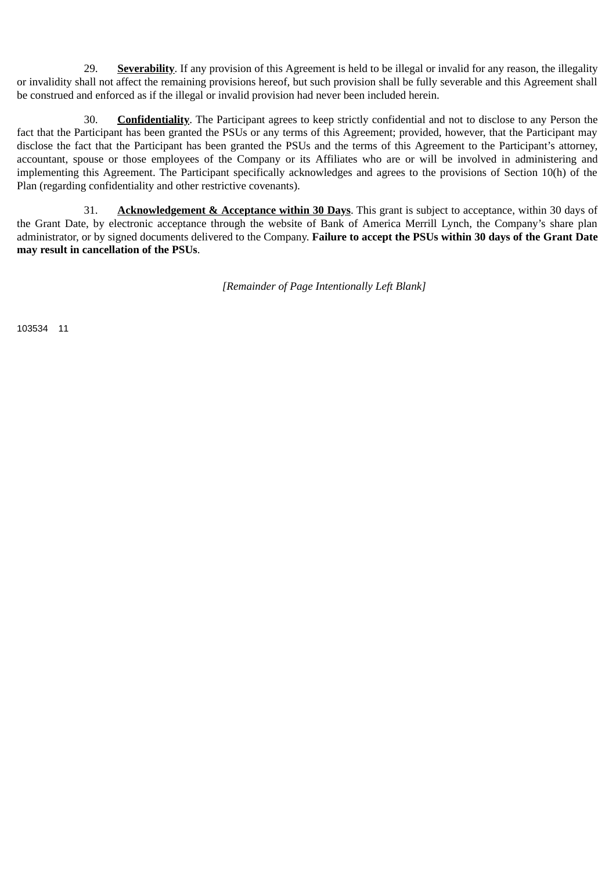29. **Severability**. If any provision of this Agreement is held to be illegal or invalid for any reason, the illegality or invalidity shall not affect the remaining provisions hereof, but such provision shall be fully severable and this Agreement shall be construed and enforced as if the illegal or invalid provision had never been included herein.

30. **Confidentiality**. The Participant agrees to keep strictly confidential and not to disclose to any Person the fact that the Participant has been granted the PSUs or any terms of this Agreement; provided, however, that the Participant may disclose the fact that the Participant has been granted the PSUs and the terms of this Agreement to the Participant's attorney, accountant, spouse or those employees of the Company or its Affiliates who are or will be involved in administering and implementing this Agreement. The Participant specifically acknowledges and agrees to the provisions of Section 10(h) of the Plan (regarding confidentiality and other restrictive covenants).

31. **Acknowledgement & Acceptance within 30 Days**. This grant is subject to acceptance, within 30 days of the Grant Date, by electronic acceptance through the website of Bank of America Merrill Lynch, the Company's share plan administrator, or by signed documents delivered to the Company. **Failure to accept the PSUs within 30 days of the Grant Date may result in cancellation of the PSUs**.

*[Remainder of Page Intentionally Left Blank]*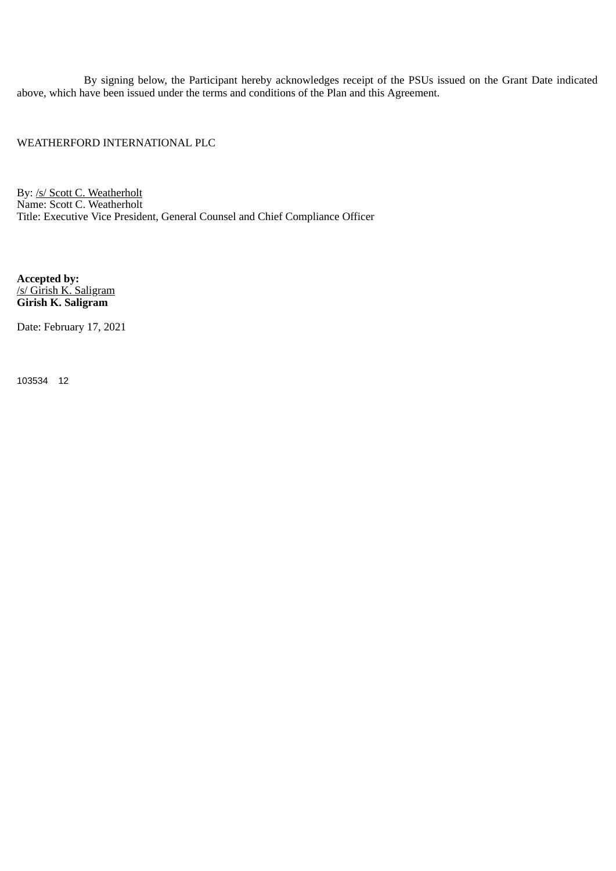By signing below, the Participant hereby acknowledges receipt of the PSUs issued on the Grant Date indicated above, which have been issued under the terms and conditions of the Plan and this Agreement.

WEATHERFORD INTERNATIONAL PLC

By: /s/ Scott C. Weatherholt Name: Scott C. Weatherholt Title: Executive Vice President, General Counsel and Chief Compliance Officer

**Accepted by:** /s/ Girish K. Saligram **Girish K. Saligram**

Date: February 17, 2021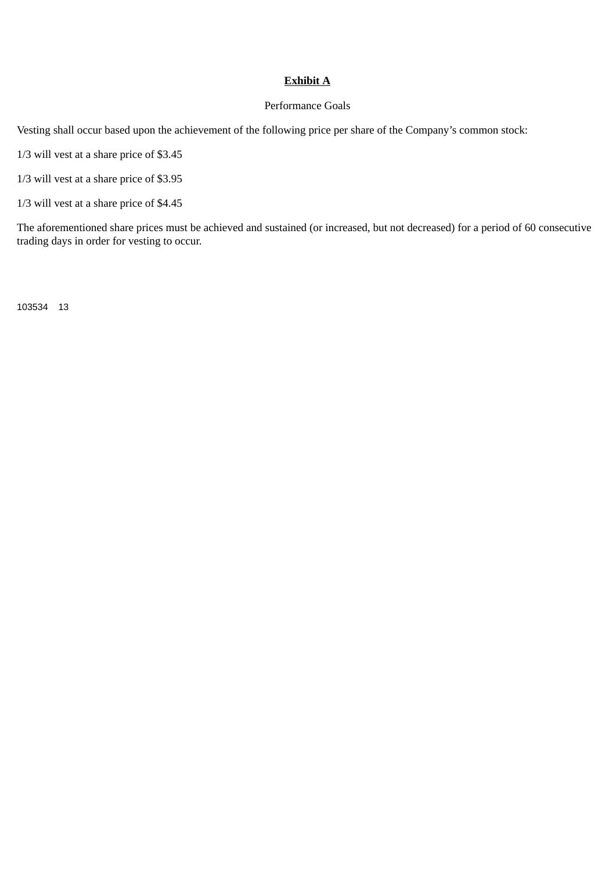# **Exhibit A**

# Performance Goals

Vesting shall occur based upon the achievement of the following price per share of the Company's common stock:

1/3 will vest at a share price of \$3.45

1/3 will vest at a share price of \$3.95

1/3 will vest at a share price of \$4.45

The aforementioned share prices must be achieved and sustained (or increased, but not decreased) for a period of 60 consecutive trading days in order for vesting to occur.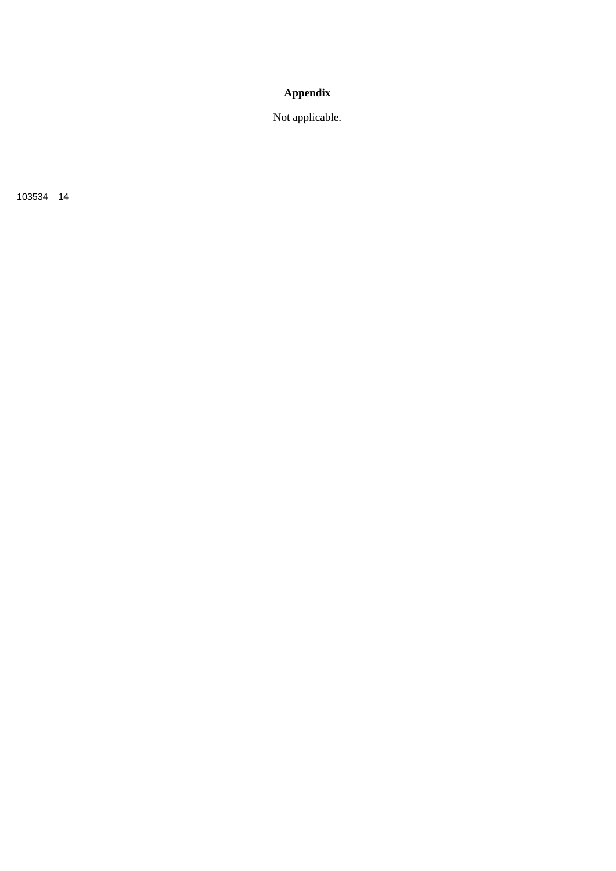# **Appendix**

Not applicable.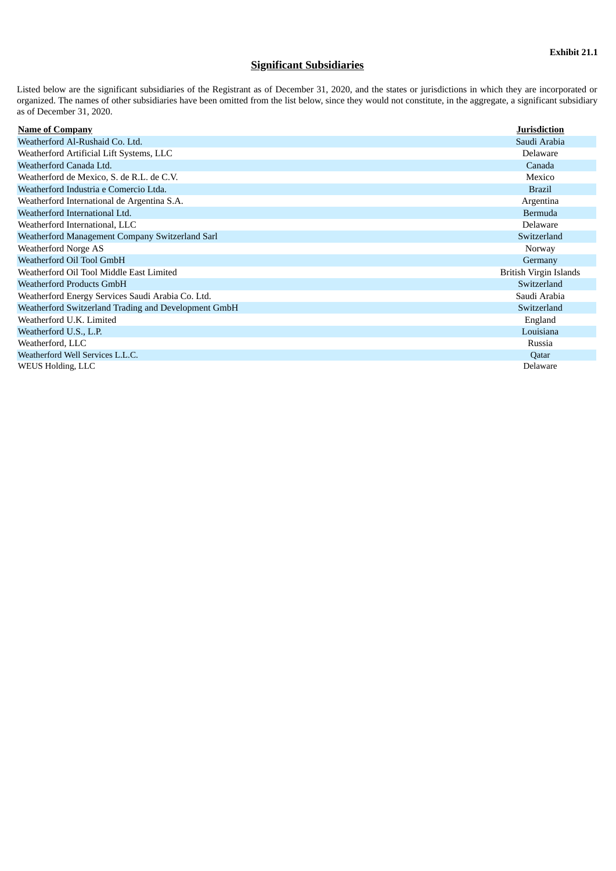# **Significant Subsidiaries**

Listed below are the significant subsidiaries of the Registrant as of December 31, 2020, and the states or jurisdictions in which they are incorporated or organized. The names of other subsidiaries have been omitted from the list below, since they would not constitute, in the aggregate, a significant subsidiary as of December 31, 2020.

| <b>Name of Company</b>                               | <b>Jurisdiction</b>    |
|------------------------------------------------------|------------------------|
| Weatherford Al-Rushaid Co. Ltd.                      | Saudi Arabia           |
| Weatherford Artificial Lift Systems, LLC             | Delaware               |
| Weatherford Canada Ltd.                              | Canada                 |
| Weatherford de Mexico, S. de R.L. de C.V.            | Mexico                 |
| Weatherford Industria e Comercio Ltda.               | <b>Brazil</b>          |
| Weatherford International de Argentina S.A.          | Argentina              |
| Weatherford International Ltd.                       | <b>Bermuda</b>         |
| Weatherford International, LLC                       | Delaware               |
| Weatherford Management Company Switzerland Sarl      | Switzerland            |
| <b>Weatherford Norge AS</b>                          | Norway                 |
| Weatherford Oil Tool GmbH                            | Germany                |
| Weatherford Oil Tool Middle East Limited             | British Virgin Islands |
| Weatherford Products GmbH                            | Switzerland            |
| Weatherford Energy Services Saudi Arabia Co. Ltd.    | Saudi Arabia           |
| Weatherford Switzerland Trading and Development GmbH | Switzerland            |
| Weatherford U.K. Limited                             | England                |
| Weatherford U.S., L.P.                               | Louisiana              |
| Weatherford, LLC                                     | Russia                 |
| Weatherford Well Services L.L.C.                     | Qatar                  |
| WEUS Holding, LLC                                    | Delaware               |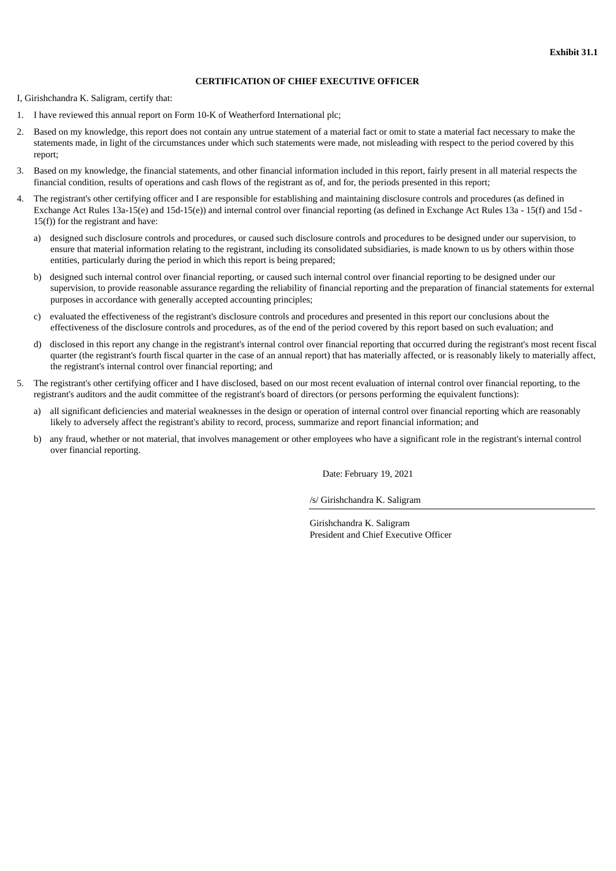### **CERTIFICATION OF CHIEF EXECUTIVE OFFICER**

I, Girishchandra K. Saligram, certify that:

- 1. I have reviewed this annual report on Form 10-K of Weatherford International plc;
- 2. Based on my knowledge, this report does not contain any untrue statement of a material fact or omit to state a material fact necessary to make the statements made, in light of the circumstances under which such statements were made, not misleading with respect to the period covered by this report;
- 3. Based on my knowledge, the financial statements, and other financial information included in this report, fairly present in all material respects the financial condition, results of operations and cash flows of the registrant as of, and for, the periods presented in this report;
- 4. The registrant's other certifying officer and I are responsible for establishing and maintaining disclosure controls and procedures (as defined in Exchange Act Rules 13a-15(e) and 15d-15(e)) and internal control over financial reporting (as defined in Exchange Act Rules 13a - 15(f) and 15d - 15(f)) for the registrant and have:
	- a) designed such disclosure controls and procedures, or caused such disclosure controls and procedures to be designed under our supervision, to ensure that material information relating to the registrant, including its consolidated subsidiaries, is made known to us by others within those entities, particularly during the period in which this report is being prepared;
	- b) designed such internal control over financial reporting, or caused such internal control over financial reporting to be designed under our supervision, to provide reasonable assurance regarding the reliability of financial reporting and the preparation of financial statements for external purposes in accordance with generally accepted accounting principles;
	- c) evaluated the effectiveness of the registrant's disclosure controls and procedures and presented in this report our conclusions about the effectiveness of the disclosure controls and procedures, as of the end of the period covered by this report based on such evaluation; and
	- d) disclosed in this report any change in the registrant's internal control over financial reporting that occurred during the registrant's most recent fiscal quarter (the registrant's fourth fiscal quarter in the case of an annual report) that has materially affected, or is reasonably likely to materially affect, the registrant's internal control over financial reporting; and
- 5. The registrant's other certifying officer and I have disclosed, based on our most recent evaluation of internal control over financial reporting, to the registrant's auditors and the audit committee of the registrant's board of directors (or persons performing the equivalent functions):
	- a) all significant deficiencies and material weaknesses in the design or operation of internal control over financial reporting which are reasonably likely to adversely affect the registrant's ability to record, process, summarize and report financial information; and
	- b) any fraud, whether or not material, that involves management or other employees who have a significant role in the registrant's internal control over financial reporting.

Date: February 19, 2021

/s/ Girishchandra K. Saligram

Girishchandra K. Saligram President and Chief Executive Officer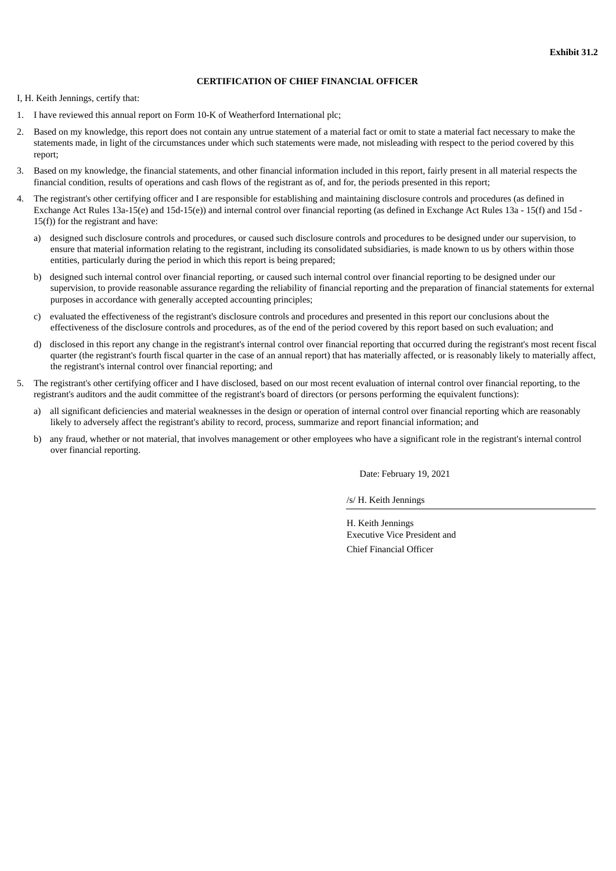### **CERTIFICATION OF CHIEF FINANCIAL OFFICER**

I, H. Keith Jennings, certify that:

- 1. I have reviewed this annual report on Form 10-K of Weatherford International plc;
- 2. Based on my knowledge, this report does not contain any untrue statement of a material fact or omit to state a material fact necessary to make the statements made, in light of the circumstances under which such statements were made, not misleading with respect to the period covered by this report;
- 3. Based on my knowledge, the financial statements, and other financial information included in this report, fairly present in all material respects the financial condition, results of operations and cash flows of the registrant as of, and for, the periods presented in this report;
- 4. The registrant's other certifying officer and I are responsible for establishing and maintaining disclosure controls and procedures (as defined in Exchange Act Rules 13a-15(e) and 15d-15(e)) and internal control over financial reporting (as defined in Exchange Act Rules 13a - 15(f) and 15d - 15(f)) for the registrant and have:
	- a) designed such disclosure controls and procedures, or caused such disclosure controls and procedures to be designed under our supervision, to ensure that material information relating to the registrant, including its consolidated subsidiaries, is made known to us by others within those entities, particularly during the period in which this report is being prepared;
	- b) designed such internal control over financial reporting, or caused such internal control over financial reporting to be designed under our supervision, to provide reasonable assurance regarding the reliability of financial reporting and the preparation of financial statements for external purposes in accordance with generally accepted accounting principles;
	- c) evaluated the effectiveness of the registrant's disclosure controls and procedures and presented in this report our conclusions about the effectiveness of the disclosure controls and procedures, as of the end of the period covered by this report based on such evaluation; and
	- d) disclosed in this report any change in the registrant's internal control over financial reporting that occurred during the registrant's most recent fiscal quarter (the registrant's fourth fiscal quarter in the case of an annual report) that has materially affected, or is reasonably likely to materially affect, the registrant's internal control over financial reporting; and
- 5. The registrant's other certifying officer and I have disclosed, based on our most recent evaluation of internal control over financial reporting, to the registrant's auditors and the audit committee of the registrant's board of directors (or persons performing the equivalent functions):
	- a) all significant deficiencies and material weaknesses in the design or operation of internal control over financial reporting which are reasonably likely to adversely affect the registrant's ability to record, process, summarize and report financial information; and
	- b) any fraud, whether or not material, that involves management or other employees who have a significant role in the registrant's internal control over financial reporting.

Date: February 19, 2021

/s/ H. Keith Jennings

H. Keith Jennings Executive Vice President and Chief Financial Officer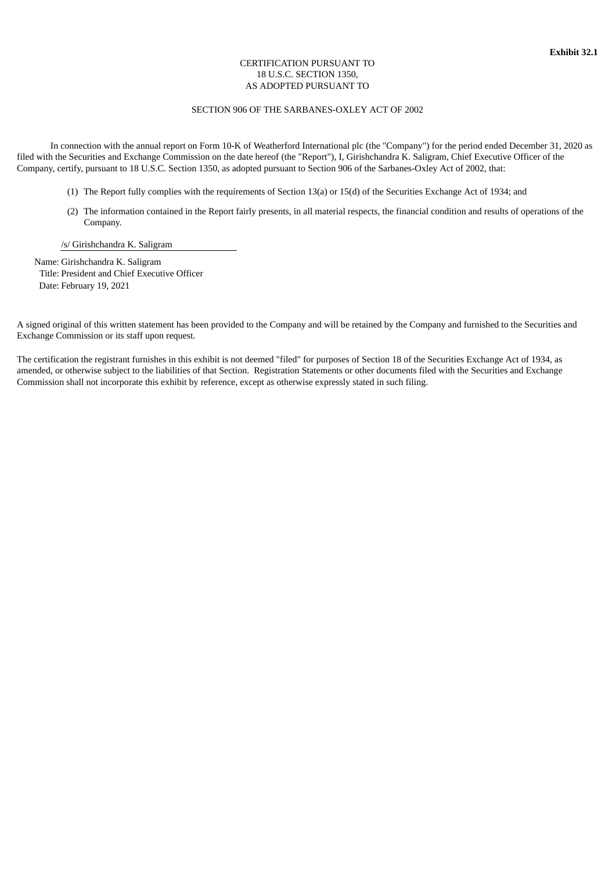#### CERTIFICATION PURSUANT TO 18 U.S.C. SECTION 1350, AS ADOPTED PURSUANT TO

### SECTION 906 OF THE SARBANES-OXLEY ACT OF 2002

In connection with the annual report on Form 10-K of Weatherford International plc (the "Company") for the period ended December 31, 2020 as filed with the Securities and Exchange Commission on the date hereof (the "Report"), I, Girishchandra K. Saligram, Chief Executive Officer of the Company, certify, pursuant to 18 U.S.C. Section 1350, as adopted pursuant to Section 906 of the Sarbanes-Oxley Act of 2002, that:

- (1) The Report fully complies with the requirements of Section 13(a) or 15(d) of the Securities Exchange Act of 1934; and
- (2) The information contained in the Report fairly presents, in all material respects, the financial condition and results of operations of the Company.

#### /s/ Girishchandra K. Saligram

Name: Girishchandra K. Saligram Title: President and Chief Executive Officer Date: February 19, 2021

A signed original of this written statement has been provided to the Company and will be retained by the Company and furnished to the Securities and Exchange Commission or its staff upon request.

The certification the registrant furnishes in this exhibit is not deemed "filed" for purposes of Section 18 of the Securities Exchange Act of 1934, as amended, or otherwise subject to the liabilities of that Section. Registration Statements or other documents filed with the Securities and Exchange Commission shall not incorporate this exhibit by reference, except as otherwise expressly stated in such filing.